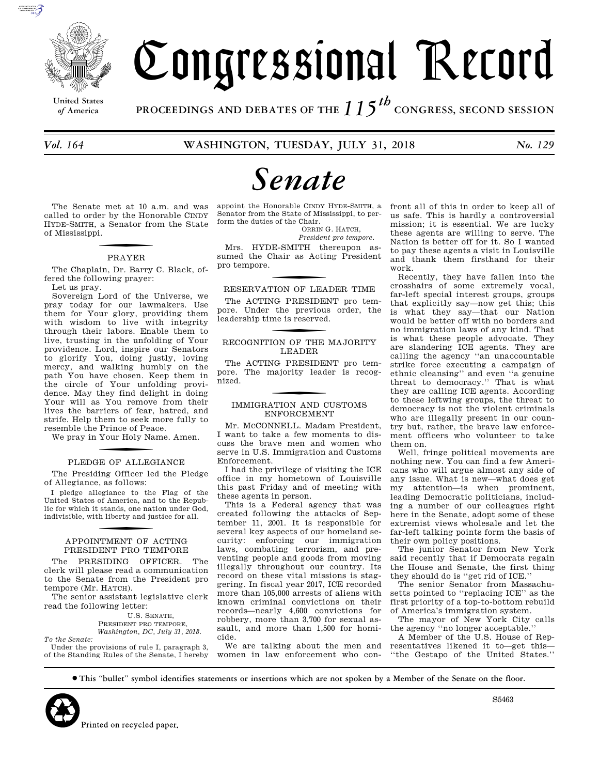

**United States**

# Congressional Record

*of* **America PROCEEDINGS AND DEBATES OF THE** *115th*  **CONGRESS, SECOND SESSION**

# *Senate*

The Senate met at 10 a.m. and was called to order by the Honorable CINDY HYDE-SMITH, a Senator from the State of Mississippi.

### f PRAYER

The Chaplain, Dr. Barry C. Black, offered the following prayer:

Let us pray.

Sovereign Lord of the Universe, we pray today for our lawmakers. Use them for Your glory, providing them with wisdom to live with integrity through their labors. Enable them to live, trusting in the unfolding of Your providence. Lord, inspire our Senators to glorify You, doing justly, loving mercy, and walking humbly on the path You have chosen. Keep them in the circle of Your unfolding providence. May they find delight in doing Your will as You remove from their lives the barriers of fear, hatred, and strife. Help them to seek more fully to resemble the Prince of Peace.

We pray in Your Holy Name. Amen.

# PLEDGE OF ALLEGIANCE

The Presiding Officer led the Pledge of Allegiance, as follows:

I pledge allegiance to the Flag of the United States of America, and to the Republic for which it stands, one nation under God, indivisible, with liberty and justice for all.

### f APPOINTMENT OF ACTING PRESIDENT PRO TEMPORE

The PRESIDING OFFICER. The clerk will please read a communication to the Senate from the President pro tempore (Mr. HATCH).

The senior assistant legislative clerk read the following letter:

> U.S. SENATE, PRESIDENT PRO TEMPORE, *Washington, DC, July 31, 2018.*

*To the Senate:*  Under the provisions of rule I, paragraph 3, of the Standing Rules of the Senate, I hereby

appoint the Honorable CINDY HYDE-SMITH, a Senator from the State of Mississippi, to perform the duties of the Chair.

ORRIN G. HATCH, *President pro tempore.* 

Mrs. HYDE-SMITH thereupon assumed the Chair as Acting President pro tempore.

RESERVATION OF LEADER TIME

The ACTING PRESIDENT pro tempore. Under the previous order, the leadership time is reserved.

### RECOGNITION OF THE MAJORITY LEADER

The ACTING PRESIDENT pro tempore. The majority leader is recognized.

### f IMMIGRATION AND CUSTOMS ENFORCEMENT

Mr. MCCONNELL. Madam President, I want to take a few moments to discuss the brave men and women who serve in U.S. Immigration and Customs Enforcement.

I had the privilege of visiting the ICE office in my hometown of Louisville this past Friday and of meeting with these agents in person.

This is a Federal agency that was created following the attacks of September 11, 2001. It is responsible for several key aspects of our homeland security: enforcing our immigration laws, combating terrorism, and preventing people and goods from moving illegally throughout our country. Its record on these vital missions is staggering. In fiscal year 2017, ICE recorded more than 105,000 arrests of aliens with known criminal convictions on their records—nearly 4,600 convictions for robbery, more than 3,700 for sexual assault, and more than 1,500 for homicide.

We are talking about the men and women in law enforcement who confront all of this in order to keep all of us safe. This is hardly a controversial mission; it is essential. We are lucky these agents are willing to serve. The Nation is better off for it. So I wanted to pay these agents a visit in Louisville and thank them firsthand for their work.

Recently, they have fallen into the crosshairs of some extremely vocal, far-left special interest groups, groups that explicitly say—now get this; this is what they say—that our Nation would be better off with no borders and no immigration laws of any kind. That is what these people advocate. They are slandering ICE agents. They are calling the agency ''an unaccountable strike force executing a campaign of ethnic cleansing'' and even ''a genuine threat to democracy.'' That is what they are calling ICE agents. According to these leftwing groups, the threat to democracy is not the violent criminals who are illegally present in our country but, rather, the brave law enforcement officers who volunteer to take them on.

Well, fringe political movements are nothing new. You can find a few Americans who will argue almost any side of any issue. What is new—what does get my attention—is when prominent, leading Democratic politicians, including a number of our colleagues right here in the Senate, adopt some of these extremist views wholesale and let the far-left talking points form the basis of their own policy positions.

The junior Senator from New York said recently that if Democrats regain the House and Senate, the first thing they should do is ''get rid of ICE.''

The senior Senator from Massachusetts pointed to ''replacing ICE'' as the first priority of a top-to-bottom rebuild of America's immigration system.

The mayor of New York City calls the agency ''no longer acceptable.''

A Member of the U.S. House of Representatives likened it to—get this— ''the Gestapo of the United States.''

∑ **This ''bullet'' symbol identifies statements or insertions which are not spoken by a Member of the Senate on the floor.**

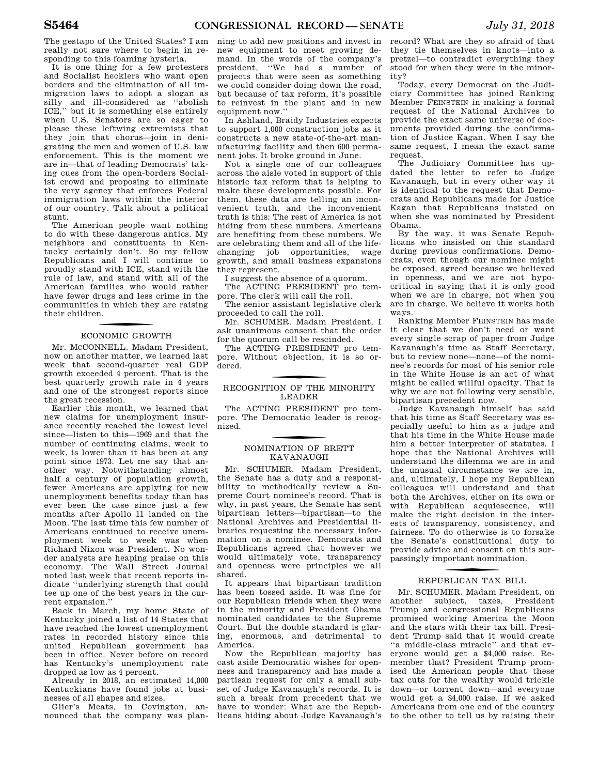The gestapo of the United States? I am really not sure where to begin in responding to this foaming hysteria.

It is one thing for a few protesters and Socialist hecklers who want open borders and the elimination of all immigration laws to adopt a slogan as silly and ill-considered as ''abolish ICE,'' but it is something else entirely when U.S. Senators are so eager to please these leftwing extremists that they join that chorus—join in denigrating the men and women of U.S. law enforcement. This is the moment we are in—that of leading Democrats' taking cues from the open-borders Socialist crowd and proposing to eliminate the very agency that enforces Federal immigration laws within the interior of our country. Talk about a political stunt.

The American people want nothing to do with these dangerous antics. My neighbors and constituents in Kentucky certainly don't. So my fellow Republicans and I will continue to proudly stand with ICE, stand with the rule of law, and stand with all of the American families who would rather have fewer drugs and less crime in the communities in which they are raising their children.

### f ECONOMIC GROWTH

Mr. MCCONNELL. Madam President, now on another matter, we learned last week that second-quarter real GDP growth exceeded 4 percent. That is the best quarterly growth rate in 4 years and one of the strongest reports since the great recession.

Earlier this month, we learned that new claims for unemployment insurance recently reached the lowest level since—listen to this—1969 and that the number of continuing claims, week to week, is lower than it has been at any point since 1973. Let me say that another way. Notwithstanding almost half a century of population growth, fewer Americans are applying for new unemployment benefits today than has ever been the case since just a few months after Apollo 11 landed on the Moon. The last time this few number of Americans continued to receive unemployment week to week was when Richard Nixon was President. No wonder analysts are heaping praise on this economy. The Wall Street Journal noted last week that recent reports indicate ''underlying strength that could tee up one of the best years in the current expansion.''

Back in March, my home State of Kentucky joined a list of 14 States that have reached the lowest unemployment rates in recorded history since this united Republican government has been in office. Never before on record has Kentucky's unemployment rate dropped as low as 4 percent.

Already in 2018, an estimated 14,000 Kentuckians have found jobs at businesses of all shapes and sizes.

Glier's Meats, in Covington, announced that the company was planning to add new positions and invest in new equipment to meet growing demand. In the words of the company's president, ''We had a number of projects that were seen as something we could consider doing down the road, but because of tax reform, it's possible to reinvest in the plant and in new equipment now.''

In Ashland, Braidy Industries expects to support 1,000 construction jobs as it constructs a new state-of-the-art manufacturing facility and then 600 permanent jobs. It broke ground in June.

Not a single one of our colleagues across the aisle voted in support of this historic tax reform that is helping to make these developments possible. For them, these data are telling an inconvenient truth, and the inconvenient truth is this: The rest of America is not hiding from these numbers. Americans are benefiting from these numbers. We are celebrating them and all of the lifechanging job opportunities, wage growth, and small business expansions they represent.

I suggest the absence of a quorum.

The ACTING PRESIDENT pro tempore. The clerk will call the roll.

The senior assistant legislative clerk proceeded to call the roll.

Mr. SCHUMER. Madam President, I ask unanimous consent that the order for the quorum call be rescinded.

The ACTING PRESIDENT pro tempore. Without objection, it is so ordered.

### RECOGNITION OF THE MINORITY LEADER

The ACTING PRESIDENT pro tempore. The Democratic leader is recognized.

### f NOMINATION OF BRETT KAVANAUGH

Mr. SCHUMER. Madam President, the Senate has a duty and a responsibility to methodically review a Supreme Court nominee's record. That is why, in past years, the Senate has sent bipartisan letters—bipartisan—to the National Archives and Presidential libraries requesting the necessary information on a nominee. Democrats and Republicans agreed that however we would ultimately vote, transparency and openness were principles we all shared.

It appears that bipartisan tradition has been tossed aside. It was fine for our Republican friends when they were in the minority and President Obama nominated candidates to the Supreme Court. But the double standard is glaring, enormous, and detrimental to America.

Now the Republican majority has cast aside Democratic wishes for openness and transparency and has made a partisan request for only a small subset of Judge Kavanaugh's records. It is such a break from precedent that we have to wonder: What are the Republicans hiding about Judge Kavanaugh's

record? What are they so afraid of that they tie themselves in knots—into a pretzel—to contradict everything they stood for when they were in the minority?

Today, every Democrat on the Judiciary Committee has joined Ranking Member FEINSTEIN in making a formal request of the National Archives to provide the exact same universe of documents provided during the confirmation of Justice Kagan. When I say the same request, I mean the exact same request.

The Judiciary Committee has updated the letter to refer to Judge Kavanaugh, but in every other way it is identical to the request that Democrats and Republicans made for Justice Kagan that Republicans insisted on when she was nominated by President Obama.

By the way, it was Senate Republicans who insisted on this standard during previous confirmations. Democrats, even though our nominee might be exposed, agreed because we believed in openness, and we are not hypocritical in saying that it is only good when we are in charge, not when you are in charge. We believe it works both ways.

Ranking Member FEINSTEIN has made it clear that we don't need or want every single scrap of paper from Judge Kavanaugh's time as Staff Secretary, but to review none—none—of the nominee's records for most of his senior role in the White House is an act of what might be called willful opacity. That is why we are not following very sensible, bipartisan precedent now.

Judge Kavanaugh himself has said that his time as Staff Secretary was especially useful to him as a judge and that his time in the White House made him a better interpreter of statutes. I hope that the National Archives will understand the dilemma we are in and the unusual circumstance we are in, and, ultimately, I hope my Republican colleagues will understand and that both the Archives, either on its own or with Republican acquiescence, will make the right decision in the interests of transparency, consistency, and fairness. To do otherwise is to forsake the Senate's constitutional duty to provide advice and consent on this surpassingly important nomination.

### f REPUBLICAN TAX BILL

Mr. SCHUMER. Madam President, on subject, taxes, President Trump and congressional Republicans promised working America the Moon and the stars with their tax bill. President Trump said that it would create ''a middle-class miracle'' and that everyone would get a \$4,000 raise. Remember that? President Trump promised the American people that these tax cuts for the wealthy would trickle down—or torrent down—and everyone would get a \$4,000 raise. If we asked Americans from one end of the country to the other to tell us by raising their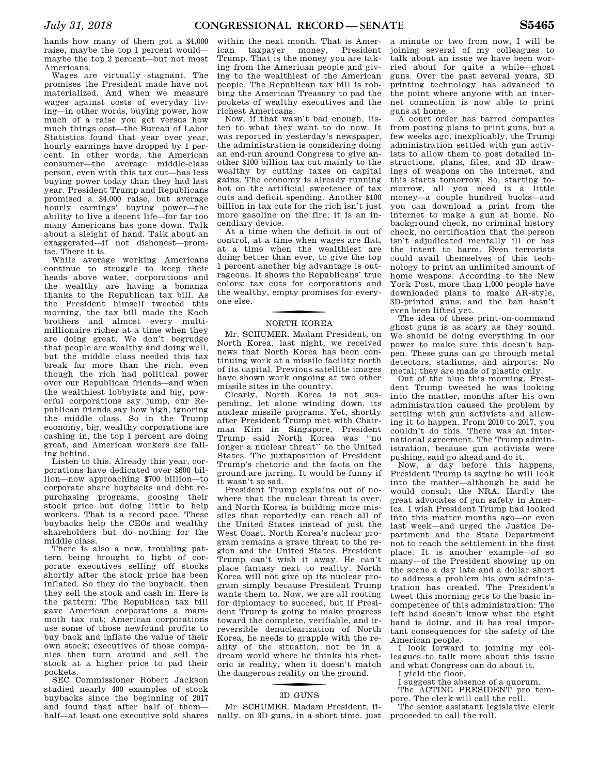hands how many of them got a \$4,000 raise, maybe the top 1 percent would maybe the top 2 percent—but not most Americans.

Wages are virtually stagnant. The promises the President made have not materialized. And when we measure wages against costs of everyday living—in other words, buying power, how much of a raise you get versus how much things cost—the Bureau of Labor Statistics found that year over year, hourly earnings have dropped by 1 percent. In other words, the American consumer—the average middle-class person, even with this tax cut—has less buying power today than they had last year. President Trump and Republicans promised a \$4,000 raise, but average hourly earnings' buying power—the ability to live a decent life—for far too many Americans has gone down. Talk about a sleight of hand. Talk about an exaggerated—if not dishonest—promise. There it is.

While average working Americans continue to struggle to keep their heads above water, corporations and the wealthy are having a bonanza thanks to the Republican tax bill. As the President himself tweeted this morning, the tax bill made the Koch brothers and almost every multimillionaire richer at a time when they are doing great. We don't begrudge that people are wealthy and doing well, but the middle class needed this tax break far more than the rich, even though the rich had political power over our Republican friends—and when the wealthiest lobbyists and big, powerful corporations say jump, our Republican friends say how high, ignoring the middle class. So in the Trump economy, big, wealthy corporations are cashing in, the top 1 percent are doing great, and American workers are falling behind.

Listen to this. Already this year, corporations have dedicated over \$600 billion—now approaching \$700 billion—to corporate share buybacks and debt repurchasing programs, goosing their stock price but doing little to help workers. That is a record pace. These buybacks help the CEOs and wealthy shareholders but do nothing for the middle class.

There is also a new, troubling pattern being brought to light of corporate executives selling off stocks shortly after the stock price has been inflated. So they do the buyback, then they sell the stock and cash in. Here is the pattern: The Republican tax bill gave American corporations a mammoth tax cut; American corporations use some of those newfound profits to buy back and inflate the value of their own stock; executives of those companies then turn around and sell the stock at a higher price to pad their pockets.

SEC Commissioner Robert Jackson studied nearly 400 examples of stock buybacks since the beginning of 2017 and found that after half of them half—at least one executive sold shares nally, on 3D guns, in a short time, just

within the next month. That is American taxpayer money, President Trump. That is the money you are taking from the American people and giving to the wealthiest of the American people. The Republican tax bill is robbing the American Treasury to pad the pockets of wealthy executives and the richest Americans.

Now, if that wasn't bad enough, listen to what they want to do now. It was reported in yesterday's newspaper, the administration is considering doing an end-run around Congress to give another \$100 billion tax cut mainly to the wealthy by cutting taxes on capital gains. The economy is already running hot on the artificial sweetener of tax cuts and deficit spending. Another \$100 billion in tax cuts for the rich isn't just more gasoline on the fire; it is an incendiary device.

At a time when the deficit is out of control, at a time when wages are flat, at a time when the wealthiest are doing better than ever, to give the top 1 percent another big advantage is outrageous. It shows the Republicans' true colors: tax cuts for corporations and the wealthy, empty promises for everyone else.

### f NORTH KOREA

Mr. SCHUMER. Madam President, on North Korea, last night, we received news that North Korea has been continuing work at a missile facility north of its capital. Previous satellite images have shown work ongoing at two other missile sites in the country.

Clearly, North Korea is not suspending, let alone winding down, its nuclear missile programs. Yet, shortly after President Trump met with Chairman Kim in Singapore, President Trump said North Korea was ''no longer a nuclear threat'' to the United States. The juxtaposition of President Trump's rhetoric and the facts on the ground are jarring. It would be funny if it wasn't so sad.

President Trump explains out of nowhere that the nuclear threat is over, and North Korea is building more missiles that reportedly can reach all of the United States instead of just the West Coast. North Korea's nuclear program remains a grave threat to the region and the United States. President Trump can't wish it away. He can't place fantasy next to reality. North Korea will not give up its nuclear program simply because President Trump wants them to. Now, we are all rooting for diplomacy to succeed, but if President Trump is going to make progress toward the complete, verifiable, and irreversible denuclearization of North Korea, he needs to grapple with the reality of the situation, not be in a dream world where he thinks his rhetoric is reality, when it doesn't match the dangerous reality on the ground.

### f 3D GUNS

Mr. SCHUMER. Madam President, fi-

a minute or two from now, I will be joining several of my colleagues to talk about an issue we have been worried about for quite a while—ghost guns. Over the past several years, 3D printing technology has advanced to the point where anyone with an internet connection is now able to print guns at home.

A court order has barred companies from posting plans to print guns, but a few weeks ago, inexplicably, the Trump administration settled with gun activists to allow them to post detailed instructions, plans, files, and 3D drawings of weapons on the internet, and this starts tomorrow. So, starting tomorrow, all you need is a little money—a couple hundred bucks—and you can download a print from the internet to make a gun at home. No background check, no criminal history check, no certification that the person isn't adjudicated mentally ill or has the intent to harm. Even terrorists could avail themselves of this technology to print an unlimited amount of home weapons. According to the New York Post, more than 1,000 people have downloaded plans to make AR-style, 3D-printed guns, and the ban hasn't even been lifted yet.

The idea of these print-on-command ghost guns is as scary as they sound. We should be doing everything in our power to make sure this doesn't happen. These guns can go through metal detectors, stadiums, and airports: No metal; they are made of plastic only.

Out of the blue this morning, President Trump tweeted he was looking into the matter, months after his own administration caused the problem by settling with gun activists and allowing it to happen. From 2010 to 2017, you couldn't do this. There was an international agreement. The Trump administration, because gun activists were pushing, said go ahead and do it.

Now, a day before this happens, President Trump is saying he will look into the matter—although he said he would consult the NRA. Hardly the great advocates of gun safety in America. I wish President Trump had looked into this matter months ago—or even last week—and urged the Justice Department and the State Department not to reach the settlement in the first place. It is another example—of so many—of the President showing up on the scene a day late and a dollar short to address a problem his own administration has created. The President's tweet this morning gets to the basic incompetence of this administration: The left hand doesn't know what the right hand is doing, and it has real important consequences for the safety of the American people.

I look forward to joining my colleagues to talk more about this issue and what Congress can do about it.

I yield the floor.

I suggest the absence of a quorum. The ACTING PRESIDENT pro tem-

pore. The clerk will call the roll.

The senior assistant legislative clerk proceeded to call the roll.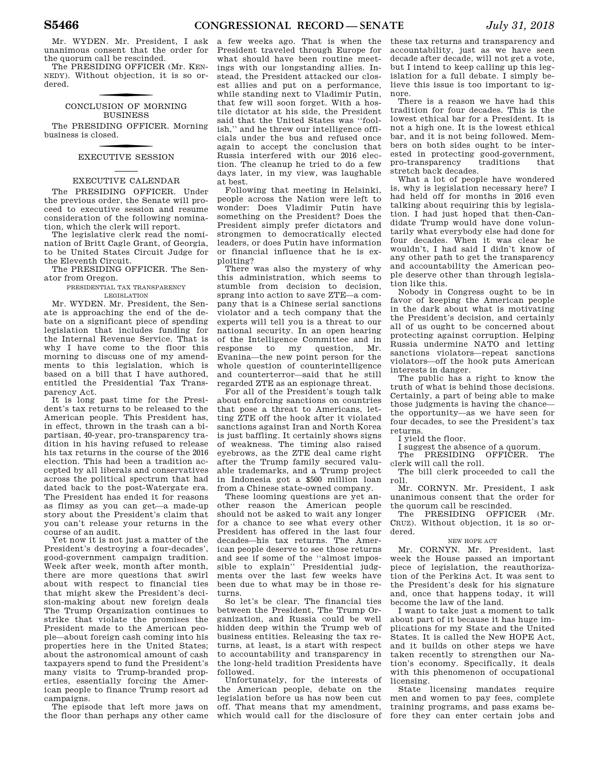Mr. WYDEN. Mr. President, I ask unanimous consent that the order for the quorum call be rescinded.

The PRESIDING OFFICER (Mr. KEN-NEDY). Without objection, it is so ordered.

### CONCLUSION OF MORNING BUSINESS

The PRESIDING OFFICER. Morning business is closed.

### f EXECUTIVE SESSION

### EXECUTIVE CALENDAR

The PRESIDING OFFICER. Under the previous order, the Senate will proceed to executive session and resume consideration of the following nomination, which the clerk will report.

The legislative clerk read the nomination of Britt Cagle Grant, of Georgia, to be United States Circuit Judge for the Eleventh Circuit.

The PRESIDING OFFICER. The Senator from Oregon.

#### PRESIDENTIAL TAX TRANSPARENCY LEGISLATION

Mr. WYDEN. Mr. President, the Senate is approaching the end of the debate on a significant piece of spending legislation that includes funding for the Internal Revenue Service. That is why I have come to the floor this morning to discuss one of my amendments to this legislation, which is based on a bill that I have authored, entitled the Presidential Tax Transparency Act.

It is long past time for the President's tax returns to be released to the American people. This President has, in effect, thrown in the trash can a bipartisan, 40-year, pro-transparency tradition in his having refused to release his tax returns in the course of the 2016 election. This had been a tradition accepted by all liberals and conservatives across the political spectrum that had dated back to the post-Watergate era. The President has ended it for reasons as flimsy as you can get—a made-up story about the President's claim that you can't release your returns in the course of an audit.

Yet now it is not just a matter of the President's destroying a four-decades', good-government campaign tradition. Week after week, month after month, there are more questions that swirl about with respect to financial ties that might skew the President's decision-making about new foreign deals The Trump Organization continues to strike that violate the promises the President made to the American people—about foreign cash coming into his properties here in the United States; about the astronomical amount of cash taxpayers spend to fund the President's many visits to Trump-branded properties, essentially forcing the American people to finance Trump resort ad campaigns.

The episode that left more jaws on the floor than perhaps any other came

a few weeks ago. That is when the President traveled through Europe for what should have been routine meetings with our longstanding allies. Instead, the President attacked our closest allies and put on a performance, while standing next to Vladimir Putin, that few will soon forget. With a hostile dictator at his side, the President said that the United States was ''foolish,'' and he threw our intelligence officials under the bus and refused once again to accept the conclusion that Russia interfered with our 2016 election. The cleanup he tried to do a few days later, in my view, was laughable at best.

Following that meeting in Helsinki, people across the Nation were left to wonder: Does Vladimir Putin have something on the President? Does the President simply prefer dictators and strongmen to democratically elected leaders, or does Putin have information or financial influence that he is exploiting?

There was also the mystery of why this administration, which seems to stumble from decision to decision, sprang into action to save ZTE—a company that is a Chinese serial sanctions violator and a tech company that the experts will tell you is a threat to our national security. In an open hearing of the Intelligence Committee and in<br>response to my question, Mr. response to my Evanina—the new point person for the whole question of counterintelligence and counterterror—said that he still regarded ZTE as an espionage threat.

For all of the President's tough talk about enforcing sanctions on countries that pose a threat to Americans, letting ZTE off the hook after it violated sanctions against Iran and North Korea is just baffling. It certainly shows signs of weakness. The timing also raised eyebrows, as the ZTE deal came right after the Trump family secured valuable trademarks, and a Trump project in Indonesia got a \$500 million loan from a Chinese state-owned company.

These looming questions are yet another reason the American people should not be asked to wait any longer for a chance to see what every other President has offered in the last four decades—his tax returns. The American people deserve to see those returns and see if some of the ''almost impossible to explain'' Presidential judgments over the last few weeks have been due to what may be in those returns.

So let's be clear. The financial ties between the President, The Trump Organization, and Russia could be well hidden deep within the Trump web of business entities. Releasing the tax returns, at least, is a start with respect to accountability and transparency in the long-held tradition Presidents have followed.

Unfortunately, for the interests of the American people, debate on the legislation before us has now been cut off. That means that my amendment,

these tax returns and transparency and accountability, just as we have seen decade after decade, will not get a vote, but I intend to keep calling up this legislation for a full debate. I simply believe this issue is too important to ignore.

There is a reason we have had this tradition for four decades. This is the lowest ethical bar for a President. It is not a high one. It is the lowest ethical bar, and it is not being followed. Members on both sides ought to be interested in protecting good-government,<br>pro-transparency traditions that pro-transparency traditions that stretch back decades.

What a lot of people have wondered is, why is legislation necessary here? I had held off for months in 2016 even talking about requiring this by legislation. I had just hoped that then-Candidate Trump would have done voluntarily what everybody else had done for four decades. When it was clear he wouldn't, I had said I didn't know of any other path to get the transparency and accountability the American people deserve other than through legislation like this.

Nobody in Congress ought to be in favor of keeping the American people in the dark about what is motivating the President's decision, and certainly all of us ought to be concerned about protecting against corruption. Helping Russia undermine NATO and letting sanctions violators—repeat sanctions violators—off the hook puts American interests in danger.

The public has a right to know the truth of what is behind those decisions. Certainly, a part of being able to make those judgments is having the chance the opportunity—as we have seen for four decades, to see the President's tax returns.

I yield the floor.

I suggest the absence of a quorum.<br>The PRESIDING OFFICER. The

PRESIDING clerk will call the roll.

The bill clerk proceeded to call the roll.

Mr. CORNYN. Mr. President, I ask unanimous consent that the order for the quorum call be rescinded.

The PRESIDING OFFICER (Mr. CRUZ). Without objection, it is so ordered.

### NEW HOPE ACT

Mr. CORNYN. Mr. President, last week the House passed an important piece of legislation, the reauthorization of the Perkins Act. It was sent to the President's desk for his signature and, once that happens today, it will become the law of the land.

I want to take just a moment to talk about part of it because it has huge implications for my State and the United States. It is called the New HOPE Act, and it builds on other steps we have taken recently to strengthen our Nation's economy. Specifically, it deals with this phenomenon of occupational licensing.

which would call for the disclosure of fore they can enter certain jobs and State licensing mandates require men and women to pay fees, complete training programs, and pass exams be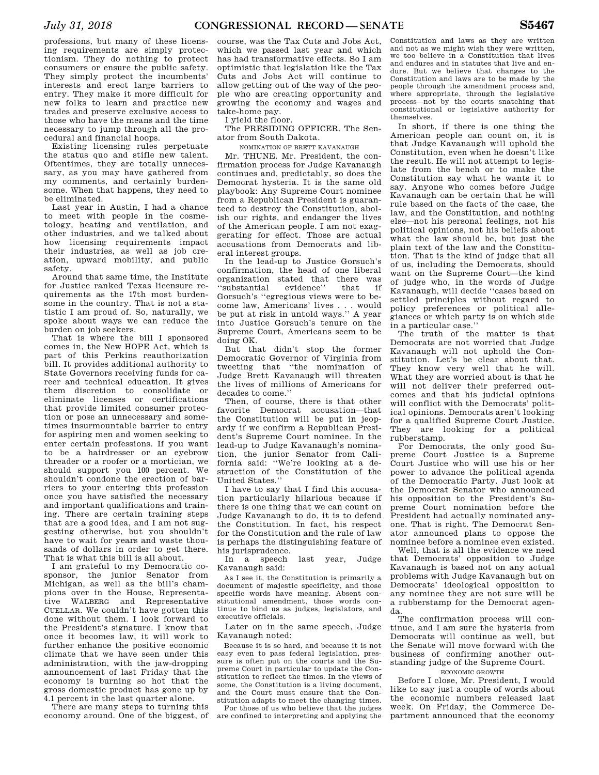professions, but many of these licensing requirements are simply protectionism. They do nothing to protect consumers or ensure the public safety. They simply protect the incumbents' interests and erect large barriers to entry. They make it more difficult for new folks to learn and practice new trades and preserve exclusive access to those who have the means and the time necessary to jump through all the procedural and financial hoops.

Existing licensing rules perpetuate the status quo and stifle new talent. Oftentimes, they are totally unnecessary, as you may have gathered from my comments, and certainly burdensome. When that happens, they need to be eliminated.

Last year in Austin, I had a chance to meet with people in the cosmetology, heating and ventilation, and other industries, and we talked about how licensing requirements impact their industries, as well as job creation, upward mobility, and public safety.

Around that same time, the Institute for Justice ranked Texas licensure requirements as the 17th most burdensome in the country. That is not a statistic I am proud of. So, naturally, we spoke about ways we can reduce the burden on job seekers.

That is where the bill I sponsored comes in, the New HOPE Act, which is part of this Perkins reauthorization bill. It provides additional authority to State Governors receiving funds for career and technical education. It gives them discretion to consolidate or eliminate licenses or certifications that provide limited consumer protection or pose an unnecessary and sometimes insurmountable barrier to entry for aspiring men and women seeking to enter certain professions. If you want to be a hairdresser or an eyebrow threader or a roofer or a mortician, we should support you 100 percent. We shouldn't condone the erection of barriers to your entering this profession once you have satisfied the necessary and important qualifications and training. There are certain training steps that are a good idea, and I am not suggesting otherwise, but you shouldn't have to wait for years and waste thousands of dollars in order to get there. That is what this bill is all about.

I am grateful to my Democratic cosponsor, the junior Senator from Michigan, as well as the bill's champions over in the House, Representative WALBERG and Representative CUELLAR. We couldn't have gotten this done without them. I look forward to the President's signature. I know that once it becomes law, it will work to further enhance the positive economic climate that we have seen under this administration, with the jaw-dropping announcement of last Friday that the economy is burning so hot that the gross domestic product has gone up by 4.1 percent in the last quarter alone.

There are many steps to turning this economy around. One of the biggest, of

course, was the Tax Cuts and Jobs Act, which we passed last year and which has had transformative effects. So I am optimistic that legislation like the Tax Cuts and Jobs Act will continue to allow getting out of the way of the people who are creating opportunity and growing the economy and wages and take-home pay.

I yield the floor.

The PRESIDING OFFICER. The Senator from South Dakota.

NOMINATION OF BRETT KAVANAUGH

Mr. THUNE. Mr. President, the confirmation process for Judge Kavanaugh continues and, predictably, so does the Democrat hysteria. It is the same old playbook: Any Supreme Court nominee from a Republican President is guaranteed to destroy the Constitution, abolish our rights, and endanger the lives of the American people. I am not exaggerating for effect. Those are actual accusations from Democrats and liberal interest groups.

In the lead-up to Justice Gorsuch's confirmation, the head of one liberal organization stated that there was ''substantial evidence'' that if Gorsuch's ''egregious views were to become law, Americans' lives . . . would be put at risk in untold ways.'' A year into Justice Gorsuch's tenure on the Supreme Court, Americans seem to be doing OK.

But that didn't stop the former Democratic Governor of Virginia from tweeting that ''the nomination of Judge Brett Kavanaugh will threaten the lives of millions of Americans for decades to come.''

Then, of course, there is that other favorite Democrat accusation—that the Constitution will be put in jeopardy if we confirm a Republican President's Supreme Court nominee. In the lead-up to Judge Kavanaugh's nomination, the junior Senator from California said: ''We're looking at a destruction of the Constitution of the United States.''

I have to say that I find this accusation particularly hilarious because if there is one thing that we can count on Judge Kavanaugh to do, it is to defend the Constitution. In fact, his respect for the Constitution and the rule of law is perhaps the distinguishing feature of his jurisprudence.

In a speech last year, Judge Kavanaugh said:

As I see it, the Constitution is primarily a document of majestic specificity, and those specific words have meaning. Absent constitutional amendment, those words continue to bind us as judges, legislators, and executive officials.

Later on in the same speech, Judge Kavanaugh noted:

Because it is so hard, and because it is not easy even to pass federal legislation, pressure is often put on the courts and the Supreme Court in particular to update the Constitution to reflect the times. In the views of some, the Constitution is a living document, and the Court must ensure that the Constitution adapts to meet the changing times.

For those of us who believe that the judges are confined to interpreting and applying the

Constitution and laws as they are written and not as we might wish they were written, we too believe in a Constitution that lives and endures and in statutes that live and endure. But we believe that changes to the Constitution and laws are to be made by the people through the amendment process and, where appropriate, through the legislative process—not by the courts snatching that constitutional or legislative authority for themselves.

In short, if there is one thing the American people can count on, it is that Judge Kavanaugh will uphold the Constitution, even when he doesn't like the result. He will not attempt to legislate from the bench or to make the Constitution say what he wants it to say. Anyone who comes before Judge Kavanaugh can be certain that he will rule based on the facts of the case, the law, and the Constitution, and nothing else—not his personal feelings, not his political opinions, not his beliefs about what the law should be, but just the plain text of the law and the Constitution. That is the kind of judge that all of us, including the Democrats, should want on the Supreme Court—the kind of judge who, in the words of Judge Kavanaugh, will decide ''cases based on settled principles without regard to policy preferences or political allegiances or which party is on which side in a particular case.''

The truth of the matter is that Democrats are not worried that Judge Kavanaugh will not uphold the Constitution. Let's be clear about that. They know very well that he will. What they are worried about is that he will not deliver their preferred outcomes and that his judicial opinions will conflict with the Democrats' political opinions. Democrats aren't looking for a qualified Supreme Court Justice. They are looking for a political rubberstamp.

For Democrats, the only good Supreme Court Justice is a Supreme Court Justice who will use his or her power to advance the political agenda of the Democratic Party. Just look at the Democrat Senator who announced his opposition to the President's Supreme Court nomination before the President had actually nominated anyone. That is right. The Democrat Senator announced plans to oppose the nominee before a nominee even existed.

Well, that is all the evidence we need that Democrats' opposition to Judge Kavanaugh is based not on any actual problems with Judge Kavanaugh but on Democrats' ideological opposition to any nominee they are not sure will be a rubberstamp for the Democrat agenda.

The confirmation process will continue, and I am sure the hysteria from Democrats will continue as well, but the Senate will move forward with the business of confirming another outstanding judge of the Supreme Court.

ECONOMIC GROWTH

Before I close, Mr. President, I would like to say just a couple of words about the economic numbers released last week. On Friday, the Commerce Department announced that the economy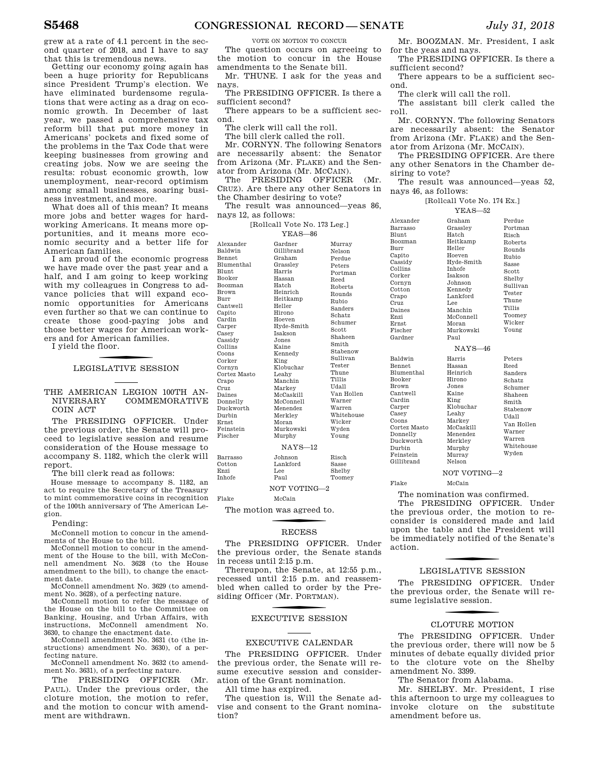grew at a rate of 4.1 percent in the second quarter of 2018, and I have to say that this is tremendous news.

Getting our economy going again has been a huge priority for Republicans since President Trump's election. We have eliminated burdensome regulations that were acting as a drag on economic growth. In December of last year, we passed a comprehensive tax reform bill that put more money in Americans' pockets and fixed some of the problems in the Tax Code that were keeping businesses from growing and creating jobs. Now we are seeing the results: robust economic growth, low unemployment, near-record optimism among small businesses, soaring business investment, and more.

What does all of this mean? It means more jobs and better wages for hardworking Americans. It means more opportunities, and it means more economic security and a better life for American families.

I am proud of the economic progress we have made over the past year and a half, and I am going to keep working with my colleagues in Congress to advance policies that will expand economic opportunities for Americans even further so that we can continue to create those good-paying jobs and those better wages for American workers and for American families.

I yield the floor.

### LEGISLATIVE SESSION

THE AMERICAN LEGION 100TH AN-<br>NIVERSARY COMMEMORATIVE COMMEMORATIVE COIN ACT

The PRESIDING OFFICER. Under the previous order, the Senate will proceed to legislative session and resume consideration of the House message to accompany S. 1182, which the clerk will report.

The bill clerk read as follows:

House message to accompany S. 1182, an act to require the Secretary of the Treasury to mint commemorative coins in recognition of the 100th anniversary of The American Legion.

Pending:

McConnell motion to concur in the amendments of the House to the bill.

McConnell motion to concur in the amendment of the House to the bill, with McConnell amendment No. 3628 (to the House amendment to the bill), to change the enactment date.

McConnell amendment No. 3629 (to amendment No. 3628), of a perfecting nature.

McConnell motion to refer the message of the House on the bill to the Committee on Banking, Housing, and Urban Affairs, with instructions, McConnell amendment No. 3630, to change the enactment date.

McConnell amendment No. 3631 (to (the instructions) amendment No. 3630), of a perfecting nature.

McConnell amendment No. 3632 (to amendment No. 3631), of a perfecting nature.

The PRESIDING OFFICER (Mr. PAUL). Under the previous order, the cloture motion, the motion to refer, and the motion to concur with amendment are withdrawn.

VOTE ON MOTION TO CONCUR

The question occurs on agreeing to the motion to concur in the House amendments to the Senate bill.

Mr. THUNE. I ask for the yeas and nays.

The PRESIDING OFFICER. Is there a sufficient second?

There appears to be a sufficient second.

The clerk will call the roll.

The bill clerk called the roll.

 $\overline{B}$  $\overline{B}$ 

 $\overline{B}$  $\mathcal{C}$  $\overline{E}$  $\overline{\mathbf{h}}$ 

Mr. CORNYN. The following Senators are necessarily absent: the Senator from Arizona (Mr. FLAKE) and the Senator from Arizona (Mr. MCCAIN).

The PRESIDING OFFICER (Mr. CRUZ). Are there any other Senators in the Chamber desiring to vote?

The result was announced—yeas 86, nays 12, as follows:

| [Rollcall Vote No. 173 Leg.] |  |
|------------------------------|--|
| $YEAS - 86$                  |  |

| Alexander      | Gardner            | Murray        |  |  |
|----------------|--------------------|---------------|--|--|
| Baldwin        | Gillibrand         | Nelson        |  |  |
| <b>Bennet</b>  | Graham             |               |  |  |
| Blumenthal     |                    | Perdue        |  |  |
| <b>Blunt</b>   | Grassley<br>Harris | Peters        |  |  |
|                |                    | Portman       |  |  |
| <b>Booker</b>  | Hassan<br>Hatch    | Reed          |  |  |
| <b>Boozman</b> |                    | Roberts       |  |  |
| <b>Brown</b>   | Heinrich           | Rounds        |  |  |
| Burr           | Heitkamp           | Rubio         |  |  |
| Cantwell       | Heller             | Sanders       |  |  |
| Capito         | Hirono             | Schatz        |  |  |
| Cardin         | Hoeven             | Schumer       |  |  |
| Carper         | Hyde-Smith         | Scott         |  |  |
| Casey          | <b>Isakson</b>     | Shaheen       |  |  |
| Cassidy        | Jones              | Smith         |  |  |
| Collins        | Kaine              | Stabenow      |  |  |
| Coons          | Kennedy            | Sullivan      |  |  |
| Corker         | King<br>Klobuchar  | Tester        |  |  |
| Cornyn         |                    | Thune         |  |  |
| Cortez Masto   | Leahy              | <b>Tillis</b> |  |  |
| Crapo          | Manchin            | IIdall        |  |  |
| Cruz           | Markey             | Van Hollen    |  |  |
| Daines         | McCaskill          | Warner        |  |  |
| Donnelly       | McConnell          |               |  |  |
| Duckworth      | Menendez           | Warren        |  |  |
| Durbin         | Merklev            | Whitehouse    |  |  |
| <b>Ernst</b>   | Moran              | Wicker        |  |  |
| Feinstein      | Murkowski          | Wyden         |  |  |
| Fischer        | Murphy             | Young         |  |  |
| $NAYS-12$      |                    |               |  |  |
| Barrasso       | Johnson            | Risch         |  |  |
| Cotton         | Lankford           | Sasse         |  |  |
| Enzi           | T.ee               | Shelby        |  |  |
| <b>Inhofe</b>  | Paul               | Toomey        |  |  |
| NOT VOTING-2   |                    |               |  |  |
|                |                    |               |  |  |

Flake McCain

The motion was agreed to.

### **RECESS**

The PRESIDING OFFICER. Under the previous order, the Senate stands in recess until 2:15 p.m.

Thereupon, the Senate, at 12:55 p.m., recessed until 2:15 p.m. and reassembled when called to order by the Presiding Officer (Mr. P ORTMAN).

### f EXECUTIVE SESSION

### EXECUTIVE CALENDAR

The PRESIDING OFFICER. Under the previous order, the Senate will resume executive session and consideration of the Grant nomination.

All time has expired.

The question is, Will the Senate advise and consent to the Grant nomination?

Mr. BOOZMAN. Mr. President, I ask for the yeas and nays.

The PRESIDING OFFICER. Is there a sufficient second?

There appears to be a sufficient second.

The clerk will call the roll.

The assistant bill clerk called the roll.

Mr. CORNYN. The following Senators are necessarily absent: the Senator from Arizona (Mr. FLAKE) and the Senator from Arizona (Mr. MCCAIN).

The PRESIDING OFFICER. Are there any other Senators in the Chamber desiring to vote?

The result was announced—yeas 52, nays 46, as follows:

### [Rollcall Vote No. 174 Ex.]

|                                                                                                                                                                                                         | YEAS-52                                                                                                                                                                                             |                                                                                                                                                                                 |
|---------------------------------------------------------------------------------------------------------------------------------------------------------------------------------------------------------|-----------------------------------------------------------------------------------------------------------------------------------------------------------------------------------------------------|---------------------------------------------------------------------------------------------------------------------------------------------------------------------------------|
| Alexander<br>Barrasso<br><b>Blunt</b><br><b>Boozman</b><br>Burr<br>Capito<br>Cassidy<br>Collins<br>Corker<br>Cornyn<br>Cotton<br>Crapo<br>Cruz<br>Daines<br>Enzi<br><b>Ernst</b><br>Fischer             | Graham<br>Grasslev<br>Hatch<br>Heitkamp<br>Heller<br>Hoeven<br>Hyde-Smith<br><b>Inhofe</b><br><b>Isakson</b><br>Johnson<br>Kennedy<br>Lankford<br>Lee<br>Manchin<br>McConnell<br>Moran<br>Murkowski | Perdue<br>Portman<br>Risch<br><b>Roberts</b><br>Rounds<br><b>Rubio</b><br>Sasse<br>Scott<br>Shelby<br>Sullivan<br>Tester<br>Thune<br><b>Tillis</b><br>Toomey<br>Wicker<br>Young |
| Gardner                                                                                                                                                                                                 | Paul                                                                                                                                                                                                |                                                                                                                                                                                 |
|                                                                                                                                                                                                         | $NAYS-46$                                                                                                                                                                                           |                                                                                                                                                                                 |
| Baldwin<br><b>Bennet</b><br><b>Blumenthal</b><br>Booker<br><b>Brown</b><br>Cantwell<br>Cardin<br>Carper<br>Casey<br>Coons<br>Cortez Masto<br>Donnelly<br>Duckworth<br>Durbin<br>Feinstein<br>Gillibrand | Harris<br>Hassan<br>Heinrich<br>Hirono<br>Jones<br>Kaine<br>King<br>Klobuchar<br>Leahy<br>Markey<br>McCaskill<br>Menendez<br>Merklev<br>Murphy<br>Murray<br>Nelson                                  | Peters<br>Reed<br>Sanders<br>Schatz<br>Schumer<br>Shaheen<br>Smith<br>Stabenow<br>Udall<br>Van Hollen<br>Warner<br>Warren<br>Whitehouse<br>Wyden                                |
|                                                                                                                                                                                                         | NOT VOTING-2                                                                                                                                                                                        |                                                                                                                                                                                 |

Flake McCain

The nomination was confirmed.

The PRESIDING OFFICER. Under the previous order, the motion to reconsider is considered made and laid upon the table and the President will be immediately notified of the Senate's action.

### **LEGISLATIVE SESSION**

The PRESIDING OFFICER. Under the previous order, the Senate will resume legislative session.

# CLOTURE MOTION

The PRESIDING OFFICER. Under the previous order, there will now be 5 minutes of debate equally divided prior to the cloture vote on the Shelby amendment No. 3399.

The Senator from Alabama.

Mr. SHELBY. Mr. President, I rise this afternoon to urge my colleagues to invoke cloture on the substitute amendment before us.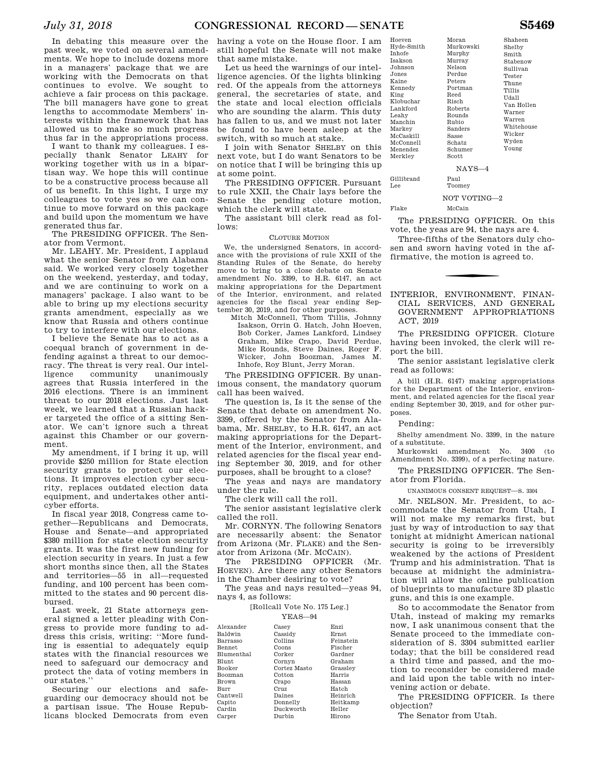In debating this measure over the past week, we voted on several amendments. We hope to include dozens more in a managers' package that we are working with the Democrats on that continues to evolve. We sought to achieve a fair process on this package. The bill managers have gone to great lengths to accommodate Members' interests within the framework that has allowed us to make so much progress thus far in the appropriations process.

I want to thank my colleagues. I especially thank Senator LEAHY for working together with us in a bipartisan way. We hope this will continue to be a constructive process because all of us benefit. In this light, I urge my colleagues to vote yes so we can continue to move forward on this package and build upon the momentum we have generated thus far.

The PRESIDING OFFICER. The Senator from Vermont.

Mr. LEAHY. Mr. President, I applaud what the senior Senator from Alabama said. We worked very closely together on the weekend, yesterday, and today, and we are continuing to work on a managers' package. I also want to be able to bring up my elections security grants amendment, especially as we know that Russia and others continue to try to interfere with our elections.

I believe the Senate has to act as a coequal branch of government in defending against a threat to our democracy. The threat is very real. Our intelligence community unanimously agrees that Russia interfered in the 2016 elections. There is an imminent threat to our 2018 elections. Just last week, we learned that a Russian hacker targeted the office of a sitting Senator. We can't ignore such a threat against this Chamber or our government.

My amendment, if I bring it up, will provide \$250 million for State election security grants to protect our elections. It improves election cyber security, replaces outdated election data equipment, and undertakes other anticyber efforts.

In fiscal year 2018, Congress came together—Republicans and Democrats, House and Senate—and appropriated \$380 million for state election security grants. It was the first new funding for election security in years. In just a few short months since then, all the States and territories—55 in all—requested funding, and 100 percent has been committed to the states and 90 percent disbursed.

Last week, 21 State attorneys general signed a letter pleading with Congress to provide more funding to address this crisis, writing: ''More funding is essential to adequately equip states with the financial resources we need to safeguard our democracy and protect the data of voting members in our states.''

Securing our elections and safeguarding our democracy should not be a partisan issue. The House Republicans blocked Democrats from even Ca:

having a vote on the House floor. I am still hopeful the Senate will not make that same mistake.

Let us heed the warnings of our intelligence agencies. Of the lights blinking red. Of the appeals from the attorneys general, the secretaries of state, and the state and local election officials who are sounding the alarm. This duty has fallen to us, and we must not later be found to have been asleep at the switch, with so much at stake.

I join with Senator SHELBY on this next vote, but I do want Senators to be on notice that I will be bringing this up at some point.

The PRESIDING OFFICER. Pursuant to rule XXII, the Chair lays before the Senate the pending cloture motion, which the clerk will state.

The assistant bill clerk read as follows:

### CLOTURE MOTION

We, the undersigned Senators, in accordance with the provisions of rule XXII of the Standing Rules of the Senate, do hereby move to bring to a close debate on Senate amendment No. 3399, to H.R. 6147, an act making appropriations for the Department of the Interior, environment, and related agencies for the fiscal year ending September 30, 2019, and for other purposes.

Mitch McConnell, Thom Tillis, Johnny Isakson, Orrin G. Hatch, John Hoeven, Bob Corker, James Lankford, Lindsey Graham, Mike Crapo, David Perdue, Mike Rounds, Steve Daines, Roger F. Wicker, John Boozman, James M. Inhofe, Roy Blunt, Jerry Moran.

The PRESIDING OFFICER. By unanimous consent, the mandatory quorum call has been waived.

The question is, Is it the sense of the Senate that debate on amendment No. 3399, offered by the Senator from Alabama, Mr. SHELBY, to H.R. 6147, an act making appropriations for the Department of the Interior, environment, and related agencies for the fiscal year ending September 30, 2019, and for other purposes, shall be brought to a close?

The yeas and nays are mandatory under the rule.

The clerk will call the roll.

The senior assistant legislative clerk called the roll.

Mr. CORNYN. The following Senators are necessarily absent: the Senator from Arizona (Mr. FLAKE) and the Senator from Arizona (Mr. MCCAIN).

The PRESIDING OFFICER (Mr. HOEVEN). Are there any other Senators in the Chamber desiring to vote?

The yeas and nays resulted—yeas 94, nays 4, as follows:

### [Rollcall Vote No. 175 Leg.] YEAS—94

| Casev        | Enzi      |
|--------------|-----------|
| Cassidy      | Ernst     |
| Collins      | Feinstein |
| Coons        | Fischer   |
| Corker       | Gardner   |
| Cornyn       | Graham    |
| Cortez Masto | Grasslev  |
| Cotton       | Harris    |
| Crapo        | Hassan    |
| Cruz         | Hatch     |
| Daines       | Heinrich  |
| Donnelly     | Heitkamp  |
| Duckworth    | Heller    |
| Durbin       | Hirono    |
|              |           |

| Hyde-Smith |
|------------|
| Inhofe     |
| Isakson    |
| Johnson    |
| Jones      |
| Kaine      |
| Kennedy    |
| King       |
| Klobuchar  |
| Lankford   |
| Leahy      |
| Manchin    |
| Markey     |
| McCaskill  |
| McConnell  |
| Menendez   |
| Merkley    |

Hoeven

Shaheen Shelby Smith Stabenow Sullivan Tester Thune Tillis Udall Van Hollen Warner Warren Whitehouse Wicker Wyden Young

NAYS—4

Gillibrand Lee

NOT VOTING—2

Paul **Toomey** 

Moran Murkowski Murphy Murray Nelson Perdue Peters Portman Reed Risch Roberts Rounds Rubio Sanders Sasse Schatz Schumer Scott

### Flake McCain

The PRESIDING OFFICER. On this vote, the yeas are 94, the nays are 4.

Three-fifths of the Senators duly chosen and sworn having voted in the affirmative, the motion is agreed to.

### INTERIOR, ENVIRONMENT, FINAN-CIAL SERVICES, AND GENERAL GOVERNMENT APPROPRIATIONS ACT, 2019

The PRESIDING OFFICER. Cloture having been invoked, the clerk will report the bill.

The senior assistant legislative clerk read as follows:

A bill (H.R. 6147) making appropriations for the Department of the Interior, environment, and related agencies for the fiscal year ending September 30, 2019, and for other purposes.

### Pending:

Shelby amendment No. 3399, in the nature of a substitute.

Murkowski amendment No. 3400 (to Amendment No. 3399), of a perfecting nature.

The PRESIDING OFFICER. The Senator from Florida.

UNANIMOUS CONSENT REQUEST—S. 3304

Mr. NELSON. Mr. President, to accommodate the Senator from Utah, I will not make my remarks first, but just by way of introduction to say that tonight at midnight American national security is going to be irreversibly weakened by the actions of President Trump and his administration. That is because at midnight the administration will allow the online publication of blueprints to manufacture 3D plastic guns, and this is one example.

So to accommodate the Senator from Utah, instead of making my remarks now, I ask unanimous consent that the Senate proceed to the immediate consideration of S. 3304 submitted earlier today; that the bill be considered read a third time and passed, and the motion to reconsider be considered made and laid upon the table with no intervening action or debate.

The PRESIDING OFFICER. Is there objection?

The Senator from Utah.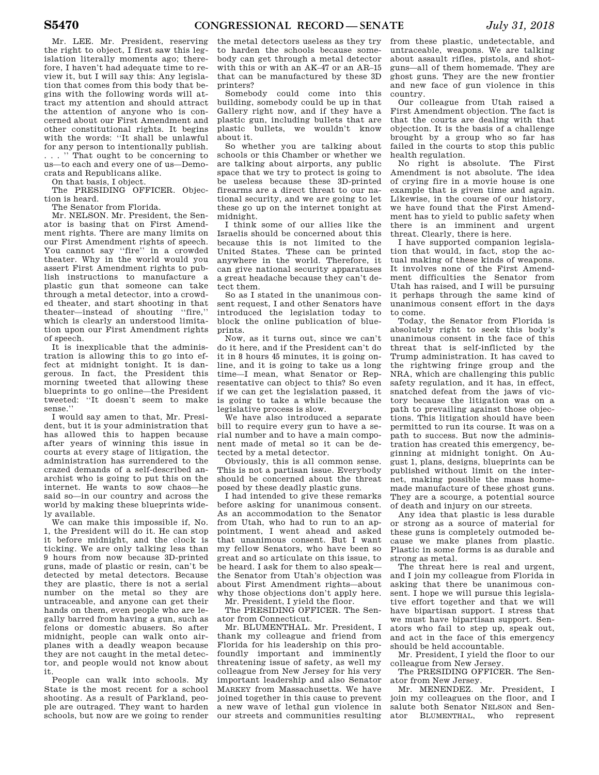Mr. LEE. Mr. President, reserving the right to object, I first saw this legislation literally moments ago; therefore, I haven't had adequate time to review it, but I will say this: Any legislation that comes from this body that begins with the following words will attract my attention and should attract the attention of anyone who is concerned about our First Amendment and other constitutional rights. It begins with the words: "It shall be unlawful for any person to intentionally publish. . . . '' That ought to be concerning to us—to each and every one of us—Democrats and Republicans alike.

On that basis, I object.

The PRESIDING OFFICER. Objection is heard.

The Senator from Florida.

Mr. NELSON. Mr. President, the Senator is basing that on First Amendment rights. There are many limits on our First Amendment rights of speech. You cannot say ''fire'' in a crowded theater. Why in the world would you assert First Amendment rights to publish instructions to manufacture a plastic gun that someone can take through a metal detector, into a crowded theater, and start shooting in that theater—instead of shouting ''fire,'' which is clearly an understood limitation upon our First Amendment rights of speech.

It is inexplicable that the administration is allowing this to go into effect at midnight tonight. It is dangerous. In fact, the President this morning tweeted that allowing these blueprints to go online—the President tweeted: ''It doesn't seem to make sense.''

I would say amen to that, Mr. President, but it is your administration that has allowed this to happen because after years of winning this issue in courts at every stage of litigation, the administration has surrendered to the crazed demands of a self-described anarchist who is going to put this on the internet. He wants to sow chaos—he said so—in our country and across the world by making these blueprints widely available.

We can make this impossible if, No. 1, the President will do it. He can stop it before midnight, and the clock is ticking. We are only talking less than 9 hours from now because 3D-printed guns, made of plastic or resin, can't be detected by metal detectors. Because they are plastic, there is not a serial number on the metal so they are untraceable, and anyone can get their hands on them, even people who are legally barred from having a gun, such as felons or domestic abusers. So after midnight, people can walk onto airplanes with a deadly weapon because they are not caught in the metal detector, and people would not know about it.

People can walk into schools. My State is the most recent for a school shooting. As a result of Parkland, people are outraged. They want to harden schools, but now are we going to render

the metal detectors useless as they try to harden the schools because somebody can get through a metal detector with this or with an AK–47 or an AR–15 that can be manufactured by these 3D printers?

Somebody could come into this building, somebody could be up in that Gallery right now, and if they have a plastic gun, including bullets that are plastic bullets, we wouldn't know about it.

So whether you are talking about schools or this Chamber or whether we are talking about airports, any public space that we try to protect is going to be useless because these 3D-printed firearms are a direct threat to our national security, and we are going to let these go up on the internet tonight at midnight.

I think some of our allies like the Israelis should be concerned about this because this is not limited to the United States. These can be printed anywhere in the world. Therefore, it can give national security apparatuses a great headache because they can't detect them.

So as I stated in the unanimous consent request, I and other Senators have introduced the legislation today to block the online publication of blueprints.

Now, as it turns out, since we can't do it here, and if the President can't do it in 8 hours 45 minutes, it is going online, and it is going to take us a long time—I mean, what Senator or Representative can object to this? So even if we can get the legislation passed, it is going to take a while because the legislative process is slow.

We have also introduced a separate bill to require every gun to have a serial number and to have a main component made of metal so it can be detected by a metal detector.

Obviously, this is all common sense. This is not a partisan issue. Everybody should be concerned about the threat posed by these deadly plastic guns.

I had intended to give these remarks before asking for unanimous consent. As an accommodation to the Senator from Utah, who had to run to an appointment, I went ahead and asked that unanimous consent. But I want my fellow Senators, who have been so great and so articulate on this issue, to be heard. I ask for them to also speak the Senator from Utah's objection was about First Amendment rights—about why those objections don't apply here. Mr. President, I yield the floor.

The PRESIDING OFFICER. The Senator from Connecticut.

Mr. BLUMENTHAL. Mr. President, I thank my colleague and friend from Florida for his leadership on this profoundly important and imminently threatening issue of safety, as well my colleague from New Jersey for his very important leadership and also Senator MARKEY from Massachusetts. We have joined together in this cause to prevent a new wave of lethal gun violence in our streets and communities resulting

from these plastic, undetectable, and untraceable, weapons. We are talking about assault rifles, pistols, and shotguns—all of them homemade. They are ghost guns. They are the new frontier and new face of gun violence in this country.

Our colleague from Utah raised a First Amendment objection. The fact is that the courts are dealing with that objection. It is the basis of a challenge brought by a group who so far has failed in the courts to stop this public health regulation.

No right is absolute. The First Amendment is not absolute. The idea of crying fire in a movie house is one example that is given time and again. Likewise, in the course of our history, we have found that the First Amendment has to yield to public safety when there is an imminent and urgent threat. Clearly, there is here.

I have supported companion legislation that would, in fact, stop the actual making of these kinds of weapons. It involves none of the First Amendment difficulties the Senator from Utah has raised, and I will be pursuing it perhaps through the same kind of unanimous consent effort in the days to come.

Today, the Senator from Florida is absolutely right to seek this body's unanimous consent in the face of this threat that is self-inflicted by the Trump administration. It has caved to the rightwing fringe group and the NRA, which are challenging this public safety regulation, and it has, in effect, snatched defeat from the jaws of victory because the litigation was on a path to prevailing against those objections. This litigation should have been permitted to run its course. It was on a path to success. But now the administration has created this emergency, beginning at midnight tonight. On August 1, plans, designs, blueprints can be published without limit on the internet, making possible the mass homemade manufacture of these ghost guns. They are a scourge, a potential source of death and injury on our streets.

Any idea that plastic is less durable or strong as a source of material for these guns is completely outmoded because we make planes from plastic. Plastic in some forms is as durable and strong as metal.

The threat here is real and urgent. and I join my colleague from Florida in asking that there be unanimous consent. I hope we will pursue this legislative effort together and that we will have bipartisan support. I stress that we must have bipartisan support. Senators who fail to step up, speak out, and act in the face of this emergency should be held accountable.

Mr. President, I yield the floor to our colleague from New Jersey.

The PRESIDING OFFICER. The Senator from New Jersey.

Mr. MENENDEZ. Mr. President, I join my colleagues on the floor, and I salute both Senator NELSON and Senator BLUMENTHAL, who represent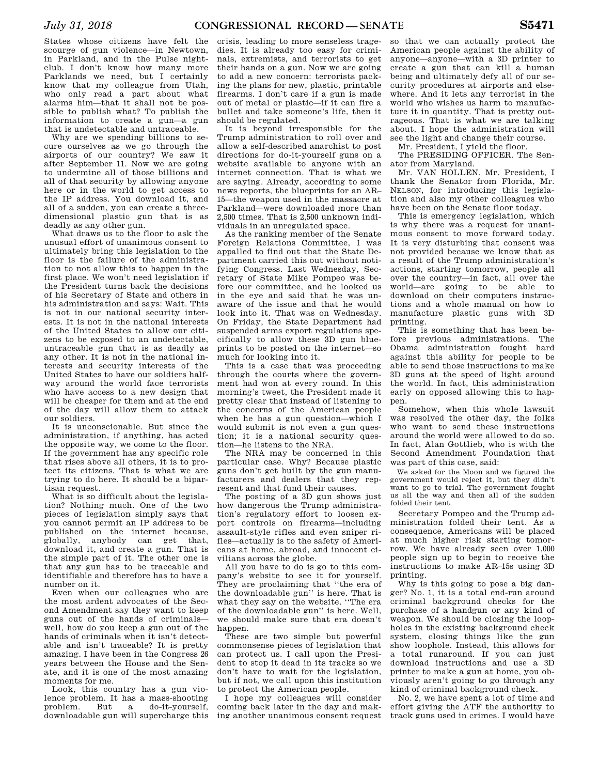States whose citizens have felt the scourge of gun violence—in Newtown, in Parkland, and in the Pulse nightclub. I don't know how many more Parklands we need, but I certainly know that my colleague from Utah, who only read a part about what alarms him—that it shall not be possible to publish what? To publish the information to create a gun—a gun that is undetectable and untraceable.

Why are we spending billions to secure ourselves as we go through the airports of our country? We saw it after September 11. Now we are going to undermine all of those billions and all of that security by allowing anyone here or in the world to get access to the IP address. You download it, and all of a sudden, you can create a threedimensional plastic gun that is as deadly as any other gun.

What draws us to the floor to ask the unusual effort of unanimous consent to ultimately bring this legislation to the floor is the failure of the administration to not allow this to happen in the first place. We won't need legislation if the President turns back the decisions of his Secretary of State and others in his administration and says: Wait. This is not in our national security interests. It is not in the national interests of the United States to allow our citizens to be exposed to an undetectable, untraceable gun that is as deadly as any other. It is not in the national interests and security interests of the United States to have our soldiers halfway around the world face terrorists who have access to a new design that will be cheaper for them and at the end of the day will allow them to attack our soldiers.

It is unconscionable. But since the administration, if anything, has acted the opposite way, we come to the floor. If the government has any specific role that rises above all others, it is to protect its citizens. That is what we are trying to do here. It should be a bipartisan request.

What is so difficult about the legislation? Nothing much. One of the two pieces of legislation simply says that you cannot permit an IP address to be published on the internet because, globally, anybody can get that, download it, and create a gun. That is the simple part of it. The other one is that any gun has to be traceable and identifiable and therefore has to have a number on it.

Even when our colleagues who are the most ardent advocates of the Second Amendment say they want to keep guns out of the hands of criminals well, how do you keep a gun out of the hands of criminals when it isn't detectable and isn't traceable? It is pretty amazing. I have been in the Congress 26 years between the House and the Senate, and it is one of the most amazing moments for me.

Look, this country has a gun violence problem. It has a mass-shooting problem. But a do-it-yourself, downloadable gun will supercharge this

crisis, leading to more senseless tragedies. It is already too easy for criminals, extremists, and terrorists to get their hands on a gun. Now we are going to add a new concern: terrorists packing the plans for new, plastic, printable firearms. I don't care if a gun is made out of metal or plastic—if it can fire a bullet and take someone's life, then it should be regulated.

It is beyond irresponsible for the Trump administration to roll over and allow a self-described anarchist to post directions for do-it-yourself guns on a website available to anyone with an internet connection. That is what we are saying. Already, according to some news reports, the blueprints for an AR– 15—the weapon used in the massacre at Parkland—were downloaded more than 2,500 times. That is 2,500 unknown individuals in an unregulated space.

As the ranking member of the Senate Foreign Relations Committee, I was appalled to find out that the State Department carried this out without notifying Congress. Last Wednesday, Secretary of State Mike Pompeo was before our committee, and he looked us in the eye and said that he was unaware of the issue and that he would look into it. That was on Wednesday. On Friday, the State Department had suspended arms export regulations specifically to allow these 3D gun blueprints to be posted on the internet—so much for looking into it.

This is a case that was proceeding through the courts where the government had won at every round. In this morning's tweet, the President made it pretty clear that instead of listening to the concerns of the American people when he has a gun question—which I would submit is not even a gun question; it is a national security question—he listens to the NRA.

The NRA may be concerned in this particular case. Why? Because plastic guns don't get built by the gun manufacturers and dealers that they represent and that fund their causes.

The posting of a 3D gun shows just how dangerous the Trump administration's regulatory effort to loosen export controls on firearms—including assault-style rifles and even sniper rifles—actually is to the safety of Americans at home, abroad, and innocent civilians across the globe.

All you have to do is go to this company's website to see it for yourself. They are proclaiming that ''the era of the downloadable gun'' is here. That is what they say on the website. ''The era of the downloadable gun'' is here. Well, we should make sure that era doesn't ha.nnen.

These are two simple but powerful commonsense pieces of legislation that can protect us. I call upon the President to stop it dead in its tracks so we don't have to wait for the legislation, but if not, we call upon this institution to protect the American people.

I hope my colleagues will consider coming back later in the day and making another unanimous consent request

so that we can actually protect the American people against the ability of anyone—anyone—with a 3D printer to create a gun that can kill a human being and ultimately defy all of our security procedures at airports and elsewhere. And it lets any terrorist in the world who wishes us harm to manufacture it in quantity. That is pretty outrageous. That is what we are talking about. I hope the administration will see the light and change their course.

Mr. President, I yield the floor.

The PRESIDING OFFICER. The Senator from Maryland.

Mr. VAN HOLLEN. Mr. President, I thank the Senator from Florida, Mr. NELSON, for introducing this legislation and also my other colleagues who have been on the Senate floor today.

This is emergency legislation, which is why there was a request for unanimous consent to move forward today. It is very disturbing that consent was not provided because we know that as a result of the Trump administration's actions, starting tomorrow, people all over the country—in fact, all over the world—are going to be able to download on their computers instructions and a whole manual on how to manufacture plastic guns with 3D printing.

This is something that has been before previous administrations. The Obama administration fought hard against this ability for people to be able to send those instructions to make 3D guns at the speed of light around the world. In fact, this administration early on opposed allowing this to happen.

Somehow, when this whole lawsuit was resolved the other day, the folks who want to send these instructions around the world were allowed to do so. In fact, Alan Gottlieb, who is with the Second Amendment Foundation that was part of this case, said:

We asked for the Moon and we figured the government would reject it, but they didn't want to go to trial. The government fought us all the way and then all of the sudden folded their tent.

Secretary Pompeo and the Trump administration folded their tent. As a consequence, Americans will be placed at much higher risk starting tomorrow. We have already seen over 1,000 people sign up to begin to receive the instructions to make AR–15s using 3D printing.

Why is this going to pose a big danger? No. 1, it is a total end-run around criminal background checks for the purchase of a handgun or any kind of weapon. We should be closing the loopholes in the existing background check system, closing things like the gun show loophole. Instead, this allows for a total runaround. If you can just download instructions and use a 3D printer to make a gun at home, you obviously aren't going to go through any kind of criminal background check.

No. 2, we have spent a lot of time and effort giving the ATF the authority to track guns used in crimes. I would have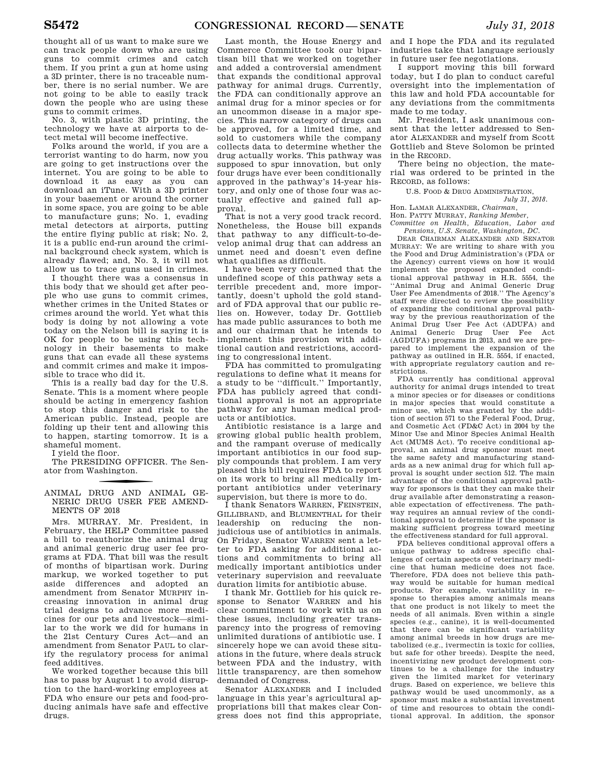thought all of us want to make sure we can track people down who are using guns to commit crimes and catch them. If you print a gun at home using a 3D printer, there is no traceable number, there is no serial number. We are not going to be able to easily track down the people who are using these guns to commit crimes.

No. 3, with plastic 3D printing, the technology we have at airports to detect metal will become ineffective.

Folks around the world, if you are a terrorist wanting to do harm, now you are going to get instructions over the internet. You are going to be able to download it as easy as you can download an iTune. With a 3D printer in your basement or around the corner in some space, you are going to be able to manufacture guns; No. 1, evading metal detectors at airports, putting the entire flying public at risk; No. 2, it is a public end-run around the criminal background check system, which is already flawed; and, No. 3, it will not allow us to trace guns used in crimes.

I thought there was a consensus in this body that we should get after people who use guns to commit crimes, whether crimes in the United States or crimes around the world. Yet what this body is doing by not allowing a vote today on the Nelson bill is saying it is OK for people to be using this technology in their basements to make guns that can evade all these systems and commit crimes and make it impossible to trace who did it.

This is a really bad day for the U.S. Senate. This is a moment where people should be acting in emergency fashion to stop this danger and risk to the American public. Instead, people are folding up their tent and allowing this to happen, starting tomorrow. It is a shameful moment.

I yield the floor.

The PRESIDING OFFICER. The Senator from Washington.

f ANIMAL DRUG AND ANIMAL GE-NERIC DRUG USER FEE AMEND-MENTS OF 2018

Mrs. MURRAY. Mr. President, in February, the HELP Committee passed a bill to reauthorize the animal drug and animal generic drug user fee programs at FDA. That bill was the result of months of bipartisan work. During markup, we worked together to put aside differences and adopted an amendment from Senator MURPHY increasing innovation in animal drug trial designs to advance more medicines for our pets and livestock—similar to the work we did for humans in the 21st Century Cures Act—and an amendment from Senator PAUL to clarify the regulatory process for animal feed additives.

We worked together because this bill has to pass by August 1 to avoid disruption to the hard-working employees at FDA who ensure our pets and food-producing animals have safe and effective drugs.

Last month, the House Energy and Commerce Committee took our bipartisan bill that we worked on together and added a controversial amendment that expands the conditional approval pathway for animal drugs. Currently, the FDA can conditionally approve an animal drug for a minor species or for an uncommon disease in a major species. This narrow category of drugs can be approved, for a limited time, and sold to customers while the company collects data to determine whether the drug actually works. This pathway was supposed to spur innovation, but only four drugs have ever been conditionally approved in the pathway's 14-year history, and only one of those four was actually effective and gained full approval.

That is not a very good track record. Nonetheless, the House bill expands that pathway to any difficult-to-develop animal drug that can address an unmet need and doesn't even define what qualifies as difficult.

I have been very concerned that the undefined scope of this pathway sets a terrible precedent and, more importantly, doesn't uphold the gold standard of FDA approval that our public relies on. However, today Dr. Gottlieb has made public assurances to both me and our chairman that he intends to implement this provision with additional caution and restrictions, according to congressional intent.

FDA has committed to promulgating regulations to define what it means for a study to be ''difficult.'' Importantly, FDA has publicly agreed that conditional approval is not an appropriate pathway for any human medical products or antibiotics.

Antibiotic resistance is a large and growing global public health problem, and the rampant overuse of medically important antibiotics in our food supply compounds that problem. I am very pleased this bill requires FDA to report on its work to bring all medically important antibiotics under veterinary supervision, but there is more to do.

I thank Senators WARREN, FEINSTEIN, GILLIBRAND, and BLUMENTHAL for their leadership on reducing the nonjudicious use of antibiotics in animals. On Friday, Senator WARREN sent a letter to FDA asking for additional actions and commitments to bring all medically important antibiotics under veterinary supervision and reevaluate duration limits for antibiotic abuse.

I thank Mr. Gottlieb for his quick response to Senator WARREN and his clear commitment to work with us on these issues, including greater transparency into the progress of removing unlimited durations of antibiotic use. I sincerely hope we can avoid these situations in the future, where deals struck between FDA and the industry, with little transparency, are then somehow demanded of Congress.

Senator ALEXANDER and I included language in this year's agricultural appropriations bill that makes clear Congress does not find this appropriate, and I hope the FDA and its regulated industries take that language seriously in future user fee negotiations.

I support moving this bill forward today, but I do plan to conduct careful oversight into the implementation of this law and hold FDA accountable for any deviations from the commitments made to me today.

Mr. President, I ask unanimous consent that the letter addressed to Senator ALEXANDER and myself from Scott Gottlieb and Steve Solomon be printed in the RECORD.

There being no objection, the material was ordered to be printed in the RECORD, as follows:

U.S. FOOD & DRUG ADMINISTRATION,

*July 31, 2018.*  Hon. LAMAR ALEXANDER, *Chairman,* 

Hon. PATTY MURRAY, *Ranking Member,* 

*Committee on Health, Education, Labor and Pensions, U.S. Senate, Washington, DC.* 

DEAR CHAIRMAN ALEXANDER AND SENATOR MURRAY: We are writing to share with you the Food and Drug Administration's (FDA or the Agency) current views on how it would implement the proposed expanded conditional approval pathway in H.R. 5554, the ''Animal Drug and Animal Generic Drug User Fee Amendments of 2018.'' The Agency's staff were directed to review the possibility of expanding the conditional approval pathway by the previous reauthorization of the Animal Drug User Fee Act (ADUFA) and Animal Generic Drug User Fee Act (AGDUFA) programs in 2013, and we are prepared to implement the expansion of the pathway as outlined in H.R. 5554, if enacted, with appropriate regulatory caution and restrictions.

FDA currently has conditional approval authority for animal drugs intended to treat a minor species or for diseases or conditions in major species that would constitute a minor use, which was granted by the addition of section 571 to the Federal Food, Drug, and Cosmetic Act (FD&C Act) in 2004 by the Minor Use and Minor Species Animal Health Act (MUMS Act). To receive conditional approval, an animal drug sponsor must meet the same safety and manufacturing standards as a new animal drug for which full approval is sought under section 512. The main advantage of the conditional approval pathway for sponsors is that they can make their drug available after demonstrating a reasonable expectation of effectiveness. The pathway requires an annual review of the conditional approval to determine if the sponsor is making sufficient progress toward meeting the effectiveness standard for full approval.

FDA believes conditional approval offers a unique pathway to address specific challenges of certain aspects of veterinary medicine that human medicine does not face. Therefore, FDA does not believe this pathway would be suitable for human medical products. For example, variability in response to therapies among animals means that one product is not likely to meet the needs of all animals. Even within a single species (e.g., canine), it is well-documented that there can be significant variability among animal breeds in how drugs are metabolized (e.g., ivermectin is toxic for collies, but safe for other breeds). Despite the need, incentivizing new product development continues to be a challenge for the industry given the limited market for veterinary drugs. Based on experience, we believe this pathway would be used uncommonly, as a sponsor must make a substantial investment of time and resources to obtain the conditional approval. In addition, the sponsor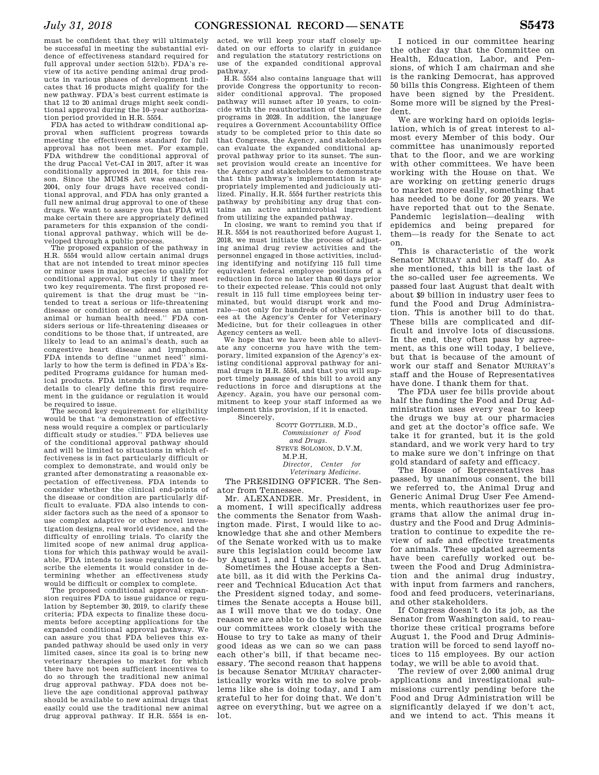must be confident that they will ultimately be successful in meeting the substantial evidence of effectiveness standard required for full approval under section 512(b). FDA's review of its active pending animal drug products in various phases of development indicates that 16 products might qualify for the new pathway. FDA's best current estimate is that 12 to 20 animal drugs might seek conditional approval during the 10–year authorization period provided in H.R. 5554.

FDA has acted to withdraw conditional approval when sufficient progress towards meeting the effectiveness standard for full approval has not been met. For example, FDA withdrew the conditional approval of the drug Paccal Vet-CAI in 2017, after it was conditionally approved in 2014, for this reason. Since the MUMS Act was enacted in 2004, only four drugs have received conditional approval, and FDA has only granted a full new animal drug approval to one of these drugs. We want to assure you that FDA will make certain there are appropriately defined parameters for this expansion of the conditional approval pathway, which will be developed through a public process.

The proposed expansion of the pathway in H.R. 5554 would allow certain animal drugs that are not intended to treat minor species or minor uses in major species to qualify for conditional approval, but only if they meet two key requirements. The first proposed requirement is that the drug must be ''intended to treat a serious or life-threatening disease or condition or addresses an unmet animal or human health need.'' FDA considers serious or life-threatening diseases or conditions to be those that, if untreated, are likely to lead to an animal's death, such as congestive heart disease and lymphoma. FDA intends to define "unmet need" similarly to how the term is defined in FDA's Expedited Programs guidance for human medical products. FDA intends to provide more details to clearly define this first requirement in the guidance or regulation it would be required to issue.

The second key requirement for eligibility would be that ''a demonstration of effectiveness would require a complex or particularly difficult study or studies.'' FDA believes use of the conditional approval pathway should and will be limited to situations in which effectiveness is in fact particularly difficult or complex to demonstrate, and would only be granted after demonstrating a reasonable expectation of effectiveness. FDA intends to consider whether the clinical end-points of the disease or condition are particularly difficult to evaluate. FDA also intends to consider factors such as the need of a sponsor to use complex adaptive or other novel investigation designs, real world evidence, and the difficulty of enrolling trials. To clarify the limited scope of new animal drug applications for which this pathway would be available, FDA intends to issue regulation to describe the elements it would consider in determining whether an effectiveness study would be difficult or complex to complete.

The proposed conditional approval expansion requires FDA to issue guidance or regulation by September 30, 2019, to clarify these criteria; FDA expects to finalize these documents before accepting applications for the expanded conditional approval pathway. We can assure you that FDA believes this expanded pathway should be used only in very limited cases, since its goal is to bring new veterinary therapies to market for which there have not been sufficient incentives to do so through the traditional new animal drug approval pathway. FDA does not believe the age conditional approval pathway should be available to new animal drugs that easily could use the traditional new animal drug approval pathway. If H.R. 5554 is en-

acted, we will keep your staff closely updated on our efforts to clarify in guidance and regulation the statutory restrictions on use of the expanded conditional approval pathway.

H.R. 5554 also contains language that will provide Congress the opportunity to reconsider conditional approval. The proposed pathway will sunset after 10 years, to coincide with the reauthorization of the user fee programs in 2028. In addition, the language requires a Government Accountability Office study to be completed prior to this date so that Congress, the Agency, and stakeholders can evaluate the expanded conditional approval pathway prior to its sunset. The sunset provision would create an incentive for the Agency and stakeholders to demonstrate that this pathway's implementation is appropriately implemented and judiciously utilized. Finally, H.R. 5554 further restricts this pathway by prohibiting any drug that contains an active antimicrobial ingredient from utilizing the expanded pathway.

In closing, we want to remind you that if H.R. 5554 is not reauthorized before August 1, 2018, we must initiate the process of adjusting animal drug review activities and the personnel engaged in those activities, including identifying and notifying 115 full time equivalent federal employee positions of a reduction in force no later than 60 days prior to their expected release. This could not only result in 115 full time employees being terminated, but would disrupt work and morale—not only for hundreds of other employees at the Agency's Center for Veterinary Medicine, but for their colleagues in other Agency centers as well.

We hope that we have been able to alleviate any concerns you have with the temporary, limited expansion of the Agency's existing conditional approval pathway for animal drugs in H.R. 5554, and that you will support timely passage of this bill to avoid any reductions in force and disruptions at the Agency. Again, you have our personal commitment to keep your staff informed as we implement this provision, if it is enacted.

Sincerely,

SCOTT GOTTLIEB, M.D., *Commissioner of Food and Drugs.*  STEVE SOLOMON, D.V.M, M.P.H, *Director, Center for Veterinary Medicine.* 

The PRESIDING OFFICER. The Sen-

ator from Tennessee.

Mr. ALEXANDER. Mr. President, in a moment, I will specifically address the comments the Senator from Washington made. First, I would like to acknowledge that she and other Members of the Senate worked with us to make sure this legislation could become law by August 1, and I thank her for that.

Sometimes the House accepts a Senate bill, as it did with the Perkins Career and Technical Education Act that the President signed today, and sometimes the Senate accepts a House bill, as I will move that we do today. One reason we are able to do that is because our committees work closely with the House to try to take as many of their good ideas as we can so we can pass each other's bill, if that became necessary. The second reason that happens is because Senator MURRAY characteristically works with me to solve problems like she is doing today, and I am grateful to her for doing that. We don't agree on everything, but we agree on a lot.

I noticed in our committee hearing the other day that the Committee on Health, Education, Labor, and Pensions, of which I am chairman and she is the ranking Democrat, has approved 50 bills this Congress. Eighteen of them have been signed by the President. Some more will be signed by the President.

We are working hard on opioids legislation, which is of great interest to almost every Member of this body. Our committee has unanimously reported that to the floor, and we are working with other committees. We have been working with the House on that. We are working on getting generic drugs to market more easily, something that has needed to be done for 20 years. We have reported that out to the Senate. Pandemic legislation—dealing with epidemics and being prepared for them—is ready for the Senate to act on.

This is characteristic of the work Senator MURRAY and her staff do. As she mentioned, this bill is the last of the so-called user fee agreements. We passed four last August that dealt with about \$9 billion in industry user fees to fund the Food and Drug Administration. This is another bill to do that. These bills are complicated and difficult and involve lots of discussions. In the end, they often pass by agreement, as this one will today, I believe, but that is because of the amount of work our staff and Senator MURRAY's staff and the House of Representatives have done. I thank them for that.

The FDA user fee bills provide about half the funding the Food and Drug Administration uses every year to keep the drugs we buy at our pharmacies and get at the doctor's office safe. We take it for granted, but it is the gold standard, and we work very hard to try to make sure we don't infringe on that gold standard of safety and efficacy.

The House of Representatives has passed, by unanimous consent, the bill we referred to, the Animal Drug and Generic Animal Drug User Fee Amendments, which reauthorizes user fee programs that allow the animal drug industry and the Food and Drug Administration to continue to expedite the review of safe and effective treatments for animals. These updated agreements have been carefully worked out between the Food and Drug Administration and the animal drug industry, with input from farmers and ranchers. food and feed producers, veterinarians, and other stakeholders.

If Congress doesn't do its job, as the Senator from Washington said, to reauthorize these critical programs before August 1, the Food and Drug Administration will be forced to send layoff notices to 115 employees. By our action today, we will be able to avoid that.

The review of over 2,000 animal drug applications and investigational submissions currently pending before the Food and Drug Administration will be significantly delayed if we don't act, and we intend to act. This means it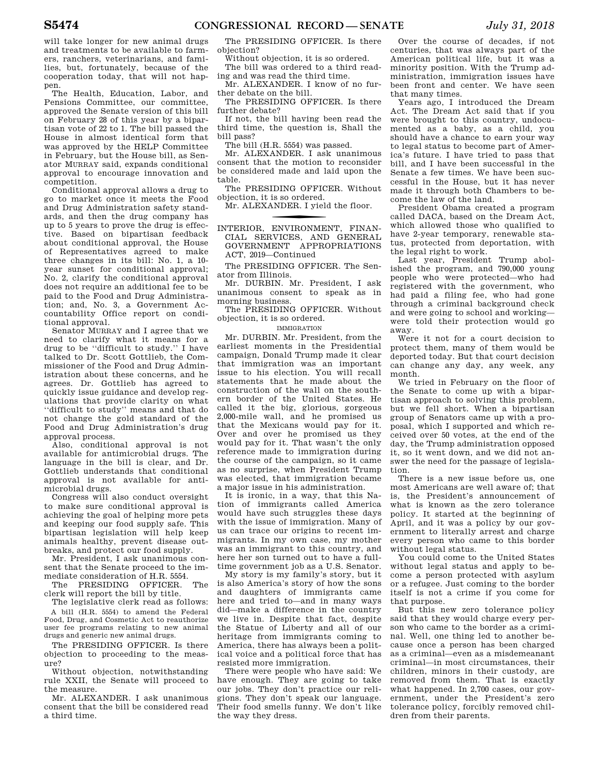will take longer for new animal drugs and treatments to be available to farmers, ranchers, veterinarians, and families, but, fortunately, because of the cooperation today, that will not happen.

The Health, Education, Labor, and Pensions Committee, our committee, approved the Senate version of this bill on February 28 of this year by a bipartisan vote of 22 to 1. The bill passed the House in almost identical form that was approved by the HELP Committee in February, but the House bill, as Senator MURRAY said, expands conditional approval to encourage innovation and competition.

Conditional approval allows a drug to go to market once it meets the Food and Drug Administration safety standards, and then the drug company has up to 5 years to prove the drug is effective. Based on bipartisan feedback about conditional approval, the House of Representatives agreed to make three changes in its bill: No. 1, a 10 year sunset for conditional approval; No. 2, clarify the conditional approval does not require an additional fee to be paid to the Food and Drug Administration; and, No. 3, a Government Accountability Office report on conditional approval.

Senator MURRAY and I agree that we need to clarify what it means for a drug to be ''difficult to study.'' I have talked to Dr. Scott Gottlieb, the Commissioner of the Food and Drug Administration about these concerns, and he agrees. Dr. Gottlieb has agreed to quickly issue guidance and develop regulations that provide clarity on what ''difficult to study'' means and that do not change the gold standard of the Food and Drug Administration's drug approval process.

Also, conditional approval is not available for antimicrobial drugs. The language in the bill is clear, and Dr. Gottlieb understands that conditional approval is not available for antimicrobial drugs.

Congress will also conduct oversight to make sure conditional approval is achieving the goal of helping more pets and keeping our food supply safe. This bipartisan legislation will help keep animals healthy, prevent disease outbreaks, and protect our food supply.

Mr. President, I ask unanimous consent that the Senate proceed to the immediate consideration of H.R. 5554.

The PRESIDING OFFICER. The clerk will report the bill by title.

The legislative clerk read as follows: A bill (H.R. 5554) to amend the Federal Food, Drug, and Cosmetic Act to reauthorize user fee programs relating to new animal drugs and generic new animal drugs.

The PRESIDING OFFICER. Is there objection to proceeding to the measure?

Without objection, notwithstanding rule XXII, the Senate will proceed to the measure.

Mr. ALEXANDER. I ask unanimous consent that the bill be considered read a third time.

The PRESIDING OFFICER. Is there objection?

Without objection, it is so ordered. The bill was ordered to a third read-

ing and was read the third time. Mr. ALEXANDER. I know of no further debate on the bill.

The PRESIDING OFFICER. Is there further debate?

If not, the bill having been read the third time, the question is, Shall the bill pass?

The bill (H.R. 5554) was passed.

Mr. ALEXANDER. I ask unanimous consent that the motion to reconsider be considered made and laid upon the table.

The PRESIDING OFFICER. Without objection, it is so ordered.

Mr. ALEXANDER. I yield the floor.

f INTERIOR, ENVIRONMENT, FINAN-CIAL SERVICES, AND GENERAL GOVERNMENT APPROPRIATIONS ACT, 2019—Continued

The PRESIDING OFFICER. The Senator from Illinois.

Mr. DURBIN. Mr. President, I ask unanimous consent to speak as in morning business.

The PRESIDING OFFICER. Without objection, it is so ordered.

### IMMIGRATION

Mr. DURBIN. Mr. President, from the earliest moments in the Presidential campaign, Donald Trump made it clear that immigration was an important issue to his election. You will recall statements that he made about the construction of the wall on the southern border of the United States. He called it the big, glorious, gorgeous 2,000-mile wall, and he promised us that the Mexicans would pay for it. Over and over he promised us they would pay for it. That wasn't the only reference made to immigration during the course of the campaign, so it came as no surprise, when President Trump was elected, that immigration became a major issue in his administration.

It is ironic, in a way, that this Nation of immigrants called America would have such struggles these days with the issue of immigration. Many of us can trace our origins to recent immigrants. In my own case, my mother was an immigrant to this country, and here her son turned out to have a fulltime government job as a U.S. Senator.

My story is my family's story, but it is also America's story of how the sons and daughters of immigrants came here and tried to—and in many ways did—make a difference in the country we live in. Despite that fact, despite the Statue of Liberty and all of our heritage from immigrants coming to America, there has always been a political voice and a political force that has resisted more immigration.

There were people who have said: We have enough. They are going to take our jobs. They don't practice our religions. They don't speak our language. Their food smells funny. We don't like the way they dress.

Over the course of decades, if not centuries, that was always part of the American political life, but it was a minority position. With the Trump administration, immigration issues have been front and center. We have seen that many times.

Years ago, I introduced the Dream Act. The Dream Act said that if you were brought to this country, undocumented as a baby, as a child, you should have a chance to earn your way to legal status to become part of America's future. I have tried to pass that bill, and I have been successful in the Senate a few times. We have been successful in the House, but it has never made it through both Chambers to become the law of the land.

President Obama created a program called DACA, based on the Dream Act, which allowed those who qualified to have 2-year temporary, renewable status, protected from deportation, with the legal right to work.

Last year, President Trump abolished the program, and 790,000 young people who were protected—who had registered with the government, who had paid a filing fee, who had gone through a criminal background check and were going to school and working were told their protection would go away.

Were it not for a court decision to protect them, many of them would be deported today. But that court decision can change any day, any week, any month.

We tried in February on the floor of the Senate to come up with a bipartisan approach to solving this problem, but we fell short. When a bipartisan group of Senators came up with a proposal, which I supported and which received over 50 votes, at the end of the day, the Trump administration opposed it, so it went down, and we did not answer the need for the passage of legislation.

There is a new issue before us, one most Americans are well aware of; that is, the President's announcement of what is known as the zero tolerance policy. It started at the beginning of April, and it was a policy by our government to literally arrest and charge every person who came to this border without legal status.

You could come to the United States without legal status and apply to become a person protected with asylum or a refugee. Just coming to the border itself is not a crime if you come for that purpose.

But this new zero tolerance policy said that they would charge every person who came to the border as a criminal. Well, one thing led to another because once a person has been charged as a criminal—even as a misdemeanant criminal—in most circumstances, their children, minors in their custody, are removed from them. That is exactly what happened. In 2,700 cases, our government, under the President's zero tolerance policy, forcibly removed children from their parents.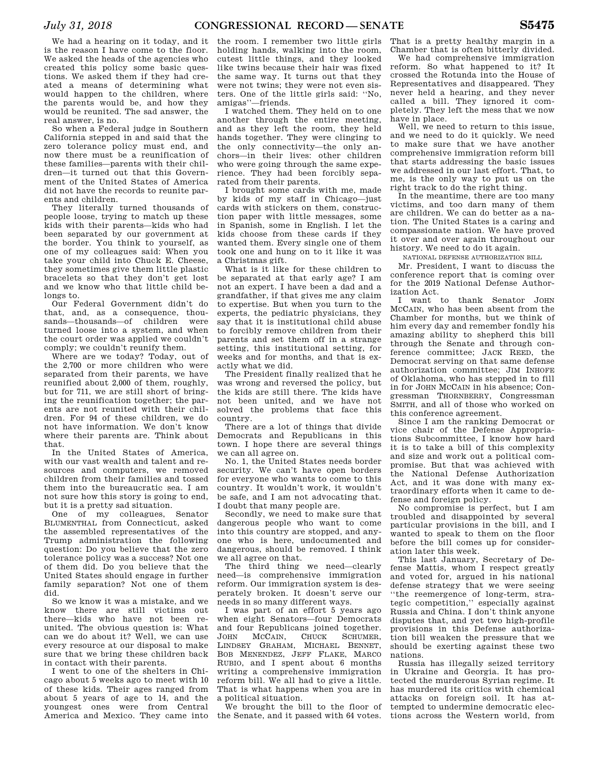We had a hearing on it today, and it is the reason I have come to the floor. We asked the heads of the agencies who created this policy some basic questions. We asked them if they had created a means of determining what would happen to the children, where the parents would be, and how they would be reunited. The sad answer, the real answer, is no.

So when a Federal judge in Southern California stepped in and said that the zero tolerance policy must end, and now there must be a reunification of these families—parents with their children—it turned out that this Government of the United States of America did not have the records to reunite parents and children.

They literally turned thousands of people loose, trying to match up these kids with their parents—kids who had been separated by our government at the border. You think to yourself, as one of my colleagues said: When you take your child into Chuck E. Cheese, they sometimes give them little plastic bracelets so that they don't get lost and we know who that little child belongs to.

Our Federal Government didn't do that, and, as a consequence, thousands—thousands—of children were turned loose into a system, and when the court order was applied we couldn't comply; we couldn't reunify them.

Where are we today? Today, out of the 2,700 or more children who were separated from their parents, we have reunified about 2,000 of them, roughly, but for 711, we are still short of bringing the reunification together; the parents are not reunited with their children. For 94 of these children, we do not have information. We don't know where their parents are. Think about that.

In the United States of America, with our vast wealth and talent and resources and computers, we removed children from their families and tossed them into the bureaucratic sea. I am not sure how this story is going to end, but it is a pretty sad situation.

One of my colleagues, Senator BLUMENTHAL from Connecticut, asked the assembled representatives of the Trump administration the following question: Do you believe that the zero tolerance policy was a success? Not one of them did. Do you believe that the United States should engage in further family separation? Not one of them did.

So we know it was a mistake, and we know there are still victims out there—kids who have not been reunited. The obvious question is: What can we do about it? Well, we can use every resource at our disposal to make sure that we bring these children back in contact with their parents.

I went to one of the shelters in Chicago about 5 weeks ago to meet with 10 of these kids. Their ages ranged from about 5 years of age to 14, and the youngest ones were from Central America and Mexico. They came into

the room. I remember two little girls holding hands, walking into the room, cutest little things, and they looked like twins because their hair was fixed the same way. It turns out that they were not twins; they were not even sisters. One of the little girls said: ''No, amigas''—friends.

I watched them. They held on to one another through the entire meeting, and as they left the room, they held hands together. They were clinging to the only connectivity—the only anchors—in their lives: other children who were going through the same experience. They had been forcibly separated from their parents.

I brought some cards with me, made by kids of my staff in Chicago—just cards with stickers on them, construction paper with little messages, some in Spanish, some in English. I let the kids choose from these cards if they wanted them. Every single one of them took one and hung on to it like it was a Christmas gift.

What is it like for these children to be separated at that early age? I am not an expert. I have been a dad and a grandfather, if that gives me any claim to expertise. But when you turn to the experts, the pediatric physicians, they say that it is institutional child abuse to forcibly remove children from their parents and set them off in a strange setting, this institutional setting, for weeks and for months, and that is exactly what we did.

The President finally realized that he was wrong and reversed the policy, but the kids are still there. The kids have not been united, and we have not solved the problems that face this country.

There are a lot of things that divide Democrats and Republicans in this town. I hope there are several things we can all agree on.

No. 1, the United States needs border security. We can't have open borders for everyone who wants to come to this country. It wouldn't work, it wouldn't be safe, and I am not advocating that. I doubt that many people are.

Secondly, we need to make sure that dangerous people who want to come into this country are stopped, and anyone who is here, undocumented and dangerous, should be removed. I think we all agree on that.

The third thing we need—clearly need—is comprehensive immigration reform. Our immigration system is desperately broken. It doesn't serve our needs in so many different ways.

I was part of an effort 5 years ago when eight Senators—four Democrats and four Republicans joined together.<br>JOHN MCCAIN CHUCK SCHUMER. JOHN MCCAIN, CHUCK SCHUMER, LINDSEY GRAHAM, MICHAEL BENNET, BOB MENENDEZ, JEFF FLAKE, MARCO RUBIO, and I spent about 6 months writing a comprehensive immigration reform bill. We all had to give a little. That is what happens when you are in a political situation.

We brought the bill to the floor of the Senate, and it passed with 64 votes. That is a pretty healthy margin in a Chamber that is often bitterly divided.

We had comprehensive immigration reform. So what happened to it? It crossed the Rotunda into the House of Representatives and disappeared. They never held a hearing, and they never called a bill. They ignored it completely. They left the mess that we now have in place.

Well, we need to return to this issue, and we need to do it quickly. We need to make sure that we have another comprehensive immigration reform bill that starts addressing the basic issues we addressed in our last effort. That, to me, is the only way to put us on the right track to do the right thing.

In the meantime, there are too many victims, and too darn many of them are children. We can do better as a nation. The United States is a caring and compassionate nation. We have proved it over and over again throughout our history. We need to do it again.

NATIONAL DEFENSE AUTHORIZATION BILL

Mr. President, I want to discuss the conference report that is coming over for the 2019 National Defense Authorization Act.

I want to thank Senator JOHN MCCAIN, who has been absent from the Chamber for months, but we think of him every day and remember fondly his amazing ability to shepherd this bill through the Senate and through conference committee; JACK REED, the Democrat serving on that same defense authorization committee; JIM INHOFE of Oklahoma, who has stepped in to fill in for JOHN MCCAIN in his absence; Congressman THORNBERRY, Congressman SMITH, and all of those who worked on this conference agreement.

Since I am the ranking Democrat or vice chair of the Defense Appropriations Subcommittee, I know how hard it is to take a bill of this complexity and size and work out a political compromise. But that was achieved with the National Defense Authorization Act, and it was done with many extraordinary efforts when it came to defense and foreign policy.

No compromise is perfect, but I am troubled and disappointed by several particular provisions in the bill, and I wanted to speak to them on the floor before the bill comes up for consideration later this week.

This last January, Secretary of Defense Mattis, whom I respect greatly and voted for, argued in his national defense strategy that we were seeing ''the reemergence of long-term, strategic competition,'' especially against Russia and China. I don't think anyone disputes that, and yet two high-profile provisions in this Defense authorization bill weaken the pressure that we should be exerting against these two nations.

Russia has illegally seized territory in Ukraine and Georgia. It has protected the murderous Syrian regime. It has murdered its critics with chemical attacks on foreign soil. It has attempted to undermine democratic elections across the Western world, from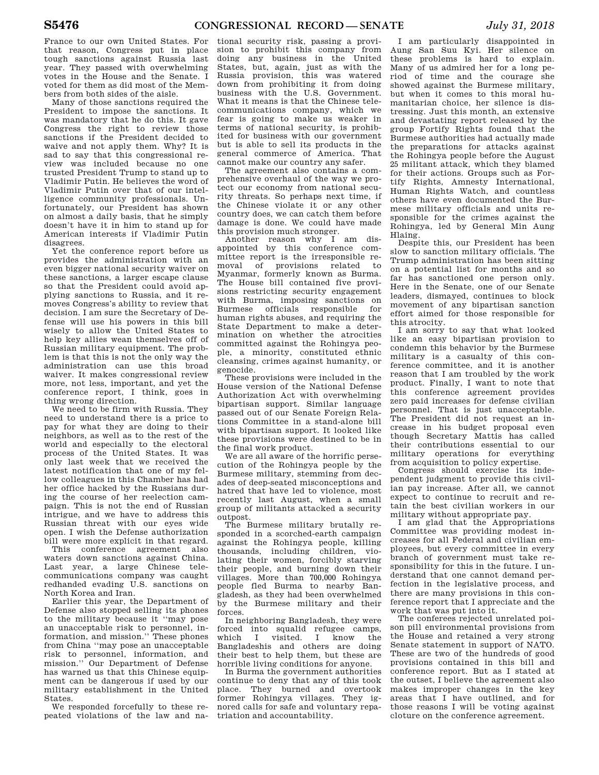France to our own United States. For that reason, Congress put in place tough sanctions against Russia last year. They passed with overwhelming votes in the House and the Senate. I voted for them as did most of the Members from both sides of the aisle.

Many of those sanctions required the President to impose the sanctions. It was mandatory that he do this. It gave Congress the right to review those sanctions if the President decided to waive and not apply them. Why? It is sad to say that this congressional review was included because no one trusted President Trump to stand up to Vladimir Putin. He believes the word of Vladimir Putin over that of our intelligence community professionals. Unfortunately, our President has shown on almost a daily basis, that he simply doesn't have it in him to stand up for American interests if Vladimir Putin disagrees.

Yet the conference report before us provides the administration with an even bigger national security waiver on these sanctions, a larger escape clause so that the President could avoid applying sanctions to Russia, and it removes Congress's ability to review that decision. I am sure the Secretary of Defense will use his powers in this bill wisely to allow the United States to help key allies wean themselves off of Russian military equipment. The problem is that this is not the only way the administration can use this broad waiver. It makes congressional review more, not less, important, and yet the conference report, I think, goes in thing wrong direction.

We need to be firm with Russia. They need to understand there is a price to pay for what they are doing to their neighbors, as well as to the rest of the world and especially to the electoral process of the United States. It was only last week that we received the latest notification that one of my fellow colleagues in this Chamber has had her office hacked by the Russians during the course of her reelection campaign. This is not the end of Russian intrigue, and we have to address this Russian threat with our eyes wide open. I wish the Defense authorization bill were more explicit in that regard.

This conference agreement also waters down sanctions against China. Last year, a large Chinese telecommunications company was caught redhanded evading U.S. sanctions on North Korea and Iran.

Earlier this year, the Department of Defense also stopped selling its phones to the military because it ''may pose an unacceptable risk to personnel, information, and mission.'' These phones from China ''may pose an unacceptable risk to personnel, information, and mission.'' Our Department of Defense has warned us that this Chinese equipment can be dangerous if used by our military establishment in the United **States** 

We responded forcefully to these repeated violations of the law and na-

tional security risk, passing a provision to prohibit this company from doing any business in the United States, but, again, just as with the Russia provision, this was watered down from prohibiting it from doing business with the U.S. Government. What it means is that the Chinese telecommunications company, which we fear is going to make us weaker in terms of national security, is prohibited for business with our government but is able to sell its products in the general commerce of America. That cannot make our country any safer.

The agreement also contains a comprehensive overhaul of the way we protect our economy from national security threats. So perhaps next time, if the Chinese violate it or any other country does, we can catch them before damage is done. We could have made this provision much stronger.

Another reason why I am disappointed by this conference committee report is the irresponsible removal of provisions related to Myanmar, formerly known as Burma. The House bill contained five provisions restricting security engagement with Burma, imposing sanctions on Burmese officials responsible for human rights abuses, and requiring the State Department to make a determination on whether the atrocities committed against the Rohingya people, a minority, constituted ethnic cleansing, crimes against humanity, or genocide.

These provisions were included in the House version of the National Defense Authorization Act with overwhelming bipartisan support. Similar language passed out of our Senate Foreign Relations Committee in a stand-alone bill with bipartisan support. It looked like these provisions were destined to be in the final work product.

We are all aware of the horrific persecution of the Rohingya people by the Burmese military, stemming from decades of deep-seated misconceptions and hatred that have led to violence, most recently last August, when a small group of militants attacked a security outpost.

The Burmese military brutally responded in a scorched-earth campaign against the Rohingya people, killing thousands, including children, violating their women, forcibly starving their people, and burning down their villages. More than 700,000 Rohingya people fled Burma to nearby Bangladesh, as they had been overwhelmed by the Burmese military and their forces.

In neighboring Bangladesh, they were forced into squalid refugee camps, which I visited. I know the Bangladeshis and others are doing their best to help them, but these are horrible living conditions for anyone.

In Burma the government authorities continue to deny that any of this took place. They burned and overtook former Rohingya villages. They ignored calls for safe and voluntary repatriation and accountability.

I am particularly disappointed in Aung San Suu Kyi. Her silence on these problems is hard to explain. Many of us admired her for a long period of time and the courage she showed against the Burmese military, but when it comes to this moral humanitarian choice, her silence is distressing. Just this month, an extensive and devastating report released by the group Fortify Rights found that the Burmese authorities had actually made the preparations for attacks against the Rohingya people before the August 25 militant attack, which they blamed for their actions. Groups such as Fortify Rights, Amnesty International, Human Rights Watch, and countless others have even documented the Burmese military officials and units responsible for the crimes against the Rohingya, led by General Min Aung Hlaing.

Despite this, our President has been slow to sanction military officials. The Trump administration has been sitting on a potential list for months and so far has sanctioned one person only. Here in the Senate, one of our Senate leaders, dismayed, continues to block movement of any bipartisan sanction effort aimed for those responsible for this atrocity.

I am sorry to say that what looked like an easy bipartisan provision to condemn this behavior by the Burmese military is a casualty of this conference committee, and it is another reason that I am troubled by the work product. Finally, I want to note that this conference agreement provides zero paid increases for defense civilian personnel. That is just unacceptable. The President did not request an increase in his budget proposal even though Secretary Mattis has called their contributions essential to our military operations for everything from acquisition to policy expertise.

Congress should exercise its independent judgment to provide this civilian pay increase. After all, we cannot expect to continue to recruit and retain the best civilian workers in our military without appropriate pay.

I am glad that the Appropriations Committee was providing modest increases for all Federal and civilian employees, but every committee in every branch of government must take responsibility for this in the future. I understand that one cannot demand perfection in the legislative process, and there are many provisions in this conference report that I appreciate and the work that was put into it.

The conferees rejected unrelated poison pill environmental provisions from the House and retained a very strong Senate statement in support of NATO. These are two of the hundreds of good provisions contained in this bill and conference report. But as I stated at the outset, I believe the agreement also makes improper changes in the key areas that I have outlined, and for those reasons I will be voting against cloture on the conference agreement.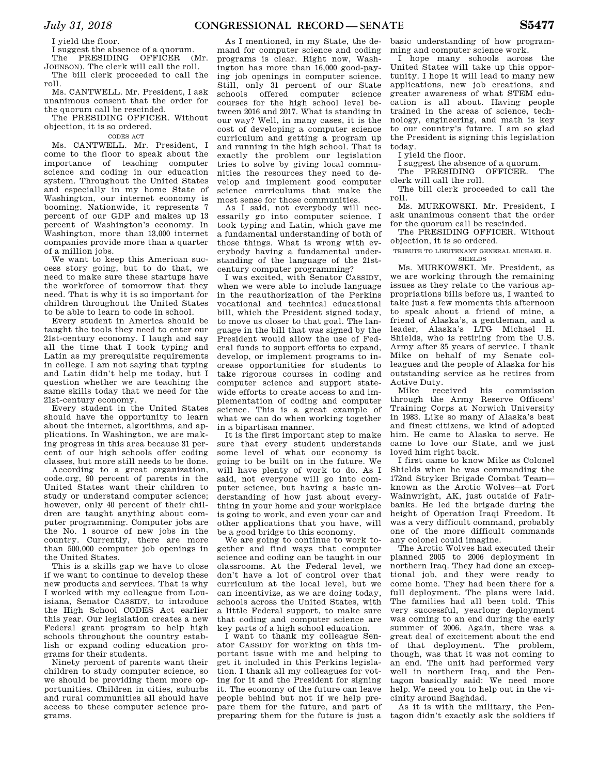I yield the floor.

I suggest the absence of a quorum. The PRESIDING OFFICER (Mr.

JOHNSON). The clerk will call the roll. The bill clerk proceeded to call the roll.

Ms. CANTWELL. Mr. President, I ask unanimous consent that the order for the quorum call be rescinded.

The PRESIDING OFFICER. Without objection, it is so ordered.

CODES ACT

Ms. CANTWELL. Mr. President, I come to the floor to speak about the importance of teaching computer science and coding in our education system. Throughout the United States and especially in my home State of Washington, our internet economy is booming. Nationwide, it represents 7 percent of our GDP and makes up 13 percent of Washington's economy. In Washington, more than 13,000 internet companies provide more than a quarter of a million jobs.

We want to keep this American success story going, but to do that, we need to make sure these startups have the workforce of tomorrow that they need. That is why it is so important for children throughout the United States to be able to learn to code in school.

Every student in America should be taught the tools they need to enter our 21st-century economy. I laugh and say all the time that I took typing and Latin as my prerequisite requirements in college. I am not saying that typing and Latin didn't help me today, but I question whether we are teaching the same skills today that we need for the 21st-century economy.

Every student in the United States should have the opportunity to learn about the internet, algorithms, and applications. In Washington, we are making progress in this area because 31 percent of our high schools offer coding classes, but more still needs to be done.

According to a great organization, code.org, 90 percent of parents in the United States want their children to study or understand computer science; however, only 40 percent of their children are taught anything about computer programming. Computer jobs are the No. 1 source of new jobs in the country. Currently, there are more than 500,000 computer job openings in the United States.

This is a skills gap we have to close if we want to continue to develop these new products and services. That is why I worked with my colleague from Louisiana, Senator CASSIDY, to introduce the High School CODES Act earlier this year. Our legislation creates a new Federal grant program to help high schools throughout the country establish or expand coding education programs for their students.

Ninety percent of parents want their children to study computer science, so we should be providing them more opportunities. Children in cities, suburbs and rural communities all should have access to these computer science programs.

As I mentioned, in my State, the demand for computer science and coding programs is clear. Right now, Washington has more than 16,000 good-paying job openings in computer science. Still, only 31 percent of our State schools offered computer science courses for the high school level between 2016 and 2017. What is standing in our way? Well, in many cases, it is the cost of developing a computer science curriculum and getting a program up and running in the high school. That is exactly the problem our legislation tries to solve by giving local communities the resources they need to develop and implement good computer science curriculums that make the most sense for those communities.

As I said, not everybody will necessarily go into computer science. I took typing and Latin, which gave me a fundamental understanding of both of those things. What is wrong with everybody having a fundamental understanding of the language of the 21stcentury computer programming?

I was excited, with Senator CASSIDY, when we were able to include language in the reauthorization of the Perkins vocational and technical educational bill, which the President signed today, to move us closer to that goal. The language in the bill that was signed by the President would allow the use of Federal funds to support efforts to expand, develop, or implement programs to increase opportunities for students to take rigorous courses in coding and computer science and support statewide efforts to create access to and implementation of coding and computer science. This is a great example of what we can do when working together in a bipartisan manner.

It is the first important step to make sure that every student understands some level of what our economy is going to be built on in the future. We will have plenty of work to do. As I said, not everyone will go into computer science, but having a basic understanding of how just about everything in your home and your workplace is going to work, and even your car and other applications that you have, will be a good bridge to this economy.

We are going to continue to work together and find ways that computer science and coding can be taught in our classrooms. At the Federal level, we don't have a lot of control over that curriculum at the local level, but we can incentivize, as we are doing today, schools across the United States, with a little Federal support, to make sure that coding and computer science are key parts of a high school education.

I want to thank my colleague Senator CASSIDY for working on this important issue with me and helping to get it included in this Perkins legislation. I thank all my colleagues for voting for it and the President for signing it. The economy of the future can leave people behind but not if we help prepare them for the future, and part of preparing them for the future is just a

basic understanding of how programming and computer science work.

I hope many schools across the United States will take up this opportunity. I hope it will lead to many new applications, new job creations, and greater awareness of what STEM education is all about. Having people trained in the areas of science, technology, engineering, and math is key to our country's future. I am so glad the President is signing this legislation today.

I yield the floor.

I suggest the absence of a quorum.

The PRESIDING OFFICER. The

clerk will call the roll. The bill clerk proceeded to call the roll.

Ms. MURKOWSKI. Mr. President, I ask unanimous consent that the order for the quorum call be rescinded.

The PRESIDING OFFICER. Without objection, it is so ordered.

TRIBUTE TO LIEUTENANT GENERAL MICHAEL H.

SHIELDS

Ms. MURKOWSKI. Mr. President, as we are working through the remaining issues as they relate to the various appropriations bills before us, I wanted to take just a few moments this afternoon to speak about a friend of mine, a friend of Alaska's, a gentleman, and a leader, Alaska's LTG Michael H. Shields, who is retiring from the U.S. Army after 35 years of service. I thank Mike on behalf of my Senate colleagues and the people of Alaska for his outstanding service as he retires from Active Duty.

Mike received his commission through the Army Reserve Officers' Training Corps at Norwich University in 1983. Like so many of Alaska's best and finest citizens, we kind of adopted him. He came to Alaska to serve. He came to love our State, and we just loved him right back.

I first came to know Mike as Colonel Shields when he was commanding the 172nd Stryker Brigade Combat Team known as the Arctic Wolves—at Fort Wainwright, AK, just outside of Fairbanks. He led the brigade during the height of Operation Iraqi Freedom. It was a very difficult command, probably one of the more difficult commands any colonel could imagine.

The Arctic Wolves had executed their planned 2005 to 2006 deployment in northern Iraq. They had done an exceptional job, and they were ready to come home. They had been there for a full deployment. The plans were laid. The families had all been told. This very successful, yearlong deployment was coming to an end during the early summer of 2006. Again, there was a great deal of excitement about the end of that deployment. The problem, though, was that it was not coming to an end. The unit had performed very well in northern Iraq, and the Pentagon basically said: We need more help. We need you to help out in the vicinity around Baghdad.

As it is with the military, the Pentagon didn't exactly ask the soldiers if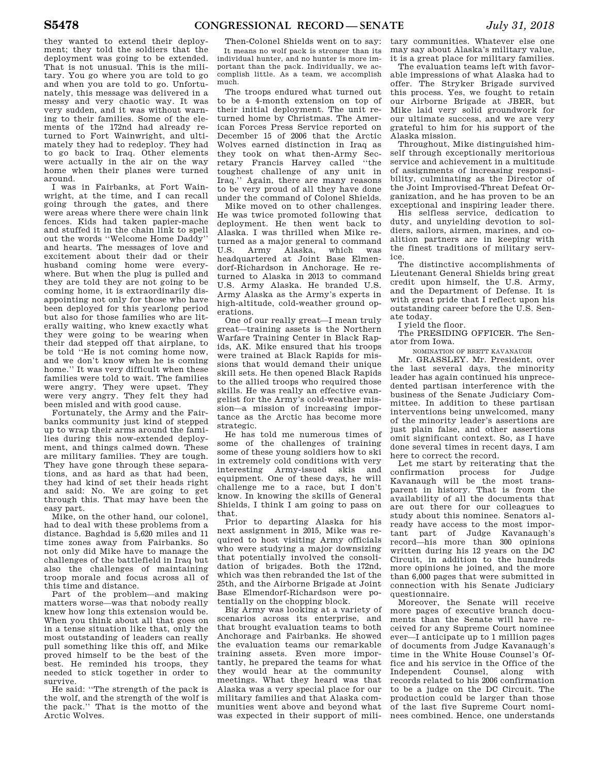they wanted to extend their deployment; they told the soldiers that the deployment was going to be extended. That is not unusual. This is the military. You go where you are told to go and when you are told to go. Unfortunately, this message was delivered in a messy and very chaotic way. It was very sudden, and it was without warning to their families. Some of the elements of the 172nd had already returned to Fort Wainwright, and ultimately they had to redeploy. They had to go back to Iraq. Other elements were actually in the air on the way home when their planes were turned around.

I was in Fairbanks, at Fort Wainwright, at the time, and I can recall going through the gates, and there were areas where there were chain link fences. Kids had taken papier-mache and stuffed it in the chain link to spell out the words ''Welcome Home Daddy'' and hearts. The messages of love and excitement about their dad or their husband coming home were everywhere. But when the plug is pulled and they are told they are not going to be coming home, it is extraordinarily disappointing not only for those who have been deployed for this yearlong period but also for those families who are literally waiting, who knew exactly what they were going to be wearing when their dad stepped off that airplane, to be told ''He is not coming home now, and we don't know when he is coming home.'' It was very difficult when these families were told to wait. The families were angry. They were upset. They were very angry. They felt they had been misled and with good cause.

Fortunately, the Army and the Fairbanks community just kind of stepped up to wrap their arms around the families during this now-extended deployment, and things calmed down. These are military families. They are tough. They have gone through these separations, and as hard as that had been, they had kind of set their heads right and said: No. We are going to get through this. That may have been the easy part.

Mike, on the other hand, our colonel, had to deal with these problems from a distance. Baghdad is 5,620 miles and 11 time zones away from Fairbanks. So not only did Mike have to manage the challenges of the battlefield in Iraq but also the challenges of maintaining troop morale and focus across all of this time and distance.

Part of the problem—and making matters worse—was that nobody really knew how long this extension would be. When you think about all that goes on in a tense situation like that, only the most outstanding of leaders can really pull something like this off, and Mike proved himself to be the best of the best. He reminded his troops, they needed to stick together in order to survive.

He said: ''The strength of the pack is the wolf, and the strength of the wolf is the pack.'' That is the motto of the Arctic Wolves.

Then-Colonel Shields went on to say: It means no wolf pack is stronger than its individual hunter, and no hunter is more important than the pack. Individually, we accomplish little. As a team, we accomplish much.

The troops endured what turned out to be a 4-month extension on top of their initial deployment. The unit returned home by Christmas. The American Forces Press Service reported on December 15 of 2006 that the Arctic Wolves earned distinction in Iraq as they took on what then-Army Secretary Francis Harvey called ''the toughest challenge of any unit in Iraq.'' Again, there are many reasons to be very proud of all they have done under the command of Colonel Shields.

Mike moved on to other challenges. He was twice promoted following that deployment. He then went back to Alaska. I was thrilled when Mike returned as a major general to command U.S. Army Alaska, which was headquartered at Joint Base Elmendorf-Richardson in Anchorage. He returned to Alaska in 2013 to command U.S. Army Alaska. He branded U.S. Army Alaska as the Army's experts in high-altitude, cold-weather ground operations.

One of our really great—I mean truly great—training assets is the Northern Warfare Training Center in Black Rapids, AK. Mike ensured that his troops were trained at Black Rapids for missions that would demand their unique skill sets. He then opened Black Rapids to the allied troops who required those skills. He was really an effective evangelist for the Army's cold-weather mission—a mission of increasing importance as the Arctic has become more strategic.

He has told me numerous times of some of the challenges of training some of these young soldiers how to ski in extremely cold conditions with very interesting Army-issued skis and equipment. One of these days, he will challenge me to a race, but I don't know. In knowing the skills of General Shields, I think I am going to pass on that.

Prior to departing Alaska for his next assignment in 2015, Mike was required to host visiting Army officials who were studying a major downsizing that potentially involved the consolidation of brigades. Both the 172nd, which was then rebranded the 1st of the 25th, and the Airborne Brigade at Joint Base Elmendorf-Richardson were potentially on the chopping block.

Big Army was looking at a variety of scenarios across its enterprise, and that brought evaluation teams to both Anchorage and Fairbanks. He showed the evaluation teams our remarkable training assets. Even more importantly, he prepared the teams for what they would hear at the community meetings. What they heard was that Alaska was a very special place for our military families and that Alaska communities went above and beyond what was expected in their support of mili-

tary communities. Whatever else one may say about Alaska's military value, it is a great place for military families.

The evaluation teams left with favorable impressions of what Alaska had to offer. The Stryker Brigade survived this process. Yes, we fought to retain our Airborne Brigade at JBER, but Mike laid very solid groundwork for our ultimate success, and we are very grateful to him for his support of the Alaska mission.

Throughout, Mike distinguished himself through exceptionally meritorious service and achievement in a multitude of assignments of increasing responsibility, culminating as the Director of the Joint Improvised-Threat Defeat Organization, and he has proven to be an exceptional and inspiring leader there.

His selfless service, dedication to duty, and unyielding devotion to soldiers, sailors, airmen, marines, and coalition partners are in keeping with the finest traditions of military service.

The distinctive accomplishments of Lieutenant General Shields bring great credit upon himself, the U.S. Army, and the Department of Defense. It is with great pride that I reflect upon his outstanding career before the U.S. Senate today.

I yield the floor.

The PRESIDING OFFICER. The Senator from Iowa.

NOMINATION OF BRETT KAVANAUGH

Mr. GRASSLEY. Mr. President, over the last several days, the minority leader has again continued his unprecedented partisan interference with the business of the Senate Judiciary Committee. In addition to these partisan interventions being unwelcomed, many of the minority leader's assertions are just plain false, and other assertions omit significant context. So, as I have done several times in recent days, I am here to correct the record.

Let me start by reiterating that the<br>ponfirmation process for Judge confirmation process for Kavanaugh will be the most transparent in history. That is from the availability of all the documents that are out there for our colleagues to study about this nominee. Senators already have access to the most important part of Judge Kavanaugh's record—his more than 300 opinions written during his 12 years on the DC Circuit, in addition to the hundreds more opinions he joined, and the more than 6,000 pages that were submitted in connection with his Senate Judiciary questionnaire.

Moreover, the Senate will receive more pages of executive branch documents than the Senate will have received for any Supreme Court nominee ever—I anticipate up to 1 million pages of documents from Judge Kavanaugh's time in the White House Counsel's Office and his service in the Office of the<br>Independent Counsel along with Independent Counsel, along records related to his 2006 confirmation to be a judge on the DC Circuit. The production could be larger than those of the last five Supreme Court nominees combined. Hence, one understands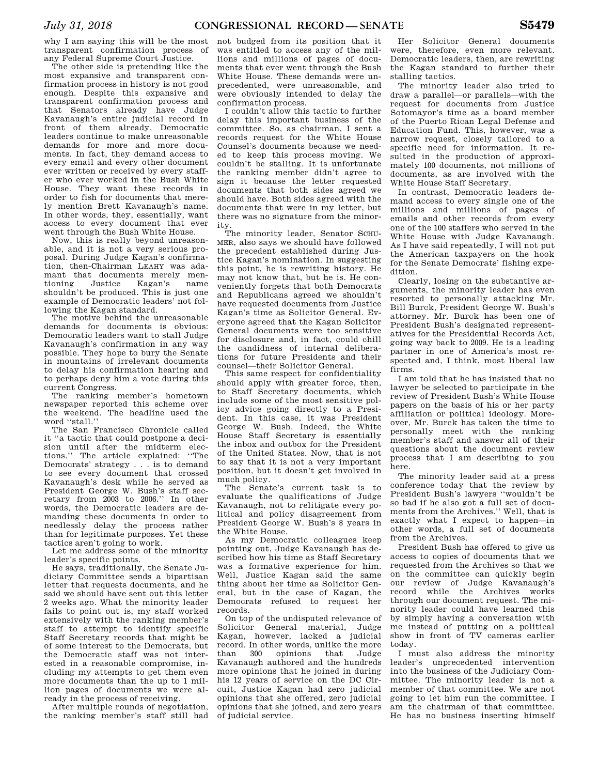why I am saying this will be the most transparent confirmation process of any Federal Supreme Court Justice.

The other side is pretending like the most expansive and transparent confirmation process in history is not good enough. Despite this expansive and transparent confirmation process and that Senators already have Judge Kavanaugh's entire judicial record in front of them already, Democratic leaders continue to make unreasonable demands for more and more documents. In fact, they demand access to every email and every other document ever written or received by every staffer who ever worked in the Bush White House. They want these records in order to fish for documents that merely mention Brett Kavanaugh's name. In other words, they, essentially, want access to every document that ever went through the Bush White House.

Now, this is really beyond unreasonable, and it is not a very serious proposal. During Judge Kagan's confirmation, then-Chairman LEAHY was adamant that documents merely men-<br>tioning Justice Kagan's name tioning Justice Kagan's name shouldn't be produced. This is just one example of Democratic leaders' not following the Kagan standard.

The motive behind the unreasonable demands for documents is obvious: Democratic leaders want to stall Judge Kavanaugh's confirmation in any way possible. They hope to bury the Senate in mountains of irrelevant documents to delay his confirmation hearing and to perhaps deny him a vote during this current Congress.

The ranking member's hometown newspaper reported this scheme over the weekend. The headline used the word ''stall.''

The San Francisco Chronicle called it ''a tactic that could postpone a decision until after the midterm elections.'' The article explained: ''The Democrats' strategy . . . is to demand to see every document that crossed Kavanaugh's desk while he served as President George W. Bush's staff secretary from 2003 to 2006.'' In other words, the Democratic leaders are demanding these documents in order to needlessly delay the process rather than for legitimate purposes. Yet these tactics aren't going to work.

Let me address some of the minority leader's specific points.

He says, traditionally, the Senate Judiciary Committee sends a bipartisan letter that requests documents, and he said we should have sent out this letter 2 weeks ago. What the minority leader fails to point out is, my staff worked extensively with the ranking member's staff to attempt to identify specific Staff Secretary records that might be of some interest to the Democrats, but the Democratic staff was not interested in a reasonable compromise, including my attempts to get them even more documents than the up to 1 million pages of documents we were already in the process of receiving.

After multiple rounds of negotiation, the ranking member's staff still had

not budged from its position that it was entitled to access any of the millions and millions of pages of documents that ever went through the Bush White House. These demands were unprecedented, were unreasonable, and were obviously intended to delay the confirmation process.

I couldn't allow this tactic to further delay this important business of the committee. So, as chairman, I sent a records request for the White House Counsel's documents because we needed to keep this process moving. We couldn't be stalling. It is unfortunate the ranking member didn't agree to sign it because the letter requested documents that both sides agreed we should have. Both sides agreed with the documents that were in my letter, but there was no signature from the minority.

The minority leader, Senator SCHU-MER, also says we should have followed the precedent established during Justice Kagan's nomination. In suggesting this point, he is rewriting history. He may not know that, but he is. He conveniently forgets that both Democrats and Republicans agreed we shouldn't have requested documents from Justice Kagan's time as Solicitor General. Everyone agreed that the Kagan Solicitor General documents were too sensitive for disclosure and, in fact, could chill the candidness of internal deliberations for future Presidents and their counsel—their Solicitor General.

This same respect for confidentiality should apply with greater force, then, to Staff Secretary documents, which include some of the most sensitive policy advice going directly to a President. In this case, it was President George W. Bush. Indeed, the White House Staff Secretary is essentially the inbox and outbox for the President of the United States. Now, that is not to say that it is not a very important position, but it doesn't get involved in much policy.

The Senate's current task is to evaluate the qualifications of Judge Kavanaugh, not to relitigate every political and policy disagreement from President George W. Bush's 8 years in the White House.

As my Democratic colleagues keep pointing out, Judge Kavanaugh has described how his time as Staff Secretary was a formative experience for him. Well, Justice Kagan said the same thing about her time as Solicitor General, but in the case of Kagan, the Democrats refused to request her records.

On top of the undisputed relevance of Solicitor General material, Judge Kagan, however, lacked a judicial record. In other words, unlike the more than 300 opinions that Judge Kavanaugh authored and the hundreds more opinions that he joined in during his 12 years of service on the DC Circuit, Justice Kagan had zero judicial opinions that she offered, zero judicial opinions that she joined, and zero years of judicial service.

Her Solicitor General documents were, therefore, even more relevant. Democratic leaders, then, are rewriting the Kagan standard to further their stalling tactics.

The minority leader also tried to draw a parallel—or parallels—with the request for documents from Justice Sotomayor's time as a board member of the Puerto Rican Legal Defense and Education Fund. This, however, was a narrow request, closely tailored to a specific need for information. It resulted in the production of approximately 100 documents, not millions of documents, as are involved with the White House Staff Secretary.

In contrast, Democratic leaders demand access to every single one of the millions and millions of pages of emails and other records from every one of the 100 staffers who served in the White House with Judge Kavanaugh. As I have said repeatedly, I will not put the American taxpayers on the hook for the Senate Democrats' fishing expedition.

Clearly, losing on the substantive arguments, the minority leader has even resorted to personally attacking Mr. Bill Burck, President George W. Bush's attorney. Mr. Burck has been one of President Bush's designated representatives for the Presidential Records Act, going way back to 2009. He is a leading partner in one of America's most respected and, I think, most liberal law firms.

I am told that he has insisted that no lawyer be selected to participate in the review of President Bush's White House papers on the basis of his or her party affiliation or political ideology. Moreover, Mr. Burck has taken the time to personally meet with the ranking member's staff and answer all of their questions about the document review process that I am describing to you here.

The minority leader said at a press conference today that the review by President Bush's lawyers ''wouldn't be so bad if he also got a full set of documents from the Archives.'' Well, that is exactly what I expect to happen—in other words, a full set of documents from the Archives.

President Bush has offered to give us access to copies of documents that we requested from the Archives so that we on the committee can quickly begin our review of Judge Kavanaugh's record while the Archives works through our document request. The minority leader could have learned this by simply having a conversation with me instead of putting on a political show in front of TV cameras earlier today.

I must also address the minority leader's unprecedented intervention into the business of the Judiciary Committee. The minority leader is not a member of that committee. We are not going to let him run the committee. I am the chairman of that committee. He has no business inserting himself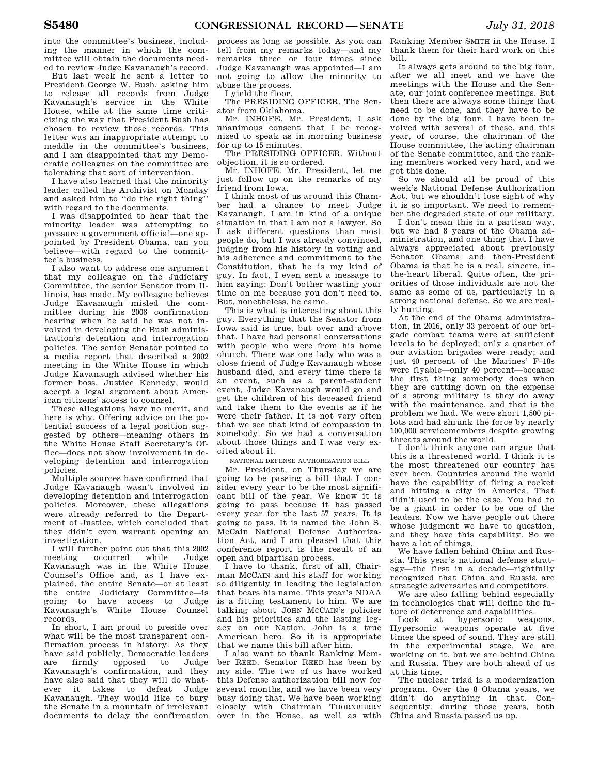into the committee's business, including the manner in which the committee will obtain the documents needed to review Judge Kavanaugh's record.

But last week he sent a letter to President George W. Bush, asking him to release all records from Judge Kavanaugh's service in the White House, while at the same time criticizing the way that President Bush has chosen to review those records. This letter was an inappropriate attempt to meddle in the committee's business, and I am disappointed that my Democratic colleagues on the committee are tolerating that sort of intervention.

I have also learned that the minority leader called the Archivist on Monday and asked him to ''do the right thing'' with regard to the documents.

I was disappointed to hear that the minority leader was attempting to pressure a government official—one appointed by President Obama, can you believe—with regard to the committee's business.

I also want to address one argument that my colleague on the Judiciary Committee, the senior Senator from Illinois, has made. My colleague believes Judge Kavanaugh misled the committee during his 2006 confirmation hearing when he said he was not involved in developing the Bush administration's detention and interrogation policies. The senior Senator pointed to a media report that described a 2002 meeting in the White House in which Judge Kavanaugh advised whether his former boss, Justice Kennedy, would accept a legal argument about American citizens' access to counsel.

These allegations have no merit, and here is why. Offering advice on the potential success of a legal position suggested by others—meaning others in the White House Staff Secretary's Office—does not show involvement in developing detention and interrogation policies.

Multiple sources have confirmed that Judge Kavanaugh wasn't involved in developing detention and interrogation policies. Moreover, these allegations were already referred to the Department of Justice, which concluded that they didn't even warrant opening an investigation.

I will further point out that this 2002 meeting occurred while Judge Kavanaugh was in the White House Counsel's Office and, as I have explained, the entire Senate—or at least the entire Judiciary Committee—is going to have access to Judge Kavanaugh's White House Counsel records.

In short, I am proud to preside over what will be the most transparent confirmation process in history. As they have said publicly, Democratic leaders are firmly opposed to Judge Kavanaugh's confirmation, and they have also said that they will do whatever it takes to defeat Judge Kavanaugh. They would like to bury the Senate in a mountain of irrelevant documents to delay the confirmation

process as long as possible. As you can tell from my remarks today—and my remarks three or four times since Judge Kavanaugh was appointed—I am not going to allow the minority to abuse the process.

I yield the floor.

The PRESIDING OFFICER. The Senator from Oklahoma.

Mr. INHOFE. Mr. President, I ask unanimous consent that I be recognized to speak as in morning business for up to 15 minutes.

The PRESIDING OFFICER. Without objection, it is so ordered.

Mr. INHOFE. Mr. President, let me just follow up on the remarks of my friend from Iowa.

I think most of us around this Chamber had a chance to meet Judge Kavanaugh. I am in kind of a unique situation in that I am not a lawyer. So I ask different questions than most people do, but I was already convinced, judging from his history in voting and his adherence and commitment to the Constitution, that he is my kind of guy. In fact, I even sent a message to him saying: Don't bother wasting your time on me because you don't need to. But, nonetheless, he came.

This is what is interesting about this guy. Everything that the Senator from Iowa said is true, but over and above that, I have had personal conversations with people who were from his home church. There was one lady who was a close friend of Judge Kavanaugh whose husband died, and every time there is an event, such as a parent-student event, Judge Kavanaugh would go and get the children of his deceased friend and take them to the events as if he were their father. It is not very often that we see that kind of compassion in somebody. So we had a conversation about those things and I was very excited about it.

NATIONAL DEFENSE AUTHORIZATION BILL

Mr. President, on Thursday we are going to be passing a bill that I consider every year to be the most significant bill of the year. We know it is going to pass because it has passed every year for the last 57 years. It is going to pass. It is named the John S. McCain National Defense Authorization Act, and I am pleased that this conference report is the result of an open and bipartisan process.

I have to thank, first of all, Chairman MCCAIN and his staff for working so diligently in leading the legislation that bears his name. This year's NDAA is a fitting testament to him. We are talking about JOHN MCCAIN's policies and his priorities and the lasting legacy on our Nation. John is a true American hero. So it is appropriate that we name this bill after him.

I also want to thank Ranking Member REED. Senator REED has been by my side. The two of us have worked this Defense authorization bill now for several months, and we have been very busy doing that. We have been working closely with Chairman THORNBERRY over in the House, as well as with

Ranking Member SMITH in the House. I thank them for their hard work on this bill.

It always gets around to the big four, after we all meet and we have the meetings with the House and the Senate, our joint conference meetings. But then there are always some things that need to be done, and they have to be done by the big four. I have been involved with several of these, and this year, of course, the chairman of the House committee, the acting chairman of the Senate committee, and the ranking members worked very hard, and we got this done.

So we should all be proud of this week's National Defense Authorization Act, but we shouldn't lose sight of why it is so important. We need to remember the degraded state of our military.

I don't mean this in a partisan way, but we had 8 years of the Obama administration, and one thing that I have always appreciated about previously Senator Obama and then-President Obama is that he is a real, sincere, inthe-heart liberal. Quite often, the priorities of those individuals are not the same as some of us, particularly in a strong national defense. So we are really hurting.

At the end of the Obama administration, in 2016, only 33 percent of our brigade combat teams were at sufficient levels to be deployed; only a quarter of our aviation brigades were ready; and just 40 percent of the Marines' F–18s were flyable—only 40 percent—because the first thing somebody does when they are cutting down on the expense of a strong military is they do away with the maintenance, and that is the problem we had. We were short 1,500 pilots and had shrunk the force by nearly 100,000 servicemembers despite growing threats around the world.

I don't think anyone can argue that this is a threatened world. I think it is the most threatened our country has ever been. Countries around the world have the capability of firing a rocket and hitting a city in America. That didn't used to be the case. You had to be a giant in order to be one of the leaders. Now we have people out there whose judgment we have to question, and they have this capability. So we have a lot of things.

We have fallen behind China and Russia. This year's national defense strategy—the first in a decade—rightfully recognized that China and Russia are strategic adversaries and competitors.

We are also falling behind especially in technologies that will define the fu-

ture of deterrence and capabilities.<br>Look at hypersonic weapons. at hypersonic Hypersonic weapons operate at five times the speed of sound. They are still in the experimental stage. We are working on it, but we are behind China and Russia. They are both ahead of us at this time.

The nuclear triad is a modernization program. Over the 8 Obama years, we didn't do anything in that. Consequently, during those years, both China and Russia passed us up.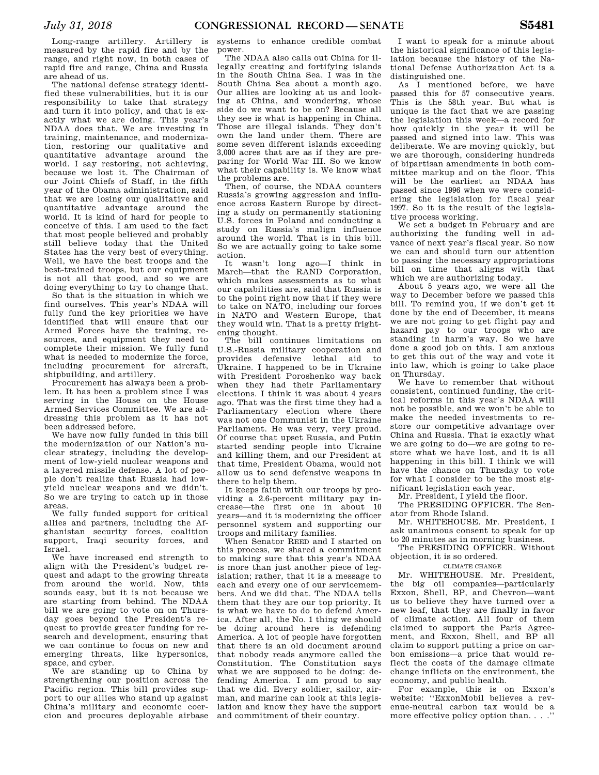Long-range artillery. Artillery is measured by the rapid fire and by the range, and right now, in both cases of rapid fire and range, China and Russia are ahead of us.

The national defense strategy identified these vulnerabilities, but it is our responsibility to take that strategy and turn it into policy, and that is exactly what we are doing. This year's NDAA does that. We are investing in training, maintenance, and modernization, restoring our qualitative and quantitative advantage around the world. I say restoring, not achieving, because we lost it. The Chairman of our Joint Chiefs of Staff, in the fifth year of the Obama administration, said that we are losing our qualitative and quantitative advantage around the world. It is kind of hard for people to conceive of this. I am used to the fact that most people believed and probably still believe today that the United States has the very best of everything. Well, we have the best troops and the best-trained troops, but our equipment is not all that good, and so we are doing everything to try to change that.

So that is the situation in which we find ourselves. This year's NDAA will fully fund the key priorities we have identified that will ensure that our Armed Forces have the training, resources, and equipment they need to complete their mission. We fully fund what is needed to modernize the force, including procurement for aircraft, shipbuilding, and artillery.

Procurement has always been a problem. It has been a problem since I was serving in the House on the House Armed Services Committee. We are addressing this problem as it has not been addressed before.

We have now fully funded in this bill the modernization of our Nation's nuclear strategy, including the development of low-yield nuclear weapons and a layered missile defense. A lot of people don't realize that Russia had lowyield nuclear weapons and we didn't. So we are trying to catch up in those areas.

We fully funded support for critical allies and partners, including the Afghanistan security forces, coalition support, Iraqi security forces, and Israel.

We have increased end strength to align with the President's budget request and adapt to the growing threats from around the world. Now, this sounds easy, but it is not because we are starting from behind. The NDAA bill we are going to vote on on Thursday goes beyond the President's request to provide greater funding for research and development, ensuring that we can continue to focus on new and emerging threats, like hypersonics, space, and cyber.

We are standing up to China by strengthening our position across the Pacific region. This bill provides support to our allies who stand up against China's military and economic coercion and procures deployable airbase

systems to enhance credible combat power.

The NDAA also calls out China for illegally creating and fortifying islands in the South China Sea. I was in the South China Sea about a month ago. Our allies are looking at us and looking at China, and wondering, whose side do we want to be on? Because all they see is what is happening in China. Those are illegal islands. They don't own the land under them. There are some seven different islands exceeding 3,000 acres that are as if they are preparing for World War III. So we know what their capability is. We know what the problems are.

Then, of course, the NDAA counters Russia's growing aggression and influence across Eastern Europe by directing a study on permanently stationing U.S. forces in Poland and conducting a study on Russia's malign influence around the world. That is in this bill. So we are actually going to take some action.

It wasn't long ago—I think in March—that the RAND Corporation. which makes assessments as to what our capabilities are, said that Russia is to the point right now that if they were to take on NATO, including our forces in NATO and Western Europe, that they would win. That is a pretty frightening thought.

The bill continues limitations on U.S.-Russia military cooperation and provides defensive lethal aid to Ukraine. I happened to be in Ukraine with President Poroshenko way back when they had their Parliamentary elections. I think it was about 4 years ago. That was the first time they had a Parliamentary election where there was not one Communist in the Ukraine Parliament. He was very, very proud. Of course that upset Russia, and Putin started sending people into Ukraine and killing them, and our President at that time, President Obama, would not allow us to send defensive weapons in there to help them.

It keeps faith with our troops by providing a 2.6-percent military pay increase—the first one in about 10 years—and it is modernizing the officer personnel system and supporting our troops and military families.

When Senator REED and I started on this process, we shared a commitment to making sure that this year's NDAA is more than just another piece of legislation; rather, that it is a message to each and every one of our servicemembers. And we did that. The NDAA tells them that they are our top priority. It is what we have to do to defend America. After all, the No. 1 thing we should be doing around here is defending America. A lot of people have forgotten that there is an old document around that nobody reads anymore called the Constitution. The Constitution says what we are supposed to be doing: defending America. I am proud to say that we did. Every soldier, sailor, airman, and marine can look at this legislation and know they have the support and commitment of their country.

I want to speak for a minute about the historical significance of this legislation because the history of the National Defense Authorization Act is a distinguished one.

As I mentioned before, we have passed this for 57 consecutive years. This is the 58th year. But what is unique is the fact that we are passing the legislation this week—a record for how quickly in the year it will be passed and signed into law. This was deliberate. We are moving quickly, but we are thorough, considering hundreds of bipartisan amendments in both committee markup and on the floor. This will be the earliest an NDAA has passed since 1996 when we were considering the legislation for fiscal year 1997. So it is the result of the legislative process working.

We set a budget in February and are authorizing the funding well in advance of next year's fiscal year. So now we can and should turn our attention to passing the necessary appropriations bill on time that aligns with that which we are authorizing today.

About 5 years ago, we were all the way to December before we passed this bill. To remind you, if we don't get it done by the end of December, it means we are not going to get flight pay and hazard pay to our troops who are standing in harm's way. So we have done a good job on this. I am anxious to get this out of the way and vote it into law, which is going to take place on Thursday.

We have to remember that without consistent, continued funding, the critical reforms in this year's NDAA will not be possible, and we won't be able to make the needed investments to restore our competitive advantage over China and Russia. That is exactly what we are going to do—we are going to restore what we have lost, and it is all happening in this bill. I think we will have the chance on Thursday to vote for what I consider to be the most significant legislation each year.

Mr. President, I yield the floor.

The PRESIDING OFFICER. The Senator from Rhode Island.

Mr. WHITEHOUSE. Mr. President, I ask unanimous consent to speak for up to 20 minutes as in morning business.

The PRESIDING OFFICER. Without objection, it is so ordered.

### CLIMATE CHANGE

Mr. WHITEHOUSE. Mr. President, the big oil companies—particularly Exxon, Shell, BP, and Chevron—want us to believe they have turned over a new leaf, that they are finally in favor of climate action. All four of them claimed to support the Paris Agreement, and Exxon, Shell, and BP all claim to support putting a price on carbon emissions—a price that would reflect the costs of the damage climate change inflicts on the environment, the economy, and public health.

For example, this is on Exxon's website: ''ExxonMobil believes a revenue-neutral carbon tax would be a more effective policy option than. . . .''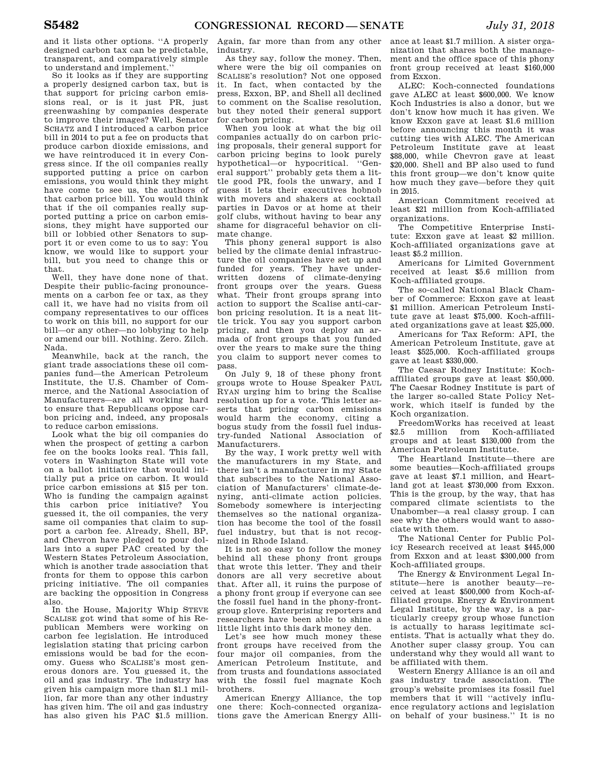and it lists other options. ''A properly designed carbon tax can be predictable, transparent, and comparatively simple to understand and implement.''

So it looks as if they are supporting a properly designed carbon tax, but is that support for pricing carbon emissions real, or is it just PR, just greenwashing by companies desperate to improve their images? Well, Senator SCHATZ and I introduced a carbon price bill in 2014 to put a fee on products that produce carbon dioxide emissions, and we have reintroduced it in every Congress since. If the oil companies really supported putting a price on carbon emissions, you would think they might have come to see us, the authors of that carbon price bill. You would think that if the oil companies really supported putting a price on carbon emissions, they might have supported our bill or lobbied other Senators to support it or even come to us to say: You know, we would like to support your bill, but you need to change this or that.

Well, they have done none of that. Despite their public-facing pronouncements on a carbon fee or tax, as they call it, we have had no visits from oil company representatives to our offices to work on this bill, no support for our bill—or any other—no lobbying to help or amend our bill. Nothing. Zero. Zilch. Nada.

Meanwhile, back at the ranch, the giant trade associations these oil companies fund—the American Petroleum Institute, the U.S. Chamber of Commerce, and the National Association of Manufacturers—are all working hard to ensure that Republicans oppose carbon pricing and, indeed, any proposals to reduce carbon emissions.

Look what the big oil companies do when the prospect of getting a carbon fee on the books looks real. This fall, voters in Washington State will vote on a ballot initiative that would initially put a price on carbon. It would price carbon emissions at \$15 per ton. Who is funding the campaign against this carbon price initiative? You guessed it, the oil companies, the very same oil companies that claim to support a carbon fee. Already, Shell, BP, and Chevron have pledged to pour dollars into a super PAC created by the Western States Petroleum Association, which is another trade association that fronts for them to oppose this carbon pricing initiative. The oil companies are backing the opposition in Congress also.

In the House, Majority Whip STEVE SCALISE got wind that some of his Republican Members were working on carbon fee legislation. He introduced legislation stating that pricing carbon emissions would be bad for the economy. Guess who SCALISE's most generous donors are. You guessed it, the oil and gas industry. The industry has given his campaign more than \$1.1 million, far more than any other industry has given him. The oil and gas industry has also given his PAC \$1.5 million.

Again, far more than from any other industry.

As they say, follow the money. Then, where were the big oil companies on SCALISE's resolution? Not one opposed it. In fact, when contacted by the press, Exxon, BP, and Shell all declined to comment on the Scalise resolution, but they noted their general support for carbon pricing.

When you look at what the big oil companies actually do on carbon pricing proposals, their general support for carbon pricing begins to look purely hypothetical—or hypocritical. ''General support'' probably gets them a little good PR, fools the unwary, and I guess it lets their executives hobnob with movers and shakers at cocktail parties in Davos or at home at their golf clubs, without having to bear any shame for disgraceful behavior on climate change.

This phony general support is also belied by the climate denial infrastructure the oil companies have set up and funded for years. They have underwritten dozens of climate-denying front groups over the years. Guess what. Their front groups sprang into action to support the Scalise anti-carbon pricing resolution. It is a neat little trick. You say you support carbon pricing, and then you deploy an armada of front groups that you funded over the years to make sure the thing you claim to support never comes to pass.

On July 9, 18 of these phony front groups wrote to House Speaker PAUL RYAN urging him to bring the Scalise resolution up for a vote. This letter asserts that pricing carbon emissions would harm the economy, citing a bogus study from the fossil fuel industry-funded National Association of Manufacturers.

By the way, I work pretty well with the manufacturers in my State, and there isn't a manufacturer in my State that subscribes to the National Association of Manufacturers' climate-denying, anti-climate action policies. Somebody somewhere is interjecting themselves so the national organization has become the tool of the fossil fuel industry, but that is not recognized in Rhode Island.

It is not so easy to follow the money behind all these phony front groups that wrote this letter. They and their donors are all very secretive about that. After all, it ruins the purpose of a phony front group if everyone can see the fossil fuel hand in the phony-frontgroup glove. Enterprising reporters and researchers have been able to shine a little light into this dark money den.

Let's see how much money these front groups have received from the four major oil companies, from the American Petroleum Institute, and from trusts and foundations associated with the fossil fuel magnate Koch brothers.

American Energy Alliance, the top one there: Koch-connected organizations gave the American Energy Alli-

ance at least \$1.7 million. A sister organization that shares both the management and the office space of this phony front group received at least \$160,000 from Exxon.

ALEC: Koch-connected foundations gave ALEC at least \$600,000. We know Koch Industries is also a donor, but we don't know how much it has given. We know Exxon gave at least \$1.6 million before announcing this month it was cutting ties with ALEC. The American Petroleum Institute gave at least \$88,000, while Chevron gave at least \$20,000. Shell and BP also used to fund this front group—we don't know quite how much they gave—before they quit in 2015.

American Commitment received at least \$21 million from Koch-affiliated organizations.

The Competitive Enterprise Institute: Exxon gave at least \$2 million. Koch-affiliated organizations gave at least \$5.2 million.

Americans for Limited Government received at least \$5.6 million from Koch-affiliated groups.

The so-called National Black Chamber of Commerce: Exxon gave at least \$1 million. American Petroleum Institute gave at least \$75,000. Koch-affiliated organizations gave at least \$25,000.

Americans for Tax Reform: API, the American Petroleum Institute, gave at least \$525,000. Koch-affiliated groups gave at least \$330,000.

The Caesar Rodney Institute: Kochaffiliated groups gave at least \$50,000. The Caesar Rodney Institute is part of the larger so-called State Policy Network, which itself is funded by the Koch organization.

FreedomWorks has received at least \$2.5 million from Koch-affiliated groups and at least \$130,000 from the American Petroleum Institute.

The Heartland Institute—there are some beauties—Koch-affiliated groups gave at least \$7.1 million, and Heartland got at least \$730,000 from Exxon. This is the group, by the way, that has compared climate scientists to the Unabomber—a real classy group. I can see why the others would want to associate with them.

The National Center for Public Policy Research received at least \$445,000 from Exxon and at least \$300,000 from Koch-affiliated groups.

The Energy & Environment Legal Institute—here is another beauty—received at least \$500,000 from Koch-affiliated groups. Energy & Environment Legal Institute, by the way, is a particularly creepy group whose function is actually to harass legitimate scientists. That is actually what they do. Another super classy group. You can understand why they would all want to be affiliated with them.

Western Energy Alliance is an oil and gas industry trade association. The group's website promises its fossil fuel members that it will ''actively influence regulatory actions and legislation on behalf of your business.'' It is no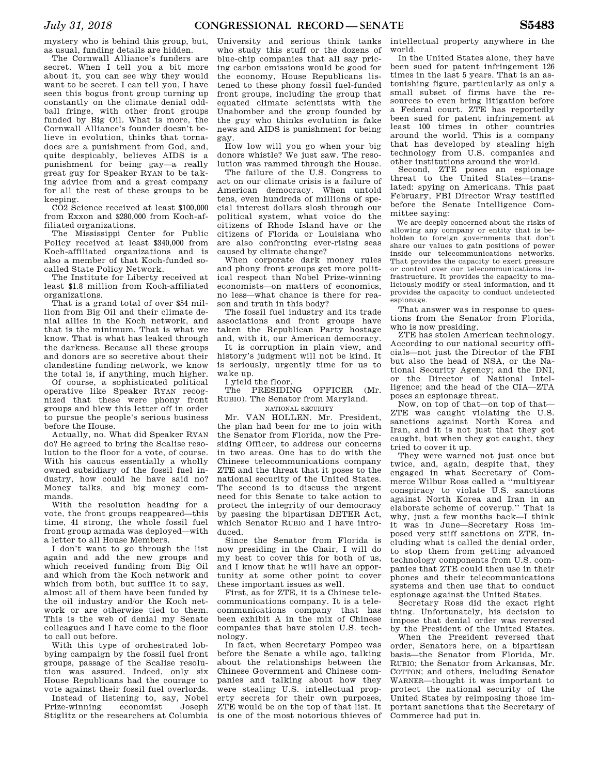mystery who is behind this group, but, as usual, funding details are hidden.

The Cornwall Alliance's funders are secret. When I tell you a bit more about it, you can see why they would want to be secret. I can tell you, I have seen this bogus front group turning up constantly on the climate denial oddball fringe, with other front groups funded by Big Oil. What is more, the Cornwall Alliance's founder doesn't believe in evolution, thinks that tornadoes are a punishment from God, and, quite despicably, believes AIDS is a punishment for being gay—a really great guy for Speaker RYAN to be taking advice from and a great company for all the rest of these groups to be keeping.

CO2 Science received at least \$100,000 from Exxon and \$280,000 from Koch-affiliated organizations.

The Mississippi Center for Public Policy received at least \$340,000 from Koch-affiliated organizations and is also a member of that Koch-funded socalled State Policy Network.

The Institute for Liberty received at least \$1.8 million from Koch-affiliated organizations.

That is a grand total of over \$54 million from Big Oil and their climate denial allies in the Koch network, and that is the minimum. That is what we know. That is what has leaked through the darkness. Because all these groups and donors are so secretive about their clandestine funding network, we know the total is, if anything, much higher.

Of course, a sophisticated political operative like Speaker RYAN recognized that these were phony front groups and blew this letter off in order to pursue the people's serious business before the House.

Actually, no. What did Speaker RYAN do? He agreed to bring the Scalise resolution to the floor for a vote, of course. With his caucus essentially a wholly owned subsidiary of the fossil fuel industry, how could he have said no? Money talks, and big money commands.

With the resolution heading for a vote, the front groups reappeared—this time, 41 strong, the whole fossil fuel front group armada was deployed—with a letter to all House Members.

I don't want to go through the list again and add the new groups and which received funding from Big Oil and which from the Koch network and which from both, but suffice it to say, almost all of them have been funded by the oil industry and/or the Koch network or are otherwise tied to them. This is the web of denial my Senate colleagues and I have come to the floor to call out before.

With this type of orchestrated lobbying campaign by the fossil fuel front groups, passage of the Scalise resolution was assured. Indeed, only six House Republicans had the courage to vote against their fossil fuel overlords.

Instead of listening to, say, Nobel Prize-winning economist Joseph Stiglitz or the researchers at Columbia

University and serious think tanks who study this stuff or the dozens of blue-chip companies that all say pricing carbon emissions would be good for the economy, House Republicans listened to these phony fossil fuel-funded front groups, including the group that equated climate scientists with the Unabomber and the group founded by the guy who thinks evolution is fake news and AIDS is punishment for being gay.

How low will you go when your big donors whistle? We just saw. The resolution was rammed through the House.

The failure of the U.S. Congress to act on our climate crisis is a failure of American democracy. When untold tens, even hundreds of millions of special interest dollars slosh through our political system, what voice do the citizens of Rhode Island have or the citizens of Florida or Louisiana who are also confronting ever-rising seas caused by climate change?

When corporate dark money rules and phony front groups get more political respect than Nobel Prize-winning economists—on matters of economics, no less—what chance is there for reason and truth in this body?

The fossil fuel industry and its trade associations and front groups have taken the Republican Party hostage and, with it, our American democracy.

It is corruption in plain view, and history's judgment will not be kind. It is seriously, urgently time for us to wake up.

I yield the floor.

The PRESIDING OFFICER (Mr. RUBIO). The Senator from Maryland.

### NATIONAL SECURITY

Mr. VAN HOLLEN. Mr. President, the plan had been for me to join with the Senator from Florida, now the Presiding Officer, to address our concerns in two areas. One has to do with the Chinese telecommunications company ZTE and the threat that it poses to the national security of the United States. The second is to discuss the urgent need for this Senate to take action to protect the integrity of our democracy by passing the bipartisan DETER Act, which Senator RUBIO and I have introduced.

Since the Senator from Florida is now presiding in the Chair, I will do my best to cover this for both of us, and I know that he will have an opportunity at some other point to cover these important issues as well.

First, as for ZTE, it is a Chinese telecommunications company. It is a telecommunications company that has been exhibit A in the mix of Chinese companies that have stolen U.S. technology.

In fact, when Secretary Pompeo was before the Senate a while ago, talking about the relationships between the Chinese Government and Chinese companies and talking about how they were stealing U.S. intellectual property secrets for their own purposes, ZTE would be on the top of that list. It is one of the most notorious thieves of

intellectual property anywhere in the world.

In the United States alone, they have been sued for patent infringement 126 times in the last 5 years. That is an astonishing figure, particularly as only a small subset of firms have the resources to even bring litigation before a Federal court. ZTE has reportedly been sued for patent infringement at least 100 times in other countries around the world. This is a company that has developed by stealing high technology from U.S. companies and other institutions around the world.

Second, ZTE poses an espionage threat to the United States—translated: spying on Americans. This past February, FBI Director Wray testified before the Senate Intelligence Committee saying:

We are deeply concerned about the risks of allowing any company or entity that is beholden to foreign governments that don't share our values to gain positions of power inside our telecommunications networks. That provides the capacity to exert pressure or control over our telecommunications infrastructure. It provides the capacity to maliciously modify or steal information, and it provides the capacity to conduct undetected espionage.

That answer was in response to questions from the Senator from Florida, who is now presiding.

ZTE has stolen American technology. According to our national security officials—not just the Director of the FBI but also the head of NSA, or the National Security Agency; and the DNI, or the Director of National Intelligence; and the head of the CIA—ZTA poses an espionage threat.

Now, on top of that—on top of that— ZTE was caught violating the U.S. sanctions against North Korea and Iran, and it is not just that they got caught, but when they got caught, they tried to cover it up.

They were warned not just once but twice, and, again, despite that, they engaged in what Secretary of Commerce Wilbur Ross called a ''multiyear conspiracy to violate U.S. sanctions against North Korea and Iran in an elaborate scheme of coverup.'' That is why, just a few months back—I think it was in June—Secretary Ross imposed very stiff sanctions on ZTE, including what is called the denial order, to stop them from getting advanced technology components from U.S. companies that ZTE could then use in their phones and their telecommunications systems and then use that to conduct espionage against the United States.

Secretary Ross did the exact right thing. Unfortunately, his decision to impose that denial order was reversed by the President of the United States.

When the President reversed that order, Senators here, on a bipartisan basis—the Senator from Florida, Mr. RUBIO; the Senator from Arkansas, Mr. COTTON; and others, including Senator WARNER—thought it was important to protect the national security of the United States by reimposing those important sanctions that the Secretary of Commerce had put in.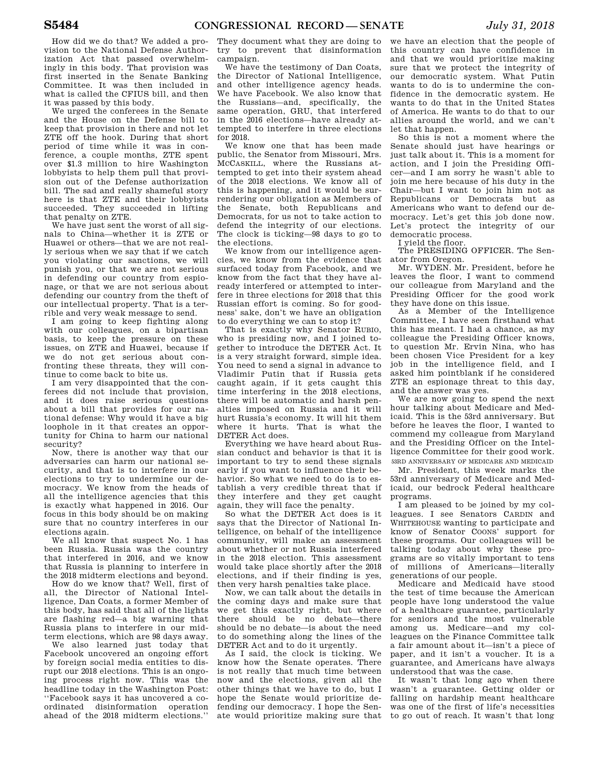How did we do that? We added a provision to the National Defense Authorization Act that passed overwhelmingly in this body. That provision was first inserted in the Senate Banking Committee. It was then included in what is called the CFIUS bill, and then it was passed by this body.

We urged the conferees in the Senate and the House on the Defense bill to keep that provision in there and not let ZTE off the hook. During that short period of time while it was in conference, a couple months, ZTE spent over \$1.3 million to hire Washington lobbyists to help them pull that provision out of the Defense authorization bill. The sad and really shameful story here is that ZTE and their lobbyists succeeded. They succeeded in lifting that penalty on ZTE.

We have just sent the worst of all signals to China—whether it is ZTE or Huawei or others—that we are not really serious when we say that if we catch you violating our sanctions, we will punish you, or that we are not serious in defending our country from espionage, or that we are not serious about defending our country from the theft of our intellectual property. That is a terrible and very weak message to send.

I am going to keep fighting along with our colleagues, on a bipartisan basis, to keep the pressure on these issues, on ZTE and Huawei, because if we do not get serious about confronting these threats, they will continue to come back to bite us.

I am very disappointed that the conferees did not include that provision, and it does raise serious questions about a bill that provides for our national defense: Why would it have a big loophole in it that creates an opportunity for China to harm our national security?

Now, there is another way that our adversaries can harm our national security, and that is to interfere in our elections to try to undermine our democracy. We know from the heads of all the intelligence agencies that this is exactly what happened in 2016. Our focus in this body should be on making sure that no country interferes in our elections again.

We all know that suspect No. 1 has been Russia. Russia was the country that interfered in 2016, and we know that Russia is planning to interfere in the 2018 midterm elections and beyond.

How do we know that? Well, first of all, the Director of National Intelligence, Dan Coats, a former Member of this body, has said that all of the lights are flashing red—a big warning that Russia plans to interfere in our midterm elections, which are 98 days away.

We also learned just today that Facebook uncovered an ongoing effort by foreign social media entities to disrupt our 2018 elections. This is an ongoing process right now. This was the headline today in the Washington Post: ''Facebook says it has uncovered a coordinated disinformation operation ahead of the 2018 midterm elections.''

They document what they are doing to try to prevent that disinformation campaign.

We have the testimony of Dan Coats, the Director of National Intelligence, and other intelligence agency heads. We have Facebook. We also know that the Russians—and, specifically, the same operation, GRU, that interfered in the 2016 elections—have already attempted to interfere in three elections for 2018.

We know one that has been made public, the Senator from Missouri, Mrs. MCCASKILL, where the Russians attempted to get into their system ahead of the 2018 elections. We know all of this is happening, and it would be surrendering our obligation as Members of the Senate, both Republicans and Democrats, for us not to take action to defend the integrity of our elections. The clock is ticking—98 days to go to the elections.

We know from our intelligence agencies, we know from the evidence that surfaced today from Facebook, and we know from the fact that they have already interfered or attempted to interfere in three elections for 2018 that this Russian effort is coming. So for goodness' sake, don't we have an obligation to do everything we can to stop it?

That is exactly why Senator RUBIO, who is presiding now, and I joined together to introduce the DETER Act. It is a very straight forward, simple idea. You need to send a signal in advance to Vladimir Putin that if Russia gets caught again, if it gets caught this time interfering in the 2018 elections, there will be automatic and harsh penalties imposed on Russia and it will hurt Russia's economy. It will hit them where it hurts. That is what the DETER Act does.

Everything we have heard about Russian conduct and behavior is that it is important to try to send these signals early if you want to influence their behavior. So what we need to do is to establish a very credible threat that if they interfere and they get caught again, they will face the penalty.

So what the DETER Act does is it says that the Director of National Intelligence, on behalf of the intelligence community, will make an assessment about whether or not Russia interfered in the 2018 election. This assessment would take place shortly after the 2018 elections, and if their finding is yes, then very harsh penalties take place.

Now, we can talk about the details in the coming days and make sure that we get this exactly right, but where there should be no debate—there should be no debate—is about the need to do something along the lines of the DETER Act and to do it urgently.

As I said, the clock is ticking. We know how the Senate operates. There is not really that much time between now and the elections, given all the other things that we have to do, but I hope the Senate would prioritize defending our democracy. I hope the Senate would prioritize making sure that

we have an election that the people of this country can have confidence in and that we would prioritize making sure that we protect the integrity of our democratic system. What Putin wants to do is to undermine the confidence in the democratic system. He wants to do that in the United States of America. He wants to do that to our allies around the world, and we can't let that happen.

So this is not a moment where the Senate should just have hearings or just talk about it. This is a moment for action, and I join the Presiding Officer—and I am sorry he wasn't able to join me here because of his duty in the Chair—but I want to join him not as Republicans or Democrats but as Americans who want to defend our democracy. Let's get this job done now. Let's protect the integrity of our democratic process.

I yield the floor.

The PRESIDING OFFICER. The Senator from Oregon.

Mr. WYDEN. Mr. President, before he leaves the floor, I want to commend our colleague from Maryland and the Presiding Officer for the good work they have done on this issue.

As a Member of the Intelligence Committee, I have seen firsthand what this has meant. I had a chance, as my colleague the Presiding Officer knows, to question Mr. Ervin Nina, who has been chosen Vice President for a key job in the intelligence field, and I asked him pointblank if he considered ZTE an espionage threat to this day, and the answer was yes.

We are now going to spend the next hour talking about Medicare and Medicaid. This is the 53rd anniversary. But before he leaves the floor, I wanted to commend my colleague from Maryland and the Presiding Officer on the Intelligence Committee for their good work. 53RD ANNIVERSARY OF MEDICARE AND MEDICAID

Mr. President, this week marks the 53rd anniversary of Medicare and Medicaid, our bedrock Federal healthcare programs.

I am pleased to be joined by my colleagues. I see Senators CARDIN and WHITEHOUSE wanting to participate and know of Senator COONS' support for these programs. Our colleagues will be talking today about why these programs are so vitally important to tens of millions of Americans—literally generations of our people.

Medicare and Medicaid have stood the test of time because the American people have long understood the value of a healthcare guarantee, particularly for seniors and the most vulnerable among us. Medicare—and my colleagues on the Finance Committee talk a fair amount about it—isn't a piece of paper, and it isn't a voucher. It is a guarantee, and Americans have always understood that was the case.

It wasn't that long ago when there wasn't a guarantee. Getting older or falling on hardship meant healthcare was one of the first of life's necessities to go out of reach. It wasn't that long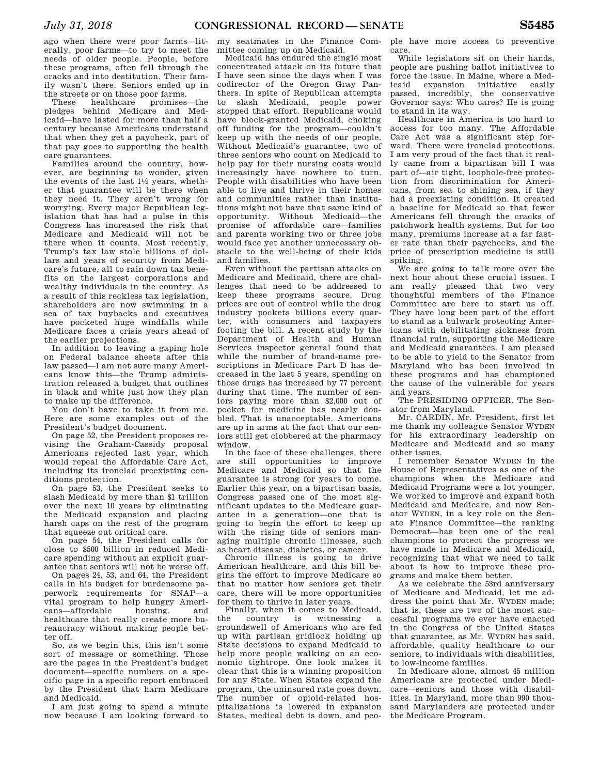ago when there were poor farms—literally, poor farms—to try to meet the needs of older people. People, before these programs, often fell through the cracks and into destitution. Their family wasn't there. Seniors ended up in the streets or on those poor farms.

These healthcare promises—the pledges behind Medicare and Medicaid—have lasted for more than half a century because Americans understand that when they get a paycheck, part of that pay goes to supporting the health care guarantees.

Families around the country, however, are beginning to wonder, given the events of the last  $1\frac{1}{2}$  years, whether that guarantee will be there when they need it. They aren't wrong for worrying. Every major Republican legislation that has had a pulse in this Congress has increased the risk that Medicare and Medicaid will not be there when it counts. Most recently, Trump's tax law stole billions of dollars and years of security from Medicare's future, all to rain down tax benefits on the largest corporations and wealthy individuals in the country. As a result of this reckless tax legislation, shareholders are now swimming in a sea of tax buybacks and executives have pocketed huge windfalls while Medicare faces a crisis years ahead of the earlier projections.

In addition to leaving a gaping hole on Federal balance sheets after this law passed—I am not sure many Americans know this—the Trump administration released a budget that outlines in black and white just how they plan to make up the difference.

You don't have to take it from me. Here are some examples out of the President's budget document.

On page 52, the President proposes revising the Graham-Cassidy proposal Americans rejected last year, which would repeal the Affordable Care Act, including its ironclad preexisting conditions protection.

On page 53, the President seeks to slash Medicaid by more than \$1 trillion over the next 10 years by eliminating the Medicaid expansion and placing harsh caps on the rest of the program that squeeze out critical care.

On page 54, the President calls for close to \$500 billion in reduced Medicare spending without an explicit guarantee that seniors will not be worse off.

On pages 24, 53, and 64, the President calls in his budget for burdensome paperwork requirements for SNAP—a vital program to help hungry Americans—affordable housing, and healthcare that really create more bureaucracy without making people better off.

So, as we begin this, this isn't some sort of message or something. Those are the pages in the President's budget document—specific numbers on a specific page in a specific report embraced by the President that harm Medicare and Medicaid.

I am just going to spend a minute now because I am looking forward to

my seatmates in the Finance Committee coming up on Medicaid.

Medicaid has endured the single most concentrated attack on its future that I have seen since the days when I was codirector of the Oregon Gray Panthers. In spite of Republican attempts to slash Medicaid, people power stopped that effort. Republicans would have block-granted Medicaid, choking off funding for the program—couldn't keep up with the needs of our people. Without Medicaid's guarantee, two of three seniors who count on Medicaid to help pay for their nursing costs would increasingly have nowhere to turn. People with disabilities who have been able to live and thrive in their homes and communities rather than institutions might not have that same kind of opportunity. Without Medicaid—the promise of affordable care—families and parents working two or three jobs would face yet another unnecessary obstacle to the well-being of their kids and families.

Even without the partisan attacks on Medicare and Medicaid, there are challenges that need to be addressed to keep these programs secure. Drug prices are out of control while the drug industry pockets billions every quarter, with consumers and taxpayers footing the bill. A recent study by the Department of Health and Human Services inspector general found that while the number of brand-name prescriptions in Medicare Part D has decreased in the last 5 years, spending on those drugs has increased by 77 percent during that time. The number of seniors paying more than \$2,000 out of pocket for medicine has nearly doubled. That is unacceptable. Americans are up in arms at the fact that our seniors still get clobbered at the pharmacy window.

In the face of these challenges, there are still opportunities to improve Medicare and Medicaid so that the guarantee is strong for years to come. Earlier this year, on a bipartisan basis, Congress passed one of the most significant updates to the Medicare guarantee in a generation—one that is going to begin the effort to keep up with the rising tide of seniors managing multiple chronic illnesses, such as heart disease, diabetes, or cancer.

Chronic illness is going to drive American healthcare, and this bill begins the effort to improve Medicare so that no matter how seniors get their care, there will be more opportunities for them to thrive in later years.

Finally, when it comes to Medicaid, the country is witnessing a groundswell of Americans who are fed up with partisan gridlock holding up State decisions to expand Medicaid to help more people walking on an economic tightrope. One look makes it clear that this is a winning proposition for any State. When States expand the program, the uninsured rate goes down. The number of opioid-related hospitalizations is lowered in expansion States, medical debt is down, and peo-

ple have more access to preventive care.

While legislators sit on their hands, people are pushing ballot initiatives to force the issue. In Maine, where a Medicaid expansion initiative easily passed, incredibly, the conservative Governor says: Who cares? He is going to stand in its way.

Healthcare in America is too hard to access for too many. The Affordable Care Act was a significant step forward. There were ironclad protections. I am very proud of the fact that it really came from a bipartisan bill I was part of—air tight, loophole-free protection from discrimination for Americans, from sea to shining sea, if they had a preexisting condition. It created a baseline for Medicaid so that fewer Americans fell through the cracks of patchwork health systems. But for too many, premiums increase at a far faster rate than their paychecks, and the price of prescription medicine is still spiking.

We are going to talk more over the next hour about these crucial issues. I am really pleased that two very thoughtful members of the Finance Committee are here to start us off. They have long been part of the effort to stand as a bulwark protecting Americans with debilitating sickness from financial ruin, supporting the Medicare and Medicaid guarantees. I am pleased to be able to yield to the Senator from Maryland who has been involved in these programs and has championed the cause of the vulnerable for years and years.

The PRESIDING OFFICER. The Senator from Maryland.

Mr. CARDIN. Mr. President, first let me thank my colleague Senator WYDEN for his extraordinary leadership on Medicare and Medicaid and so many other issues.

I remember Senator WYDEN in the House of Representatives as one of the champions when the Medicare and Medicaid Programs were a lot younger. We worked to improve and expand both Medicaid and Medicare, and now Senator WYDEN, in a key role on the Senate Finance Committee—the ranking Democrat—has been one of the real champions to protect the progress we have made in Medicare and Medicaid, recognizing that what we need to talk about is how to improve these programs and make them better.

As we celebrate the 53rd anniversary of Medicare and Medicaid, let me address the point that Mr. WYDEN made; that is, these are two of the most successful programs we ever have enacted in the Congress of the United States that guarantee, as Mr. WYDEN has said, affordable, quality healthcare to our seniors, to individuals with disabilities, to low-income families.

In Medicare alone, almost 45 million Americans are protected under Medicare—seniors and those with disabilities. In Maryland, more than 990 thousand Marylanders are protected under the Medicare Program.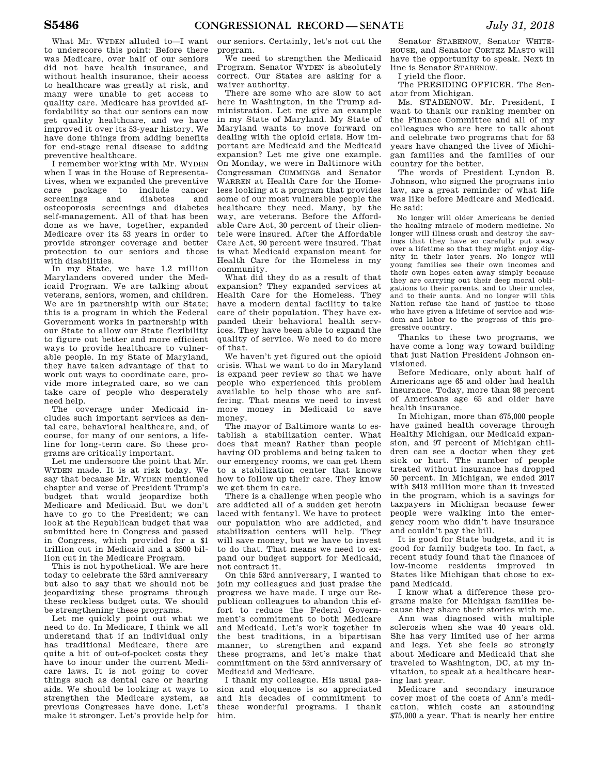What Mr. WYDEN alluded to—I want to underscore this point: Before there was Medicare, over half of our seniors did not have health insurance, and without health insurance, their access to healthcare was greatly at risk, and many were unable to get access to quality care. Medicare has provided affordability so that our seniors can now get quality healthcare, and we have improved it over its 53-year history. We have done things from adding benefits for end-stage renal disease to adding preventive healthcare.

I remember working with Mr. WYDEN when I was in the House of Representatives, when we expanded the preventive care package to include cancer screenings and diabetes and osteoporosis screenings and diabetes self-management. All of that has been done as we have, together, expanded Medicare over its 53 years in order to provide stronger coverage and better protection to our seniors and those with disabilities.

In my State, we have 1.2 million Marylanders covered under the Medicaid Program. We are talking about veterans, seniors, women, and children. We are in partnership with our State; this is a program in which the Federal Government works in partnership with our State to allow our State flexibility to figure out better and more efficient ways to provide healthcare to vulnerable people. In my State of Maryland, they have taken advantage of that to work out ways to coordinate care, provide more integrated care, so we can take care of people who desperately need help.

The coverage under Medicaid includes such important services as dental care, behavioral healthcare, and, of course, for many of our seniors, a lifeline for long-term care. So these programs are critically important.

Let me underscore the point that Mr. WYDEN made. It is at risk today. We say that because Mr. WYDEN mentioned chapter and verse of President Trump's budget that would jeopardize both Medicare and Medicaid. But we don't have to go to the President; we can look at the Republican budget that was submitted here in Congress and passed in Congress, which provided for a \$1 trillion cut in Medicaid and a \$500 billion cut in the Medicare Program.

This is not hypothetical. We are here today to celebrate the 53rd anniversary but also to say that we should not be jeopardizing these programs through these reckless budget cuts. We should be strengthening these programs.

Let me quickly point out what we need to do. In Medicare, I think we all understand that if an individual only has traditional Medicare, there are quite a bit of out-of-pocket costs they have to incur under the current Medicare laws. It is not going to cover things such as dental care or hearing aids. We should be looking at ways to strengthen the Medicare system, as previous Congresses have done. Let's make it stronger. Let's provide help for

our seniors. Certainly, let's not cut the program.

We need to strengthen the Medicaid Program. Senator WYDEN is absolutely correct. Our States are asking for a waiver authority.

There are some who are slow to act here in Washington, in the Trump administration. Let me give an example in my State of Maryland. My State of Maryland wants to move forward on dealing with the opioid crisis. How important are Medicaid and the Medicaid expansion? Let me give one example. On Monday, we were in Baltimore with Congressman CUMMINGS and Senator WARREN at Health Care for the Homeless looking at a program that provides some of our most vulnerable people the healthcare they need. Many, by the way, are veterans. Before the Affordable Care Act, 30 percent of their clientele were insured. After the Affordable Care Act, 90 percent were insured. That is what Medicaid expansion meant for Health Care for the Homeless in my community.

What did they do as a result of that expansion? They expanded services at Health Care for the Homeless. They have a modern dental facility to take care of their population. They have expanded their behavioral health services. They have been able to expand the quality of service. We need to do more of that.

We haven't yet figured out the opioid crisis. What we want to do in Maryland is expand peer review so that we have people who experienced this problem available to help those who are suffering. That means we need to invest more money in Medicaid to save money.

The mayor of Baltimore wants to establish a stabilization center. What does that mean? Rather than people having OD problems and being taken to our emergency rooms, we can get them to a stabilization center that knows how to follow up their care. They know we get them in care.

There is a challenge when people who are addicted all of a sudden get heroin laced with fentanyl. We have to protect our population who are addicted, and stabilization centers will help. They will save money, but we have to invest to do that. That means we need to expand our budget support for Medicaid, not contract it.

On this 53rd anniversary, I wanted to join my colleagues and just praise the progress we have made. I urge our Republican colleagues to abandon this effort to reduce the Federal Government's commitment to both Medicare and Medicaid. Let's work together in the best traditions, in a bipartisan manner, to strengthen and expand these programs, and let's make that commitment on the 53rd anniversary of Medicaid and Medicare.

I thank my colleague. His usual passion and eloquence is so appreciated and his decades of commitment to these wonderful programs. I thank him.

Senator STABENOW, Senator WHITE-HOUSE, and Senator CORTEZ MASTO will have the opportunity to speak. Next in line is Senator STABENOW.

I yield the floor.

The PRESIDING OFFICER. The Senator from Michigan.

Ms. STABENOW. Mr. President, I want to thank our ranking member on the Finance Committee and all of my colleagues who are here to talk about and celebrate two programs that for 53 years have changed the lives of Michigan families and the families of our country for the better.

The words of President Lyndon B. Johnson, who signed the programs into law, are a great reminder of what life was like before Medicare and Medicaid. He said:

No longer will older Americans be denied the healing miracle of modern medicine. No longer will illness crush and destroy the savings that they have so carefully put away over a lifetime so that they might enjoy dignity in their later years. No longer will young families see their own incomes and their own hopes eaten away simply because they are carrying out their deep moral obligations to their parents, and to their uncles, and to their aunts. And no longer will this Nation refuse the hand of justice to those who have given a lifetime of service and wisdom and labor to the progress of this progressive country.

Thanks to these two programs, we have come a long way toward building that just Nation President Johnson envisioned.

Before Medicare, only about half of Americans age 65 and older had health insurance. Today, more than 98 percent of Americans age 65 and older have health insurance.

In Michigan, more than 675,000 people have gained health coverage through Healthy Michigan, our Medicaid expansion, and 97 percent of Michigan children can see a doctor when they get sick or hurt. The number of people treated without insurance has dropped 50 percent. In Michigan, we ended 2017 with \$413 million more than it invested in the program, which is a savings for taxpayers in Michigan because fewer people were walking into the emergency room who didn't have insurance and couldn't pay the bill.

It is good for State budgets, and it is good for family budgets too. In fact, a recent study found that the finances of low-income residents improved in States like Michigan that chose to expand Medicaid.

I know what a difference these programs make for Michigan families because they share their stories with me.

Ann was diagnosed with multiple sclerosis when she was 40 years old. She has very limited use of her arms and legs. Yet she feels so strongly about Medicare and Medicaid that she traveled to Washington, DC, at my invitation, to speak at a healthcare hearing last year.

Medicare and secondary insurance cover most of the costs of Ann's medication, which costs an astounding \$75,000 a year. That is nearly her entire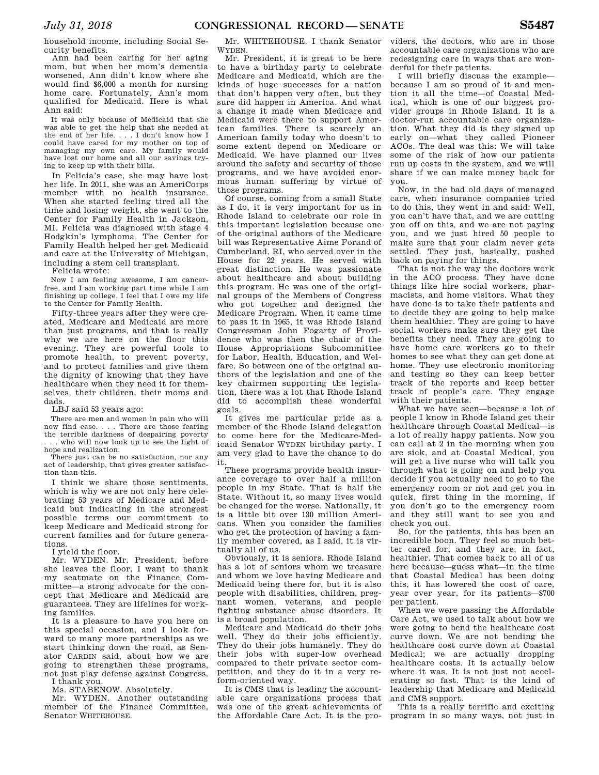household income, including Social Security benefits.

Ann had been caring for her aging mom, but when her mom's dementia worsened, Ann didn't know where she would find \$6,000 a month for nursing home care. Fortunately, Ann's mom qualified for Medicaid. Here is what Ann said:

It was only because of Medicaid that she was able to get the help that she needed at the end of her life. . . . I don't know how I could have cared for my mother on top of managing my own care. My family would have lost our home and all our savings trying to keep up with their bills.

In Felicia's case, she may have lost her life. In 2011, she was an AmeriCorps member with no health insurance. When she started feeling tired all the time and losing weight, she went to the Center for Family Health in Jackson, MI. Felicia was diagnosed with stage 4 Hodgkin's lymphoma. The Center for Family Health helped her get Medicaid and care at the University of Michigan, including a stem cell transplant.

Felicia wrote:

Now I am feeling awesome, I am cancerfree, and I am working part time while I am finishing up college. I feel that I owe my life to the Center for Family Health.

Fifty-three years after they were created, Medicare and Medicaid are more than just programs, and that is really why we are here on the floor this evening. They are powerful tools to promote health, to prevent poverty, and to protect families and give them the dignity of knowing that they have healthcare when they need it for themselves, their children, their moms and dads.

LBJ said 53 years ago:

There are men and women in pain who will now find ease. . . . There are those fearing the terrible darkness of despairing poverty .. who will now look up to see the light of

hope and realization. There just can be no satisfaction, nor any act of leadership, that gives greater satisfaction than this.

I think we share those sentiments, which is why we are not only here celebrating 53 years of Medicare and Medicaid but indicating in the strongest possible terms our commitment to keep Medicare and Medicaid strong for current families and for future generations.

I yield the floor.

Mr. WYDEN. Mr. President, before she leaves the floor, I want to thank my seatmate on the Finance Committee—a strong advocate for the concept that Medicare and Medicaid are guarantees. They are lifelines for working families.

It is a pleasure to have you here on this special occasion, and I look forward to many more partnerships as we start thinking down the road, as Senator CARDIN said, about how we are going to strengthen these programs, not just play defense against Congress. I thank you.

Ms. STABENOW. Absolutely.

Mr. WYDEN. Another outstanding member of the Finance Committee, Senator WHITEHOUSE.

Mr. WHITEHOUSE. I thank Senator WYDEN.

Mr. President, it is great to be here to have a birthday party to celebrate Medicare and Medicaid, which are the kinds of huge successes for a nation that don't happen very often, but they sure did happen in America. And what a change it made when Medicare and Medicaid were there to support American families. There is scarcely an American family today who doesn't to some extent depend on Medicare or Medicaid. We have planned our lives around the safety and security of those programs, and we have avoided enormous human suffering by virtue of those programs.

Of course, coming from a small State as I do, it is very important for us in Rhode Island to celebrate our role in this important legislation because one of the original authors of the Medicare bill was Representative Aime Forand of Cumberland, RI, who served over in the House for 22 years. He served with great distinction. He was passionate about healthcare and about building this program. He was one of the original groups of the Members of Congress who got together and designed the Medicare Program. When it came time to pass it in 1965, it was Rhode Island Congressman John Fogarty of Providence who was then the chair of the House Appropriations Subcommittee for Labor, Health, Education, and Welfare. So between one of the original authors of the legislation and one of the key chairmen supporting the legislation, there was a lot that Rhode Island did to accomplish these wonderful goals.

It gives me particular pride as a member of the Rhode Island delegation to come here for the Medicare-Medicaid Senator WYDEN birthday party. I am very glad to have the chance to do it.

These programs provide health insurance coverage to over half a million people in my State. That is half the State. Without it, so many lives would be changed for the worse. Nationally, it is a little bit over 130 million Americans. When you consider the families who get the protection of having a family member covered, as I said, it is virtually all of us.

Obviously, it is seniors. Rhode Island has a lot of seniors whom we treasure and whom we love having Medicare and Medicaid being there for, but it is also people with disabilities, children, pregnant women, veterans, and people fighting substance abuse disorders. It is a broad population.

Medicare and Medicaid do their jobs well. They do their jobs efficiently. They do their jobs humanely. They do their jobs with super-low overhead compared to their private sector competition, and they do it in a very reform-oriented way.

It is CMS that is leading the accountable care organizations process that was one of the great achievements of the Affordable Care Act. It is the pro-

viders, the doctors, who are in those accountable care organizations who are redesigning care in ways that are wonderful for their patients.

I will briefly discuss the example because I am so proud of it and mention it all the time—of Coastal Medical, which is one of our biggest provider groups in Rhode Island. It is a doctor-run accountable care organization. What they did is they signed up early on—what they called Pioneer ACOs. The deal was this: We will take some of the risk of how our patients run up costs in the system, and we will share if we can make money back for you.

Now, in the bad old days of managed care, when insurance companies tried to do this, they went in and said: Well, you can't have that, and we are cutting you off on this, and we are not paying you, and we just hired 50 people to make sure that your claim never gets settled. They just, basically, pushed back on paying for things.

That is not the way the doctors work in the ACO process. They have done things like hire social workers, pharmacists, and home visitors. What they have done is to take their patients and to decide they are going to help make them healthier. They are going to have social workers make sure they get the benefits they need. They are going to have home care workers go to their homes to see what they can get done at home. They use electronic monitoring and testing so they can keep better track of the reports and keep better track of people's care. They engage with their patients.

What we have seen—because a lot of people I know in Rhode Island get their healthcare through Coastal Medical—is a lot of really happy patients. Now you can call at 2 in the morning when you are sick, and at Coastal Medical, you will get a live nurse who will talk you through what is going on and help you decide if you actually need to go to the emergency room or not and get you in quick, first thing in the morning, if you don't go to the emergency room and they still want to see you and check you out.

So, for the patients, this has been an incredible boon. They feel so much better cared for, and they are, in fact, healthier. That comes back to all of us here because—guess what—in the time that Coastal Medical has been doing this, it has lowered the cost of care, year over year, for its patients—\$700 per patient.

When we were passing the Affordable Care Act, we used to talk about how we were going to bend the healthcare cost curve down. We are not bending the healthcare cost curve down at Coastal Medical; we are actually dropping healthcare costs. It is actually below where it was. It is not just not accelerating so fast. That is the kind of leadership that Medicare and Medicaid and CMS support.

This is a really terrific and exciting program in so many ways, not just in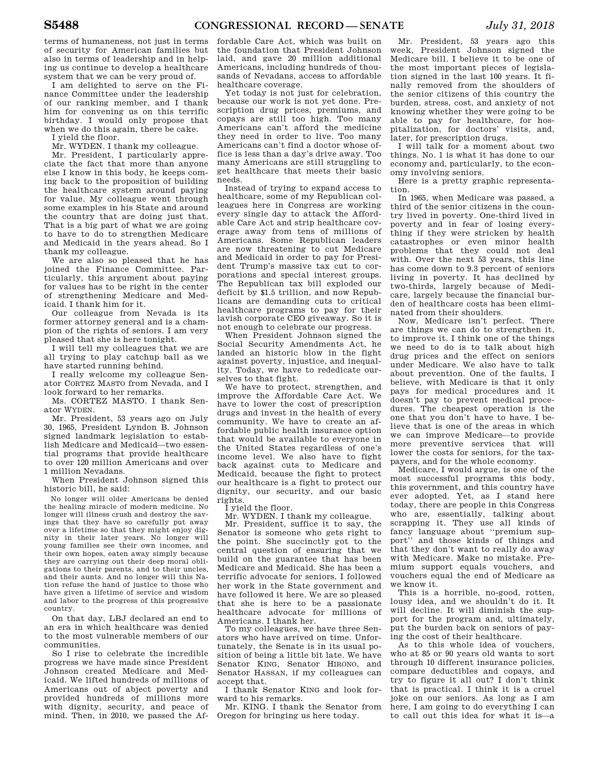terms of humaneness, not just in terms of security for American families but also in terms of leadership and in helping us continue to develop a healthcare system that we can be very proud of.

I am delighted to serve on the Finance Committee under the leadership of our ranking member, and I thank him for convening us on this terrific birthday. I would only propose that when we do this again, there be cake. I yield the floor.

Mr. WYDEN. I thank my colleague.

Mr. President, I particularly appreciate the fact that more than anyone else I know in this body, he keeps coming back to the proposition of building the healthcare system around paying for value. My colleague went through some examples in his State and around the country that are doing just that. That is a big part of what we are going to have to do to strengthen Medicare and Medicaid in the years ahead. So I thank my colleague.

We are also so pleased that he has joined the Finance Committee. Particularly, this argument about paying for values has to be right in the center of strengthening Medicare and Medicaid. I thank him for it.

Our colleague from Nevada is its former attorney general and is a champion of the rights of seniors. I am very pleased that she is here tonight.

I will tell my colleagues that we are all trying to play catchup ball as we have started running behind.

I really welcome my colleague Senator CORTEZ MASTO from Nevada, and I look forward to her remarks.

Ms. CORTEZ MASTO. I thank Senator WYDEN.

Mr. President, 53 years ago on July 30, 1965, President Lyndon B. Johnson signed landmark legislation to establish Medicare and Medicaid—two essential programs that provide healthcare to over 120 million Americans and over 1 million Nevadans.

When President Johnson signed this historic bill, he said:

No longer will older Americans be denied the healing miracle of modern medicine. No longer will illness crush and destroy the savings that they have so carefully put away over a lifetime so that they might enjoy dignity in their later years. No longer will young families see their own incomes, and their own hopes, eaten away simply because they are carrying out their deep moral obligations to their parents, and to their uncles, and their aunts. And no longer will this Nation refuse the hand of justice to those who have given a lifetime of service and wisdom and labor to the progress of this progressive country.

On that day, LBJ declared an end to an era in which healthcare was denied to the most vulnerable members of our communities.

So I rise to celebrate the incredible progress we have made since President Johnson created Medicare and Medicaid. We lifted hundreds of millions of Americans out of abject poverty and provided hundreds of millions more with dignity, security, and peace of mind. Then, in 2010, we passed the Af-

fordable Care Act, which was built on the foundation that President Johnson laid, and gave 20 million additional Americans, including hundreds of thousands of Nevadans, access to affordable healthcare coverage.

Yet today is not just for celebration, because our work is not yet done. Prescription drug prices, premiums, and copays are still too high. Too many Americans can't afford the medicine they need in order to live. Too many Americans can't find a doctor whose office is less than a day's drive away. Too many Americans are still struggling to get healthcare that meets their basic needs.

Instead of trying to expand access to healthcare, some of my Republican colleagues here in Congress are working every single day to attack the Affordable Care Act and strip healthcare coverage away from tens of millions of Americans. Some Republican leaders are now threatening to cut Medicare and Medicaid in order to pay for President Trump's massive tax cut to corporations and special interest groups. The Republican tax bill exploded our deficit by \$1.5 trillion, and now Republicans are demanding cuts to critical healthcare programs to pay for their lavish corporate CEO giveaway. So it is not enough to celebrate our progress.

When President Johnson signed the Social Security Amendments Act, he landed an historic blow in the fight against poverty, injustice, and inequality. Today, we have to rededicate ourselves to that fight.

We have to protect, strengthen, and improve the Affordable Care Act. We have to lower the cost of prescription drugs and invest in the health of every community. We have to create an affordable public health insurance option that would be available to everyone in the United States regardless of one's income level. We also have to fight back against cuts to Medicare and Medicaid, because the fight to protect our healthcare is a fight to protect our dignity, our security, and our basic rights.

I yield the floor.

Mr. WYDEN. I thank my colleague.

Mr. President, suffice it to say, the Senator is someone who gets right to the point. She succinctly got to the central question of ensuring that we build on the guarantee that has been Medicare and Medicaid. She has been a terrific advocate for seniors. I followed her work in the State government and have followed it here. We are so pleased that she is here to be a passionate healthcare advocate for millions of Americans. I thank her.

To my colleagues, we have three Senators who have arrived on time. Unfortunately, the Senate is in its usual position of being a little bit late. We have Senator KING, Senator HIRONO, and Senator HASSAN, if my colleagues can accept that.

I thank Senator KING and look forward to his remarks.

Mr. KING. I thank the Senator from Oregon for bringing us here today.

Mr. President, 53 years ago this week, President Johnson signed the Medicare bill. I believe it to be one of the most important pieces of legislation signed in the last 100 years. It finally removed from the shoulders of the senior citizens of this country the burden, stress, cost, and anxiety of not knowing whether they were going to be able to pay for healthcare, for hospitalization, for doctors' visits, and, later, for prescription drugs.

I will talk for a moment about two things. No. 1 is what it has done to our economy and, particularly, to the economy involving seniors.

Here is a pretty graphic representation.

In 1965, when Medicare was passed, a third of the senior citizens in the country lived in poverty. One-third lived in poverty and in fear of losing everything if they were stricken by health catastrophes or even minor health problems that they could not deal with. Over the next 53 years, this line has come down to 9.3 percent of seniors living in poverty. It has declined by two-thirds, largely because of Medicare, largely because the financial burden of healthcare costs has been eliminated from their shoulders.

Now, Medicare isn't perfect. There are things we can do to strengthen it, to improve it. I think one of the things we need to do is to talk about high drug prices and the effect on seniors under Medicare. We also have to talk about prevention. One of the faults, I believe, with Medicare is that it only pays for medical procedures and it doesn't pay to prevent medical procedures. The cheapest operation is the one that you don't have to have. I believe that is one of the areas in which we can improve Medicare—to provide more preventive services that will lower the costs for seniors, for the taxpayers, and for the whole economy.

Medicare, I would argue, is one of the most successful programs this body, this government, and this country have ever adopted. Yet, as I stand here today, there are people in this Congress who are, essentially, talking about scrapping it. They use all kinds of fancy language about ''premium support'' and those kinds of things and that they don't want to really do away with Medicare. Make no mistake. Premium support equals vouchers, and vouchers equal the end of Medicare as we know it.

This is a horrible, no-good, rotten, lousy idea, and we shouldn't do it. It will decline. It will diminish the support for the program and, ultimately, put the burden back on seniors of paying the cost of their healthcare.

As to this whole idea of vouchers, who at 85 or 90 years old wants to sort through 10 different insurance policies, compare deductibles and copays, and try to figure it all out? I don't think that is practical. I think it is a cruel joke on our seniors. As long as I am here, I am going to do everything I can to call out this idea for what it is—a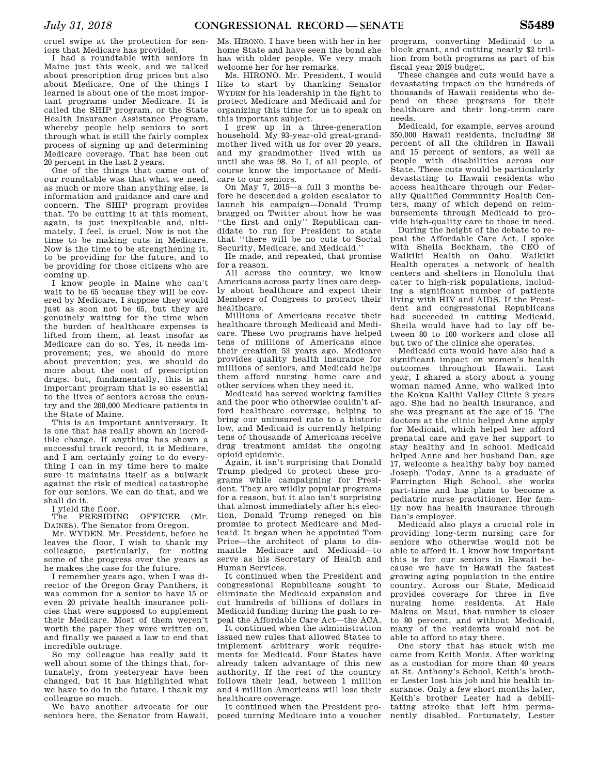cruel swipe at the protection for seniors that Medicare has provided.

I had a roundtable with seniors in Maine just this week, and we talked about prescription drug prices but also about Medicare. One of the things I learned is about one of the most important programs under Medicare. It is called the SHIP program, or the State Health Insurance Assistance Program, whereby people help seniors to sort through what is still the fairly complex process of signing up and determining Medicare coverage. That has been cut 20 percent in the last 2 years.

One of the things that came out of our roundtable was that what we need, as much or more than anything else, is information and guidance and care and concern. The SHIP program provides that. To be cutting it at this moment, again, is just inexplicable and, ultimately, I feel, is cruel. Now is not the time to be making cuts in Medicare. Now is the time to be strengthening it, to be providing for the future, and to be providing for those citizens who are coming up.

I know people in Maine who can't wait to be 65 because they will be covered by Medicare. I suppose they would just as soon not be 65, but they are genuinely waiting for the time when the burden of healthcare expenses is lifted from them, at least insofar as Medicare can do so. Yes, it needs improvement; yes, we should do more about prevention; yes, we should do more about the cost of prescription drugs, but, fundamentally, this is an important program that is so essential to the lives of seniors across the country and the 200,000 Medicare patients in the State of Maine.

This is an important anniversary. It is one that has really shown an incredible change. If anything has shown a successful track record, it is Medicare, and I am certainly going to do everything I can in my time here to make sure it maintains itself as a bulwark against the risk of medical catastrophe for our seniors. We can do that, and we shall do it.

I yield the floor.

The PRESIDING OFFICER (Mr. DAINES). The Senator from Oregon.

Mr. WYDEN. Mr. President, before he leaves the floor, I wish to thank my colleague, particularly, for noting some of the progress over the years as he makes the case for the future.

I remember years ago, when I was director of the Oregon Gray Panthers, it was common for a senior to have 15 or even 20 private health insurance policies that were supposed to supplement their Medicare. Most of them weren't worth the paper they were written on, and finally we passed a law to end that incredible outrage.

So my colleague has really said it well about some of the things that, fortunately, from yesteryear have been changed, but it has highlighted what we have to do in the future. I thank my colleague so much.

We have another advocate for our seniors here, the Senator from Hawaii,

Ms. HIRONO. I have been with her in her home State and have seen the bond she has with older people. We very much welcome her for her remarks.

Ms. HIRONO. Mr. President, I would like to start by thanking Senator WYDEN for his leadership in the fight to protect Medicare and Medicaid and for organizing this time for us to speak on this important subject.

I grew up in a three-generation household. My 93-year-old great-grandmother lived with us for over 20 years, and my grandmother lived with us until she was 98. So I, of all people, of course know the importance of Medicare to our seniors.

On May 7, 2015—a full 3 months before he descended a golden escalator to launch his campaign—Donald Trump bragged on Twitter about how he was ''the first and only'' Republican candidate to run for President to state that ''there will be no cuts to Social Security, Medicare, and Medicaid.''

He made, and repeated, that promise for a reason.

All across the country, we know Americans across party lines care deeply about healthcare and expect their Members of Congress to protect their healthcare.

Millions of Americans receive their healthcare through Medicaid and Medicare. These two programs have helped tens of millions of Americans since their creation 53 years ago. Medicare provides quality health insurance for millions of seniors, and Medicaid helps them afford nursing home care and other services when they need it.

Medicaid has served working families and the poor who otherwise couldn't afford healthcare coverage, helping to bring our uninsured rate to a historic low, and Medicaid is currently helping tens of thousands of Americans receive drug treatment amidst the ongoing opioid epidemic.

Again, it isn't surprising that Donald Trump pledged to protect these programs while campaigning for President. They are wildly popular programs for a reason, but it also isn't surprising that almost immediately after his election, Donald Trump reneged on his promise to protect Medicare and Medicaid. It began when he appointed Tom Price—the architect of plans to dismantle Medicare and Medicaid—to serve as his Secretary of Health and Human Services.

It continued when the President and congressional Republicans sought to eliminate the Medicaid expansion and cut hundreds of billions of dollars in Medicaid funding during the push to repeal the Affordable Care Act—the ACA.

It continued when the administration issued new rules that allowed States to implement arbitrary work requirements for Medicaid. Four States have already taken advantage of this new authority. If the rest of the country follows their lead, between 1 million and 4 million Americans will lose their healthcare coverage.

It continued when the President pro-

program, converting Medicaid to a block grant, and cutting nearly \$2 trillion from both programs as part of his fiscal year 2019 budget.

These changes and cuts would have a devastating impact on the hundreds of thousands of Hawaii residents who depend on these programs for their healthcare and their long-term care needs.

Medicaid, for example, serves around 350,000 Hawaii residents, including 38 percent of all the children in Hawaii and 15 percent of seniors, as well as people with disabilities across our State. These cuts would be particularly devastating to Hawaii residents who access healthcare through our Federally Qualified Community Health Centers, many of which depend on reimbursements through Medicaid to provide high-quality care to those in need.

During the height of the debate to repeal the Affordable Care Act, I spoke with Sheila Beckham, the CEO of Waikiki Health on Oahu. Waikiki Health operates a network of health centers and shelters in Honolulu that cater to high-risk populations, including a significant number of patients living with HIV and AIDS. If the President and congressional Republicans had succeeded in cutting Medicaid, Sheila would have had to lay off between 80 to 100 workers and close all but two of the clinics she operates.

Medicaid cuts would have also had a significant impact on women's health outcomes throughout Hawaii. Last year, I shared a story about a young woman named Anne, who walked into the Kokua Kalihi Valley Clinic 3 years ago. She had no health insurance, and she was pregnant at the age of 15. The doctors at the clinic helped Anne apply for Medicaid, which helped her afford prenatal care and gave her support to stay healthy and in school. Medicaid helped Anne and her husband Dan, age 17, welcome a healthy baby boy named Joseph. Today, Anne is a graduate of Farrington High School, she works part-time and has plans to become a pediatric nurse practitioner. Her family now has health insurance through Dan's employer.

Medicaid also plays a crucial role in providing long-term nursing care for seniors who otherwise would not be able to afford it. I know how important this is for our seniors in Hawaii because we have in Hawaii the fastest growing aging population in the entire country. Across our State, Medicaid provides coverage for three in five nursing home residents. At Hale Makua on Maui, that number is closer to 80 percent, and without Medicaid, many of the residents would not be able to afford to stay there.

posed turning Medicare into a voucher nently disabled. Fortunately, Lester One story that has stuck with me came from Keith Moniz. After working as a custodian for more than 40 years at St. Anthony's School, Keith's brother Lester lost his job and his health insurance. Only a few short months later, Keith's brother Lester had a debilitating stroke that left him perma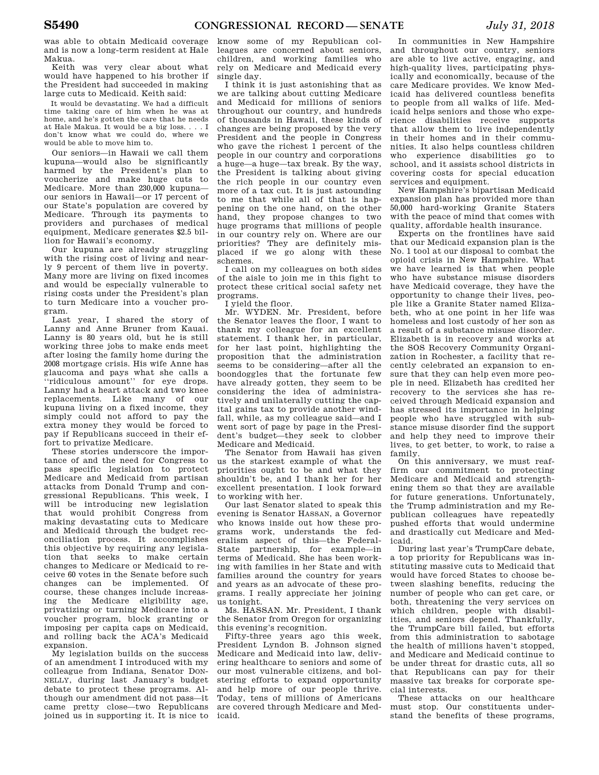was able to obtain Medicaid coverage and is now a long-term resident at Hale Makua.

Keith was very clear about what would have happened to his brother if the President had succeeded in making large cuts to Medicaid. Keith said:

It would be devastating. We had a difficult time taking care of him when he was at home, and he's gotten the care that he needs at Hale Makua. It would be a big loss. . . . I don't know what we could do, where we would be able to move him to.

Our seniors—in Hawaii we call them kupuna—would also be significantly harmed by the President's plan to voucherize and make huge cuts to Medicare. More than 230,000 kupuna our seniors in Hawaii—or 17 percent of our State's population are covered by Medicare. Through its payments to providers and purchases of medical equipment, Medicare generates \$2.5 billion for Hawaii's economy.

Our kupuna are already struggling with the rising cost of living and nearly 9 percent of them live in poverty. Many more are living on fixed incomes and would be especially vulnerable to rising costs under the President's plan to turn Medicare into a voucher program.

Last year, I shared the story of Lanny and Anne Bruner from Kauai. Lanny is 80 years old, but he is still working three jobs to make ends meet after losing the family home during the 2008 mortgage crisis. His wife Anne has glaucoma and pays what she calls a ''ridiculous amount'' for eye drops. Lanny had a heart attack and two knee replacements. Like many of our kupuna living on a fixed income, they simply could not afford to pay the extra money they would be forced to pay if Republicans succeed in their effort to privatize Medicare.

These stories underscore the importance of and the need for Congress to pass specific legislation to protect Medicare and Medicaid from partisan attacks from Donald Trump and congressional Republicans. This week, I will be introducing new legislation that would prohibit Congress from making devastating cuts to Medicare and Medicaid through the budget reconciliation process. It accomplishes this objective by requiring any legislation that seeks to make certain changes to Medicare or Medicaid to receive 60 votes in the Senate before such changes can be implemented. Of course, these changes include increasing the Medicare eligibility age, privatizing or turning Medicare into a voucher program, block granting or imposing per capita caps on Medicaid, and rolling back the ACA's Medicaid expansion.

My legislation builds on the success of an amendment I introduced with my colleague from Indiana, Senator DON-NELLY, during last January's budget debate to protect these programs. Although our amendment did not pass—it came pretty close—two Republicans joined us in supporting it. It is nice to

know some of my Republican colleagues are concerned about seniors, children, and working families who rely on Medicare and Medicaid every single day.

I think it is just astonishing that as we are talking about cutting Medicare and Medicaid for millions of seniors throughout our country, and hundreds of thousands in Hawaii, these kinds of changes are being proposed by the very President and the people in Congress who gave the richest 1 percent of the people in our country and corporations a huge—a huge—tax break. By the way, the President is talking about giving the rich people in our country even more of a tax cut. It is just astounding to me that while all of that is happening on the one hand, on the other hand, they propose changes to two huge programs that millions of people in our country rely on. Where are our priorities? They are definitely misplaced if we go along with these schemes.

I call on my colleagues on both sides of the aisle to join me in this fight to protect these critical social safety net programs.

I yield the floor.

Mr. WYDEN. Mr. President, before the Senator leaves the floor, I want to thank my colleague for an excellent statement. I thank her, in particular, for her last point, highlighting the proposition that the administration seems to be considering—after all the boondoggles that the fortunate few have already gotten, they seem to be considering the idea of administratively and unilaterally cutting the capital gains tax to provide another windfall, while, as my colleague said—and I went sort of page by page in the President's budget—they seek to clobber Medicare and Medicaid.

The Senator from Hawaii has given us the starkest example of what the priorities ought to be and what they shouldn't be, and I thank her for her excellent presentation. I look forward to working with her.

Our last Senator slated to speak this evening is Senator HASSAN, a Governor who knows inside out how these programs work, understands the federalism aspect of this—the Federal-State partnership, for example—in terms of Medicaid. She has been working with families in her State and with families around the country for years and years as an advocate of these programs. I really appreciate her joining us tonight.

Ms. HASSAN. Mr. President, I thank the Senator from Oregon for organizing this evening's recognition.

Fifty-three years ago this week, President Lyndon B. Johnson signed Medicare and Medicaid into law, delivering healthcare to seniors and some of our most vulnerable citizens, and bolstering efforts to expand opportunity and help more of our people thrive. Today, tens of millions of Americans are covered through Medicare and Medicaid.

In communities in New Hampshire and throughout our country, seniors are able to live active, engaging, and high-quality lives, participating physically and economically, because of the care Medicare provides. We know Medicaid has delivered countless benefits to people from all walks of life. Medicaid helps seniors and those who experience disabilities receive supports that allow them to live independently in their homes and in their communities. It also helps countless children who experience disabilities go to school, and it assists school districts in covering costs for special education services and equipment.

New Hampshire's bipartisan Medicaid expansion plan has provided more than 50,000 hard-working Granite Staters with the peace of mind that comes with quality, affordable health insurance.

Experts on the frontlines have said that our Medicaid expansion plan is the No. 1 tool at our disposal to combat the opioid crisis in New Hampshire. What we have learned is that when people who have substance misuse disorders have Medicaid coverage, they have the opportunity to change their lives, people like a Granite Stater named Elizabeth, who at one point in her life was homeless and lost custody of her son as a result of a substance misuse disorder. Elizabeth is in recovery and works at the SOS Recovery Community Organization in Rochester, a facility that recently celebrated an expansion to ensure that they can help even more people in need. Elizabeth has credited her recovery to the services she has received through Medicaid expansion and has stressed its importance in helping people who have struggled with substance misuse disorder find the support and help they need to improve their lives, to get better, to work, to raise a family.

On this anniversary, we must reaffirm our commitment to protecting Medicare and Medicaid and strengthening them so that they are available for future generations. Unfortunately, the Trump administration and my Republican colleagues have repeatedly pushed efforts that would undermine and drastically cut Medicare and Medicaid.

During last year's TrumpCare debate, a top priority for Republicans was instituting massive cuts to Medicaid that would have forced States to choose between slashing benefits, reducing the number of people who can get care, or both, threatening the very services on which children, people with disabilities, and seniors depend. Thankfully, the TrumpCare bill failed, but efforts from this administration to sabotage the health of millions haven't stopped, and Medicare and Medicaid continue to be under threat for drastic cuts, all so that Republicans can pay for their massive tax breaks for corporate special interests.

These attacks on our healthcare must stop. Our constituents understand the benefits of these programs,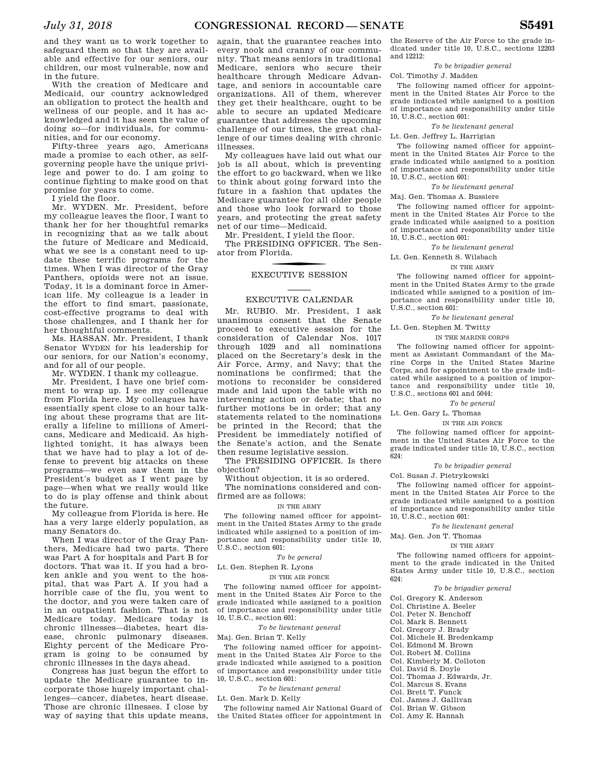and they want us to work together to safeguard them so that they are available and effective for our seniors, our children, our most vulnerable, now and in the future.

With the creation of Medicare and Medicaid, our country acknowledged an obligation to protect the health and wellness of our people, and it has acknowledged and it has seen the value of doing so—for individuals, for communities, and for our economy.

Fifty-three years ago, Americans made a promise to each other, as selfgoverning people have the unique privilege and power to do. I am going to continue fighting to make good on that promise for years to come.

I yield the floor.

Mr. WYDEN. Mr. President, before my colleague leaves the floor, I want to thank her for her thoughtful remarks in recognizing that as we talk about the future of Medicare and Medicaid, what we see is a constant need to update these terrific programs for the times. When I was director of the Gray Panthers, opioids were not an issue. Today, it is a dominant force in American life. My colleague is a leader in the effort to find smart, passionate, cost-effective programs to deal with those challenges, and I thank her for her thoughtful comments.

Ms. HASSAN. Mr. President, I thank Senator WYDEN for his leadership for our seniors, for our Nation's economy, and for all of our people.

Mr. WYDEN. I thank my colleague.

Mr. President, I have one brief comment to wrap up. I see my colleague from Florida here. My colleagues have essentially spent close to an hour talking about these programs that are literally a lifeline to millions of Americans, Medicare and Medicaid. As highlighted tonight, it has always been that we have had to play a lot of defense to prevent big attacks on these programs—we even saw them in the President's budget as I went page by page—when what we really would like to do is play offense and think about the future.

My colleague from Florida is here. He has a very large elderly population, as many Senators do.

When I was director of the Gray Panthers, Medicare had two parts. There was Part A for hospitals and Part B for doctors. That was it. If you had a broken ankle and you went to the hospital, that was Part A. If you had a horrible case of the flu, you went to the doctor, and you were taken care of in an outpatient fashion. That is not Medicare today. Medicare today is chronic illnesses—diabetes, heart disease, chronic pulmonary diseases. Eighty percent of the Medicare Program is going to be consumed by chronic illnesses in the days ahead.

Congress has just begun the effort to update the Medicare guarantee to incorporate those hugely important challenges—cancer, diabetes, heart disease. Those are chronic illnesses. I close by way of saying that this update means,

again, that the guarantee reaches into every nook and cranny of our community. That means seniors in traditional Medicare, seniors who secure their healthcare through Medicare Advantage, and seniors in accountable care organizations. All of them, wherever they get their healthcare, ought to be able to secure an updated Medicare guarantee that addresses the upcoming challenge of our times, the great challenge of our times dealing with chronic illnesses.

My colleagues have laid out what our job is all about, which is preventing the effort to go backward, when we like to think about going forward into the future in a fashion that updates the Medicare guarantee for all older people and those who look forward to those years, and protecting the great safety net of our time—Medicaid.

Mr. President, I yield the floor. The PRESIDING OFFICER. The Senator from Florida.

### f EXECUTIVE SESSION

### EXECUTIVE CALENDAR

Mr. RUBIO. Mr. President, I ask unanimous consent that the Senate proceed to executive session for the consideration of Calendar Nos. 1017 through 1029 and all nominations placed on the Secretary's desk in the Air Force, Army, and Navy; that the nominations be confirmed; that the motions to reconsider be considered made and laid upon the table with no intervening action or debate; that no further motions be in order; that any statements related to the nominations be printed in the Record; that the President be immediately notified of the Senate's action, and the Senate then resume legislative session.

The PRESIDING OFFICER. Is there objection?

Without objection, it is so ordered.

The nominations considered and confirmed are as follows:

#### IN THE ARMY

The following named officer for appointment in the United States Army to the grade indicated while assigned to a position of importance and responsibility under title 10, U.S.C., section 601:

*To be general* 

Lt. Gen. Stephen R. Lyons

IN THE AIR FORCE

The following named officer for appointment in the United States Air Force to the grade indicated while assigned to a position of importance and responsibility under title 10, U.S.C., section 601:

*To be lieutenant general* 

Maj. Gen. Brian T. Kelly

The following named officer for appointment in the United States Air Force to the grade indicated while assigned to a position of importance and responsibility under title 10, U.S.C., section 601:

*To be lieutenant general* 

Lt. Gen. Mark D. Kelly

The following named Air National Guard of the United States officer for appointment in

the Reserve of the Air Force to the grade indicated under title 10, U.S.C., sections 12203 and 12212:

*To be brigadier general* 

### Col. Timothy J. Madden

The following named officer for appointment in the United States Air Force to the grade indicated while assigned to a position of importance and responsibility under title 10, U.S.C., section 601:

#### *To be lieutenant general*

Lt. Gen. Jeffrey L. Harrigian

The following named officer for appointment in the United States Air Force to the grade indicated while assigned to a position of importance and responsibility under title 10, U.S.C., section 601:

*To be lieutenant general* 

Maj. Gen. Thomas A. Bussiere

The following named officer for appointment in the United States Air Force to the grade indicated while assigned to a position of importance and responsibility under title 10, U.S.C., section 601:

*To be lieutenant general* 

Lt. Gen. Kenneth S. Wilsbach

#### IN THE ARMY

The following named officer for appointment in the United States Army to the grade indicated while assigned to a position of importance and responsibility under title 10, U.S.C., section 601:

*To be lieutenant general* 

Lt. Gen. Stephen M. Twitty

IN THE MARINE CORPS

The following named officer for appointment as Assistant Commandant of the Marine Corps in the United States Marine Corps, and for appointment to the grade indicated while assigned to a position of importance and responsibility under title 10, U.S.C., sections 601 and 5044:

*To be general* 

Lt. Gen. Gary L. Thomas

#### IN THE AIR FORCE

The following named officer for appointment in the United States Air Force to the grade indicated under title 10, U.S.C., section  $624.$ 

### *To be brigadier general*

Col. Susan J. Pietrykowski

The following named officer for appointment in the United States Air Force to the grade indicated while assigned to a position of importance and responsibility under title 10, U.S.C., section 601:

*To be lieutenant general* 

Maj. Gen. Jon T. Thomas

### IN THE ARMY

The following named officers for appointment to the grade indicated in the United States Army under title 10, U.S.C., section 624:

### *To be brigadier general*

Col. Gregory K. Anderson

Col. Christine A. Beeler

- Col. Peter N. Benchoff
- Col. Mark S. Bennett
- Col. Gregory J. Brady
- Col. Michele H. Bredenkamp
- 
- Col. Edmond M. Brown
- Col. Robert M. Collins
- Col. Kimberly M. Colloton
- Col. David S. Doyle
- Col. Thomas J. Edwards, Jr.
- Col. Marcus S. Evans
- Col. Brett T. Funck
- Col. James J. Gallivan
- Col. Brian W. Gibson
- Col. Amy E. Hannah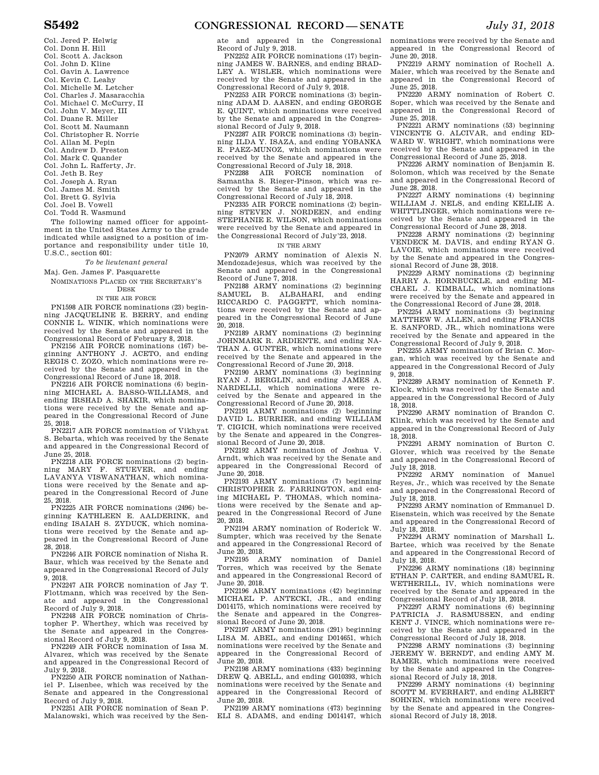- Col. Jered P. Helwig
- Col. Donn H. Hill
- Col. Scott A. Jackson
- Col. John D. Kline
- Col. Gavin A. Lawrence
- Col. Kevin C. Leahy
- Col. Michelle M. Letcher Col. Charles J. Masaracchia
- Col. Michael C. McCurry, II
- Col. John V. Meyer, III
- Col. Duane R. Miller
- Col. Scott M. Naumann
- Col. Christopher R. Norrie
- Col. Allan M. Pepin
- Col. Andrew D. Preston
- Col. Mark C. Quander
- Col. John L. Rafferty, Jr.
- Col. Jeth B. Rey
- Col. Joseph A. Ryan
- Col. James M. Smith
- Col. Brett G. Sylvia
- Col. Joel B. Vowell
- Col. Todd R. Wasmund

The following named officer for appointment in the United States Army to the grade indicated while assigned to a position of importance and responsibility under title 10, U.S.C., section 601:

### *To be lieutenant general*

Maj. Gen. James F. Pasquarette

NOMINATIONS PLACED ON THE SECRETARY'S DESK

#### IN THE AIR FORCE

PN1598 AIR FORCE nominations (23) beginning JACQUELINE E. BERRY, and ending CONNIE L. WINIK, which nominations were received by the Senate and appeared in the Congressional Record of February 8, 2018.

PN2156 AIR FORCE nominations (167) beginning ANTHONY J. ACETO, and ending REGIS C. ZOZO, which nominations were received by the Senate and appeared in the Congressional Record of June 18, 2018.

PN2216 AIR FORCE nominations (6) beginning MICHAEL A. BASSO-WILLIAMS, and ending IRSHAD A. SHAKIR, which nominations were received by the Senate and appeared in the Congressional Record of June 25, 2018.

PN2217 AIR FORCE nomination of Vikhyat S. Bebarta, which was received by the Senate and appeared in the Congressional Record of June 25, 2018.

PN2218 AIR FORCE nominations (2) beginning MARY F. STUEVER, and ending LAVANYA VISWANATHAN, which nominations were received by the Senate and appeared in the Congressional Record of June 25, 2018.

PN2225 AIR FORCE nominations (2496) beginning KATHLEEN E. AALDERINK, and ending ISAIAH S. ZYDUCK, which nominations were received by the Senate and appeared in the Congressional Record of June 28, 2018.

PN2246 AIR FORCE nomination of Nisha R. Baur, which was received by the Senate and appeared in the Congressional Record of July 9, 2018.

PN2247 AIR FORCE nomination of Jay T. Flottmann, which was received by the Senate and appeared in the Congressional

Record of July 9, 2018. PN2248 AIR FORCE nomination of Christopher P. Wherthey, which was received by the Senate and appeared in the Congressional Record of July 9, 2018.

PN2249 AIR FORCE nomination of Issa M. Alvarez, which was received by the Senate and appeared in the Congressional Record of July 9, 2018.

PN2250 AIR FORCE nomination of Nathaniel P. Lisenbee, which was received by the Senate and appeared in the Congressional Record of July  $9, 2018$ .

PN2251 AIR FORCE nomination of Sean P. Malanowski, which was received by the Senate and appeared in the Congressional Record of July 9, 2018.

PN2252 AIR FORCE nominations (17) beginning JAMES W. BARNES, and ending BRAD-LEY A. WISLER, which nominations were received by the Senate and appeared in the Congressional Record of July 9, 2018.

PN2253 AIR FORCE nominations (3) beginning ADAM D. AASEN, and ending GEORGE E. QUINT, which nominations were received by the Senate and appeared in the Congressional Record of July 9, 2018.

PN2287 AIR FORCE nominations (3) beginning ILDA Y. ISAZA, and ending YOBANKA E. PAEZ-MUNOZ, which nominations were received by the Senate and appeared in the Congressional Record of July 18, 2018.

PN2288 AIR FORCE nomination of Samantha S. Rieger-Pinson, which was received by the Senate and appeared in the Congressional Record of July 18, 2018.

PN2335 AIR FORCE nominations (2) beginning STEVEN J. NORDEEN, and ending STEPHANIE E. WILSON, which nominations were received by the Senate and appeared in the Congressional Record of July'23, 2018.

#### IN THE ARMY

PN2079 ARMY nomination of Alexis N. Mendozadejesus, which was received by the Senate and appeared in the Congressional Record of June 7, 2018.

PN2188 ARMY nominations (2) beginning<br>SAMUEL B. ALBAHARI, and ending ALBAHARI, and ending RICCARDO C. PAGGETT, which nominations were received by the Senate and appeared in the Congressional Record of June 20, 2018.

PN2189 ARMY nominations (2) beginning JOHNMARK R. ARDIENTE, and ending NA-THAN A. GUNTER, which nominations were received by the Senate and appeared in the Congressional Record of June 20, 2018.

PN2190 ARMY nominations (3) beginning RYAN J. BERGLIN, and ending JAMES A. NARDELLI, which nominations were received by the Senate and appeared in the Congressional Record of June 20, 2018.

PN2191 ARMY nominations (2) beginning DAVID L. BURRIER, and ending WILLIAM T. CIGICH, which nominations were received by the Senate and appeared in the Congressional Record of June 20, 2018.

PN2192 ARMY nomination of Joshua V. Arndt, which was received by the Senate and appeared in the Congressional Record of June 20, 2018.

PN2193 ARMY nominations (7) beginning CHRISTOPHER Z. FARRINGTON, and ending MICHAEL P. THOMAS, which nominations were received by the Senate and appeared in the Congressional Record of June 20, 2018.

PN2194 ARMY nomination of Roderick W. Sumpter, which was received by the Senate and appeared in the Congressional Record of June 20, 2018.

PN2195 ARMY nomination of Daniel Torres, which was received by the Senate and appeared in the Congressional Record of June 20, 2018.

PN2196 ARMY nominations (42) beginning MICHAEL P. ANTECKI, JR., and ending D014175, which nominations were received by the Senate and appeared in the Congressional Record of June 20, 2018.

PN2197 ARMY nominations (291) beginning LISA M. ABEL, and ending D014651, which nominations were received by the Senate and appeared in the Congressional Record of June 20, 2018.

PN2198 ARMY nominations (433) beginning DREW Q. ABELL, and ending G010393, which nominations were received by the Senate and appeared in the Congressional Record of June 20, 2018.

PN2199 ARMY nominations (473) beginning ELI S. ADAMS, and ending D014147, which nominations were received by the Senate and appeared in the Congressional Record of June 20, 2018.

PN2219 ARMY nomination of Rochell A. Maier, which was received by the Senate and appeared in the Congressional Record of June 25, 2018.

PN2220 ARMY nomination of Robert C. Soper, which was received by the Senate and appeared in the Congressional Record of June 25, 2018.

PN2221 ARMY nominations (53) beginning VINCENTE G. ALCIVAR, and ending ED-WARD W. WRIGHT, which nominations were received by the Senate and appeared in the Congressional Record of June 25, 2018.

PN2226 ARMY nomination of Benjamin E. Solomon, which was received by the Senate and appeared in the Congressional Record of June 28, 2018.

PN2227 ARMY nominations (4) beginning WILLIAM J. NELS, and ending KELLIE A. WHITTLINGER, which nominations were received by the Senate and appeared in the Congressional Record of June 28, 2018.

PN2228 ARMY nominations (2) beginning VENDECK M. DAVIS, and ending RYAN G. LAVOIE, which nominations were received by the Senate and appeared in the Congressional Record of June 28, 2018.

PN2229 ARMY nominations (2) beginning HARRY A. HORNBUCKLE, and ending MI-CHAEL J. KIMBALL, which nominations were received by the Senate and appeared in the Congressional Record of June 28, 2018.

PN2254 ARMY nominations (3) beginning MATTHEW W. ALLEN, and ending FRANCIS E. SANFORD, JR., which nominations were received by the Senate and appeared in the Congressional Record of July 9, 2018.

PN2255 ARMY nomination of Brian C. Morgan, which was received by the Senate and appeared in the Congressional Record of July 9, 2018.

PN2289 ARMY nomination of Kenneth F. Klock, which was received by the Senate and appeared in the Congressional Record of July 18, 2018.

PN2290 ARMY nomination of Brandon C. Klink, which was received by the Senate and appeared in the Congressional Record of July 18, 2018.

PN2291 ARMY nomination of Burton C. Glover, which was received by the Senate and appeared in the Congressional Record of July 18, 2018.

PN2292 ARMY nomination of Manuel Reyes, Jr., which was received by the Senate and appeared in the Congressional Record of July 18, 2018.

PN2293 ARMY nomination of Emmanuel D. Eisenstein, which was received by the Senate and appeared in the Congressional Record of July 18, 2018.

PN2294 ARMY nomination of Marshall L. Bartee, which was received by the Senate and appeared in the Congressional Record of July 18, 2018.

PN2296 ARMY nominations (18) beginning ETHAN P. CARTER, and ending SAMUEL R. WETHERILL, IV, which nominations were received by the Senate and appeared in the Congressional Record of July 18, 2018.

PN2297 ARMY nominations (6) beginning PATRICIA J. RASMUSSEN, and ending KENT J. VINCE, which nominations were received by the Senate and appeared in the Congressional Record of July 18, 2018.

PN2298 ARMY nominations (3) beginning JEREMY W. BERNDT, and ending AMY M. RAMER, which nominations were received by the Senate and appeared in the Congressional Record of July 18, 2018.

PN2299 ARMY nominations (4) beginning SCOTT M. EVERHART, and ending ALBERT SOHNEN, which nominations were received by the Senate and appeared in the Congressional Record of July 18, 2018.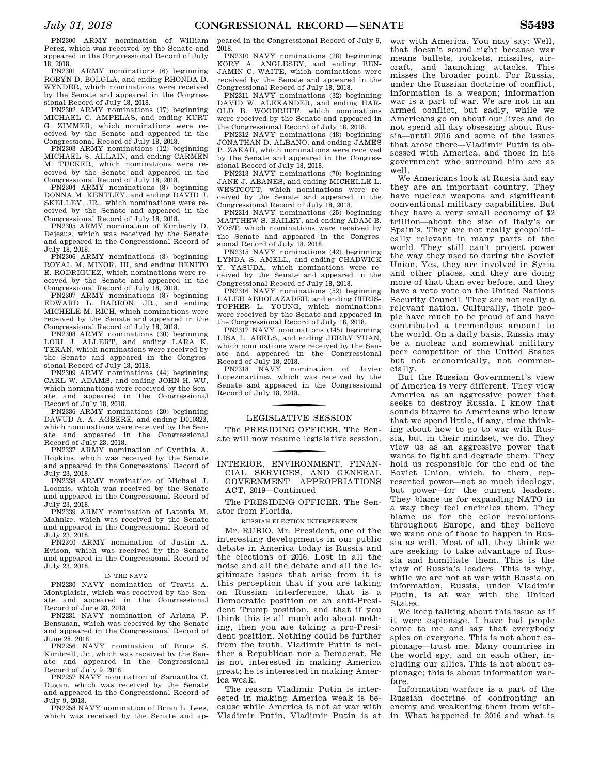PN2300 ARMY nomination of William Perez, which was received by the Senate and appeared in the Congressional Record of July 18, 2018.

PN2301 ARMY nominations (6) beginning ROBYN D. BOLGLA, and ending RHONDA D. WYNDER, which nominations were received by the Senate and appeared in the Congressional Record of July 18, 2018.

PN2302 ARMY nominations (17) beginning MICHAEL C. AMPELAS, and ending KURT G. ZIMMER, which nominations were received by the Senate and appeared in the Congressional Record of July 18, 2018.

PN2303 ARMY nominations (12) beginning MICHAEL S. ALLAIN, and ending CARMEN M. TUCKER, which nominations were received by the Senate and appeared in the Congressional Record of July 18, 2018.

PN2304 ARMY nominations (8) beginning DONNA M. KENTLEY, and ending DAVID J. SKELLEY, JR., which nominations were received by the Senate and appeared in the Congressional Record of July 18, 2018.

PN2305 ARMY nomination of Kimberly D. Dejesus, which was received by the Senate and appeared in the Congressional Record of July 18, 2018.

PN2306 ARMY nominations (3) beginning ROYAL M. MINOR, III, and ending BENITO E. RODRIGUEZ, which nominations were received by the Senate and appeared in the Congressional Record of July 18, 2018.

PN2307 ARMY nominations (8) beginning EDWARD L. BARRON, JR., and ending MICHELE M. RICH, which nominations were received by the Senate and appeared in the Congressional Record of July 18, 2018.

PN2308 ARMY nominations (30) beginning LORI J. ALLERT, and ending LARA K. TERAN, which nominations were received by the Senate and appeared in the Congressional Record of July 18, 2018.

PN2309 ARMY nominations (44) beginning CARL W. ADAMS, and ending JOHN H. WU, which nominations were received by the Senate and appeared in the Congressional Record of July 18, 2018.

PN2336 ARMY nominations (20) beginning DAWUD A. A. AGBERE, and ending D010823, which nominations were received by the Senate and appeared in the Congressional Record of July 23, 2018.

PN2337 ARMY nomination of Cynthia A. Hopkins, which was received by the Senate and appeared in the Congressional Record of July 23, 2018.

PN2338 ARMY nomination of Michael J. Loomis, which was received by the Senate and appeared in the Congressional Record of July 23, 2018.

PN2339 ARMY nomination of Latonia M. Mahnke, which was received by the Senate and appeared in the Congressional Record of July 23, 2018.

PN2340 ARMY nomination of Justin A. Evison, which was received by the Senate and appeared in the Congressional Record of July 23, 2018.

### IN THE NAVY

PN2230 NAVY nomination of Travis A. Montplaisir, which was received by the Senate and appeared in the Congressional Record of June 28, 2018.

PN2231 NAVY nomination of Ariana P. Bensusan, which was received by the Senate and appeared in the Congressional Record of June 28, 2018.

PN2256 NAVY nomination of Bruce S. Kimbrell, Jr., which was received by the Senate and appeared in the Congressional Record of July 9, 2018.

PN2257 NAVY nomination of Samantha C. Dugan, which was received by the Senate and appeared in the Congressional Record of July 9, 2018.

PN2258 NAVY nomination of Brian L. Lees, which was received by the Senate and appeared in the Congressional Record of July 9, 2018.

PN2310 NAVY nominations (28) beginning KORY A. ANGLESEY, and ending BEN-JAMIN C. WAITE, which nominations were received by the Senate and appeared in the Congressional Record of July 18, 2018.

PN2311 NAVY nominations (32) beginning DAVID W. ALEXANDER, and ending HAR-OLD B. WOODRUFF, which nominations were received by the Senate and appeared in the Congressional Record of July 18, 2018.

PN2312 NAVY nominations (48) beginning JONATHAN D. ALBANO, and ending JAMES P. ZAKAR, which nominations were received by the Senate and appeared in the Congressional Record of July 18, 2018.

PN2313 NAVY nominations (70) beginning JANE J. ABANES, and ending MICHELLE L. WESTCOTT, which nominations were received by the Senate and appeared in the Congressional Record of July 18, 2018.

PN2314 NAVY nominations (25) beginning MATTHEW S. BAILEY, and ending ADAM B. YOST, which nominations were received by the Senate and appeared in the Congressional Record of July 18, 2018.

PN2315 NAVY nominations (42) beginning LYNDA S. AMELL, and ending CHADWICK Y. YASUDA, which nominations were received by the Senate and appeared in the Congressional Record of July 18, 2018.

PN2316 NAVY nominations (52) beginning LALEH ABDOLAZADEH, and ending CHRIS-TOPHER L. YOUNG, which nominations were received by the Senate and appeared in the Congressional Record of July 18, 2018.

PN2317 NAVY nominations (145) beginning LISA L. ABELS, and ending JERRY YUAN, which nominations were received by the Senate and appeared in the Congressional Record of July 18, 2018.

PN2318 NAVY nomination of Javier Lopezmartinez, which was received by the Senate and appeared in the Congressional Record of July 18, 2018.

# f LEGISLATIVE SESSION

The PRESIDING OFFICER. The Senate will now resume legislative session.

f INTERIOR, ENVIRONMENT, FINAN-CIAL SERVICES, AND GENERAL GOVERNMENT APPROPRIATIONS ACT, 2019—Continued

The PRESIDING OFFICER. The Senator from Florida.

### RUSSIAN ELECTION INTERFERENCE

Mr. RUBIO. Mr. President, one of the interesting developments in our public debate in America today is Russia and the elections of 2016. Lost in all the noise and all the debate and all the legitimate issues that arise from it is this perception that if you are taking on Russian interference, that is a Democratic position or an anti-President Trump position, and that if you think this is all much ado about nothing, then you are taking a pro-President position. Nothing could be further from the truth. Vladimir Putin is neither a Republican nor a Democrat. He is not interested in making America great; he is interested in making America weak.

The reason Vladimir Putin is interested in making America weak is because while America is not at war with Vladimir Putin, Vladimir Putin is at

war with America. You may say: Well, that doesn't sound right because war means bullets, rockets, missiles, aircraft, and launching attacks. This misses the broader point. For Russia, under the Russian doctrine of conflict, information is a weapon; information war is a part of war. We are not in an armed conflict, but sadly, while we Americans go on about our lives and do not spend all day obsessing about Russia—until 2016 and some of the issues that arose there—Vladimir Putin is obsessed with America, and those in his government who surround him are as well.

We Americans look at Russia and say they are an important country. They have nuclear weapons and significant conventional military capabilities. But they have a very small economy of \$2 trillion—about the size of Italy's or Spain's. They are not really geopolitically relevant in many parts of the world. They still can't project power the way they used to during the Soviet Union. Yes, they are involved in Syria and other places, and they are doing more of that than ever before, and they have a veto vote on the United Nations Security Council. They are not really a relevant nation. Culturally, their people have much to be proud of and have contributed a tremendous amount to the world. On a daily basis, Russia may be a nuclear and somewhat military peer competitor of the United States but not economically, not commercially.

But the Russian Government's view of America is very different. They view America as an aggressive power that seeks to destroy Russia. I know that sounds bizarre to Americans who know that we spend little, if any, time thinking about how to go to war with Russia, but in their mindset, we do. They view us as an aggressive power that wants to fight and degrade them. They hold us responsible for the end of the Soviet Union, which, to them, represented power—not so much ideology, but power—for the current leaders. They blame us for expanding NATO in a way they feel encircles them. They blame us for the color revolutions throughout Europe, and they believe we want one of those to happen in Russia as well. Most of all, they think we are seeking to take advantage of Russia and humiliate them. This is the view of Russia's leaders. This is why, while we are not at war with Russia on information, Russia, under Vladimir Putin, is at war with the United States.

We keep talking about this issue as if it were espionage. I have had people come to me and say that everybody spies on everyone. This is not about espionage—trust me. Many countries in the world spy, and on each other, including our allies. This is not about espionage; this is about information warfare.

Information warfare is a part of the Russian doctrine of confronting an enemy and weakening them from within. What happened in 2016 and what is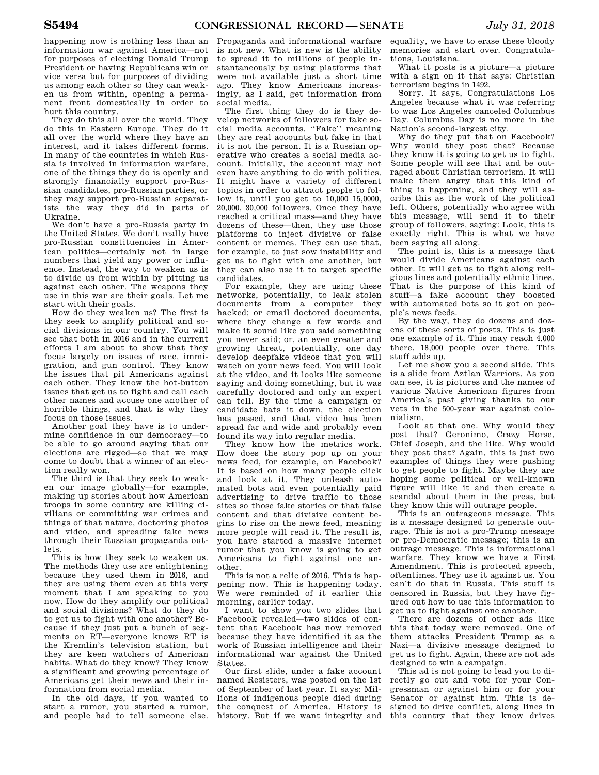happening now is nothing less than an information war against America—not for purposes of electing Donald Trump President or having Republicans win or vice versa but for purposes of dividing us among each other so they can weaken us from within, opening a permanent front domestically in order to hurt this country.

They do this all over the world. They do this in Eastern Europe. They do it all over the world where they have an interest, and it takes different forms. In many of the countries in which Russia is involved in information warfare, one of the things they do is openly and strongly financially support pro-Russian candidates, pro-Russian parties, or they may support pro-Russian separatists the way they did in parts of Ukraine.

We don't have a pro-Russia party in the United States. We don't really have pro-Russian constituencies in American politics—certainly not in large numbers that yield any power or influence. Instead, the way to weaken us is to divide us from within by pitting us against each other. The weapons they use in this war are their goals. Let me start with their goals.

How do they weaken us? The first is they seek to amplify political and social divisions in our country. You will see that both in 2016 and in the current efforts I am about to show that they focus largely on issues of race, immigration, and gun control. They know the issues that pit Americans against each other. They know the hot-button issues that get us to fight and call each other names and accuse one another of horrible things, and that is why they focus on those issues.

Another goal they have is to undermine confidence in our democracy—to be able to go around saying that our elections are rigged—so that we may come to doubt that a winner of an election really won.

The third is that they seek to weaken our image globally—for example, making up stories about how American troops in some country are killing civilians or committing war crimes and things of that nature, doctoring photos and video, and spreading fake news through their Russian propaganda outlets.

This is how they seek to weaken us. The methods they use are enlightening because they used them in 2016, and they are using them even at this very moment that I am speaking to you now. How do they amplify our political and social divisions? What do they do to get us to fight with one another? Because if they just put a bunch of segments on RT—everyone knows RT is the Kremlin's television station, but they are keen watchers of American habits. What do they know? They know a significant and growing percentage of Americans get their news and their information from social media.

In the old days, if you wanted to start a rumor, you started a rumor, and people had to tell someone else.

Propaganda and informational warfare is not new. What is new is the ability to spread it to millions of people instantaneously by using platforms that were not available just a short time ago. They know Americans increasingly, as I said, get information from social media.

The first thing they do is they develop networks of followers for fake social media accounts. ''Fake'' meaning they are real accounts but fake in that it is not the person. It is a Russian operative who creates a social media account. Initially, the account may not even have anything to do with politics. It might have a variety of different topics in order to attract people to follow it, until you get to 10,000 15,0000, 20,000, 30,000 followers. Once they have reached a critical mass—and they have dozens of these—then, they use those platforms to inject divisive or false content or memes. They can use that, for example, to just sow instability and get us to fight with one another, but they can also use it to target specific candidates.

For example, they are using these networks, potentially, to leak stolen documents from a computer they hacked; or email doctored documents, where they change a few words and make it sound like you said something you never said; or, an even greater and growing threat, potentially, one day develop deepfake videos that you will watch on your news feed. You will look at the video, and it looks like someone saying and doing something, but it was carefully doctored and only an expert can tell. By the time a campaign or candidate bats it down, the election has passed, and that video has been spread far and wide and probably even found its way into regular media.

They know how the metrics work. How does the story pop up on your news feed, for example, on Facebook? It is based on how many people click and look at it. They unleash automated bots and even potentially paid advertising to drive traffic to those sites so those fake stories or that false content and that divisive content begins to rise on the news feed, meaning more people will read it. The result is, you have started a massive internet rumor that you know is going to get Americans to fight against one another.

This is not a relic of 2016. This is happening now. This is happening today. We were reminded of it earlier this morning, earlier today.

I want to show you two slides that Facebook revealed—two slides of content that Facebook has now removed because they have identified it as the work of Russian intelligence and their informational war against the United States.

Our first slide, under a fake account named Resisters, was posted on the 1st of September of last year. It says: Millions of indigenous people died during the conquest of America. History is history. But if we want integrity and

equality, we have to erase these bloody memories and start over. Congratulations, Louisiana.

What it posts is a picture—a picture with a sign on it that says: Christian terrorism begins in 1492.

Sorry. It says, Congratulations Los Angeles because what it was referring to was Los Angeles canceled Columbus Day. Columbus Day is no more in the Nation's second-largest city.

Why do they put that on Facebook? Why would they post that? Because they know it is going to get us to fight. Some people will see that and be outraged about Christian terrorism. It will make them angry that this kind of thing is happening, and they will ascribe this as the work of the political left. Others, potentially who agree with this message, will send it to their group of followers, saying: Look, this is exactly right. This is what we have been saying all along.

The point is, this is a message that would divide Americans against each other. It will get us to fight along religious lines and potentially ethnic lines. That is the purpose of this kind of stuff—a fake account they boosted with automated bots so it got on people's news feeds.

By the way, they do dozens and dozens of these sorts of posts. This is just one example of it. This may reach 4,000 there, 18,000 people over there. This stuff adds up.

Let me show you a second slide. This is a slide from Aztlan Warriors. As you can see, it is pictures and the names of various Native American figures from America's past giving thanks to our vets in the 500-year war against colonialism.

Look at that one. Why would they post that? Geronimo, Crazy Horse, Chief Joseph, and the like. Why would they post that? Again, this is just two examples of things they were pushing to get people to fight. Maybe they are hoping some political or well-known figure will like it and then create a scandal about them in the press, but they know this will outrage people.

This is an outrageous message. This is a message designed to generate outrage. This is not a pro-Trump message or pro-Democratic message; this is an outrage message. This is informational warfare. They know we have a First Amendment. This is protected speech, oftentimes. They use it against us. You can't do that in Russia. This stuff is censored in Russia, but they have figured out how to use this information to get us to fight against one another.

There are dozens of other ads like this that today were removed. One of them attacks President Trump as a Nazi—a divisive message designed to get us to fight. Again, these are not ads designed to win a campaign.

This ad is not going to lead you to directly go out and vote for your Congressman or against him or for your Senator or against him. This is designed to drive conflict, along lines in this country that they know drives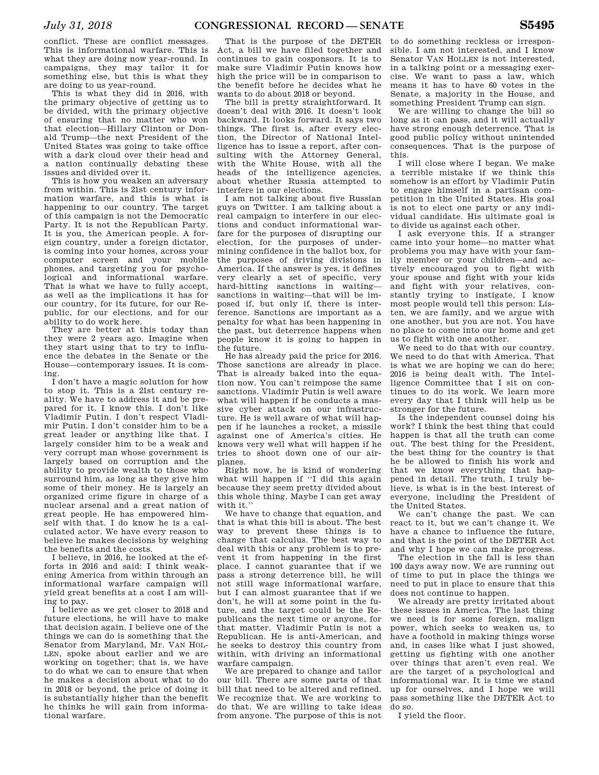conflict. These are conflict messages. This is informational warfare. This is what they are doing now year-round. In campaigns, they may tailor it for something else, but this is what they are doing to us year-round.

This is what they did in 2016, with the primary objective of getting us to be divided, with the primary objective of ensuring that no matter who won that election—Hillary Clinton or Donald Trump—the next President of the United States was going to take office with a dark cloud over their head and a nation continually debating these issues and divided over it.

This is how you weaken an adversary from within. This is 21st century information warfare, and this is what is happening to our country. The target of this campaign is not the Democratic Party. It is not the Republican Party. It is you, the American people. A foreign country, under a foreign dictator, is coming into your homes, across your computer screen and your mobile phones, and targeting you for psychological and informational warfare. That is what we have to fully accept, as well as the implications it has for our country, for its future, for our Republic, for our elections, and for our ability to do work here.

They are better at this today than they were 2 years ago. Imagine when they start using that to try to influence the debates in the Senate or the House—contemporary issues. It is coming.

I don't have a magic solution for how to stop it. This is a 21st century reality. We have to address it and be prepared for it. I know this. I don't like Vladimir Putin. I don't respect Vladimir Putin. I don't consider him to be a great leader or anything like that. I largely consider him to be a weak and very corrupt man whose government is largely based on corruption and the ability to provide wealth to those who surround him, as long as they give him some of their money. He is largely an organized crime figure in charge of a nuclear arsenal and a great nation of great people. He has empowered himself with that. I do know he is a calculated actor. We have every reason to believe he makes decisions by weighing the benefits and the costs.

I believe, in 2016, he looked at the efforts in 2016 and said: I think weakening America from within through an informational warfare campaign will yield great benefits at a cost I am willing to pay.

I believe as we get closer to 2018 and future elections, he will have to make that decision again. I believe one of the things we can do is something that the Senator from Maryland, Mr. VAN HOL-LEN, spoke about earlier and we are working on together; that is, we have to do what we can to ensure that when he makes a decision about what to do in 2018 or beyond, the price of doing it is substantially higher than the benefit he thinks he will gain from informational warfare.

That is the purpose of the DETER Act, a bill we have filed together and continues to gain cosponsors. It is to make sure Vladimir Putin knows how high the price will be in comparison to the benefit before he decides what he wants to do about 2018 or beyond.

The bill is pretty straightforward. It doesn't deal with 2016. It doesn't look backward. It looks forward. It says two things. The first is, after every election, the Director of National Intelligence has to issue a report, after consulting with the Attorney General, with the White House, with all the heads of the intelligence agencies, about whether Russia attempted to interfere in our elections.

I am not talking about five Russian guys on Twitter. I am talking about a real campaign to interfere in our elections and conduct informational warfare for the purposes of disrupting our election, for the purposes of undermining confidence in the ballot box, for the purposes of driving divisions in America. If the answer is yes, it defines very clearly a set of specific, very hard-hitting sanctions in waiting sanctions in waiting—that will be imposed if, but only if, there is interference. Sanctions are important as a penalty for what has been happening in the past, but deterrence happens when people know it is going to happen in the future.

He has already paid the price for 2016. Those sanctions are already in place. That is already baked into the equation now. You can't reimpose the same sanctions. Vladimir Putin is well aware what will happen if he conducts a massive cyber attack on our infrastructure. He is well aware of what will happen if he launches a rocket, a missile against one of America's cities. He knows very well what will happen if he tries to shoot down one of our airplanes.

Right now, he is kind of wondering what will happen if ''I did this again because they seem pretty divided about this whole thing. Maybe I can get away with it.''

We have to change that equation, and that is what this bill is about. The best way to prevent these things is to change that calculus. The best way to deal with this or any problem is to prevent it from happening in the first place. I cannot guarantee that if we pass a strong deterrence bill, he will not still wage informational warfare, but I can almost guarantee that if we don't, he will at some point in the future, and the target could be the Republicans the next time or anyone, for that matter. Vladimir Putin is not a Republican. He is anti-American, and he seeks to destroy this country from within, with driving an informational warfare campaign.

We are prepared to change and tailor our bill. There are some parts of that bill that need to be altered and refined. We recognize that. We are working to do that. We are willing to take ideas from anyone. The purpose of this is not

to do something reckless or irresponsible. I am not interested, and I know Senator VAN HOLLEN is not interested, in a talking point or a messaging exercise. We want to pass a law, which means it has to have 60 votes in the Senate, a majority in the House, and something President Trump can sign.

We are willing to change the bill so long as it can pass, and it will actually have strong enough deterrence. That is good public policy without unintended consequences. That is the purpose of this.

I will close where I began. We make a terrible mistake if we think this somehow is an effort by Vladimir Putin to engage himself in a partisan competition in the United States. His goal is not to elect one party or any individual candidate. His ultimate goal is to divide us against each other.

I ask everyone this. If a stranger came into your home—no matter what problems you may have with your family member or your children—and actively encouraged you to fight with your spouse and fight with your kids and fight with your relatives, constantly trying to instigate, I know most people would tell this person: Listen, we are family, and we argue with one another, but you are not. You have no place to come into our home and get us to fight with one another.

We need to do that with our country. We need to do that with America. That is what we are hoping we can do here; 2016 is being dealt with. The Intelligence Committee that I sit on continues to do its work. We learn more every day that I think will help us be stronger for the future.

Is the independent counsel doing his work? I think the best thing that could happen is that all the truth can come out. The best thing for the President, the best thing for the country is that he be allowed to finish his work and that we know everything that happened in detail. The truth, I truly believe, is what is in the best interest of everyone, including the President of the United States.

We can't change the past. We can react to it, but we can't change it. We have a chance to influence the future, and that is the point of the DETER Act and why I hope we can make progress.

The election in the fall is less than 100 days away now. We are running out of time to put in place the things we need to put in place to ensure that this does not continue to happen.

We already are pretty irritated about these issues in America. The last thing we need is for some foreign, malign power, which seeks to weaken us, to have a foothold in making things worse and, in cases like what I just showed, getting us fighting with one another over things that aren't even real. We are the target of a psychological and informational war. It is time we stand up for ourselves, and I hope we will pass something like the DETER Act to do so.

I yield the floor.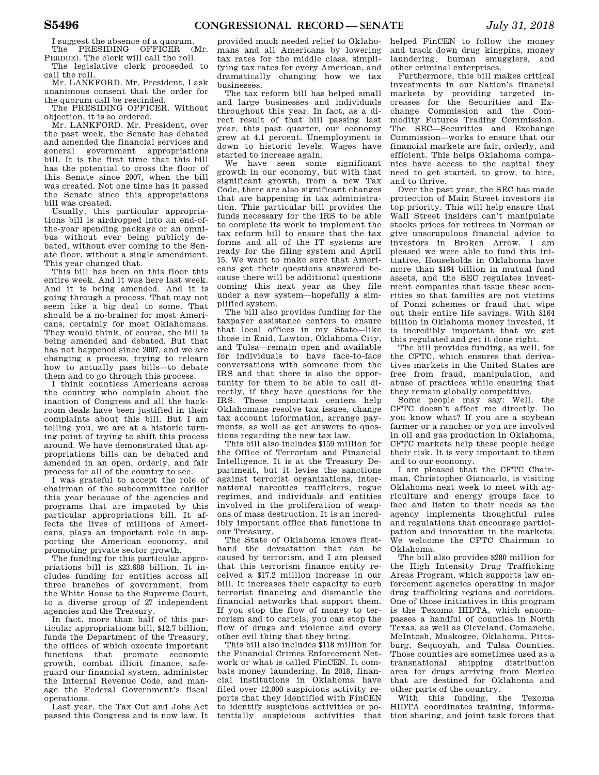I suggest the absence of a quorum. The PRESIDING OFFICER (Mr.

PERDUE). The clerk will call the roll. The legislative clerk proceeded to call the roll.

Mr. LANKFORD. Mr. President, I ask unanimous consent that the order for the quorum call be rescinded.

The PRESIDING OFFICER. Without objection, it is so ordered.

Mr. LANKFORD. Mr. President, over the past week, the Senate has debated and amended the financial services and<br>general government appropriations government appropriations bill. It is the first time that this bill has the potential to cross the floor of this Senate since 2007, when the bill was created. Not one time has it passed the Senate since this appropriations bill was created.

Usually, this particular appropriations bill is airdropped into an end-ofthe-year spending package or an omnibus without ever being publicly debated, without ever coming to the Senate floor, without a single amendment. This year changed that.

This bill has been on this floor this entire week. And it was here last week. And it is being amended. And it is going through a process. That may not seem like a big deal to some. That should be a no-brainer for most Americans, certainly for most Oklahomans. They would think, of course, the bill is being amended and debated. But that has not happened since 2007, and we are changing a process, trying to relearn how to actually pass bills—to debate them and to go through this process.

I think countless Americans across the country who complain about the inaction of Congress and all the backroom deals have been justified in their complaints about this bill. But I am telling you, we are at a historic turning point of trying to shift this process around. We have demonstrated that appropriations bills can be debated and amended in an open, orderly, and fair process for all of the country to see.

I was grateful to accept the role of chairman of the subcommittee earlier this year because of the agencies and programs that are impacted by this particular appropriations bill. It affects the lives of millions of Americans, plays an important role in supporting the American economy, and promoting private sector growth.

The funding for this particular appropriations bill is \$23.688 billion. It includes funding for entities across all three branches of government, from the White House to the Supreme Court, to a diverse group of 27 independent agencies and the Treasury.

In fact, more than half of this particular appropriations bill, \$12.7 billion, funds the Department of the Treasury, the offices of which execute important functions that promote economic growth, combat illicit finance, safeguard our financial system, administer the Internal Revenue Code, and manage the Federal Government's fiscal operations.

Last year, the Tax Cut and Jobs Act passed this Congress and is now law. It

provided much needed relief to Oklahomans and all Americans by lowering tax rates for the middle class, simplifying tax rates for every American, and dramatically changing how we tax businesses.

The tax reform bill has helped small and large businesses and individuals throughout this year. In fact, as a direct result of that bill passing last year, this past quarter, our economy grew at 4.1 percent. Unemployment is down to historic levels. Wages have started to increase again.

We have seen some significant growth in our economy, but with that significant growth, from a new Tax Code, there are also significant changes that are happening in tax administration. This particular bill provides the funds necessary for the IRS to be able to complete its work to implement the tax reform bill to ensure that the tax forms and all of the IT systems are ready for the filing system and April 15. We want to make sure that Americans get their questions answered because there will be additional questions coming this next year as they file under a new system—hopefully a simplified system.

The bill also provides funding for the taxpayer assistance centers to ensure that local offices in my State—like those in Enid, Lawton, Oklahoma City, and Tulsa—remain open and available for individuals to have face-to-face conversations with someone from the IRS and that there is also the opportunity for them to be able to call directly, if they have questions for the IRS. These important centers help Oklahomans resolve tax issues, change tax account information, arrange payments, as well as get answers to questions regarding the new tax law.

This bill also includes \$159 million for the Office of Terrorism and Financial Intelligence. It is at the Treasury Department, but it levies the sanctions against terrorist organizations, international narcotics traffickers, rogue regimes, and individuals and entities involved in the proliferation of weapons of mass destruction. It is an incredibly important office that functions in our Treasury.

The State of Oklahoma knows firsthand the devastation that can be caused by terrorism, and I am pleased that this terrorism finance entity received a \$17.2 million increase in our bill. It increases their capacity to curb terrorist financing and dismantle the financial networks that support them. If you stop the flow of money to terrorism and to cartels, you can stop the flow of drugs and violence and every other evil thing that they bring.

This bill also includes \$118 million for the Financial Crimes Enforcement Network or what is called FinCEN. It combats money laundering. In 2018, financial institutions in Oklahoma have filed over 12,000 suspicious activity reports that they identified with FinCEN to identify suspicious activities or potentially suspicious activities that tion sharing, and joint task forces that

helped FinCEN to follow the money and track down drug kingpins, money laundering, human smugglers, and other criminal enterprises.

Furthermore, this bill makes critical investments in our Nation's financial markets by providing targeted increases for the Securities and Exchange Commission and the Commodity Futures Trading Commission. The SEC—Securities and Exchange Commission—works to ensure that our financial markets are fair, orderly, and efficient. This helps Oklahoma companies have access to the capital they need to get started, to grow, to hire, and to thrive.

Over the past year, the SEC has made protection of Main Street investors its top priority. This will help ensure that Wall Street insiders can't manipulate stocks prices for retirees in Norman or give unscrupulous financial advice to investors in Broken Arrow. I am pleased we were able to fund this initiative. Households in Oklahoma have more than \$164 billion in mutual fund assets, and the SEC regulates investment companies that issue these securities so that families are not victims of Ponzi schemes or fraud that wipe out their entire life savings. With \$164 billion in Oklahoma money invested, it is incredibly important that we get this regulated and get it done right.

The bill provides funding, as well, for the CFTC, which ensures that derivatives markets in the United States are free from fraud, manipulation, and abuse of practices while ensuring that they remain globally competitive.

Some people may say: Well, the CFTC doesn't affect me directly. Do you know what? If you are a soybean farmer or a rancher or you are involved in oil and gas production in Oklahoma, CFTC markets help these people hedge their risk. It is very important to them and to our economy.

I am pleased that the CFTC Chairman, Christopher Giancarlo, is visiting Oklahoma next week to meet with agriculture and energy groups face to face and listen to their needs as the agency implements thoughtful rules and regulations that encourage participation and innovation in the markets. We welcome the CFTC Chairman to Oklahoma.

The bill also provides \$280 million for the High Intensity Drug Trafficking Areas Program, which supports law enforcement agencies operating in major drug trafficking regions and corridors. One of those initiatives in this program is the Texoma HIDTA, which encompasses a handful of counties in North Texas, as well as Cleveland, Comanche, McIntosh, Muskogee, Oklahoma, Pittsburg, Sequoyah, and Tulsa Counties. Those counties are sometimes used as a transnational shipping distribution area for drugs arriving from Mexico that are destined for Oklahoma and other parts of the country.

With this funding, the Texoma HIDTA coordinates training, informa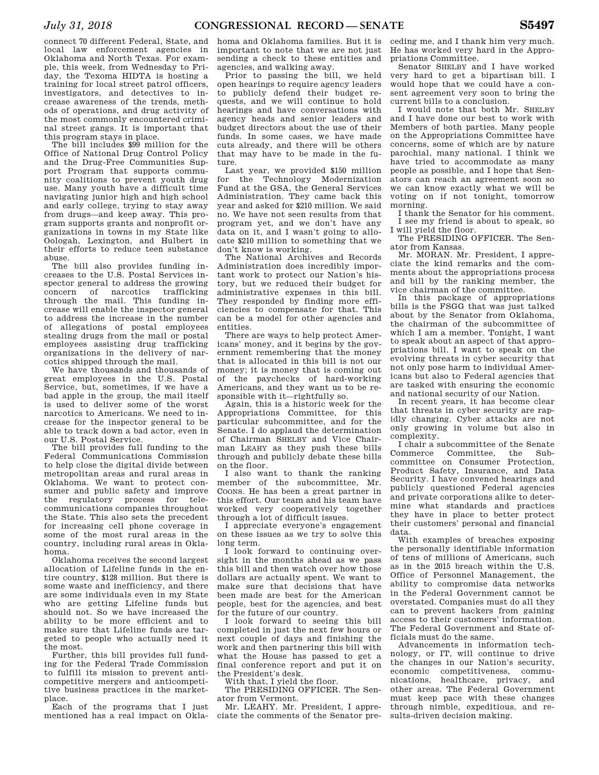connect 70 different Federal, State, and local law enforcement agencies in Oklahoma and North Texas. For example, this week, from Wednesday to Friday, the Texoma HIDTA is hosting a training for local street patrol officers, investigators, and detectives to increase awareness of the trends, methods of operations, and drug activity of the most commonly encountered criminal street gangs. It is important that this program stays in place.

The bill includes \$99 million for the Office of National Drug Control Policy and the Drug-Free Communities Support Program that supports community coalitions to prevent youth drug use. Many youth have a difficult time navigating junior high and high school and early college, trying to stay away from drugs—and keep away. This program supports grants and nonprofit organizations in towns in my State like Oologah, Lexington, and Hulbert in their efforts to reduce teen substance abuse.

The bill also provides funding increases to the U.S. Postal Services inspector general to address the growing concern of narcotics trafficking through the mail. This funding increase will enable the inspector general to address the increase in the number of allegations of postal employees stealing drugs from the mail or postal employees assisting drug trafficking organizations in the delivery of narcotics shipped through the mail.

We have thousands and thousands of great employees in the U.S. Postal Service, but, sometimes, if we have a bad apple in the group, the mail itself is used to deliver some of the worst narcotics to Americans. We need to increase for the inspector general to be able to track down a bad actor, even in our U.S. Postal Service.

The bill provides full funding to the Federal Communications Commission to help close the digital divide between metropolitan areas and rural areas in Oklahoma. We want to protect consumer and public safety and improve the regulatory process for telecommunications companies throughout the State. This also sets the precedent for increasing cell phone coverage in some of the most rural areas in the country, including rural areas in Oklahoma.

Oklahoma receives the second largest allocation of Lifeline funds in the entire country, \$128 million. But there is some waste and inefficiency, and there are some individuals even in my State who are getting Lifeline funds but should not. So we have increased the ability to be more efficient and to make sure that Lifeline funds are targeted to people who actually need it the most.

Further, this bill provides full funding for the Federal Trade Commission to fulfill its mission to prevent anticompetitive mergers and anticompetitive business practices in the marketplace.

Each of the programs that I just mentioned has a real impact on Okla-

homa and Oklahoma families. But it is important to note that we are not just sending a check to these entities and agencies, and walking away.

Prior to passing the bill, we held open hearings to require agency leaders to publicly defend their budget requests, and we will continue to hold hearings and have conversations with agency heads and senior leaders and budget directors about the use of their funds. In some cases, we have made cuts already, and there will be others that may have to be made in the future.

Last year, we provided \$150 million for the Technology Modernization Fund at the GSA, the General Services Administration. They came back this year and asked for \$210 million. We said no. We have not seen results from that program yet, and we don't have any data on it, and I wasn't going to allocate \$210 million to something that we don't know is working.

The National Archives and Records Administration does incredibly important work to protect our Nation's history, but we reduced their budget for administrative expenses in this bill. They responded by finding more efficiencies to compensate for that. This can be a model for other agencies and entities.

There are ways to help protect Americans' money, and it begins by the government remembering that the money that is allocated in this bill is not our money; it is money that is coming out of the paychecks of hard-working Americans, and they want us to be responsible with it—rightfully so.

Again, this is a historic week for the Appropriations Committee, for this particular subcommittee, and for the Senate. I do applaud the determination of Chairman SHELBY and Vice Chairman LEAHY as they push these bills through and publicly debate these bills on the floor.

I also want to thank the ranking member of the subcommittee, Mr. COONS. He has been a great partner in this effort. Our team and his team have worked very cooperatively together through a lot of difficult issues.

I appreciate everyone's engagement on these issues as we try to solve this long term.

I look forward to continuing oversight in the months ahead as we pass this bill and then watch over how those dollars are actually spent. We want to make sure that decisions that have been made are best for the American people, best for the agencies, and best for the future of our country.

I look forward to seeing this bill completed in just the next few hours or next couple of days and finishing the work and then partnering this bill with what the House has passed to get a final conference report and put it on the President's desk.

With that, I yield the floor.

The PRESIDING OFFICER. The Senator from Vermont.

Mr. LEAHY. Mr. President, I appreciate the comments of the Senator preceding me, and I thank him very much. He has worked very hard in the Appropriations Committee.

Senator SHELBY and I have worked very hard to get a bipartisan bill. I would hope that we could have a consent agreement very soon to bring the current bills to a conclusion.

I would note that both Mr. SHELBY and I have done our best to work with Members of both parties. Many people on the Appropriations Committee have concerns, some of which are by nature parochial, many national. I think we have tried to accommodate as many people as possible, and I hope that Senators can reach an agreement soon so we can know exactly what we will be voting on if not tonight, tomorrow morning.

I thank the Senator for his comment. I see my friend is about to speak, so I will yield the floor.

The PRESIDING OFFICER. The Senator from Kansas.

Mr. MORAN. Mr. President, I appreciate the kind remarks and the comments about the appropriations process and bill by the ranking member, the vice chairman of the committee.

In this package of appropriations bills is the FSGG that was just talked about by the Senator from Oklahoma, the chairman of the subcommittee of which I am a member. Tonight, I want to speak about an aspect of that appropriations bill. I want to speak on the evolving threats in cyber security that not only pose harm to individual Americans but also to Federal agencies that are tasked with ensuring the economic and national security of our Nation.

In recent years, it has become clear that threats in cyber security are rapidly changing. Cyber attacks are not only growing in volume but also in complexity.

I chair a subcommittee of the Senate Commerce Committee, the Subcommittee on Consumer Protection, Product Safety, Insurance, and Data Security. I have convened hearings and publicly questioned Federal agencies and private corporations alike to determine what standards and practices they have in place to better protect their customers' personal and financial data.

With examples of breaches exposing the personally identifiable information of tens of millions of Americans, such as in the 2015 breach within the U.S. Office of Personnel Management, the ability to compromise data networks in the Federal Government cannot be overstated. Companies must do all they can to prevent hackers from gaining access to their customers' information. The Federal Government and State officials must do the same.

Advancements in information technology, or IT, will continue to drive the changes in our Nation's security, economic competitiveness, communications, healthcare, privacy, and other areas. The Federal Government must keep pace with these changes through nimble, expeditious, and results-driven decision making.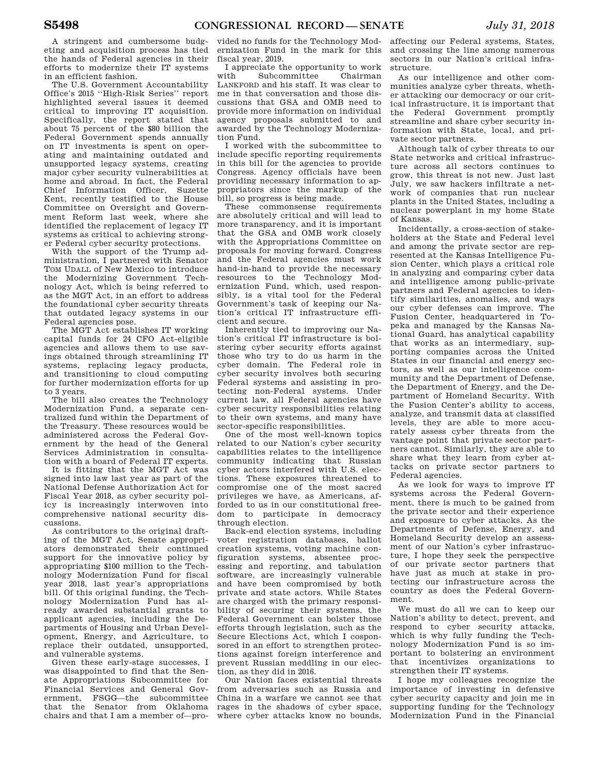A stringent and cumbersome budgeting and acquisition process has tied the hands of Federal agencies in their efforts to modernize their IT systems in an efficient fashion.

The U.S. Government Accountability Office's 2015 ''High-Risk Series'' report highlighted several issues it deemed critical to improving IT acquisition. Specifically, the report stated that about 75 percent of the \$80 billion the Federal Government spends annually on IT investments is spent on operating and maintaining outdated and unsupported legacy systems, creating major cyber security vulnerabilities at home and abroad. In fact, the Federal Chief Information Officer, Suzette Kent, recently testified to the House Committee on Oversight and Government Reform last week, where she identified the replacement of legacy IT systems as critical to achieving stronger Federal cyber security protections.

With the support of the Trump administration, I partnered with Senator TOM UDALL of New Mexico to introduce the Modernizing Government Technology Act, which is being referred to as the MGT Act, in an effort to address the foundational cyber security threats that outdated legacy systems in our Federal agencies pose.

The MGT Act establishes IT working capital funds for 24 CFO Act-eligible agencies and allows them to use savings obtained through streamlining IT systems, replacing legacy products, and transitioning to cloud computing for further modernization efforts for up to 3 years.

The bill also creates the Technology Modernization Fund, a separate centralized fund within the Department of the Treasury. These resources would be administered across the Federal Government by the head of the General Services Administration in consultation with a board of Federal IT experts.

It is fitting that the MGT Act was signed into law last year as part of the National Defense Authorization Act for Fiscal Year 2018, as cyber security policy is increasingly interwoven into comprehensive national security discussions.

As contributors to the original drafting of the MGT Act, Senate appropriators demonstrated their continued support for the innovative policy by appropriating \$100 million to the Technology Modernization Fund for fiscal year 2018, last year's appropriations bill. Of this original funding, the Technology Modernization Fund has already awarded substantial grants to applicant agencies, including the Departments of Housing and Urban Development, Energy, and Agriculture, to replace their outdated, unsupported, and vulnerable systems.

Given these early-stage successes, I was disappointed to find that the Senate Appropriations Subcommittee for Financial Services and General Government, FSGG—the subcommittee that the Senator from Oklahoma chairs and that I am a member of—pro-

vided no funds for the Technology Modernization Fund in the mark for this fiscal year, 2019.

I appreciate the opportunity to work Subcommittee LANKFORD and his staff. It was clear to me in that conversation and those discussions that GSA and OMB need to provide more information on individual agency proposals submitted to and awarded by the Technology Modernization Fund.

I worked with the subcommittee to include specific reporting requirements in this bill for the agencies to provide Congress. Agency officials have been providing necessary information to appropriators since the markup of the bill, so progress is being made.

These commonsense requirements are absolutely critical and will lead to more transparency, and it is important that the GSA and OMB work closely with the Appropriations Committee on proposals for moving forward. Congress and the Federal agencies must work hand-in-hand to provide the necessary resources to the Technology Modernization Fund, which, used responsibly, is a vital tool for the Federal Government's task of keeping our Nation's critical IT infrastructure efficient and secure.

Inherently tied to improving our Nation's critical IT infrastructure is bolstering cyber security efforts against those who try to do us harm in the cyber domain. The Federal role in cyber security involves both securing Federal systems and assisting in protecting non-Federal systems. Under current law, all Federal agencies have cyber security responsibilities relating to their own systems, and many have sector-specific responsibilities.

One of the most well-known topics related to our Nation's cyber security capabilities relates to the intelligence community indicating that Russian cyber actors interfered with U.S. elections. These exposures threatened to compromise one of the most sacred privileges we have, as Americans, afforded to us in our constitutional freedom to participate in democracy through election.

Back-end election systems, including voter registration databases, ballot creation systems, voting machine configuration systems, absentee processing and reporting, and tabulation software, are increasingly vulnerable and have been compromised by both private and state actors. While States are charged with the primary responsibility of securing their systems, the Federal Government can bolster those efforts through legislation, such as the Secure Elections Act, which I cosponsored in an effort to strengthen protections against foreign interference and prevent Russian meddling in our election, as they did in 2016.

Our Nation faces existential threats from adversaries such as Russia and China in a warfare we cannot see that rages in the shadows of cyber space, where cyber attacks know no bounds,

affecting our Federal systems, States, and crossing the line among numerous sectors in our Nation's critical infrastructure.

As our intelligence and other communities analyze cyber threats, whether attacking our democracy or our critical infrastructure, it is important that the Federal Government promptly streamline and share cyber security information with State, local, and private sector partners.

Although talk of cyber threats to our State networks and critical infrastructure across all sectors continues to grow, this threat is not new. Just last July, we saw hackers infiltrate a network of companies that run nuclear plants in the United States, including a nuclear powerplant in my home State of Kansas.

Incidentally, a cross-section of stakeholders at the State and Federal level and among the private sector are represented at the Kansas Intelligence Fusion Center, which plays a critical role in analyzing and comparing cyber data and intelligence among public-private partners and Federal agencies to identify similarities, anomalies, and ways our cyber defenses can improve. The Fusion Center, headquartered in Topeka and managed by the Kansas National Guard, has analytical capability that works as an intermediary, supporting companies across the United States in our financial and energy sectors, as well as our intelligence community and the Department of Defense, the Department of Energy, and the Department of Homeland Security. With the Fusion Center's ability to access, analyze, and transmit data at classified levels, they are able to more accurately assess cyber threats from the vantage point that private sector partners cannot. Similarly, they are able to share what they learn from cyber attacks on private sector partners to Federal agencies.

As we look for ways to improve IT systems across the Federal Government, there is much to be gained from the private sector and their experience and exposure to cyber attacks. As the Departments of Defense, Energy, and Homeland Security develop an assessment of our Nation's cyber infrastructure, I hope they seek the perspective of our private sector partners that have just as much at stake in protecting our infrastructure across the country as does the Federal Government.

We must do all we can to keep our Nation's ability to detect, prevent, and respond to cyber security attacks, which is why fully funding the Technology Modernization Fund is so important to bolstering an environment that incentivizes organizations to strengthen their IT systems.

I hope my colleagues recognize the importance of investing in defensive cyber security capacity and join me in supporting funding for the Technology Modernization Fund in the Financial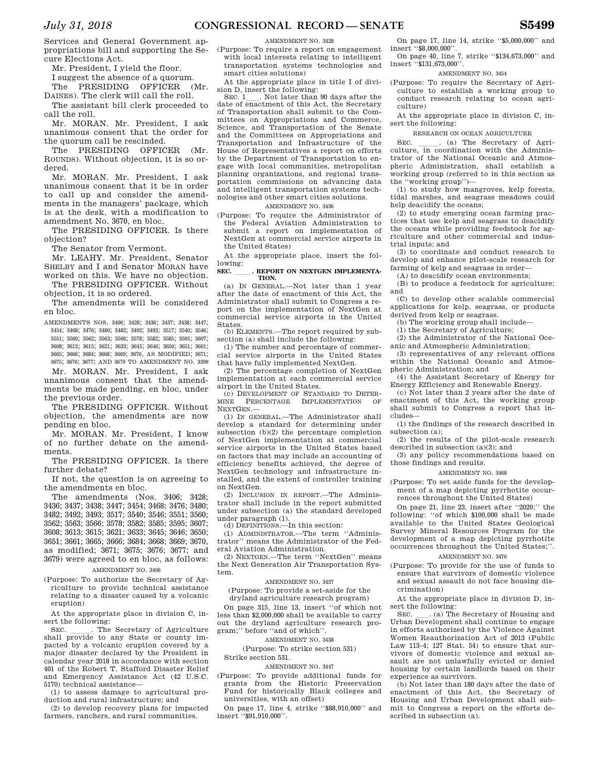Services and General Government appropriations bill and supporting the Secure Elections Act.

Mr. President, I yield the floor.

I suggest the absence of a quorum. The PRESIDING OFFICER (Mr.

DAINES). The clerk will call the roll. The assistant bill clerk proceeded to

call the roll. Mr. MORAN. Mr. President, I ask

unanimous consent that the order for the quorum call be rescinded.

The PRESIDING OFFICER (Mr. ROUNDS). Without objection, it is so ordered.

Mr. MORAN. Mr. President, I ask unanimous consent that it be in order to call up and consider the amendments in the managers' package, which is at the desk, with a modification to amendment No. 3670, en bloc.

The PRESIDING OFFICER. Is there objection?

The Senator from Vermont.

Mr. LEAHY. Mr. President, Senator SHELBY and I and Senator MORAN have worked on this. We have no objection.

The PRESIDING OFFICER. Without objection, it is so ordered.

The amendments will be considered en bloc.

AMENDMENTS NOS. 3406; 3428; 3436; 3437; 3438; 3447; 3454; 3468; 3476; 3480; 3482; 3492; 3493; 3517; 3540; 3546; 3551; 3560; 3562; 3563; 3566; 3578; 3582; 3585; 3595; 3607; 3608; 3613; 3615; 3621; 3633; 3645; 3646; 3650; 3651; 3661; 3665; 3666; 3684; 3668; 3669; 3670, AS MODIFIED; 3671; 3675; 3676; 3677; AND 3679 TO AMENDMENT NO. 3399

Mr. MORAN. Mr. President, I ask unanimous consent that the amendments be made pending, en bloc, under the previous order.

The PRESIDING OFFICER. Without objection, the amendments are now pending en bloc.

Mr. MORAN. Mr. President, I know of no further debate on the amendments.

The PRESIDING OFFICER. Is there further debate?

If not, the question is on agreeing to the amendments en bloc.

The amendments (Nos. 3406; 3428; 3436; 3437; 3438; 3447; 3454; 3468; 3476; 3480; 3482; 3492; 3493; 3517; 3540; 3546; 3551; 3560; 3562; 3563; 3566; 3578; 3582; 3585; 3595; 3607; 3608; 3613; 3615; 3621; 3633; 3645; 3646; 3650; 3651; 3661; 3665; 3666; 3684; 3668; 3669; 3670, as modified; 3671; 3675; 3676; 3677; and 3679) were agreed to en bloc, as follows: AMENDMENT NO. 3406

(Purpose: To authorize the Secretary of Agriculture to provide technical assistance relating to a disaster caused by a volcanic eruption)

At the appropriate place in division C, insert the following:

SEC. The Secretary of Agriculture shall provide to any State or county impacted by a volcanic eruption covered by a major disaster declared by the President in calendar year 2018 in accordance with section 401 of the Robert T. Stafford Disaster Relief and Emergency Assistance Act (42 U.S.C. 5170) technical assistance—

(1) to assess damage to agricultural production and rural infrastructure; and

(2) to develop recovery plans for impacted farmers, ranchers, and rural communities.

### AMENDMENT NO. 3428

(Purpose: To require a report on engagement with local interests relating to intelligent transportation systems technologies and smart cities solutions)

At the appropriate place in title I of divi-

sion D, insert the following:<br>
SEC.  $1 \_$ . Not later than 90 days after the<br>
date of enactment of this Act, the Secretary date of enactment of this Act, the Secretary of Transportation shall submit to the Committees on Appropriations and Commerce, Science, and Transportation of the Senate and the Committees on Appropriations and Transportation and Infrastructure of the House of Representatives a report on efforts by the Department of Transportation to engage with local communities, metropolitan planning organizations, and regional transportation commissions on advancing data and intelligent transportation systems technologies and other smart cities solutions.

AMENDMENT NO. 3436

(Purpose: To require the Administrator of the Federal Aviation Administration to submit a report on implementation of NextGen at commercial service airports in the United States)

At the appropriate place, insert the following:

#### SEC. REPORT ON NEXTGEN IMPLEMENTA-**TION.**

(a) IN GENERAL.—Not later than 1 year after the date of enactment of this Act, the Administrator shall submit to Congress a report on the implementation of NextGen at commercial service airports in the United States.

(b) ELEMENTS.—The report required by subsection (a) shall include the following:

(1) The number and percentage of commercial service airports in the United States that have fully implemented NextGen.

(2) The percentage completion of NextGen implementation at each commercial service airport in the United States.

CO DEVELOPMENT OF STANDARD TO DETER-<br>INE PERCENTAGE IMPLEMENTATION OF MINE PERCENTAGE IMPLEMENTATION NEXTGEN.—

(1) IN GENERAL.—The Administrator shall develop a standard for determining under subsection (b)(2) the percentage completion of NextGen implementation at commercial service airports in the United States based on factors that may include an accounting of efficiency benefits achieved, the degree of NextGen technology and infrastructure installed, and the extent of controller training on NextGen.

(2) INCLUSION IN REPORT.—The Administrator shall include in the report submitted under subsection (a) the standard developed under paragraph (1). (d) DEFINITIONS.—In this section:

(1) ADMINISTRATOR.—The term ''Administrator'' means the Administrator of the Federal Aviation Administration.

(2) NEXTGEN.—The term ''NextGen'' means the Next Generation Air Transportation System.

### AMENDMENT NO. 3437

(Purpose: To provide a set-aside for the dryland agriculture research program)

On page 315, line 13, insert ''of which not less than \$2,000,000 shall be available to carry out the dryland agriculture research program;'' before ''and of which''.

AMENDMENT NO. 3438

(Purpose: To strike section 531) Strike section 531.

AMENDMENT NO. 3447

(Purpose: To provide additional funds for grants from the Historic Preservation Fund for historically Black colleges and universities, with an offset)

On page 17, line 4, strike ''\$88,910,000'' and insert ''\$91,910,000''.

On page 17, line 14, strike ''\$5,000,000'' and insert ''\$8,000,000''.

On page 40, line 7, strike ''\$134,673,000'' and insert ''\$131,673,000''.

### AMENDMENT NO. 3454

(Purpose: To require the Secretary of Agriculture to establish a working group to conduct research relating to ocean agriculture)

At the appropriate place in division C, insert the following:

RESEARCH ON OCEAN AGRICULTURE

SEC.  $\qquad \qquad$  (a) The Secretary of Agriculture, in coordination with the Administrator of the National Oceanic and Atmospheric Administration, shall establish a working group (referred to in this section as the ''working group'')—

(1) to study how mangroves, kelp forests, tidal marshes, and seagrass meadows could help deacidify the oceans;

(2) to study emerging ocean farming practices that use kelp and seagrass to deacidify the oceans while providing feedstock for agriculture and other commercial and industrial inputs; and

(3) to coordinate and conduct research to develop and enhance pilot-scale research for farming of kelp and seagrass in order—

(A) to deacidify ocean environments;

(B) to produce a feedstock for agriculture; and

(C) to develop other scalable commercial applications for kelp, seagrass, or products derived from kelp or seagrass.

(b) The working group shall include—

(1) the Secretary of Agriculture;

(2) the Administrator of the National Oceanic and Atmospheric Administration;

(3) representatives of any relevant offices within the National Oceanic and Atmospheric Administration; and

(4) the Assistant Secretary of Energy for Energy Efficiency and Renewable Energy.

(c) Not later than 2 years after the date of enactment of this Act, the working group shall submit to Congress a report that includes—

(1) the findings of the research described in subsection (a);

(2) the results of the pilot-scale research described in subsection  $(a)(3)$ ; and

(3) any policy recommendations based on those findings and results.

#### AMENDMENT NO. 3468

(Purpose: To set aside funds for the development of a map depicting pyrrhotite occurrences throughout the United States)

On page 21, line 23, insert after ''2020;'' the following: ''of which \$100,000 shall be made available to the United States Geological Survey Mineral Resources Program for the development of a map depicting pyrrhotite occurrences throughout the United States;''.

### AMENDMENT NO. 3476

(Purpose: To provide for the use of funds to ensure that survivors of domestic violence and sexual assault do not face housing discrimination)

At the appropriate place in division D, insert the following:

SEC. (a) The Secretary of Housing and Urban Development shall continue to engage in efforts authorized by the Violence Against Women Reauthorization Act of 2013 (Public Law 113–4; 127 Stat. 54) to ensure that survivors of domestic violence and sexual assault are not unlawfully evicted or denied housing by certain landlords based on their experience as survivors.

(b) Not later than 180 days after the date of enactment of this Act, the Secretary of Housing and Urban Development shall submit to Congress a report on the efforts described in subsection (a).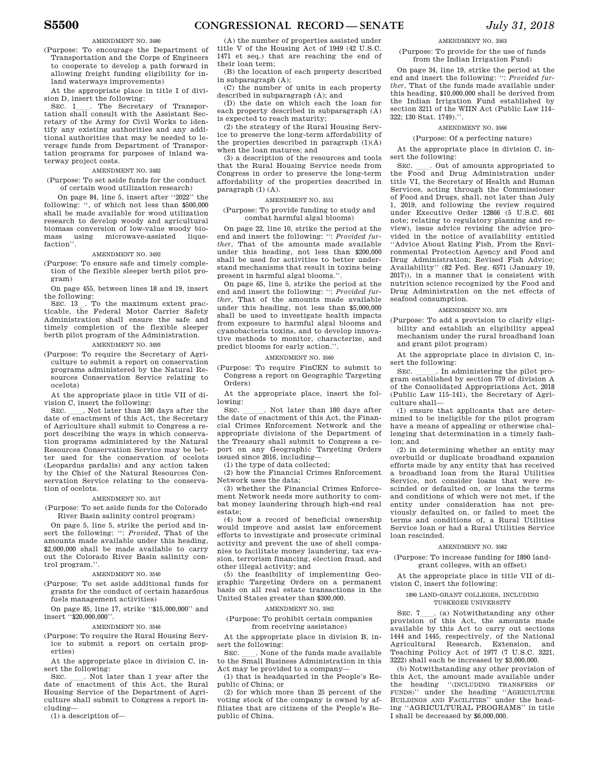### AMENDMENT NO. 3480

(Purpose: To encourage the Department of Transportation and the Corps of Engineers to cooperate to develop a path forward in allowing freight funding eligibility for inland waterways improvements)

At the appropriate place in title I of division D, insert the following:<br>SEC. 1 The Secretary of Transpor-

SEC. 1<sub>1</sub>. The Secretary of Transportation shall consult with the Assistant Secretary of the Army for Civil Works to identify any existing authorities and any additional authorities that may be needed to leverage funds from Department of Transportation programs for purposes of inland waterway project costs.

### AMENDMENT NO. 3482

(Purpose: To set aside funds for the conduct of certain wood utilization research)

On page 84, line 5, insert after ''2022'' the following: '', of which not less than \$500,000 shall be made available for wood utilization research to develop woody and agricultural biomass conversion of low-value woody biomicrowave-assisted liquefaction''.

#### AMENDMENT NO. 3492

(Purpose: To ensure safe and timely completion of the flexible sleeper berth pilot program)

On page 455, between lines 18 and 19, insert the following:

SEC. 13 . To the maximum extent practicable, the Federal Motor Carrier Safety Administration shall ensure the safe and timely completion of the flexible sleeper berth pilot program of the Administration. AMENDMENT NO. 3493

(Purpose: To require the Secretary of Agriculture to submit a report on conservation programs administered by the Natural Resources Conservation Service relating to ocelots)

At the appropriate place in title VII of division C, insert the following:<br>SEC. \_\_\_. Not later than 180 days after the

SEC. Let I han 180 days after the date of enactment of this Act, the Secretary of Agriculture shall submit to Congress a report describing the ways in which conservation programs administered by the Natural Resources Conservation Service may be better used for the conservation of ocelots (Leopardus pardalis) and any action taken by the Chief of the Natural Resources Conservation Service relating to the conservation of ocelots.

#### AMENDMENT NO. 3517

(Purpose: To set aside funds for the Colorado River Basin salinity control program)

On page 5, line 5, strike the period and insert the following: '': *Provided*, That of the amounts made available under this heading, \$2,000,000 shall be made available to carry out the Colorado River Basin salinity control program.''.

#### AMENDMENT NO. 3540

(Purpose: To set aside additional funds for grants for the conduct of certain hazardous fuels management activities)

On page 85, line 17, strike ''\$15,000,000'' and insert ''\$20,000,000''.

#### AMENDMENT NO. 3546

(Purpose: To require the Rural Housing Service to submit a report on certain properties)

At the appropriate place in division C, insert the following:<br>SEC. Rot later than 1 year after the

SEC.  $\quad$  Not later than 1 year after the date of enactment of this Act, the Rural Housing Service of the Department of Agriculture shall submit to Congress a report including—

(1) a description of—

(A) the number of properties assisted under title V of the Housing Act of 1949 (42 U.S.C. 1471 et seq.) that are reaching the end of their loan term;

(B) the location of each property described in subparagraph (A);

(C) the number of units in each property described in subparagraph (A); and

(D) the date on which each the loan for each property described in subparagraph (A) is expected to reach maturity;

(2) the strategy of the Rural Housing Service to preserve the long-term affordability of the properties described in paragraph  $(1)(A)$ when the loan matures; and

(3) a description of the resources and tools that the Rural Housing Service needs from Congress in order to preserve the long-term affordability of the properties described in  $paragnh (1) (A).$ 

### AMENDMENT NO. 3551

### (Purpose: To provide funding to study and combat harmful algal blooms)

On page 22, line 10, strike the period at the end and insert the following: '': *Provided further*, That of the amounts made available under this heading, not less than \$200,000 shall be used for activities to better understand mechanisms that result in toxins being present in harmful algal blooms."

On page 65, line 5, strike the period at the end and insert the following: '': *Provided further*, That of the amounts made available under this heading, not less than \$5,000,000 shall be used to investigate health impacts from exposure to harmful algal blooms and cyanobacteria toxins, and to develop innovative methods to monitor, characterize, and predict blooms for early action.''.

### AMENDMENT NO. 3560

(Purpose: To require FinCEN to submit to Congress a report on Geographic Targeting Orders)

At the appropriate place, insert the fol-

lowing:<br>SEC. SEC. Let the date of enactment of this Act, the Financial Crimes Enforcement Network and the appropriate divisions of the Department of the Treasury shall submit to Congress a report on any Geographic Targeting Orders issued since 2016, including—

(1) the type of data collected;

(2) how the Financial Crimes Enforcement Network uses the data;

(3) whether the Financial Crimes Enforcement Network needs more authority to combat money laundering through high-end real estate;

(4) how a record of beneficial ownership would improve and assist law enforcement efforts to investigate and prosecute criminal activity and prevent the use of shell companies to facilitate money laundering, tax evasion, terrorism financing, election fraud, and other illegal activity; and

(5) the feasibility of implementing Geographic Targeting Orders on a permanent basis on all real estate transactions in the United States greater than \$300,000.

#### AMENDMENT NO. 3562

### (Purpose: To prohibit certain companies from receiving assistance)

At the appropriate place in division B, insert the following:

SEC. Such a None of the funds made available to the Small Business Administration in this Act may be provided to a company-

(1) that is headquarted in the People's Republic of China; or

(2) for which more than 25 percent of the voting stock of the company is owned by affiliates that are citizens of the People's Republic of China.

AMENDMENT NO. 3563

(Purpose: To provide for the use of funds from the Indian Irrigation Fund)

On page 34, line 19, strike the period at the end and insert the following: '': *Provided further*, That of the funds made available under this heading, \$10,000,000 shall be derived from the Indian Irrigation Fund established by section 3211 of the WIIN Act (Public Law 114– 322; 130 Stat. 1749).''.

#### AMENDMENT NO. 3566

### (Purpose: Of a perfecting nature)

At the appropriate place in division C, insert the following:

SEC. Cut of amounts appropriated to the Food and Drug Administration under title VI, the Secretary of Health and Human Services, acting through the Commissioner of Food and Drugs, shall, not later than July 1, 2019, and following the review required under Executive Order 12866 (5 U.S.C. 601 note; relating to regulatory planning and review), issue advice revising the advice provided in the notice of availability entitled ''Advice About Eating Fish, From the Environmental Protection Agency and Food and Drug Administration; Revised Fish Advice; Availability'' (82 Fed. Reg. 6571 (January 19, 2017)), in a manner that is consistent with nutrition science recognized by the Food and Drug Administration on the net effects of seafood consumption.

#### AMENDMENT NO. 3578

(Purpose: To add a provision to clarify eligibility and establish an eligibility appeal mechanism under the rural broadband loan and grant pilot program)

At the appropriate place in division C, insert the following:

SEC. \_\_\_\_\_\_. In administering the pilot program established by section 779 of division A of the Consolidated Appropriations Act, 2018 (Public Law 115–141), the Secretary of Agriculture shall—

(1) ensure that applicants that are determined to be ineligible for the pilot program have a means of appealing or otherwise challenging that determination in a timely fashion; and

(2) in determining whether an entity may overbuild or duplicate broadband expansion efforts made by any entity that has received a broadband loan from the Rural Utilities Service, not consider loans that were rescinded or defaulted on, or loans the terms and conditions of which were not met, if the entity under consideration has not previously defaulted on, or failed to meet the terms and conditions of, a Rural Utilities Service loan or had a Rural Utilities Service loan rescinded.

#### AMENDMENT NO. 3582

(Purpose: To increase funding for 1890 landgrant colleges, with an offset)

At the appropriate place in title VII of division C, insert the following:

### 1890 LAND-GRANT COLLEGES, INCLUDING TUSKEGEE UNIVERSITY

### SEC. 7<sub>ll</sub>. (a) Notwithstanding any other provision of this Act, the amounts made available by this Act to carry out sections 1444 and 1445, respectively, of the National Agricultural Research, Extension, and Teaching Policy Act of 1977 (7 U.S.C. 3221, 3222) shall each be increased by \$3,000,000.

(b) Notwithstanding any other provision of this Act, the amount made available under the heading ''(INCLUDING TRANSFERS OF FUNDS)'' under the heading ''AGRICULTURE BUILDINGS AND FACILITIES'' under the heading ''AGRICULTURAL PROGRAMS'' in title I shall be decreased by \$6,000,000.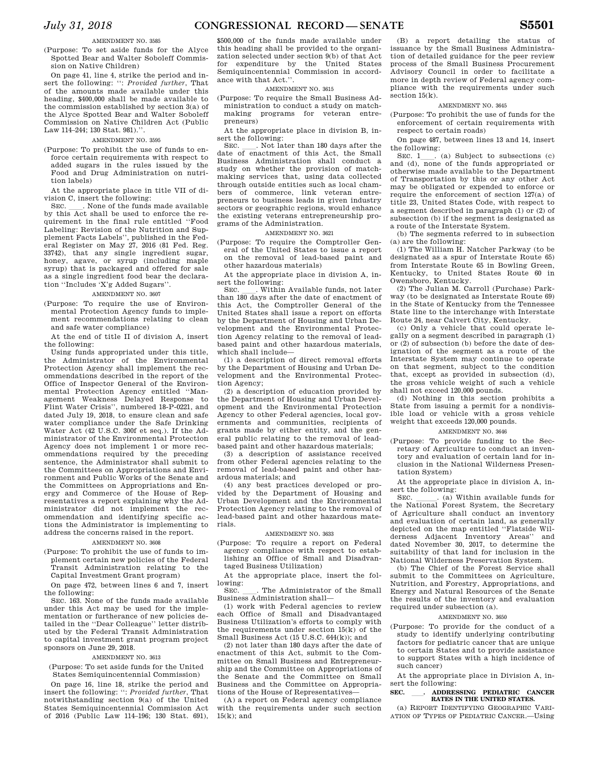### AMENDMENT NO. 3585

(Purpose: To set aside funds for the Alyce Spotted Bear and Walter Soboleff Commission on Native Children)

On page 41, line 4, strike the period and insert the following: '': *Provided further*, That of the amounts made available under this heading, \$400,000 shall be made available to the commission established by section 3(a) of the Alyce Spotted Bear and Walter Soboleff Commission on Native Children Act (Public Law 114–244; 130 Stat. 981).''.

### AMENDMENT NO. 3595

(Purpose: To prohibit the use of funds to enforce certain requirements with respect to added sugars in the rules issued by the Food and Drug Administration on nutrition labels)

At the appropriate place in title VII of division C, insert the following:<br>SEC. . None of the funds made available

SEC. Such a None of the funds made available by this Act shall be used to enforce the requirement in the final rule entitled ''Food Labeling: Revision of the Nutrition and Supplement Facts Labels'', published in the Federal Register on May 27, 2016 (81 Fed. Reg. 33742), that any single ingredient sugar, honey, agave, or syrup (including maple syrup) that is packaged and offered for sale as a single ingredient food bear the declaration ''Includes 'X'g Added Sugars''.

### AMENDMENT NO. 3607

(Purpose: To require the use of Environmental Protection Agency funds to implement recommendations relating to clean and safe water compliance)

At the end of title II of division A, insert the following:

Using funds appropriated under this title, the Administrator of the Environmental Protection Agency shall implement the recommendations described in the report of the Office of Inspector General of the Environmental Protection Agency entitled ''Management Weakness Delayed Response to Flint Water Crisis'', numbered 18-P-0221, and dated July 19, 2018, to ensure clean and safe water compliance under the Safe Drinking Water Act (42 U.S.C. 300f et seq.). If the Administrator of the Environmental Protection Agency does not implement 1 or more recommendations required by the preceding sentence, the Administrator shall submit to the Committees on Appropriations and Environment and Public Works of the Senate and the Committees on Appropriations and Energy and Commerce of the House of Representatives a report explaining why the Administrator did not implement the recommendation and identifying specific actions the Administrator is implementing to address the concerns raised in the report.

#### AMENDMENT NO. 3608

(Purpose: To prohibit the use of funds to implement certain new policies of the Federal Transit Administration relating to the Capital Investment Grant program)

On page 472, between lines 6 and 7, insert the following:

SEC. 163. None of the funds made available under this Act may be used for the implementation or furtherance of new policies detailed in the ''Dear Colleague'' letter distributed by the Federal Transit Administration to capital investment grant program project sponsors on June 29, 2018.

#### AMENDMENT NO. 3613

(Purpose: To set aside funds for the United States Semiquincentennial Commission)

On page 16, line 18, strike the period and insert the following: '': *Provided further*, That notwithstanding section 9(a) of the United States Semiquincentennial Commission Act of 2016 (Public Law 114–196; 130 Stat. 691),

\$500,000 of the funds made available under this heading shall be provided to the organization selected under section 9(b) of that Act for expenditure by the United States Semiquincentennial Commission in accordance with that Act.''.

AMENDMENT NO. 3615

(Purpose: To require the Small Business Ad-

ministration to conduct a study on matchmaking programs for veteran entrepreneurs)

At the appropriate place in division B, insert the following:

SEC. \_\_\_\_. Not later than 180 days after the date of enactment of this Act, the Small Business Administration shall conduct a study on whether the provision of matchmaking services that, using data collected through outside entities such as local chambers of commerce, link veteran entrepreneurs to business leads in given industry sectors or geographic regions, would enhance the existing veterans entrepreneurship programs of the Administration.

### AMENDMENT NO. 3621

(Purpose: To require the Comptroller General of the United States to issue a report

on the removal of lead-based paint and other hazardous materials)

At the appropriate place in division A, in-

sert the following:<br>SEC. . Within Available funds, not later SEC. Within Available funds, not later than 180 days after the date of enactment of this Act, the Comptroller General of the United States shall issue a report on efforts by the Department of Housing and Urban Development and the Environmental Protection Agency relating to the removal of leadbased paint and other hazardous materials, which shall include—

(1) a description of direct removal efforts by the Department of Housing and Urban Development and the Environmental Protection Agency;

(2) a description of education provided by the Department of Housing and Urban Development and the Environmental Protection Agency to other Federal agencies, local governments and communities, recipients of grants made by either entity, and the general public relating to the removal of leadbased paint and other hazardous materials;

(3) a description of assistance received from other Federal agencies relating to the removal of lead-based paint and other hazardous materials; and

(4) any best practices developed or provided by the Department of Housing and Urban Development and the Environmental Protection Agency relating to the removal of lead-based paint and other hazardous materials.

#### AMENDMENT NO. 3633

(Purpose: To require a report on Federal agency compliance with respect to establishing an Office of Small and Disadvantaged Business Utilization)

At the appropriate place, insert the following:<br>SEC.

The Administrator of the Small Business Administration shall—

(1) work with Federal agencies to review each Office of Small and Disadvantaged Business Utilization's efforts to comply with the requirements under section 15(k) of the Small Business Act (15 U.S.C. 644(k)); and

(2) not later than 180 days after the date of enactment of this Act, submit to the Committee on Small Business and Entrepreneurship and the Committee on Appropriations of<br>the Senate and the Committee on Small Senate and the Committee on Small Business and the Committee on Appropriations of the House of Representatives—

(A) a report on Federal agency compliance with the requirements under such section  $15(k)$ ; and

(B) a report detailing the status of issuance by the Small Business Administration of detailed guidance for the peer review process of the Small Business Procurement Advisory Council in order to facilitate a more in depth review of Federal agency compliance with the requirements under such section  $15(k)$ .

### AMENDMENT NO. 3645

(Purpose: To prohibit the use of funds for the enforcement of certain requirements with respect to certain roads)

On page 487, between lines 13 and 14, insert

the following:<br>SEC.  $1$  (a) Subject to subsections (c) SEC. 1<sub>ll.</sub> (a) Subject to subsections (c) and (d), none of the funds appropriated or otherwise made available to the Department of Transportation by this or any other Act may be obligated or expended to enforce or require the enforcement of section 127(a) of title 23, United States Code, with respect to a segment described in paragraph (1) or (2) of subsection (b) if the segment is designated as a route of the Interstate System.

(b) The segments referred to in subsection (a) are the following:

(1) The William H. Natcher Parkway (to be designated as a spur of Interstate Route 65) from Interstate Route 65 in Bowling Green, Kentucky, to United States Route 60 in Owensboro, Kentucky.

(2) The Julian M. Carroll (Purchase) Parkway (to be designated as Interstate Route 69) in the State of Kentucky from the Tennessee State line to the interchange with Interstate Route 24, near Calvert City, Kentucky.

(c) Only a vehicle that could operate legally on a segment described in paragraph (1) or (2) of subsection (b) before the date of designation of the segment as a route of the Interstate System may continue to operate on that segment, subject to the condition that, except as provided in subsection (d), the gross vehicle weight of such a vehicle shall not exceed 120,000 pounds.

(d) Nothing in this section prohibits a State from issuing a permit for a nondivisible load or vehicle with a gross vehicle weight that exceeds 120,000 pounds.

### AMENDMENT NO. 3646

(Purpose: To provide funding to the Secretary of Agriculture to conduct an inventory and evaluation of certain land for inclusion in the National Wilderness Presentation System)

At the appropriate place in division A, in-

sert the following:<br>
SEC. \_\_\_\_\_. (a) Within available funds for<br>
the National Forest System, the Secretary the National Forest System, the Secretary of Agriculture shall conduct an inventory and evaluation of certain land, as generally depicted on the map entitled ''Flatside Wilderness Adjacent Inventory Areas'' and dated November 30, 2017, to determine the suitability of that land for inclusion in the National Wilderness Preservation System.

(b) The Chief of the Forest Service shall submit to the Committees on Agriculture, Nutrition, and Forestry, Appropriations, and Energy and Natural Resources of the Senate the results of the inventory and evaluation required under subsection (a).

#### AMENDMENT NO. 3650

(Purpose: To provide for the conduct of a study to identify underlying contributing factors for pediatric cancer that are unique to certain States and to provide assistance to support States with a high incidence of such cancer)

At the appropriate place in Division A, insert the following:

### **SEC.** ll**. ADDRESSING PEDIATRIC CANCER RATES IN THE UNITED STATES.**

(a) REPORT IDENTIFYING GEOGRAPHIC VARI-ATION OF TYPES OF PEDIATRIC CANCER.—Using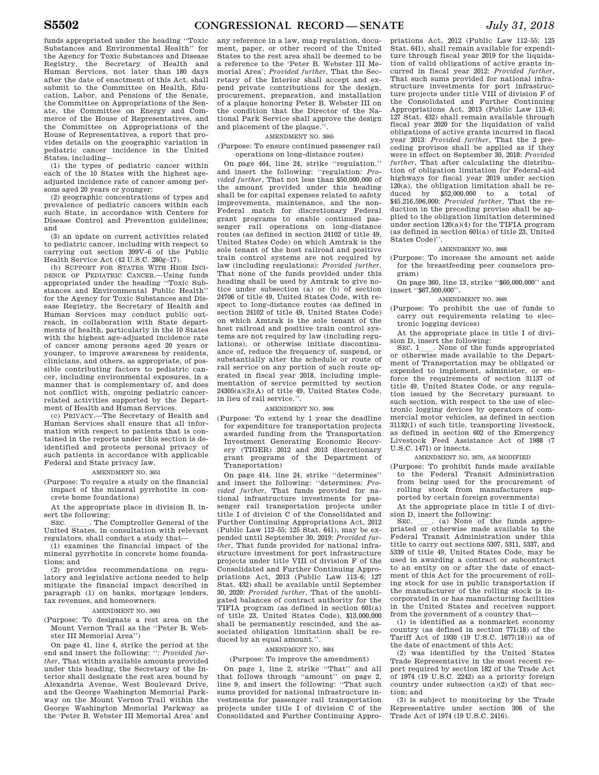funds appropriated under the heading ''Toxic Substances and Environmental Health'' for the Agency for Toxic Substances and Disease Registry, the Secretary of Health and Human Services, not later than 180 days after the date of enactment of this Act, shall submit to the Committee on Health, Education, Labor, and Pensions of the Senate, the Committee on Appropriations of the Senate, the Committee on Energy and Commerce of the House of Representatives, and the Committee on Appropriations of the House of Representatives, a report that provides details on the geographic variation in pediatric cancer incidence in the United States, including—

(1) the types of pediatric cancer within each of the 10 States with the highest ageadjusted incidence rate of cancer among persons aged 20 years or younger;

(2) geographic concentrations of types and prevalence of pediatric cancers within each such State, in accordance with Centers for Disease Control and Prevention guidelines; and

(3) an update on current activities related to pediatric cancer, including with respect to carrying out section 399V–6 of the Public Health Service Act (42 U.S.C. 280g–17).

(b) SUPPORT FOR STATES WITH HIGH INCI-DENCE OF PEDIATRIC CANCER.—Using funds appropriated under the heading ''Toxic Substances and Environmental Public Health'' for the Agency for Toxic Substances and Disease Registry, the Secretary of Health and Human Services may conduct public outreach, in collaboration with State departments of health, particularly in the 10 States with the highest age-adjusted incidence rate of cancer among persons aged 20 years or younger, to improve awareness by residents, clinicians, and others, as appropriate, of possible contributing factors to pediatric cancer, including environmental exposures, in a manner that is complementary of, and does not conflict with, ongoing pediatric cancerrelated activities supported by the Department of Health and Human Services.

(c) PRIVACY.—The Secretary of Health and Human Services shall ensure that all information with respect to patients that is contained in the reports under this section is deidentified and protects personal privacy of such patients in accordance with applicable Federal and State privacy law.

### AMENDMENT NO. 3651

(Purpose: To require a study on the financial impact of the mineral pyrrhotite in concrete home foundations)

At the appropriate place in division B, insert the following:<br>SEC. Fhe Comptroller General of the

SEC. CHE COMPTIAN COMPTIANT CHE United States, in consultation with relevant regulators, shall conduct a study that—

(1) examines the financial impact of the mineral pyrrhotite in concrete home foundations; and

(2) provides recommendations on regulatory and legislative actions needed to help mitigate the financial impact described in paragraph (1) on banks, mortgage lenders, tax revenues, and homeowners.

### AMENDMENT NO. 3661

(Purpose: To designate a rest area on the Mount Vernon Trail as the ''Peter B. Webster III Memorial Area'')

On page 41, line 4, strike the period at the end and insert the following: '': *Provided further*, That within available amounts provided under this heading, the Secretary of the Interior shall designate the rest area bound by Alexandria Avenue, West Boulevard Drive, and the George Washington Memorial Parkway on the Mount Vernon Trail within the George Washington Memorial Parkway as the 'Peter B. Webster III Memorial Area' and

any reference in a law, map regulation, document, paper, or other record of the United States to the rest area shall be deemed to be a reference to the 'Peter B. Webster III Memorial Area'; *Provided further*, That the Secretary of the Interior shall accept and expend private contributions for the design, procurement, preparation, and installation of a plaque honoring Peter B. Webster III on the condition that the Director of the National Park Service shall approve the design and placement of the plaque.''.

### AMENDMENT NO. 3665

(Purpose: To ensure continued passenger rail operations on long-distance routes)

On page 464, line 24, strike ''regulation.'' and insert the following: ''regulation: *Provided further*, That not less than \$50,000,000 of the amount provided under this heading shall be for capital expenses related to safety improvements, maintenance, and the non-Federal match for discretionary Federal grant programs to enable continued passenger rail operations on long-distance routes (as defined in section 24102 of title 49, United States Code) on which Amtrak is the sole tenant of the host railroad and positive train control systems are not required by law (including regulations): *Provided further*, That none of the funds provided under this heading shall be used by Amtrak to give notice under subsection (a) or (b) of section 24706 of title 49, United States Code, with respect to long-distance routes (as defined in section 24102 of title 49, United States Code) on which Amtrak is the sole tenant of the host railroad and positive train control systems are not required by law (including regulations), or otherwise initiate discontinuance of, reduce the frequency of, suspend, or substantially alter the schedule or route of rail service on any portion of such route operated in fiscal year 2018, including implementation of service permitted by section  $24305(a)(3)(A)$  of title  $49$ . United States Code, in lieu of rail service.''.

### AMENDMENT NO. 3666

(Purpose: To extend by 1 year the deadline for expenditure for transportation projects awarded funding from the Transportation Investment Generating Economic Recovery (TIGER) 2012 and 2013 discretionary grant programs of the Department of Transportation)

On page 414, line 24, strike ''determines'' and insert the following: ''determines: *Provided further*, That funds provided for national infrastructure investments for passenger rail transportation projects under title I of division C of the Consolidated and Further Continuing Appropriations Act, 2012 (Public Law 112–55; 125 Stat. 641), may be expended until September 30, 2019: *Provided further*, That funds provided for national infrastructure investment for port infrastructure projects under title VIII of division F of the Consolidated and Further Continuing Appropriations Act, 2013 (Public Law 113–6; 127 Stat. 432) shall be available until September 30, 2020: *Provided further*, That of the unobligated balances of contract authority for the TIFIA program (as defined in section 601(a) of title 23, United States Code), \$13,000,000 shall be permanently rescinded, and the associated obligation limitation shall be reduced by an equal amount.''.

#### AMENDMENT NO. 3684

### (Purpose: To improve the amendment)

On page 1, line 2, strike ''That'' and all that follows through ''amount'' on page 2, line 9, and insert the following: ''That such sums provided for national infrastructure investments for passenger rail transportation projects under title I of division C of the Consolidated and Further Continuing Appro-

priations Act, 2012 (Public Law 112–55; 125 Stat. 641), shall remain available for expenditure through fiscal year 2019 for the liquidation of valid obligations of active grants incurred in fiscal year 2012: *Provided further*, That such sums provided for national infrastructure investments for port infrastruc-ture projects under title VIII of division F of the Consolidated and Further Continuing Appropriations Act, 2013 (Public Law 113–6; 127 Stat. 432) shall remain available through fiscal year 2020 for the liquidation of valid obligations of active grants incurred in fiscal year 2013: *Provided further*, That the 2 preceding provisos shall be applied as if they were in effect on September 30, 2018: *Provided further*, That after calculating the distribution of obligation limitation for Federal-aid highways for fiscal year 2019 under section  $120(a)$ , the obligation limitation shall be reduced by \$52,000,000 to a total of \$45,216,596,000: *Provided further*, That the reduction in the preceding proviso shall be applied to the obligation limitation determined under section  $120(a)(4)$  for the TIFIA program (as defined in section 601(a) of title 23, United States Code)''.

### AMENDMENT NO. 3668

(Purpose: To increase the amount set aside for the breastfeeding peer counselors program)

On page 360, line 13, strike ''\$60,000,000'' and insert ''\$67,500,000''.

#### AMENDMENT NO. 3669

(Purpose: To prohibit the use of funds to carry out requirements relating to electronic logging devices)

At the appropriate place in title I of division D, insert the following:<br>SEC 1 . None of the fu

. None of the funds appropriated or otherwise made available to the Department of Transportation may be obligated or expended to implement, administer, or enforce the requirements of section 31137 of title 49, United States Code, or any regulation issued by the Secretary pursuant to such section, with respect to the use of electronic logging devices by operators of commercial motor vehicles, as defined in section 31132(1) of such title, transporting livestock, as defined in section 602 of the Emergency Livestock Feed Assistance Act of 1988 (7 U.S.C. 1471) or insects.

AMENDMENT NO. 3670, AS MODIFIED

(Purpose: To prohibit funds made available to the Federal Transit Administration from being used for the procurement of rolling stock from manufacturers supported by certain foreign governments)

At the appropriate place in title I of division D, insert the following:<br>SEC. (a) None of the funds appro-

SEC.  $\quad$  (a) None of the funds appro-<br>priated or otherwise made available to the Federal Transit Administration under this title to carry out sections 5307, 5311, 5337, and 5339 of title 49, United States Code, may be used in awarding a contract or subcontract to an entity on or after the date of enactment of this Act for the procurement of rolling stock for use in public transportation if the manufacturer of the rolling stock is incorporated in or has manufacturing facilities in the United States and receives support from the government of a country that—

(1) is identified as a nonmarket economy country (as defined in section 771(18) of the Tariff Act of 1930 (19 U.S.C. 1677(18))) as of the date of enactment of this Act;

(2) was identified by the United States Trade Representative in the most recent report required by section 182 of the Trade Act of 1974 (19 U.S.C. 2242) as a priority foreign country under subsection (a)(2) of that section; and

(3) is subject to monitoring by the Trade Representative under section 306 of the Trade Act of 1974 (19 U.S.C. 2416).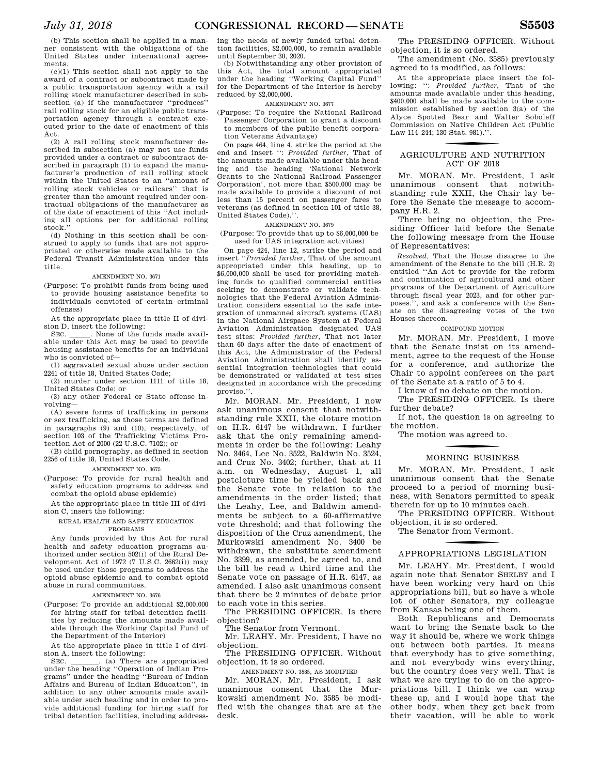(b) This section shall be applied in a manner consistent with the obligations of the United States under international agreements.

 $(c)(1)$  This section shall not apply to the award of a contract or subcontract made by a public transportation agency with a rail rolling stock manufacturer described in subsection (a) if the manufacturer ''produces'' rail rolling stock for an eligible public transportation agency through a contract executed prior to the date of enactment of this Act.

(2) A rail rolling stock manufacturer described in subsection (a) may not use funds provided under a contract or subcontract described in paragraph (1) to expand the manufacturer's production of rail rolling stock within the United States to an ''amount of rolling stock vehicles or railcars'' that is greater than the amount required under contractual obligations of the manufacturer as of the date of enactment of this ''Act including all options per for additional rolling stock.''

(d) Nothing in this section shall be construed to apply to funds that are not appropriated or otherwise made available to the Federal Transit Administration under this title.

### AMENDMENT NO. 3671

(Purpose: To prohibit funds from being used to provide housing assistance benefits to individuals convicted of certain criminal offenses)

At the appropriate place in title II of division D, insert the following:

SEC. \_\_\_\_\_. None of the funds made available under this Act may be used to provide housing assistance benefits for an individual who is convicted of—

(1) aggravated sexual abuse under section 2241 of title 18, United States Code;

(2) murder under section 1111 of title 18, United States Code; or

(3) any other Federal or State offense involving—

(A) severe forms of trafficking in persons or sex trafficking, as those terms are defined in paragraphs (9) and (10), respectively, of section 103 of the Trafficking Victims Protection Act of 2000 (22 U.S.C. 7102); or

(B) child pornography, as defined in section 2256 of title 18, United States Code.

AMENDMENT NO. 3675

(Purpose: To provide for rural health and safety education programs to address and combat the opioid abuse epidemic)

At the appropriate place in title III of division C, insert the following:

RURAL HEALTH AND SAFETY EDUCATION PROGRAMS

Any funds provided by this Act for rural health and safety education programs authorized under section 502(i) of the Rural Development Act of 1972  $(7 \text{ U.S.C. } 2662(i))$  may be used under those programs to address the opioid abuse epidemic and to combat opioid abuse in rural communities.

### AMENDMENT NO. 3676

(Purpose: To provide an additional \$2,000,000 for hiring staff for tribal detention facilities by reducing the amounts made available through the Working Capital Fund of the Department of the Interior)

At the appropriate place in title I of divi-

sion A, insert the following:<br>SEC. \_\_\_\_\_\_\_. (a) There are appropriated SEC. \_\_\_\_\_\_\_. (a) There are appropriated under the heading "Operation of Indian Programs'' under the heading ''Bureau of Indian Affairs and Bureau of Indian Education'', in addition to any other amounts made available under such heading and in order to provide additional funding for hiring staff for tribal detention facilities, including addressing the needs of newly funded tribal detention facilities, \$2,000,000, to remain available until September 30, 2020.

(b) Notwithstanding any other provision of this Act, the total amount appropriated under the heading ''Working Capital Fund'' for the Department of the Interior is hereby reduced by \$2,000,000.

### AMENDMENT NO. 3677

- (Purpose: To require the National Railroad Passenger Corporation to grant a discount to members of the public benefit corpora
	- tion Veterans Advantage)

On page 464, line 4, strike the period at the end and insert '': *Provided further*, That of the amounts made available under this heading and the heading 'National Network Grants to the National Railroad Passenger Corporation', not more than \$500,000 may be made available to provide a discount of not less than 15 percent on passenger fares to veterans (as defined in section 101 of title 38, United States Code).''.

### AMENDMENT NO. 3679

(Purpose: To provide that up to \$6,000,000 be used for UAS integration activities)

On page 424, line 12, strike the period and insert ''*Provided further*, That of the amount appropriated under this heading, up to \$6,000,000 shall be used for providing matching funds to qualified commercial entities seeking to demonstrate or validate technologies that the Federal Aviation Administration considers essential to the safe integration of unmanned aircraft systems (UAS) in the National Airspace System at Federal Aviation Administration designated UAS test sites: *Provided further*, That not later than 60 days after the date of enactment of this Act, the Administrator of the Federal Aviation Administration shall identify essential integration technologies that could be demonstrated or validated at test sites designated in accordance with the preceding proviso."

Mr. MORAN. Mr. President, I now ask unanimous consent that notwithstanding rule XXII, the cloture motion on H.R. 6147 be withdrawn. I further ask that the only remaining amendments in order be the following: Leahy No. 3464, Lee No. 3522, Baldwin No. 3524, and Cruz No. 3402; further, that at 11 a.m. on Wednesday, August 1, all postcloture time be yielded back and the Senate vote in relation to the amendments in the order listed; that the Leahy, Lee, and Baldwin amendments be subject to a 60-affirmative vote threshold; and that following the disposition of the Cruz amendment, the Murkowski amendment No. 3400 be withdrawn, the substitute amendment No. 3399, as amended, be agreed to, and the bill be read a third time and the Senate vote on passage of H.R. 6147, as amended. I also ask unanimous consent that there be 2 minutes of debate prior to each vote in this series.

The PRESIDING OFFICER. Is there objection?

The Senator from Vermont.

Mr. LEAHY. Mr. President, I have no objection.

The PRESIDING OFFICER. Without objection, it is so ordered.

AMENDMENT NO. 3585, AS MODIFIED

Mr. MORAN. Mr. President, I ask unanimous consent that the Murkowski amendment No. 3585 be modified with the changes that are at the desk.

The PRESIDING OFFICER. Without objection, it is so ordered.

The amendment (No. 3585) previously agreed to is modified, as follows:

At the appropriate place insert the following: '': *Provided further*, That of the amounts made available under this heading, \$400,000 shall be made available to the commission established by section 3(a) of the Alyce Spotted Bear and Walter Soboleff Commission on Native Children Act (Public Law 114–244; 130 Stat. 981).''.

### f AGRICULTURE AND NUTRITION ACT OF 2018

Mr. MORAN. Mr. President, I ask unanimous consent that notwithstanding rule XXII, the Chair lay before the Senate the message to accompany H.R. 2.

There being no objection, the Presiding Officer laid before the Senate the following message from the House of Representatives:

*Resolved,* That the House disagree to the amendment of the Senate to the bill (H.R. 2) entitled ''An Act to provide for the reform and continuation of agricultural and other programs of the Department of Agriculture through fiscal year 2023, and for other purposes.'', and ask a conference with the Senate on the disagreeing votes of the two Houses thereon.

### COMPOUND MOTION

Mr. MORAN. Mr. President, I move that the Senate insist on its amendment, agree to the request of the House for a conference, and authorize the Chair to appoint conferees on the part of the Senate at a ratio of 5 to 4.

I know of no debate on the motion.

The PRESIDING OFFICER. Is there further debate?

If not, the question is on agreeing to the motion.

The motion was agreed to.

### f MORNING BUSINESS

Mr. MORAN. Mr. President, I ask unanimous consent that the Senate proceed to a period of morning business, with Senators permitted to speak therein for up to 10 minutes each.

The PRESIDING OFFICER. Without objection, it is so ordered.

The Senator from Vermont.

### f APPROPRIATIONS LEGISLATION

Mr. LEAHY. Mr. President, I would again note that Senator SHELBY and I have been working very hard on this appropriations bill, but so have a whole lot of other Senators, my colleague from Kansas being one of them.

Both Republicans and Democrats want to bring the Senate back to the way it should be, where we work things out between both parties. It means that everybody has to give something, and not everybody wins everything, but the country does very well. That is what we are trying to do on the appropriations bill. I think we can wrap these up, and I would hope that the other body, when they get back from their vacation, will be able to work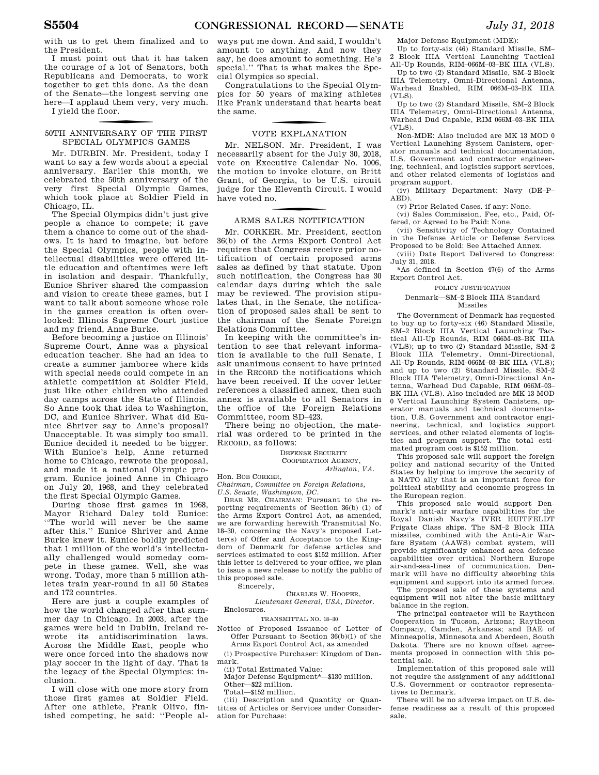with us to get them finalized and to the President.

I must point out that it has taken the courage of a lot of Senators, both Republicans and Democrats, to work together to get this done. As the dean of the Senate—the longest serving one here—I applaud them very, very much.

I yield the floor.

### 50TH ANNIVERSARY OF THE FIRST SPECIAL OLYMPICS GAMES

Mr. DURBIN. Mr. President, today I want to say a few words about a special anniversary. Earlier this month, we celebrated the 50th anniversary of the very first Special Olympic Games, which took place at Soldier Field in Chicago, IL.

The Special Olympics didn't just give people a chance to compete; it gave them a chance to come out of the shadows. It is hard to imagine, but before the Special Olympics, people with intellectual disabilities were offered little education and oftentimes were left in isolation and despair. Thankfully, Eunice Shriver shared the compassion and vision to create these games, but I want to talk about someone whose role in the games creation is often overlooked: Illinois Supreme Court justice and my friend, Anne Burke.

Before becoming a justice on Illinois' Supreme Court, Anne was a physical education teacher. She had an idea to create a summer jamboree where kids with special needs could compete in an athletic competition at Soldier Field, just like other children who attended day camps across the State of Illinois. So Anne took that idea to Washington, DC, and Eunice Shriver. What did Eunice Shriver say to Anne's proposal? Unacceptable. It was simply too small. Eunice decided it needed to be bigger. With Eunice's help, Anne returned home to Chicago, rewrote the proposal, and made it a national Olympic program. Eunice joined Anne in Chicago on July 20, 1968, and they celebrated the first Special Olympic Games.

During those first games in 1968, Mayor Richard Daley told Eunice: ''The world will never be the same after this.'' Eunice Shriver and Anne Burke knew it. Eunice boldly predicted that 1 million of the world's intellectually challenged would someday compete in these games. Well, she was wrong. Today, more than 5 million athletes train year-round in all 50 States and 172 countries.

Here are just a couple examples of how the world changed after that summer day in Chicago. In 2003, after the games were held in Dublin, Ireland rewrote its antidiscrimination laws. Across the Middle East, people who were once forced into the shadows now play soccer in the light of day. That is the legacy of the Special Olympics: inclusion.

I will close with one more story from those first games at Soldier Field. After one athlete, Frank Olivo, finished competing, he said: ''People al-

ways put me down. And said, I wouldn't amount to anything. And now they say, he does amount to something. He's special.'' That is what makes the Special Olympics so special.

Congratulations to the Special Olympics for 50 years of making athletes like Frank understand that hearts beat the same.

### VOTE EXPLANATION

Mr. NELSON. Mr. President, I was necessarily absent for the July 30, 2018, vote on Executive Calendar No. 1006, the motion to invoke cloture, on Britt Grant, of Georgia, to be U.S. circuit judge for the Eleventh Circuit. I would have voted no.

### f ARMS SALES NOTIFICATION

Mr. CORKER. Mr. President, section 36(b) of the Arms Export Control Act requires that Congress receive prior notification of certain proposed arms sales as defined by that statute. Upon such notification, the Congress has 30 calendar days during which the sale may be reviewed. The provision stipulates that, in the Senate, the notification of proposed sales shall be sent to the chairman of the Senate Foreign Relations Committee.

In keeping with the committee's intention to see that relevant information is available to the full Senate, I ask unanimous consent to have printed in the RECORD the notifications which have been received. If the cover letter references a classified annex, then such annex is available to all Senators in the office of the Foreign Relations Committee, room SD–423.

There being no objection, the material was ordered to be printed in the RECORD, as follows:

> DEFENSE SECURITY COOPERATION AGENCY *Arlington, VA.*

#### Hon. BOB CORKER,

*Chairman, Committee on Foreign Relations, U.S. Senate, Washington, DC.* 

DEAR MR. CHAIRMAN: Pursuant to the reporting requirements of Section 36(b) (1) of the Arms Export Control Act, as amended, we are forwarding herewith Transmittal No. 18–30, concerning the Navy's proposed Letter(s) of Offer and Acceptance to the Kingdom of Denmark for defense articles and services estimated to cost \$152 million. After this letter is delivered to your office, we plan to issue a news release to notify the public of this proposed sale.

Sincerely,

### CHARLES W. HOOPER, *Lieutenant General, USA, Director.*

Enclosures.

### TRANSMITTAL NO. 18–30

Notice of Proposed Issuance of Letter of Offer Pursuant to Section 36(b)(1) of the Arms Export Control Act, as amended

(i) Prospective Purchaser: Kingdom of Denmark.

(ii) Total Estimated Value:

Major Defense Equipment\*—\$130 million. Other—\$22 million.

Total—\$152 million.

(iii) Description and Quantity or Quantities of Articles or Services under Consideration for Purchase:

Major Defense Equipment (MDE):

Up to forty-six (46) Standard Missile, SM– 2 Block IIIA Vertical Launching Tactical

All-Up Rounds, RIM–066M–03–BK IIIA (VLS). Up to two (2) Standard Missile, SM–2 Block IIIA Telemetry, Omni-Directional Antenna, Warhead Enabled, RIM 066M–03–BK IIIA (VLS).

Up to two (2) Standard Missile, SM–2 Block IIIA Telemetry, Omni-Directional Antenna, Warhead Dud Capable, RIM 066M–03–BK IIIA  $(VLS)$ .

Non-MDE: Also included are MK 13 MOD 0 Vertical Launching System Canisters, operator manuals and technical documentation, U.S. Government and contractor engineering, technical, and logistics support services, and other related elements of logistics and program support.

(iv) Military Department: Navy (DE–P– AED).

(v) Prior Related Cases. if any: None.

(vi) Sales Commission, Fee, etc., Paid, Offered, or Agreed to be Paid: None.

(vii) Sensitivity of Technology Contained in the Defense Article or Defense Services Proposed to be Sold: See Attached Annex.

(viii) Date Report Delivered to Congress: July 31, 2018.

\*As defined in Section 47(6) of the Arms Export Control Act.

### POLICY JUSTIFICATION

### Denmark—SM–2 Block IIIA Standard Missiles

The Government of Denmark has requested to buy up to forty-six (46) Standard Missile, SM–2 Block IIIA Vertical Launching Tactical All-Up Rounds, RIM 066M–03–BK IIIA (VLS); up to two (2) Standard Missile, SM–2 Block IIIA Telemetry, Omni-Directional, All-Up Rounds, RIM–066M–03–BK IIIA (VLS); and up to two (2) Standard Missile, SM–2 Block IIIA Telemetry, Omni-Directional Antenna, Warhead Dud Capable, RIM 066M–03– BK IIIA (VLS). Also included are MK 13 MOD 0 Vertical Launching System Canisters, operator manuals and technical documentation, U.S. Government and contractor engineering, technical, and logistics support services, and other related elements of logistics and program support. The total estimated program cost is \$152 million.

This proposed sale will support the foreign policy and national security of the United States by helping to improve the security of a NATO ally that is an important force for political stability and economic progress in the European region.

This proposed sale would support Denmark's anti-air warfare capabilities for the Royal Danish Navy's IVER HUITFELDT Frigate Class ships. The SM–2 Block IIIA missiles, combined with the Anti-Air Warfare System (AAWS) combat system, will provide significantly enhanced area defense capabilities over critical Northern Europe air-and-sea-lines of communication. Denmark will have no difficulty absorbing this equipment and support into its armed forces.

The proposed sale of these systems and equipment will not alter the basic military balance in the region.

The principal contractor will be Raytheon Cooperation in Tucson, Arizona; Raytheon Company, Camden, Arkansas; and BAE of Minneapolis, Minnesota and Aberdeen, South Dakota. There are no known offset agreements proposed in connection with this potential sale.

Implementation of this proposed sale will not require the assignment of any additional U.S. Government or contractor representatives to Denmark.

There will be no adverse impact on U.S. defense readiness as a result of this proposed sale.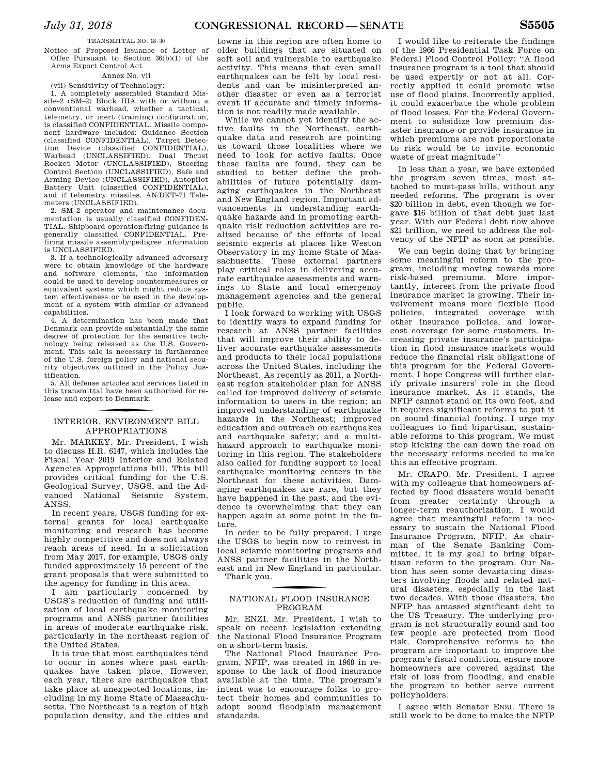### TRANSMITTAL NO. 18–30

Notice of Proposed Issuance of Letter of Offer Pursuant to Section 36(b)(1) of the Arms Export Control Act

#### Annex No. vii

(vii) Sensitivity of Technology:

1. A completely assembled Standard Missile–2 (SM–2) Block IIIA with or without a conventional warhead, whether a tactical, telemetry, or inert (training) configuration, is classified CONFIDENTIAL. Missile component hardware includes: Guidance Section (classified CONFIDENTIAL), Target Detection Device (classified CONFIDENTIAL), Warhead (UNCLASSIFIED), Dual Thrust Rocket Motor (UNCLASSIFIED), Steering Control Section (UNCLASSIFIED), Safe and Arming Device (UNCLASSIFIED), Autopilot Battery Unit (classified CONFIDENTIAL), and if telemetry missiles, AN/DKT–71 Telemeters (UNCLASSIFIED).

2. SM–2 operator and maintenance documentation is usually classified CONFIDEN-TIAL. Shipboard operation/firing guidance is generally classified CONFIDENTIAL. Prefiring missile assembly/pedigree information is UNCLASSIFIED.

3. If a technologically advanced adversary were to obtain knowledge of the hardware and software elements, the information could be used to develop countermeasures or equivalent systems which might reduce system effectiveness or be used in the development of a system with similar or advanced capabilities.

4. A determination has been made that Denmark can provide substantially the same degree of protection for the sensitive technology being released as the U.S. Government. This sale is necessary in furtherance of the U.S. foreign policy and national security objectives outlined in the Policy Justification.

5. All defense articles and services listed in this transmittal have been authorized for release and export to Denmark.

### f INTERIOR, ENVIRONMENT BILL APPROPRIATIONS

Mr. MARKEY. Mr. President, I wish to discuss H.R. 6147, which includes the Fiscal Year 2019 Interior and Related Agencies Appropriations bill. This bill provides critical funding for the U.S. Geological Survey, USGS, and the Advanced National Seismic System, ANSS.

In recent years, USGS funding for external grants for local earthquake monitoring and research has become highly competitive and does not always reach areas of need. In a solicitation from May 2017, for example, USGS only funded approximately 15 percent of the grant proposals that were submitted to the agency for funding in this area.

I am particularly concerned by USGS's reduction of funding and utilization of local earthquake monitoring programs and ANSS partner facilities in areas of moderate earthquake risk, particularly in the northeast region of the United States.

It is true that most earthquakes tend to occur in zones where past earthquakes have taken place. However, each year, there are earthquakes that take place at unexpected locations, including in my home State of Massachusetts. The Northeast is a region of high population density, and the cities and

towns in this region are often home to older buildings that are situated on soft soil and vulnerable to earthquake activity. This means that even small earthquakes can be felt by local residents and can be misinterpreted another disaster or even as a terrorist event if accurate and timely information is not readily made available.

While we cannot yet identify the active faults in the Northeast, earthquake data and research are pointing us toward those localities where we need to look for active faults. Once these faults are found, they can be studied to better define the probabilities of future potentially damaging earthquakes in the Northeast and New England region. Important advancements in understanding earthquake hazards and in promoting earthquake risk reduction activities are realized because of the efforts of local seismic experts at places like Weston Observatory in my home State of Massachusetts. These external partners play critical roles in delivering accurate earthquake assessments and warnings to State and local emergency management agencies and the general public.

I look forward to working with USGS to identify ways to expand funding for research at ANSS partner facilities that will improve their ability to deliver accurate earthquake assessments and products to their local populations across the United States, including the Northeast. As recently as 2011, a Northeast region stakeholder plan for ANSS called for improved delivery of seismic information to users in the region; an improved understanding of earthquake hazards in the Northeast; improved education and outreach on earthquakes and earthquake safety; and a multihazard approach to earthquake monitoring in this region. The stakeholders also called for funding support to local earthquake monitoring centers in the Northeast for these activities. Damaging earthquakes are rare, but they have happened in the past, and the evidence is overwhelming that they can happen again at some point in the future.

In order to be fully prepared, I urge the USGS to begin now to reinvest in local seismic monitoring programs and ANSS partner facilities in the Northeast and in New England in particular. Thank you.

### f NATIONAL FLOOD INSURANCE PROGRAM

Mr. ENZI. Mr. President, I wish to speak on recent legislation extending the National Flood Insurance Program on a short-term basis.

The National Flood Insurance Program, NFIP, was created in 1968 in response to the lack of flood insurance available at the time. The program's intent was to encourage folks to protect their homes and communities to adopt sound floodplain management standards.

I would like to reiterate the findings of the 1966 Presidential Task Force on Federal Flood Control Policy: ''A flood insurance program is a tool that should be used expertly or not at all. Correctly applied it could promote wise use of flood plains. Incorrectly applied, it could exacerbate the whole problem of flood losses. For the Federal Government to subsidize low premium disaster insurance or provide insurance in which premiums are not proportionate to risk would be to invite economic waste of great magnitude''

In less than a year, we have extended the program seven times, most attached to must-pass bills, without any needed reforms. The program is over \$20 billion in debt, even though we forgave \$16 billion of that debt just last year. With our Federal debt now above \$21 trillion, we need to address the solvency of the NFIP as soon as possible.

We can begin doing that by bringing some meaningful reform to the program, including moving towards more risk-based premiums. More importantly, interest from the private flood insurance market is growing. Their involvement means more flexible flood policies, integrated coverage with other insurance policies, and lowercost coverage for some customers. Increasing private insurance's participation in flood insurance markets would reduce the financial risk obligations of this program for the Federal Government. I hope Congress will further clarify private insurers' role in the flood insurance market. As it stands, the NFIP cannot stand on its own feet, and it requires significant reforms to put it on sound financial footing. I urge my colleagues to find bipartisan, sustainable reforms to this program. We must stop kicking the can down the road on the necessary reforms needed to make this an effective program.

Mr. CRAPO. Mr. President, I agree with my colleague that homeowners affected by flood disasters would benefit from greater certainty through a longer-term reauthorization. I would agree that meaningful reform is necessary to sustain the National Flood Insurance Program, NFIP. As chairman of the Senate Banking Committee, it is my goal to bring bipartisan reform to the program. Our Nation has seen some devastating disasters involving floods and related natural disasters, especially in the last two decades. With those disasters, the NFIP has amassed significant debt to the US Treasury. The underlying program is not structurally sound and too few people are protected from flood risk. Comprehensive reforms to the program are important to improve the program's fiscal condition, ensure more homeowners are covered against the risk of loss from flooding, and enable the program to better serve current policyholders.

I agree with Senator ENZI. There is still work to be done to make the NFIP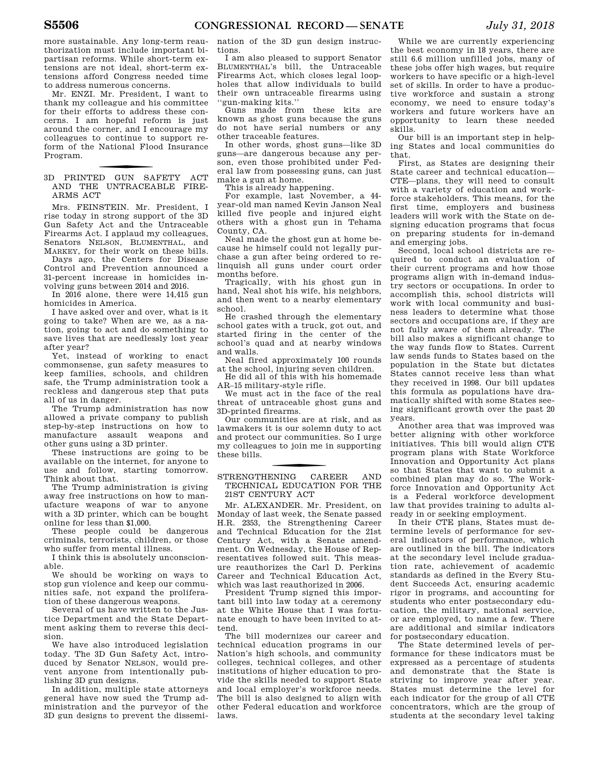more sustainable. Any long-term reauthorization must include important bipartisan reforms. While short-term extensions are not ideal, short-term extensions afford Congress needed time to address numerous concerns.

Mr. ENZI. Mr. President, I want to thank my colleague and his committee for their efforts to address these concerns. I am hopeful reform is just around the corner, and I encourage my colleagues to continue to support reform of the National Flood Insurance Program.

3D PRINTED GUN SAFETY ACT AND THE UNTRACEABLE FIRE-ARMS ACT

Mrs. FEINSTEIN. Mr. President, I rise today in strong support of the 3D Gun Safety Act and the Untraceable Firearms Act. I applaud my colleagues, Senators NELSON, BLUMENTHAL, and MARKEY, for their work on these bills.

Days ago, the Centers for Disease Control and Prevention announced a 31-percent increase in homicides involving guns between 2014 and 2016.

In 2016 alone, there were 14,415 gun homicides in America.

I have asked over and over, what is it going to take? When are we, as a nation, going to act and do something to save lives that are needlessly lost year after year?

Yet, instead of working to enact commonsense, gun safety measures to keep families, schools, and children safe, the Trump administration took a reckless and dangerous step that puts all of us in danger.

The Trump administration has now allowed a private company to publish step-by-step instructions on how to manufacture assault weapons and other guns using a 3D printer.

These instructions are going to be available on the internet, for anyone to use and follow, starting tomorrow. Think about that.

The Trump administration is giving away free instructions on how to manufacture weapons of war to anyone with a 3D printer, which can be bought online for less than \$1,000.

These people could be dangerous criminals, terrorists, children, or those who suffer from mental illness.

I think this is absolutely unconscionable.

We should be working on ways to stop gun violence and keep our communities safe, not expand the proliferation of these dangerous weapons.

Several of us have written to the Justice Department and the State Department asking them to reverse this decision.

We have also introduced legislation today. The 3D Gun Safety Act, introduced by Senator NELSON, would prevent anyone from intentionally publishing 3D gun designs.

In addition, multiple state attorneys general have now sued the Trump administration and the purveyor of the 3D gun designs to prevent the dissemination of the 3D gun design instructions.

I am also pleased to support Senator BLUMENTHAL's bill, the Untraceable Firearms Act, which closes legal loopholes that allow individuals to build their own untraceable firearms using ''gun-making kits.''

Guns made from these kits are known as ghost guns because the guns do not have serial numbers or any other traceable features.

In other words, ghost guns—like 3D guns—are dangerous because any person, even those prohibited under Federal law from possessing guns, can just make a gun at home.

This is already happening.

For example, last November, a 44 year-old man named Kevin Janson Neal killed five people and injured eight others with a ghost gun in Tehama County, CA.

Neal made the ghost gun at home because he himself could not legally purchase a gun after being ordered to relinquish all guns under court order months before.

Tragically, with his ghost gun in hand, Neal shot his wife, his neighbors, and then went to a nearby elementary school.

He crashed through the elementary school gates with a truck, got out, and started firing in the center of the school's quad and at nearby windows and walls.

Neal fired approximately 100 rounds at the school, injuring seven children.

He did all of this with his homemade AR–15 military-style rifle.

We must act in the face of the real threat of untraceable ghost guns and 3D-printed firearms.

Our communities are at risk, and as lawmakers it is our solemn duty to act and protect our communities. So I urge my colleagues to join me in supporting these bills.

### f STRENGTHENING CAREER AND TECHNICAL EDUCATION FOR THE 21ST CENTURY ACT

Mr. ALEXANDER. Mr. President, on Monday of last week, the Senate passed H.R. 2353, the Strengthening Career and Technical Education for the 21st Century Act, with a Senate amendment. On Wednesday, the House of Representatives followed suit. This measure reauthorizes the Carl D. Perkins Career and Technical Education Act, which was last reauthorized in 2006.

President Trump signed this important bill into law today at a ceremony at the White House that I was fortunate enough to have been invited to attend.

The bill modernizes our career and technical education programs in our Nation's high schools, and community colleges, technical colleges, and other institutions of higher education to provide the skills needed to support State and local employer's workforce needs. The bill is also designed to align with other Federal education and workforce laws.

While we are currently experiencing the best economy in 18 years, there are still 6.6 million unfilled jobs, many of these jobs offer high wages, but require workers to have specific or a high-level set of skills. In order to have a productive workforce and sustain a strong economy, we need to ensure today's workers and future workers have an opportunity to learn these needed skills.

Our bill is an important step in helping States and local communities do that.

First, as States are designing their State career and technical education— CTE—plans, they will need to consult with a variety of education and workforce stakeholders. This means, for the first time, employers and business leaders will work with the State on designing education programs that focus on preparing students for in-demand and emerging jobs.

Second, local school districts are required to conduct an evaluation of their current programs and how those programs align with in-demand industry sectors or occupations. In order to accomplish this, school districts will work with local community and business leaders to determine what those sectors and occupations are, if they are not fully aware of them already. The bill also makes a significant change to the way funds flow to States. Current law sends funds to States based on the population in the State but dictates States cannot receive less than what they received in 1998. Our bill updates this formula as populations have dramatically shifted with some States seeing significant growth over the past 20 years.

Another area that was improved was better aligning with other workforce initiatives. This bill would align CTE program plans with State Workforce Innovation and Opportunity Act plans so that States that want to submit a combined plan may do so. The Workforce Innovation and Opportunity Act is a Federal workforce development law that provides training to adults already in or seeking employment.

In their CTE plans, States must determine levels of performance for several indicators of performance, which are outlined in the bill. The indicators at the secondary level include graduation rate, achievement of academic standards as defined in the Every Student Succeeds Act, ensuring academic rigor in programs, and accounting for students who enter postsecondary education, the military, national service, or are employed, to name a few. There are additional and similar indicators for postsecondary education.

The State determined levels of performance for these indicators must be expressed as a percentage of students and demonstrate that the State is striving to improve year after year. States must determine the level for each indicator for the group of all CTE concentrators, which are the group of students at the secondary level taking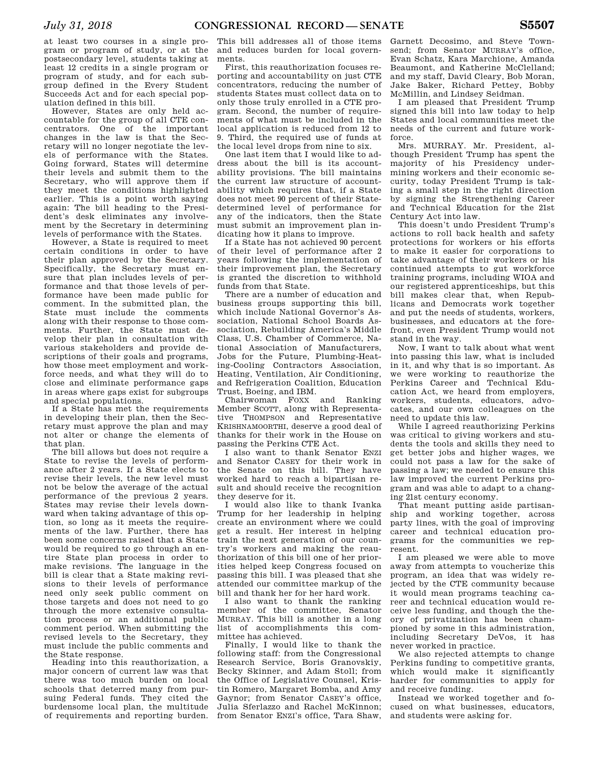at least two courses in a single program or program of study, or at the postsecondary level, students taking at least 12 credits in a single program or program of study, and for each subgroup defined in the Every Student Succeeds Act and for each special population defined in this bill.

However, States are only held accountable for the group of all CTE concentrators. One of the important changes in the law is that the Secretary will no longer negotiate the levels of performance with the States. Going forward, States will determine their levels and submit them to the Secretary, who will approve them if they meet the conditions highlighted earlier. This is a point worth saying again: The bill heading to the President's desk eliminates any involvement by the Secretary in determining levels of performance with the States.

However, a State is required to meet certain conditions in order to have their plan approved by the Secretary. Specifically, the Secretary must ensure that plan includes levels of performance and that those levels of performance have been made public for comment. In the submitted plan, the State must include the comments along with their response to those comments. Further, the State must develop their plan in consultation with various stakeholders and provide descriptions of their goals and programs, how those meet employment and workforce needs, and what they will do to close and eliminate performance gaps in areas where gaps exist for subgroups and special populations.

If a State has met the requirements in developing their plan, then the Secretary must approve the plan and may not alter or change the elements of that plan.

The bill allows but does not require a State to revise the levels of performance after 2 years. If a State elects to revise their levels, the new level must not be below the average of the actual performance of the previous 2 years. States may revise their levels downward when taking advantage of this option, so long as it meets the requirements of the law. Further, there has been some concerns raised that a State would be required to go through an entire State plan process in order to make revisions. The language in the bill is clear that a State making revisions to their levels of performance need only seek public comment on those targets and does not need to go through the more extensive consultation process or an additional public comment period. When submitting the revised levels to the Secretary, they must include the public comments and the State response.

Heading into this reauthorization, a major concern of current law was that there was too much burden on local schools that deterred many from pursuing Federal funds. They cited the burdensome local plan, the multitude of requirements and reporting burden.

This bill addresses all of those items and reduces burden for local governments.

First, this reauthorization focuses reporting and accountability on just CTE concentrators, reducing the number of students States must collect data on to only those truly enrolled in a CTE program. Second, the number of requirements of what must be included in the local application is reduced from 12 to 9. Third, the required use of funds at the local level drops from nine to six.

One last item that I would like to address about the bill is its accountability provisions. The bill maintains the current law structure of accountability which requires that, if a State does not meet 90 percent of their Statedetermined level of performance for any of the indicators, then the State must submit an improvement plan indicating how it plans to improve.

If a State has not achieved 90 percent of their level of performance after 2 years following the implementation of their improvement plan, the Secretary is granted the discretion to withhold funds from that State.

There are a number of education and business groups supporting this bill, which include National Governor's Association, National School Boards Association, Rebuilding America's Middle Class, U.S. Chamber of Commerce, National Association of Manufacturers, Jobs for the Future, Plumbing-Heating-Cooling Contractors Association, Heating, Ventilation, Air Conditioning, and Refrigeration Coalition, Education Trust, Boeing, and IBM.

Chairwoman FOXX and Ranking Member SCOTT, along with Representative THOMPSON and Representative KRISHNAMOORTHI, deserve a good deal of thanks for their work in the House on passing the Perkins CTE Act.

I also want to thank Senator ENZI and Senator CASEY for their work in the Senate on this bill. They have worked hard to reach a bipartisan result and should receive the recognition they deserve for it.

I would also like to thank Ivanka Trump for her leadership in helping create an environment where we could get a result. Her interest in helping train the next generation of our country's workers and making the reauthorization of this bill one of her priorities helped keep Congress focused on passing this bill. I was pleased that she attended our committee markup of the bill and thank her for her hard work.

I also want to thank the ranking member of the committee, Senator MURRAY. This bill is another in a long list of accomplishments this committee has achieved.

Finally, I would like to thank the following staff: from the Congressional Research Service, Boris Granovskiy, Becky Skinner, and Adam Stoll; from the Office of Legislative Counsel, Kristin Romero, Margaret Bomba, and Amy Gaynor; from Senator CASEY's office, Julia Sferlazzo and Rachel McKinnon; from Senator ENZI's office, Tara Shaw,

Garnett Decosimo, and Steve Townsend; from Senator MURRAY's office. Evan Schatz, Kara Marchione, Amanda Beaumont, and Katherine McClelland; and my staff, David Cleary, Bob Moran, Jake Baker, Richard Pettey, Bobby McMillin, and Lindsey Seidman.

I am pleased that President Trump signed this bill into law today to help States and local communities meet the needs of the current and future workforce.

Mrs. MURRAY. Mr. President, although President Trump has spent the majority of his Presidency undermining workers and their economic security, today President Trump is taking a small step in the right direction by signing the Strengthening Career and Technical Education for the 21st Century Act into law.

This doesn't undo President Trump's actions to roll back health and safety protections for workers or his efforts to make it easier for corporations to take advantage of their workers or his continued attempts to gut workforce training programs, including WIOA and our registered apprenticeships, but this bill makes clear that, when Republicans and Democrats work together and put the needs of students, workers, businesses, and educators at the forefront, even President Trump would not stand in the way.

Now, I want to talk about what went into passing this law, what is included in it, and why that is so important. As we were working to reauthorize the Perkins Career and Technical Education Act, we heard from employers, workers, students, educators, advocates, and our own colleagues on the need to update this law.

While I agreed reauthorizing Perkins was critical to giving workers and students the tools and skills they need to get better jobs and higher wages, we could not pass a law for the sake of passing a law; we needed to ensure this law improved the current Perkins program and was able to adapt to a changing 21st century economy.

That meant putting aside partisanship and working together, across party lines, with the goal of improving career and technical education programs for the communities we represent.

I am pleased we were able to move away from attempts to voucherize this program, an idea that was widely rejected by the CTE community because it would mean programs teaching career and technical education would receive less funding, and though the theory of privatization has been championed by some in this administration, including Secretary DeVos, it has never worked in practice.

We also rejected attempts to change Perkins funding to competitive grants, which would make it significantly harder for communities to apply for and receive funding.

Instead we worked together and focused on what businesses, educators, and students were asking for.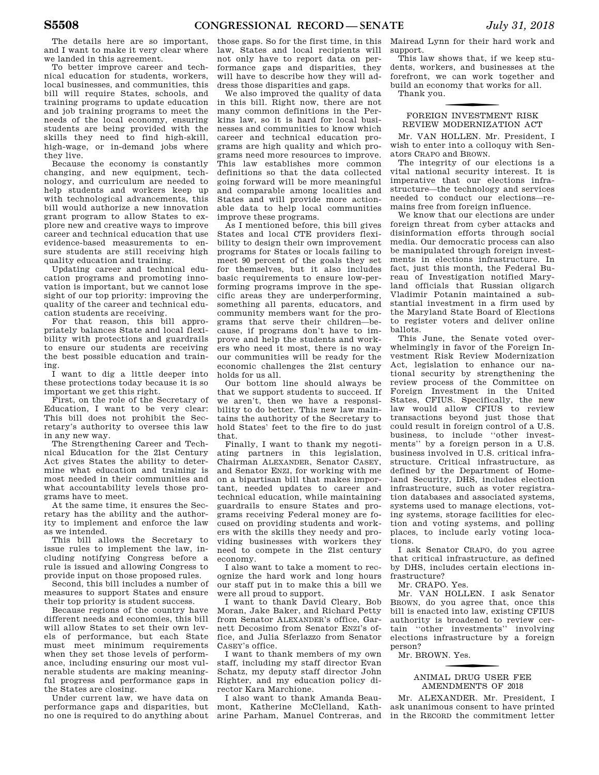The details here are so important, and I want to make it very clear where we landed in this agreement.

To better improve career and technical education for students, workers, local businesses, and communities, this bill will require States, schools, and training programs to update education and job training programs to meet the needs of the local economy, ensuring students are being provided with the skills they need to find high-skill, high-wage, or in-demand jobs where they live.

Because the economy is constantly changing, and new equipment, technology, and curriculum are needed to help students and workers keep up with technological advancements, this bill would authorize a new innovation grant program to allow States to explore new and creative ways to improve career and technical education that use evidence-based measurements to ensure students are still receiving high quality education and training.

Updating career and technical education programs and promoting innovation is important, but we cannot lose sight of our top priority: improving the quality of the career and technical education students are receiving.

For that reason, this bill appropriately balances State and local flexibility with protections and guardrails to ensure our students are receiving the best possible education and training.

I want to dig a little deeper into these protections today because it is so important we get this right.

First, on the role of the Secretary of Education, I want to be very clear: This bill does not prohibit the Secretary's authority to oversee this law in any new way.

The Strengthening Career and Technical Education for the 21st Century Act gives States the ability to determine what education and training is most needed in their communities and what accountability levels those programs have to meet.

At the same time, it ensures the Secretary has the ability and the authority to implement and enforce the law as we intended.

This bill allows the Secretary to issue rules to implement the law, including notifying Congress before a rule is issued and allowing Congress to provide input on those proposed rules.

Second, this bill includes a number of measures to support States and ensure their top priority is student success.

Because regions of the country have different needs and economies, this bill will allow States to set their own levels of performance, but each State must meet minimum requirements when they set those levels of performance, including ensuring our most vulnerable students are making meaningful progress and performance gaps in the States are closing.

Under current law, we have data on performance gaps and disparities, but no one is required to do anything about

those gaps. So for the first time, in this law, States and local recipients will not only have to report data on performance gaps and disparities, they will have to describe how they will address those disparities and gaps.

We also improved the quality of data in this bill. Right now, there are not many common definitions in the Perkins law, so it is hard for local businesses and communities to know which career and technical education programs are high quality and which programs need more resources to improve. This law establishes more common definitions so that the data collected going forward will be more meaningful and comparable among localities and States and will provide more actionable data to help local communities improve these programs.

As I mentioned before, this bill gives States and local CTE providers flexibility to design their own improvement programs for States or locals failing to meet 90 percent of the goals they set for themselves, but it also includes basic requirements to ensure low-performing programs improve in the specific areas they are underperforming, something all parents, educators, and community members want for the programs that serve their children—because, if programs don't have to improve and help the students and workers who need it most, there is no way our communities will be ready for the economic challenges the 21st century holds for us all.

Our bottom line should always be that we support students to succeed. If we aren't, then we have a responsibility to do better. This new law maintains the authority of the Secretary to hold States' feet to the fire to do just that.

Finally, I want to thank my negotiating partners in this legislation, Chairman ALEXANDER, Senator CASEY, and Senator ENZI, for working with me on a bipartisan bill that makes important, needed updates to career and technical education, while maintaining guardrails to ensure States and programs receiving Federal money are focused on providing students and workers with the skills they needy and providing businesses with workers they need to compete in the 21st century economy.

I also want to take a moment to recognize the hard work and long hours our staff put in to make this a bill we were all proud to support.

I want to thank David Cleary, Bob Moran, Jake Baker, and Richard Petty from Senator ALEXANDER's office, Garnett Decosimo from Senator ENZI's office, and Julia Sferlazzo from Senator CASEY's office.

I want to thank members of my own staff, including my staff director Evan Schatz, my deputy staff director John Righter, and my education policy director Kara Marchione.

I also want to thank Amanda Beaumont, Katherine McClelland, Katharine Parham, Manuel Contreras, and

Mairead Lynn for their hard work and support.

This law shows that, if we keep students, workers, and businesses at the forefront, we can work together and build an economy that works for all.

Thank you.

### f FOREIGN INVESTMENT RISK REVIEW MODERNIZATION ACT

Mr. VAN HOLLEN. Mr. President, I wish to enter into a colloquy with Senators CRAPO and BROWN.

The integrity of our elections is a vital national security interest. It is imperative that our elections infrastructure—the technology and services needed to conduct our elections—remains free from foreign influence.

We know that our elections are under foreign threat from cyber attacks and disinformation efforts through social media. Our democratic process can also be manipulated through foreign investments in elections infrastructure. In fact, just this month, the Federal Bureau of Investigation notified Maryland officials that Russian oligarch Vladimir Potanin maintained a substantial investment in a firm used by the Maryland State Board of Elections to register voters and deliver online ballots.

This June, the Senate voted overwhelmingly in favor of the Foreign Investment Risk Review Modernization Act, legislation to enhance our national security by strengthening the review process of the Committee on Foreign Investment in the United States, CFIUS. Specifically, the new law would allow CFIUS to review transactions beyond just those that could result in foreign control of a U.S. business, to include ''other investments'' by a foreign person in a U.S. business involved in U.S. critical infrastructure. Critical infrastructure, as defined by the Department of Homeland Security, DHS, includes election infrastructure, such as voter registration databases and associated systems, systems used to manage elections, voting systems, storage facilities for election and voting systems, and polling places, to include early voting locations.

I ask Senator CRAPO, do you agree that critical infrastructure, as defined by DHS, includes certain elections infrastructure?

Mr. CRAPO. Yes.

Mr. VAN HOLLEN. I ask Senator BROWN, do you agree that, once this bill is enacted into law, existing CFIUS authority is broadened to review certain ''other investments'' involving elections infrastructure by a foreign person?

Mr. BROWN. Yes.

### f ANIMAL DRUG USER FEE AMENDMENTS OF 2018

Mr. ALEXANDER. Mr. President, I ask unanimous consent to have printed in the RECORD the commitment letter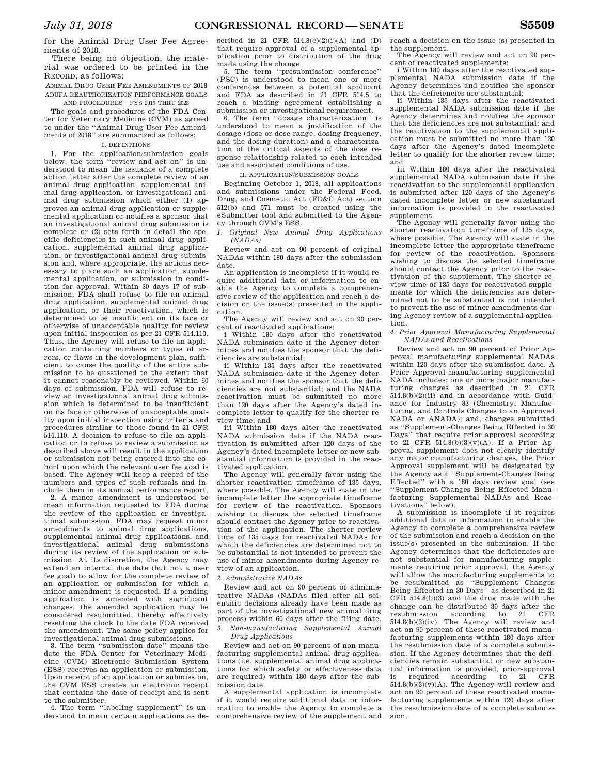for the Animal Drug User Fee Agreements of 2018.

There being no objection, the material was ordered to be printed in the RECORD, as follows:

ANIMAL DRUG USER FEE AMENDMENTS OF 2018 ADUFA REAUTHORIZATION PERFORMANCE GOALS AND PROCEDURES—FYS 2019 THRU 2023

The goals and procedures of the FDA Center for Veterinary Medicine (CVM) as agreed to under the ''Animal Drug User Fee Amendments of 2018'' are summarized as follows:

### I. DEFINITIONS

1. For the application/submission goals below, the term "review and act on" is understood to mean the issuance of a complete action letter after the complete review of an animal drug application, supplemental animal drug application, or investigational animal drug submission which either (1) approves an animal drug application or supplemental application or notifies a sponsor that an investigational animal drug submission is complete or (2) sets forth in detail the specific deficiencies in such animal drug application, supplemental animal drug application, or investigational animal drug submission and, where appropriate, the actions necessary to place such an application, supplemental application, or submission in condition for approval. Within 30 days 17 of submission, FDA shall refuse to file an animal drug application, supplemental animal drug application, or their reactivation, which is determined to be insufficient on its face or otherwise of unacceptable quality for review upon initial inspection as per 21 CFR 514.110. Thus, the Agency will refuse to file an application containing numbers or types of errors, or flaws in the development plan, sufficient to cause the quality of the entire submission to be questioned to the extent that it cannot reasonably be reviewed. Within 60 days of submission, FDA will refuse to review an investigational animal drug submission which is determined to be insufficient on its face or otherwise of unacceptable quality upon initial inspection using criteria and procedures similar to those found in 21 CFR 514.110. A decision to refuse to file an application or to refuse to review a submission as described above will result in the application or submission not being entered into the cohort upon which the relevant user fee goal is based. The Agency will keep a record of the numbers and types of such refusals and include them in its annual performance report.

2. A minor amendment is understood to mean information requested by FDA during the review of the application or investigational submission. FDA may request minor amendments to animal drug applications, supplemental animal drug applications, and investigational animal drug submissions during its review of the application or submission. At its discretion, the Agency may extend an internal due date (but not a user fee goal) to allow for the complete review of an application or submission for which a minor amendment is requested. If a pending application is amended with significant changes, the amended application may be considered resubmitted, thereby effectively resetting the clock to the date FDA received the amendment. The same policy applies for investigational animal drug submissions.

3. The term ''submission date'' means the date the FDA Center for Veterinary Medicine (CVM) Electronic Submission System (ESS) receives an application or submission. Upon receipt of an application or submission, the CVM ESS creates an electronic receipt that contains the date of receipt and is sent to the submitter.

4. The term ''labeling supplement'' is understood to mean certain applications as de-

scribed in 21 CFR  $514.8(c)(2)(i)(A)$  and  $(D)$ that require approval of a supplemental application prior to distribution of the drug made using the change.

5. The term ''presubmission conference'' (PSC) is understood to mean one or more conferences between a potential applicant and FDA as described in 21 CFR 514.5 to reach a binding agreement establishing a submission or investigational requirement.

6. The term ''dosage characterization'' is understood to mean a justification of the dosage (dose or dose range, dosing frequency, and the dosing duration) and a characterization of the critical aspects of the dose response relationship related to each intended use and associated conditions of use.

#### II. APPLICATION/SUBMISSION GOALS

Beginning October 1, 2018, all applications and submissions under the Federal Food, Drug, and Cosmetic Act (FD&C Act) section 512(b) and 571 must be created using the eSubmitter tool and submitted to the Agency through CVM's ESS.

*1. Original New Animal Drug Applications (NADAs)* 

Review and act on 90 percent of original NADAs within 180 days after the submission date.

An application is incomplete if it would require additional data or information to enable the Agency to complete a comprehensive review of the application and reach a decision on the issue(s) presented in the application.

The Agency will review and act on 90 percent of reactivated applications:

i Within 180 days after the reactivated NADA submission date if the Agency determines and notifies the sponsor that the deficiencies are substantial;

ii Within 135 days after the reactivated NADA submission date if the Agency determines and notifies the sponsor that the deficiencies are not substantial; and the NADA reactivation must be submitted no more than 120 days after the Agency's dated incomplete letter to qualify for the shorter review time; and

iii Within 180 days alter the reactivated NADA submission date if the NADA reactivation is submitted after 120 days of the Agency's dated incomplete letter or new substantial information is provided in the reactivated application.

The Agency will generally favor using the shorter reactivation timeframe of 135 days, where possible. The Agency will state in the incomplete letter the appropriate timeframe for review of the reactivation. Sponsors wishing to discuss the selected timeframe should contact the Agency prior to reactivation of the application. The shorter review time of 135 days for reactivated NADAs for which the deficiencies are determined not to be substantial is not intended to prevent the use of minor amendments during Agency review of an application.

*2. Administrative NADAs* 

Review and act on 90 percent of administrative NADAs (NADAs filed after all scientific decisions already have been made as part of the investigational new animal drug process) within 60 days after the filing date. *3. Non-manufacturing Supplemental Animal* 

### *Drug Applications*

Review and act on 90 percent of non-manufacturing supplemental animal drug applications (i.e. supplemental animal drug applications for which safety or effectiveness data are required) within 180 days after the submission date.

A supplemental application is incomplete if it would require additional data or information to enable the Agency to complete a comprehensive review of the supplement and reach a decision on the issue (s) presented in the supplement.

The Agency will review and act on 90 percent of reactivated supplements:

i Within 180 days after the reactivated supplemental NADA submission date if the Agency determines and notifies the sponsor that the deficiencies are substantial;

Within 135 days after the reactivated supplemental NADA submission date if the Agency determines and notifies the sponsor that the deficiencies are not substantial; and the reactivation to the supplemental application must be submitted no more than 120 days after the Agency's dated incomplete letter to qualify for the shorter review time; and

iii Within 180 days after the reactivated supplemental NADA submission date if the reactivation to the supplemental application is submitted after 120 days of the Agency's dated incomplete letter or new substantial information is provided in the reactivated supplement.

The Agency will generally favor using the shorter reactivation timeframe of 135 days, where possible. The Agency will state in the incomplete letter the appropriate timeframe for review of the reactivation. Sponsors wishing to discuss the selected timeframe should contact the Agency prior to the reactivation of the supplement. The shorter review time of 135 days for reactivated supplements for which the deficiencies are determined not to be substantial is not intended to prevent the use of minor amendments during Agency review of a supplemental application.

*4. Prior Approval Manufacturing Supplemental NADAs and Reactivations* 

Review and act on 90 percent of Prior Approval manufacturing supplemental NADAs within 120 days after the submission date. A Prior Approval manufacturing supplemental NADA includes: one or more major manufacturing changes as described in 21 CFR  $514.8(b)(2)(ii)$  and in accordance with Guidance for Industry 83 (Chemistry, Manufacturing, and Controls Changes to an Approved NADA or ANADA); and, changes submitted as ''Supplement-Changes Being Effected in 30 Days'' that require prior approval according to 21 CFR  $514.8(b)(3)(v)(A)$ . If a Prior Approval supplement does not clearly identify any major manufacturing changes, the Prior Approval supplement will be designated by the Agency as a ''Supplement-Changes Being Effected'' with a 180 days review goal (see ''Supplement-Changes Being Effected Manufacturing Supplemental NADAs and Reac-

tivations'' below). A submission is incomplete if it requires additional data or information to enable the Agency to complete a comprehensive review of the submission and reach a decision on the issue(s) presented in the submission. If the Agency determines that the deficiencies are not substantial for manufacturing supplements requiring prior approval, the Agency will allow the manufacturing supplements to be resubmitted as ''Supplement Changes Being Effected in 30 Days'' as described in 21 CFR 514.8(b)(3) and the drug made with the change can be distributed 30 days after the resubmission  $\alpha$  according to 21 CFR according to 514.8(b)(3)(iv). The Agency will review and act on 90 percent of these reactivated manufacturing supplements within 180 days after the resubmission date of a complete submission. If the Agency determines that the deficiencies remain substantial or new substantial information is provided, prior-approval<br>is required according to 21 CFR  $according$  to  $21$  $514.8(b)(3)(v)(A)$ . The Agency will review and act on 90 percent of these reactivated manufacturing supplements within 120 days after the resubmission date of a complete submission.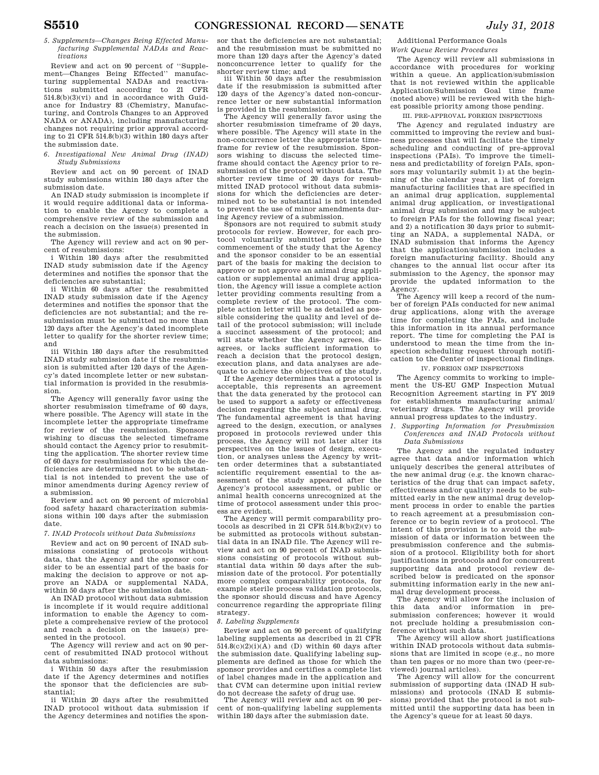*5. Supplements—Changes Being Effected Manufacturing Supplemental NADAs and Reactivations* 

Review and act on 90 percent of ''Supplement—Changes Being Effected'' manufacturing supplemental NADAs and reactivations submitted according to 21 CFR 514.8(b)(3)(vi) and in accordance with Guidance for Industry 83 (Chemistry, Manufacturing, and Controls Changes to an Approved NADA or ANADA), including manufacturing changes not requiring prior approval according to 21 CFR 514.8(b)(3) within 180 days after the submission date.

*6. Investigational New Animal Drug (INAD) Study Submissions* 

Review and act on 90 percent of INAD study submissions within 180 days after the submission date.

An INAD study submission is incomplete if it would require additional data or information to enable the Agency to complete a comprehensive review of the submission and reach a decision on the issue(s) presented in the submission.

The Agency will review and act on 90 percent of resubmissions:

i Within 180 days after the resubmitted INAD study submission date if the Agency determines and notifies the sponsor that the deficiencies are substantial;

ii Within 60 days after the resubmitted INAD study submission date if the Agency determines and notifies the sponsor that the deficiencies are not substantial; and the resubmission must be submitted no more than 120 days after the Agency's dated incomplete letter to qualify for the shorter review time; and

iii Within 180 days after the resubmitted INAD study submission date if the resubmission is submitted after 120 days of the Agency's dated incomplete letter or new substantial information is provided in the resubmission.

The Agency will generally favor using the shorter resubmission timeframe of 60 days, where possible. The Agency will state in the incomplete letter the appropriate timeframe for review of the resubmission. Sponsors wishing to discuss the selected timeframe should contact the Agency prior to resubmitting the application. The shorter review time of 60 days for resubmissions for which the deficiencies are determined not to be substantial is not intended to prevent the use of minor amendments during Agency review of a submission.

Review and act on 90 percent of microbial food safety hazard characterization submissions within 100 days after the submission date.

### *7. INAD Protocols without Data Submissions*

Review and act on 90 percent of INAD submissions consisting of protocols without data, that the Agency and the sponsor consider to be an essential part of the basis for making the decision to approve or not approve an NADA or supplemental NADA, within 50 days after the submission date.

An INAD protocol without data submission is incomplete if it would require additional information to enable the Agency to complete a comprehensive review of the protocol and reach a decision on the issue(s) presented in the protocol.

The Agency will review and act on 90 percent of resubmitted INAD protocol without data submissions:

i Within 50 days after the resubmission date if the Agency determines and notifies the sponsor that the deficiencies are substantial;

ii Within 20 days after the resubmitted INAD protocol without data submission if the Agency determines and notifies the spon-

sor that the deficiencies are not substantial; and the resubmission must be submitted no more than 120 days after the Agency's dated nonconcurrence letter to qualify for the shorter review time; and

iii Within 50 days after the resubmission date if the resubmission is submitted after 120 days of the Agency's dated non-concurrence letter or new substantial information

is provided in the resubmission. The Agency will generally favor using the shorter resubmission timeframe of 20 days, where possible. The Agency will state in the non-concurrence letter the appropriate timeframe for review of the resubmission. Sponsors wishing to discuss the selected timeframe should contact the Agency prior to resubmission of the protocol without data. The shorter review time of 20 days for resubmitted INAD protocol without data submissions for which the deficiencies are determined not to be substantial is not intended to prevent the use of minor amendments during Agency review of a submission.

Sponsors are not required to submit study protocols for review. However, for each protocol voluntarily submitted prior to the commencement of the study that the Agency and the sponsor consider to be an essential part of the basis for making the decision to approve or not approve an animal drug application or supplemental animal drug application, the Agency will issue a complete action letter providing comments resulting from a complete review of the protocol. The complete action letter will be as detailed as possible considering the quality and level of detail of the protocol submission; will include a succinct assessment of the protocol; and will state whether the Agency agrees, disagrees, or lacks sufficient information to reach a decision that the protocol design, execution plans, and data analyses are adequate to achieve the objectives of the study.

If the Agency determines that a protocol is acceptable, this represents an agreement that the data generated by the protocol can be used to support a safety or effectiveness decision regarding the subject animal drug. The fundamental agreement is that having agreed to the design, execution, or analyses proposed in protocols reviewed under this process, the Agency will not later alter its perspectives on the issues of design, execution, or analyses unless the Agency by written order determines that a substantiated scientific requirement essential to the assessment of the study appeared after the Agency's protocol assessment, or public or animal health concerns unrecognized at the time of protocol assessment under this process are evident.

The Agency will permit comparability protocols as described in 21 CFR  $514.8(b)(2)(v)$  to be submitted as protocols without substantial data in an INAD file. The Agency will review and act on 90 percent of INAD submissions consisting of protocols without substantial data within 50 days after the submission date of the protocol. For potentially more complex comparability protocols, for example sterile process validation protocols, the sponsor should discuss and have Agency concurrence regarding the appropriate filing strategy.

#### *8. Labeling Supplements*

Review and act on 90 percent of qualifying labeling supplements as described in 21 CFR  $514.8(c)(2)(i)(A)$  and (D) within 60 days after the submission date. Qualifying labeling supplements are defined as those for which the sponsor provides and certifies a complete list of label changes made in the application and that CVM can determine upon initial review do not decrease the safety of drug use.

The Agency will review and act on 90 percent of non-qualifying labeling supplements within 180 days after the submission date.

Additional Performance Goals *Work Queue Review Procedures* 

The Agency will review all submissions in accordance with procedures for working within a queue. An application/submission that is not reviewed within the applicable Application/Submission Goal time frame (noted above) will be reviewed with the highest possible priority among those pending.

III. PRE-APPROVAL FOREIGN INSPECTIONS

The Agency and regulated industry are committed to improving the review and business processes that will facilitate the timely scheduling and conducting of pre-approval inspections (PAIs). To improve the timeliness and predictability of foreign PAIs, sponsors may voluntarily submit 1) at the beginning of the calendar year, a list of foreign manufacturing facilities that are specified in an animal drug application, supplemental animal drug application, or investigational animal drug submission and may be subject to foreign PAIs for the following fiscal year; and 2) a notification 30 days prior to submitting an NADA, a supplemental NADA, or INAD submission that informs the Agency that the application/submission includes a foreign manufacturing facility. Should any changes to the annual list occur after its submission to the Agency, the sponsor may provide the updated information to the Agency.

The Agency will keep a record of the number of foreign PAIs conducted for new animal drug applications, along with the average time for completing the PAIs, and include this information in its annual performance report. The time for completing the PAI is understood to mean the time from the inspection scheduling request through notification to the Center of inspectional findings.

IV. FOREIGN GMP INSPECTIONS

The Agency commits to working to implement the US-EU GMP Inspection Mutual Recognition Agreement starting in FY 2019 for establishments manufacturing animal/ veterinary drugs. The Agency will provide annual progress updates to the industry.

*1. Supporting Information for Presubmission Conferences and INAD Protocols without Data Submissions* 

The Agency and the regulated industry agree that data and/or information which uniquely describes the general attributes of the new animal drug (e.g. the known characteristics of the drug that can impact safety, effectiveness and/or quality) needs to be submitted early in the new animal drug development process in order to enable the parties to reach agreement at a presubmission conference or to begin review of a protocol. The intent of this provision is to avoid the submission of data or information between the presubmission conference and the submission of a protocol. Eligibility both for short justifications in protocols and for concurrent supporting data and protocol review described below is predicated on the sponsor submitting information early in the new animal drug development process.

The Agency will allow for the inclusion of this data and/or information in presubmission conferences; however it would not preclude holding a presubmission conference without such data.

The Agency will allow short justifications within INAD protocols without data submissions that are limited in scope (e.g., no more than ten pages or no more than two (peer-reviewed) journal articles).

The Agency will allow for the concurrent submission of supporting data (INAD H submissions) and protocols (INAD E submissions) provided that the protocol is not submitted until the supporting data has been in the Agency's queue for at least 50 days.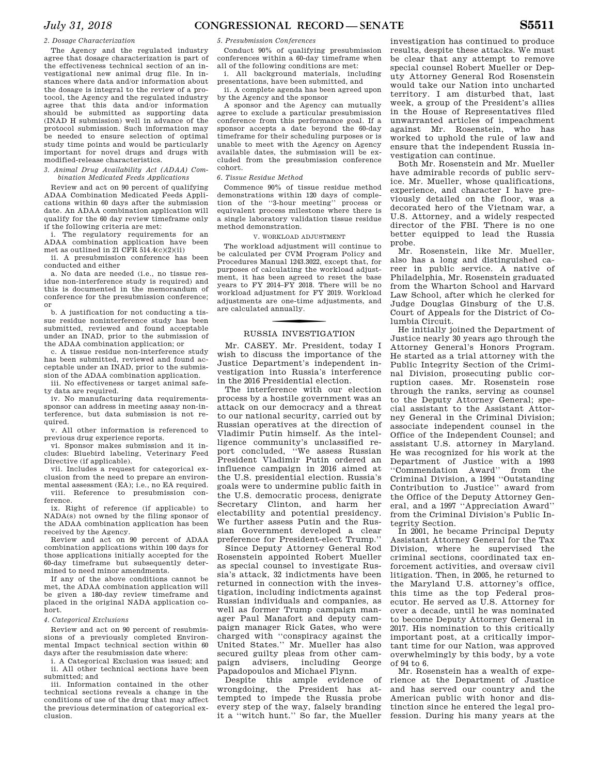### *2. Dosage Characterization*

The Agency and the regulated industry agree that dosage characterization is part of the effectiveness technical section of an investigational new animal drug file. In instances where data and/or information about the dosage is integral to the review of a protocol, the Agency and the regulated industry agree that this data and/or information should be submitted as supporting data (INAD H submission) well in advance of the protocol submission. Such information may be needed to ensure selection of optimal study time points and would be particularly important for novel drugs and drugs with modified-release characteristics.

### *3. Animal Drug Availability Act (ADAA) Combination Medicated Feeds Applications*

Review and act on 90 percent of qualifying ADAA Combination Medicated Feeds Applications within 60 days after the submission date. An ADAA combination application will qualify for the 60 day review timeframe only if the following criteria are met:

. The regulatory requirements for an ADAA combination application have been met as outlined in 21 CFR 514.4(c)(2)(ii)

ii. A presubmission conference has been conducted and either

a. No data are needed (i.e., no tissue residue non-interference study is required) and this is documented in the memorandum of conference for the presubmission conference; or

b. A justification for not conducting a tissue residue noninterference study has been submitted, reviewed and found acceptable under an INAD, prior to the submission of the ADAA combination application; or

c. A tissue residue non-interference study has been submitted, reviewed and found acceptable under an INAD, prior to the submission of the ADAA combination application.

iii. No effectiveness or target animal safety data are required.

iv. No manufacturing data requirementssponsor can address in meeting assay non-interference, but data submission is not required.

v. All other information is referenced to previous drug experience reports.

vi. Sponsor makes submission and it includes: Bluebird labeling, Veterinary Feed Directive (if applicable).

vii. Includes a request for categorical exclusion from the need to prepare an environmental assessment (EA); i.e., no EA required. viii. Reference to presubmission conference.

ix. Right of reference (if applicable) to NADA(s) not owned by the filing sponsor of the ADAA combination application has been received by the Agency.

Review and act on 90 percent of ADAA combination applications within 100 days for those applications initially accepted for the 60-day timeframe but subsequently determined to need minor amendments.

If any of the above conditions cannot be met, the ADAA combination application will be given a 180-day review timeframe and placed in the original NADA application cohort.

### *4. Categorical Exclusions*

Review and act on 90 percent of resubmissions of a previously completed Environmental Impact technical section within 60 days after the resubmission date where:

i. A Categorical Exclusion was issued; and ii. All other technical sections have been submitted; and

iii. Information contained in the other technical sections reveals a change in the conditions of use of the drug that may affect the previous determination of categorical exclusion.

*5. Presubmission Conferences* 

Conduct 90% of qualifying presubmission conferences within a 60-day timeframe when all of the following conditions are met:

i. All background materials, including presentations, have been submitted, and ii. A complete agenda has been agreed upon

by the Agency and the sponsor A sponsor and the Agency can mutually

agree to exclude a particular presubmission conference from this performance goal. If a sponsor accepts a date beyond the 60-day timeframe for their scheduling purposes or is unable to meet with the Agency on Agency available dates, the submission will be excluded from the presubmission conference cohort.

### *6. Tissue Residue Method*

Commence 90% of tissue residue method demonstrations within 120 days of completion of the ''3-hour meeting'' process or equivalent process milestone where there is a single laboratory validation tissue residue method demonstration.

### V. WORKLOAD ADJUSTMENT

The workload adjustment will continue to be calculated per CVM Program Policy and Procedures Manual 1243.3022, except that, for purposes of calculating the workload adjustment, it has been agreed to reset the base years to FY 2014–FY 2018. There will be no workload adjustment for FY 2019. Workload adjustments are one-time adjustments, and are calculated annually.

# f RUSSIA INVESTIGATION

Mr. CASEY. Mr. President, today I wish to discuss the importance of the Justice Department's independent investigation into Russia's interference in the 2016 Presidential election.

The interference with our election process by a hostile government was an attack on our democracy and a threat to our national security, carried out by Russian operatives at the direction of Vladimir Putin himself. As the intelligence community's unclassified report concluded, ''We assess Russian President Vladimir Putin ordered an influence campaign in 2016 aimed at the U.S. presidential election. Russia's goals were to undermine public faith in the U.S. democratic process, denigrate Secretary Clinton, and harm her electability and potential presidency. We further assess Putin and the Russian Government developed a clear preference for President-elect Trump.''

Since Deputy Attorney General Rod Rosenstein appointed Robert Mueller as special counsel to investigate Russia's attack, 32 indictments have been returned in connection with the investigation, including indictments against Russian individuals and companies, as well as former Trump campaign manager Paul Manafort and deputy campaign manager Rick Gates, who were charged with ''conspiracy against the United States.'' Mr. Mueller has also secured guilty pleas from other campaign advisers, including George Papadopoulos and Michael Flynn.

Despite this ample evidence of wrongdoing, the President has attempted to impede the Russia probe every step of the way, falsely branding it a ''witch hunt.'' So far, the Mueller

investigation has continued to produce results, despite these attacks. We must be clear that any attempt to remove special counsel Robert Mueller or Deputy Attorney General Rod Rosenstein would take our Nation into uncharted territory. I am disturbed that, last week, a group of the President's allies in the House of Representatives filed unwarranted articles of impeachment against Mr. Rosenstein, who has worked to uphold the rule of law and ensure that the independent Russia investigation can continue.

Both Mr. Rosenstein and Mr. Mueller have admirable records of public service. Mr. Mueller, whose qualifications, experience, and character I have previously detailed on the floor, was a decorated hero of the Vietnam war, a U.S. Attorney, and a widely respected director of the FBI. There is no one better equipped to lead the Russia probe.

Mr. Rosenstein, like Mr. Mueller, also has a long and distinguished career in public service. A native of Philadelphia, Mr. Rosenstein graduated from the Wharton School and Harvard Law School, after which he clerked for Judge Douglas Ginsburg of the U.S. Court of Appeals for the District of Columbia Circuit.

He initially joined the Department of Justice nearly 30 years ago through the Attorney General's Honors Program. He started as a trial attorney with the Public Integrity Section of the Criminal Division, prosecuting public corruption cases. Mr. Rosenstein rose through the ranks, serving as counsel to the Deputy Attorney General; special assistant to the Assistant Attorney General in the Criminal Division; associate independent counsel in the Office of the Independent Counsel; and assistant U.S. attorney in Maryland. He was recognized for his work at the Department of Justice with a 1993 ''Commendation Award'' from the Criminal Division, a 1994 ''Outstanding Contribution to Justice'' award from the Office of the Deputy Attorney General, and a 1997 ''Appreciation Award'' from the Criminal Division's Public Integrity Section.

In 2001, he became Principal Deputy Assistant Attorney General for the Tax Division, where he supervised the criminal sections, coordinated tax enforcement activities, and oversaw civil litigation. Then, in 2005, he returned to the Maryland U.S. attorney's office, this time as the top Federal prosecutor. He served as U.S. Attorney for over a decade, until he was nominated to become Deputy Attorney General in 2017. His nomination to this critically important post, at a critically important time for our Nation, was approved overwhelmingly by this body, by a vote of 94 to 6.

Mr. Rosenstein has a wealth of experience at the Department of Justice and has served our country and the American public with honor and distinction since he entered the legal profession. During his many years at the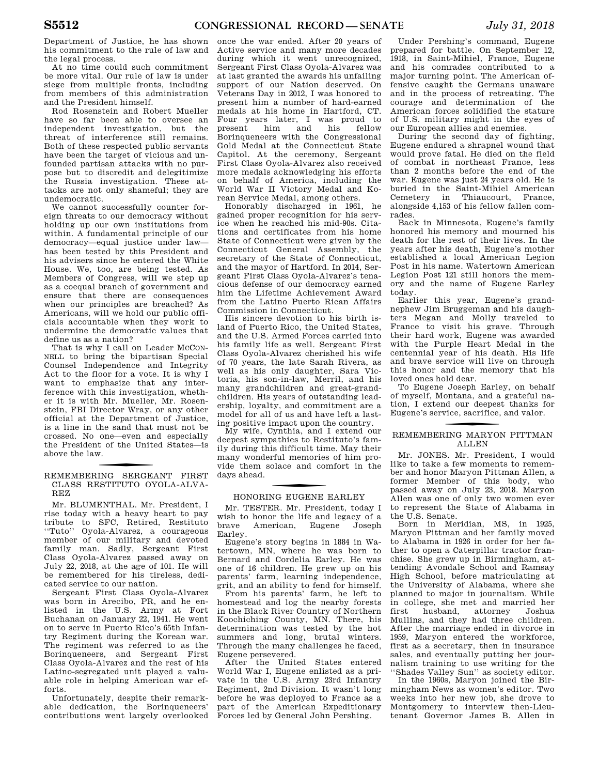Department of Justice, he has shown his commitment to the rule of law and the legal process.

At no time could such commitment be more vital. Our rule of law is under siege from multiple fronts, including from members of this administration and the President himself.

Rod Rosenstein and Robert Mueller have so far been able to oversee an independent investigation, but the threat of interference still remains. Both of these respected public servants have been the target of vicious and unfounded partisan attacks with no purpose but to discredit and delegitimize the Russia investigation. These attacks are not only shameful; they are undemocratic.

We cannot successfully counter foreign threats to our democracy without holding up our own institutions from within. A fundamental principle of our democracy—equal justice under law has been tested by this President and his advisers since he entered the White House. We, too, are being tested. As Members of Congress, will we step up as a coequal branch of government and ensure that there are consequences when our principles are breached? As Americans, will we hold our public officials accountable when they work to undermine the democratic values that define us as a nation?

That is why I call on Leader MCCON-NELL to bring the bipartisan Special Counsel Independence and Integrity Act to the floor for a vote. It is why I want to emphasize that any interference with this investigation, whether it is with Mr. Mueller, Mr. Rosenstein, FBI Director Wray, or any other official at the Department of Justice, is a line in the sand that must not be crossed. No one—even and especially the President of the United States—is above the law.

### f REMEMBERING SERGEANT FIRST CLASS RESTITUTO OYOLA-ALVA-REZ

Mr. BLUMENTHAL. Mr. President, I rise today with a heavy heart to pay tribute to SFC, Retired, Restituto ''Tuto'' Oyola-Alvarez, a courageous member of our military and devoted family man. Sadly, Sergeant First Class Oyola-Alvarez passed away on July 22, 2018, at the age of 101. He will be remembered for his tireless, dedicated service to our nation.

Sergeant First Class Oyola-Alvarez was born in Arecibo, PR, and he enlisted in the U.S. Army at Fort Buchanan on January 22, 1941. He went on to serve in Puerto Rico's 65th Infantry Regiment during the Korean war. The regiment was referred to as the Borinqueneers, and Sergeant First Class Oyola-Alvarez and the rest of his Latino-segregated unit played a valuable role in helping American war efforts.

Unfortunately, despite their remarkable dedication, the Borinqueneers' contributions went largely overlooked

once the war ended. After 20 years of Active service and many more decades during which it went unrecognized, Sergeant First Class Oyola-Alvarez was at last granted the awards his unfailing support of our Nation deserved. On Veterans Day in 2012, I was honored to present him a number of hard-earned medals at his home in Hartford, CT. Four years later, I was proud to present him and his fellow Borinqueneers with the Congressional Gold Medal at the Connecticut State Capitol. At the ceremony, Sergeant First Class Oyola-Alvarez also received more medals acknowledging his efforts on behalf of America, including the World War II Victory Medal and Korean Service Medal, among others.

Honorably discharged in 1961, he gained proper recognition for his service when he reached his mid-90s. Citations and certificates from his home State of Connecticut were given by the Connecticut General Assembly, the secretary of the State of Connecticut, and the mayor of Hartford. In 2014, Sergeant First Class Oyola-Alvarez's tenacious defense of our democracy earned him the Lifetime Achievement Award from the Latino Puerto Rican Affairs Commission in Connecticut.

His sincere devotion to his birth island of Puerto Rico, the United States, and the U.S. Armed Forces carried into his family life as well. Sergeant First Class Oyola-Alvarez cherished his wife of 70 years, the late Sarah Rivera, as well as his only daughter, Sara Victoria, his son-in-law, Merril, and his many grandchildren and great-grandchildren. His years of outstanding leadership, loyalty, and commitment are a model for all of us and have left a lasting positive impact upon the country.

My wife, Cynthia, and I extend our deepest sympathies to Restituto's family during this difficult time. May their many wonderful memories of him provide them solace and comfort in the days ahead.

### f HONORING EUGENE EARLEY

Mr. TESTER. Mr. President, today I wish to honor the life and legacy of a brave American, Eugene Joseph Earley.

Eugene's story begins in 1884 in Watertown, MN, where he was born to Bernard and Cordelia Earley. He was one of 16 children. He grew up on his parents' farm, learning independence, grit, and an ability to fend for himself.

From his parents' farm, he left to homestead and log the nearby forests in the Black River Country of Northern Koochiching County, MN. There, his determination was tested by the hot summers and long, brutal winters. Through the many challenges he faced, Eugene persevered.

After the United States entered World War I, Eugene enlisted as a private in the U.S. Army 23rd Infantry Regiment, 2nd Division. It wasn't long before he was deployed to France as a part of the American Expeditionary Forces led by General John Pershing.

Under Pershing's command, Eugene prepared for battle. On September 12, 1918, in Saint-Mihiel, France, Eugene and his comrades contributed to a major turning point. The American offensive caught the Germans unaware and in the process of retreating. The courage and determination of the American forces solidified the stature of U.S. military might in the eyes of our European allies and enemies.

During the second day of fighting, Eugene endured a shrapnel wound that would prove fatal. He died on the field of combat in northeast France, less than 2 months before the end of the war. Eugene was just 24 years old. He is buried in the Saint-Mihiel American Cemetery in Thiaucourt, France, alongside 4,153 of his fellow fallen comrades.

Back in Minnesota, Eugene's family honored his memory and mourned his death for the rest of their lives. In the years after his death, Eugene's mother established a local American Legion Post in his name. Watertown American Legion Post 121 still honors the memory and the name of Eugene Earley today.

Earlier this year, Eugene's grandnephew Jim Bruggeman and his daughters Megan and Molly traveled to France to visit his grave. Through their hard work, Eugene was awarded with the Purple Heart Medal in the centennial year of his death. His life and brave service will live on through this honor and the memory that his loved ones hold dear.

To Eugene Joseph Earley, on behalf of myself, Montana, and a grateful nation, I extend our deepest thanks for Eugene's service, sacrifice, and valor.

### f REMEMBERING MARYON PITTMAN **ALLEN**

Mr. JONES. Mr. President, I would like to take a few moments to remember and honor Maryon Pittman Allen, a former Member of this body, who passed away on July 23, 2018. Maryon Allen was one of only two women ever to represent the State of Alabama in the U.S. Senate.

Born in Meridian, MS, in 1925, Maryon Pittman and her family moved to Alabama in 1926 in order for her father to open a Caterpillar tractor franchise. She grew up in Birmingham, attending Avondale School and Ramsay High School, before matriculating at the University of Alabama, where she planned to major in journalism. While in college, she met and married her first husband, attorney Joshua Mullins, and they had three children. After the marriage ended in divorce in 1959, Maryon entered the workforce, first as a secretary, then in insurance sales, and eventually putting her journalism training to use writing for the ''Shades Valley Sun'' as society editor.

In the 1960s, Maryon joined the Birmingham News as women's editor. Two weeks into her new job, she drove to Montgomery to interview then-Lieutenant Governor James B. Allen in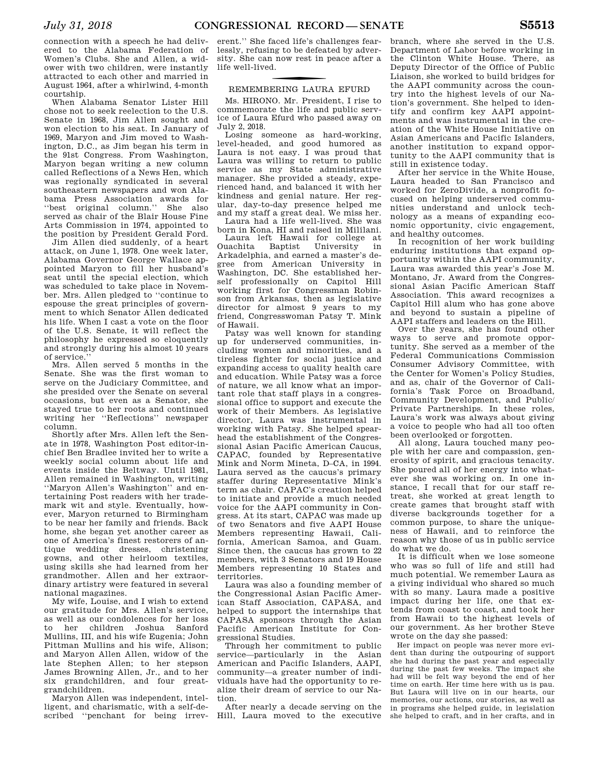connection with a speech he had delivered to the Alabama Federation of Women's Clubs. She and Allen, a widower with two children, were instantly attracted to each other and married in August 1964, after a whirlwind, 4-month courtship.

When Alabama Senator Lister Hill chose not to seek reelection to the U.S. Senate in 1968, Jim Allen sought and won election to his seat. In January of 1969, Maryon and Jim moved to Washington, D.C., as Jim began his term in the 91st Congress. From Washington, Maryon began writing a new column called Reflections of a News Hen, which was regionally syndicated in several southeastern newspapers and won Alabama Press Association awards for ''best original column.'' She also served as chair of the Blair House Fine Arts Commission in 1974, appointed to the position by President Gerald Ford.

Jim Allen died suddenly, of a heart attack, on June 1, 1978. One week later, Alabama Governor George Wallace appointed Maryon to fill her husband's seat until the special election, which was scheduled to take place in November. Mrs. Allen pledged to ''continue to espouse the great principles of government to which Senator Allen dedicated his life. When I cast a vote on the floor of the U.S. Senate, it will reflect the philosophy he expressed so eloquently and strongly during his almost 10 years of service.''

Mrs. Allen served 5 months in the Senate. She was the first woman to serve on the Judiciary Committee, and she presided over the Senate on several occasions, but even as a Senator, she stayed true to her roots and continued writing her ''Reflections'' newspaper column.

Shortly after Mrs. Allen left the Senate in 1978, Washington Post editor-inchief Ben Bradlee invited her to write a weekly social column about life and events inside the Beltway. Until 1981, Allen remained in Washington, writing ''Maryon Allen's Washington'' and entertaining Post readers with her trademark wit and style. Eventually, however, Maryon returned to Birmingham to be near her family and friends. Back home, she began yet another career as one of America's finest restorers of antique wedding dresses, christening gowns, and other heirloom textiles, using skills she had learned from her grandmother. Allen and her extraordinary artistry were featured in several national magazines.

My wife, Louise, and I wish to extend our gratitude for Mrs. Allen's service, as well as our condolences for her loss to her children Joshua Sanford Mullins, III, and his wife Eugenia; John Pittman Mullins and his wife, Alison; and Maryon Allen Allen, widow of the late Stephen Allen; to her stepson James Browning Allen, Jr., and to her six grandchildren, and four greatgrandchildren.

Maryon Allen was independent, intelligent, and charismatic, with a self-described ''penchant for being irrev-

erent.'' She faced life's challenges fearlessly, refusing to be defeated by adversity. She can now rest in peace after a life well-lived.

### f REMEMBERING LAURA EFURD

Ms. HIRONO. Mr. President, I rise to commemorate the life and public service of Laura Efurd who passed away on July 2, 2018.

Losing someone as hard-working, level-headed, and good humored as Laura is not easy. I was proud that Laura was willing to return to public service as my State administrative manager. She provided a steady, experienced hand, and balanced it with her kindness and genial nature. Her regular, day-to-day presence helped me and my staff a great deal. We miss her.

Laura had a life well-lived. She was born in Kona, HI and raised in Mililani.

Laura left Hawaii for college at Ouachita Baptist University in Arkadelphia, and earned a master's degree from American University in Washington, DC. She established herself professionally on Capitol Hill working first for Congressman Robinson from Arkansas, then as legislative director for almost 9 years to my friend, Congresswoman Patsy T. Mink of Hawaii.

Patsy was well known for standing up for underserved communities, including women and minorities, and a tireless fighter for social justice and expanding access to quality health care and education. While Patsy was a force of nature, we all know what an important role that staff plays in a congressional office to support and execute the work of their Members. As legislative director, Laura was instrumental in working with Patsy. She helped spearhead the establishment of the Congressional Asian Pacific American Caucus, CAPAC, founded by Representative Mink and Norm Mineta, D–CA, in 1994. Laura served as the caucus's primary staffer during Representative Mink's term as chair. CAPAC's creation helped to initiate and provide a much needed voice for the AAPI community in Congress. At its start, CAPAC was made up of two Senators and five AAPI House Members representing Hawaii, California, American Samoa, and Guam. Since then, the caucus has grown to 22 members, with 3 Senators and 19 House Members representing 10 States and territories.

Laura was also a founding member of the Congressional Asian Pacific American Staff Association, CAPASA, and helped to support the internships that CAPASA sponsors through the Asian Pacific American Institute for Congressional Studies.

Through her commitment to public service—particularly in the Asian American and Pacific Islanders, AAPI, community—a greater number of individuals have had the opportunity to realize their dream of service to our Nation.

After nearly a decade serving on the Hill, Laura moved to the executive

branch, where she served in the U.S. Department of Labor before working in the Clinton White House. There, as Deputy Director of the Office of Public Liaison, she worked to build bridges for the AAPI community across the country into the highest levels of our Nation's government. She helped to identify and confirm key AAPI appointments and was instrumental in the creation of the White House Initiative on Asian Americans and Pacific Islanders, another institution to expand opportunity to the AAPI community that is still in existence today.

After her service in the White House, Laura headed to San Francisco and worked for ZeroDivide, a nonprofit focused on helping underserved communities understand and unlock technology as a means of expanding economic opportunity, civic engagement, and healthy outcomes.

In recognition of her work building enduring institutions that expand opportunity within the AAPI community, Laura was awarded this year's Jose M. Montano, Jr. Award from the Congressional Asian Pacific American Staff Association. This award recognizes a Capitol Hill alum who has gone above and beyond to sustain a pipeline of AAPI staffers and leaders on the Hill.

Over the years, she has found other ways to serve and promote opportunity. She served as a member of the Federal Communications Commission Consumer Advisory Committee, with the Center for Women's Policy Studies, and as, chair of the Governor of California's Task Force on Broadband, Community Development, and Public/ Private Partnerships. In these roles, Laura's work was always about giving a voice to people who had all too often been overlooked or forgotten.

All along, Laura touched many people with her care and compassion, generosity of spirit, and gracious tenacity. She poured all of her energy into whatever she was working on. In one instance, I recall that for our staff retreat, she worked at great length to create games that brought staff with diverse backgrounds together for a common purpose, to share the uniqueness of Hawaii, and to reinforce the reason why those of us in public service do what we do.

It is difficult when we lose someone who was so full of life and still had much potential. We remember Laura as a giving individual who shared so much with so many. Laura made a positive impact during her life, one that extends from coast to coast, and took her from Hawaii to the highest levels of our government. As her brother Steve wrote on the day she passed:

Her impact on people was never more evident than during the outpouring of support she had during the past year and especially during the past few weeks. The impact she had will be felt way beyond the end of her time on earth. Her time here with us is pau. But Laura will live on in our hearts, our memories, our actions, our stories, as well as in programs she helped guide, in legislation she helped to craft, and in her crafts, and in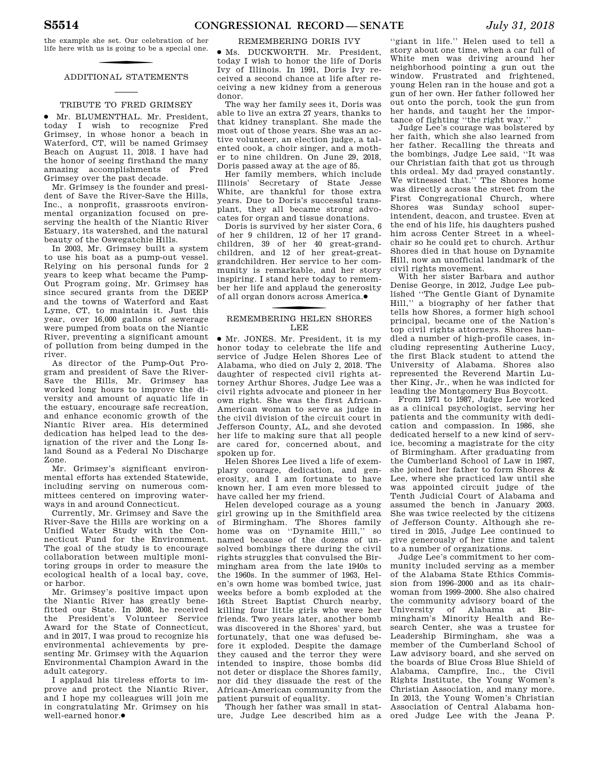the example she set. Our celebration of her life here with us is going to be a special one.

### ADDITIONAL STATEMENTS

### TRIBUTE TO FRED GRIMSEY

∑ Mr. BLUMENTHAL. Mr. President, today I wish to recognize Fred Grimsey, in whose honor a beach in Waterford, CT, will be named Grimsey Beach on August 11, 2018. I have had the honor of seeing firsthand the many amazing accomplishments of Fred Grimsey over the past decade.

Mr. Grimsey is the founder and president of Save the River-Save the Hills, Inc., a nonprofit, grassroots environmental organization focused on preserving the health of the Niantic River Estuary, its watershed, and the natural beauty of the Oswegatchie Hills.

In 2003, Mr. Grimsey built a system to use his boat as a pump-out vessel. Relying on his personal funds for 2 years to keep what became the Pump-Out Program going, Mr. Grimsey has since secured grants from the DEEP and the towns of Waterford and East Lyme, CT, to maintain it. Just this year, over 16,000 gallons of sewerage were pumped from boats on the Niantic River, preventing a significant amount of pollution from being dumped in the river.

As director of the Pump-Out Program and president of Save the River-Save the Hills, Mr. Grimsey has worked long hours to improve the diversity and amount of aquatic life in the estuary, encourage safe recreation, and enhance economic growth of the Niantic River area. His determined dedication has helped lead to the designation of the river and the Long Island Sound as a Federal No Discharge Zone.

Mr. Grimsey's significant environmental efforts has extended Statewide, including serving on numerous committees centered on improving waterways in and around Connecticut.

Currently, Mr. Grimsey and Save the River-Save the Hills are working on a Unified Water Study with the Connecticut Fund for the Environment. The goal of the study is to encourage collaboration between multiple monitoring groups in order to measure the ecological health of a local bay, cove, or harbor.

Mr. Grimsey's positive impact upon the Niantic River has greatly benefitted our State. In 2008, he received the President's Volunteer Service Award for the State of Connecticut, and in 2017, I was proud to recognize his environmental achievements by presenting Mr. Grimsey with the Aquarion Environmental Champion Award in the adult category.

I applaud his tireless efforts to improve and protect the Niantic River, and I hope my colleagues will join me in congratulating Mr. Grimsey on his well-earned honor.●

### REMEMBERING DORIS IVY

∑ Ms. DUCKWORTH. Mr. President, today I wish to honor the life of Doris Ivy of Illinois. In 1991, Doris Ivy received a second chance at life after receiving a new kidney from a generous donor.

The way her family sees it, Doris was able to live an extra 27 years, thanks to that kidney transplant. She made the most out of those years. She was an active volunteer, an election judge, a talented cook, a choir singer, and a mother to nine children. On June 29, 2018, Doris passed away at the age of 85.

Her family members, which include Illinois' Secretary of State Jesse White, are thankful for those extra years. Due to Doris's successful transplant, they all became strong advocates for organ and tissue donations.

Doris is survived by her sister Cora, 6 of her 9 children, 12 of her 17 grandchildren, 39 of her 40 great-grandchildren, and 12 of her great-greatgrandchildren. Her service to her community is remarkable, and her story inspiring. I stand here today to remember her life and applaud the generosity of all organ donors across America. ∑

### f REMEMBERING HELEN SHORES LEE

∑ Mr. JONES. Mr. President, it is my honor today to celebrate the life and service of Judge Helen Shores Lee of Alabama, who died on July 2, 2018. The daughter of respected civil rights attorney Arthur Shores, Judge Lee was a civil rights advocate and pioneer in her own right. She was the first African-American woman to serve as judge in the civil division of the circuit court in Jefferson County, AL, and she devoted her life to making sure that all people are cared for, concerned about, and spoken up for.

Helen Shores Lee lived a life of exemplary courage, dedication, and generosity, and I am fortunate to have known her. I am even more blessed to have called her my friend.

Helen developed courage as a young girl growing up in the Smithfield area of Birmingham. The Shores family home was on ''Dynamite Hill,'' so named because of the dozens of unsolved bombings there during the civil rights struggles that convulsed the Birmingham area from the late 1940s to the 1960s. In the summer of 1963, Helen's own home was bombed twice, just weeks before a bomb exploded at the 16th Street Baptist Church nearby, killing four little girls who were her friends. Two years later, another bomb was discovered in the Shores' yard, but fortunately, that one was defused before it exploded. Despite the damage they caused and the terror they were intended to inspire, those bombs did not deter or displace the Shores family, nor did they dissuade the rest of the African-American community from the patient pursuit of equality.

Though her father was small in stature, Judge Lee described him as a ored Judge Lee with the Jeana P.

"giant in life." Helen used to tell a story about one time, when a car full of White men was driving around her neighborhood pointing a gun out the window. Frustrated and frightened, young Helen ran in the house and got a gun of her own. Her father followed her out onto the porch, took the gun from her hands, and taught her the importance of fighting ''the right way.''

Judge Lee's courage was bolstered by her faith, which she also learned from her father. Recalling the threats and the bombings, Judge Lee said, ''It was our Christian faith that got us through this ordeal. My dad prayed constantly. We witnessed that.'' The Shores home was directly across the street from the First Congregational Church, where Shores was Sunday school superintendent, deacon, and trustee. Even at the end of his life, his daughters pushed him across Center Street in a wheelchair so he could get to church. Arthur Shores died in that house on Dynamite Hill, now an unofficial landmark of the civil rights movement.

With her sister Barbara and author Denise George, in 2012, Judge Lee published ''The Gentle Giant of Dynamite Hill,'' a biography of her father that tells how Shores, a former high school principal, became one of the Nation's top civil rights attorneys. Shores handled a number of high-profile cases, including representing Autherine Lucy, the first Black student to attend the University of Alabama. Shores also represented the Reverend Martin Luther King, Jr., when he was indicted for leading the Montgomery Bus Boycott.

From 1971 to 1987, Judge Lee worked as a clinical psychologist, serving her patients and the community with dedication and compassion. In 1986, she dedicated herself to a new kind of service, becoming a magistrate for the city of Birmingham. After graduating from the Cumberland School of Law in 1987, she joined her father to form Shores & Lee, where she practiced law until she was appointed circuit judge of the Tenth Judicial Court of Alabama and assumed the bench in January 2003. She was twice reelected by the citizens of Jefferson County. Although she retired in 2015, Judge Lee continued to give generously of her time and talent to a number of organizations.

Judge Lee's commitment to her community included serving as a member of the Alabama State Ethics Commission from 1996–2000 and as its chairwoman from 1999–2000. She also chaired the community advisory board of the University of Alabama at Birmingham's Minority Health and Research Center, she was a trustee for Leadership Birmingham, she was a member of the Cumberland School of Law advisory board, and she served on the boards of Blue Cross Blue Shield of Alabama, Campfire, Inc., the Civil Rights Institute, the Young Women's Christian Association, and many more. In 2013, the Young Women's Christian Association of Central Alabama hon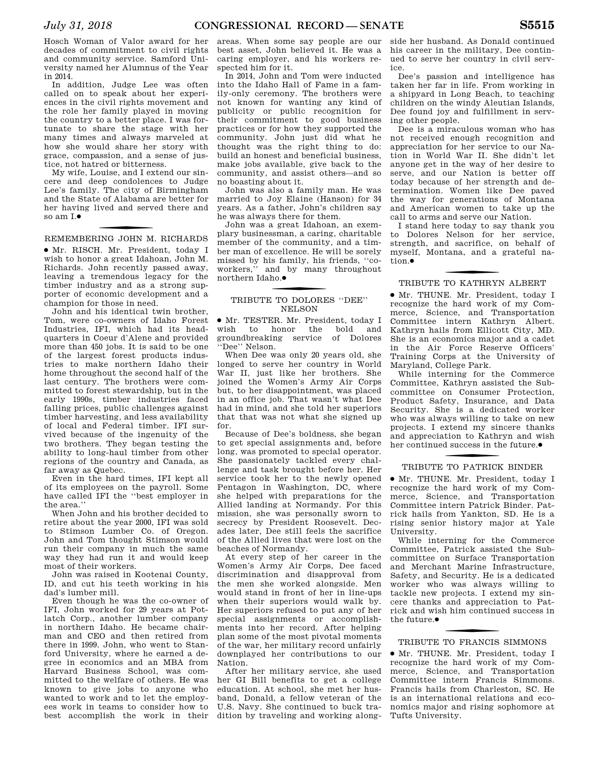Hosch Woman of Valor award for her decades of commitment to civil rights and community service. Samford University named her Alumnus of the Year in 2014.

In addition, Judge Lee was often called on to speak about her experiences in the civil rights movement and the role her family played in moving the country to a better place. I was fortunate to share the stage with her many times and always marveled at how she would share her story with grace, compassion, and a sense of justice, not hatred or bitterness.

My wife, Louise, and I extend our sincere and deep condolences to Judge Lee's family. The city of Birmingham and the State of Alabama are better for her having lived and served there and so am I.●

f REMEMBERING JOHN M. RICHARDS

∑ Mr. RISCH. Mr. President, today I wish to honor a great Idahoan, John M. Richards. John recently passed away, leaving a tremendous legacy for the timber industry and as a strong supporter of economic development and a champion for those in need.

John and his identical twin brother, Tom, were co-owners of Idaho Forest Industries, IFI, which had its headquarters in Coeur d'Alene and provided more than 450 jobs. It is said to be one of the largest forest products industries to make northern Idaho their home throughout the second half of the last century. The brothers were committed to forest stewardship, but in the early 1990s, timber industries faced falling prices, public challenges against timber harvesting, and less availability of local and Federal timber. IFI survived because of the ingenuity of the two brothers. They began testing the ability to long-haul timber from other regions of the country and Canada, as far away as Quebec.

Even in the hard times, IFI kept all of its employees on the payroll. Some have called IFI the ''best employer in the area.''

When John and his brother decided to retire about the year 2000, IFI was sold to Stimson Lumber Co. of Oregon. John and Tom thought Stimson would run their company in much the same way they had run it and would keep most of their workers.

John was raised in Kootenai County, ID, and cut his teeth working in his dad's lumber mill.

Even though he was the co-owner of IFI, John worked for 29 years at Potlatch Corp., another lumber company in northern Idaho. He became chairman and CEO and then retired from there in 1999. John, who went to Stanford University, where he earned a degree in economics and an MBA from Harvard Business School, was committed to the welfare of others. He was known to give jobs to anyone who wanted to work and to let the employees work in teams to consider how to best accomplish the work in their areas. When some say people are our best asset, John believed it. He was a caring employer, and his workers respected him for it.

In 2014, John and Tom were inducted into the Idaho Hall of Fame in a family-only ceremony. The brothers were not known for wanting any kind of publicity or public recognition for their commitment to good business practices or for how they supported the community. John just did what he thought was the right thing to do: build an honest and beneficial business, make jobs available, give back to the community, and assist others—and so no boasting about it.

John was also a family man. He was married to Joy Elaine (Hanson) for 34 years. As a father, John's children say he was always there for them.

John was a great Idahoan, an exemplary businessman, a caring, charitable member of the community, and a timber man of excellence. He will be sorely missed by his family, his friends, ''coworkers," and by many throughout northern Idaho. ∑

### f TRIBUTE TO DOLORES ''DEE'' NELSON

∑ Mr. TESTER. Mr. President, today I wish to honor the bold and groundbreaking service of Dolores 'Dee'' Nelson.

When Dee was only 20 years old, she longed to serve her country in World War II, just like her brothers. She joined the Women's Army Air Corps but, to her disappointment, was placed in an office job. That wasn't what Dee had in mind, and she told her superiors that that was not what she signed up for.

Because of Dee's boldness, she began to get special assignments and, before long, was promoted to special operator. She passionately tackled every challenge and task brought before her. Her service took her to the newly opened Pentagon in Washington, DC, where she helped with preparations for the Allied landing at Normandy. For this mission, she was personally sworn to secrecy by President Roosevelt. Decades later, Dee still feels the sacrifice of the Allied lives that were lost on the beaches of Normandy.

At every step of her career in the Women's Army Air Corps, Dee faced discrimination and disapproval from the men she worked alongside. Men would stand in front of her in line-ups when their superiors would walk by. Her superiors refused to put any of her special assignments or accomplishments into her record. After helping plan some of the most pivotal moments of the war, her military record unfairly downplayed her contributions to our Nation.

After her military service, she used her GI Bill benefits to get a college education. At school, she met her husband, Donald, a fellow veteran of the U.S. Navy. She continued to buck tradition by traveling and working along-

side her husband. As Donald continued his career in the military, Dee continued to serve her country in civil service.

Dee's passion and intelligence has taken her far in life. From working in a shipyard in Long Beach, to teaching children on the windy Aleutian Islands, Dee found joy and fulfillment in serving other people.

Dee is a miraculous woman who has not received enough recognition and appreciation for her service to our Nation in World War II. She didn't let anyone get in the way of her desire to serve, and our Nation is better off today because of her strength and determination. Women like Dee paved the way for generations of Montana and American women to take up the call to arms and serve our Nation.

I stand here today to say thank you to Dolores Nelson for her service, strength, and sacrifice, on behalf of myself, Montana, and a grateful nation.∑

### f TRIBUTE TO KATHRYN ALBERT

∑ Mr. THUNE. Mr. President, today I recognize the hard work of my Commerce, Science, and Transportation Committee intern Kathryn Albert. Kathryn hails from Ellicott City, MD. She is an economics major and a cadet in the Air Force Reserve Officers' Training Corps at the University of Maryland, College Park.

While interning for the Commerce Committee, Kathryn assisted the Subcommittee on Consumer Protection, Product Safety, Insurance, and Data Security. She is a dedicated worker who was always willing to take on new projects. I extend my sincere thanks and appreciation to Kathryn and wish her continued success in the future.●

### f TRIBUTE TO PATRICK BINDER

∑ Mr. THUNE. Mr. President, today I recognize the hard work of my Commerce, Science, and Transportation Committee intern Patrick Binder. Patrick hails from Yankton, SD. He is a rising senior history major at Yale University.

While interning for the Commerce Committee, Patrick assisted the Subcommittee on Surface Transportation and Merchant Marine Infrastructure, Safety, and Security. He is a dedicated worker who was always willing to tackle new projects. I extend my sincere thanks and appreciation to Patrick and wish him continued success in the future.●

### f TRIBUTE TO FRANCIS SIMMONS

∑ Mr. THUNE. Mr. President, today I recognize the hard work of my Commerce, Science, and Transportation Committee intern Francis Simmons. Francis hails from Charleston, SC. He is an international relations and economics major and rising sophomore at Tufts University.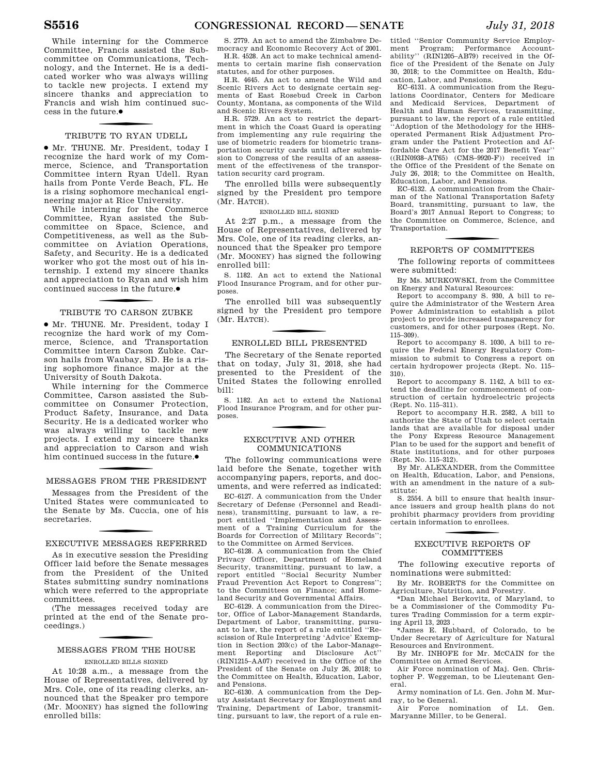While interning for the Commerce Committee, Francis assisted the Subcommittee on Communications, Technology, and the Internet. He is a dedicated worker who was always willing to tackle new projects. I extend my sincere thanks and appreciation to Francis and wish him continued success in the future.●

### f TRIBUTE TO RYAN UDELL

∑ Mr. THUNE. Mr. President, today I recognize the hard work of my Commerce, Science, and Transportation Committee intern Ryan Udell. Ryan hails from Ponte Verde Beach, FL. He is a rising sophomore mechanical engineering major at Rice University.

While interning for the Commerce Committee, Ryan assisted the Subcommittee on Space, Science, and Competitiveness, as well as the Subcommittee on Aviation Operations, Safety, and Security. He is a dedicated worker who got the most out of his internship. I extend my sincere thanks and appreciation to Ryan and wish him continued success in the future. ∑

### f TRIBUTE TO CARSON ZUBKE

∑ Mr. THUNE. Mr. President, today I recognize the hard work of my Commerce, Science, and Transportation Committee intern Carson Zubke. Carson hails from Waubay, SD. He is a rising sophomore finance major at the University of South Dakota.

While interning for the Commerce Committee, Carson assisted the Subcommittee on Consumer Protection, Product Safety, Insurance, and Data Security. He is a dedicated worker who was always willing to tackle new projects. I extend my sincere thanks and appreciation to Carson and wish him continued success in the future.●

### f MESSAGES FROM THE PRESIDENT

Messages from the President of the United States were communicated to the Senate by Ms. Cuccia, one of his secretaries.

### f EXECUTIVE MESSAGES REFERRED

As in executive session the Presiding Officer laid before the Senate messages from the President of the United States submitting sundry nominations which were referred to the appropriate committees.

(The messages received today are printed at the end of the Senate proceedings.)

# f MESSAGES FROM THE HOUSE

### ENROLLED BILLS SIGNED

At 10:28 a.m., a message from the House of Representatives, delivered by Mrs. Cole, one of its reading clerks, announced that the Speaker pro tempore (Mr. MOONEY) has signed the following enrolled bills:

S. 2779. An act to amend the Zimbabwe Democracy and Economic Recovery Act of 2001.

H.R. 4528. An act to make technical amendments to certain marine fish conservation statutes, and for other purposes.

H.R. 4645. An act to amend the Wild and Scenic Rivers Act to designate certain segments of East Rosebud Creek in Carbon County, Montana, as components of the Wild and Scenic Rivers System.

H.R. 5729. An act to restrict the department in which the Coast Guard is operating from implementing any rule requiring the use of biometric readers for biometric transportation security cards until after submission to Congress of the results of an assessment of the effectiveness of the transportation security card program.

The enrolled bills were subsequently signed by the President pro tempore (Mr. HATCH).

### ENROLLED BILL SIGNED

At 2:27 p.m., a message from the House of Representatives, delivered by Mrs. Cole, one of its reading clerks, announced that the Speaker pro tempore (Mr. MOONEY) has signed the following enrolled bill:

S. 1182. An act to extend the National Flood Insurance Program, and for other purposes.

The enrolled bill was subsequently signed by the President pro tempore (Mr. HATCH).

### f ENROLLED BILL PRESENTED

The Secretary of the Senate reported that on today, July 31, 2018, she had presented to the President of the United States the following enrolled bill:

S. 1182. An act to extend the National Flood Insurance Program, and for other purposes.

### f EXECUTIVE AND OTHER COMMUNICATIONS

The following communications were laid before the Senate, together with accompanying papers, reports, and documents, and were referred as indicated:

EC–6127. A communication from the Under Secretary of Defense (Personnel and Readiness), transmitting, pursuant to law, a report entitled ''Implementation and Assessment of a Training Curriculum for the Boards for Correction of Military Records''; to the Committee on Armed Services.

EC–6128. A communication from the Chief Privacy Officer, Department of Homeland Security, transmitting, pursuant to law, a report entitled ''Social Security Number Fraud Prevention Act Report to Congress''; to the Committees on Finance; and Homeland Security and Governmental Affairs.

EC–6129. A communication from the Director, Office of Labor-Management Standards, Department of Labor, transmitting, pursuant to law, the report of a rule entitled ''Rescission of Rule Interpreting 'Advice' Exemption in Section 203(c) of the Labor-Management Reporting and Disclosure Act'' (RIN1215–AA07) received in the Office of the President of the Senate on July 26, 2018; to the Committee on Health, Education, Labor, and Pensions.

EC–6130. A communication from the Deputy Assistant Secretary for Employment and Training, Department of Labor, transmitting, pursuant to law, the report of a rule entitled ''Senior Community Service Employment Program; Performance Accountability'' (RIN1205–AB79) received in the Office of the President of the Senate on July 30, 2018; to the Committee on Health, Education, Labor, and Pensions.

EC–6131. A communication from the Regulations Coordinator, Centers for Medicare and Medicaid Services, Department of Health and Human Services, transmitting, pursuant to law, the report of a rule entitled ''Adoption of the Methodology for the HHSoperated Permanent Risk Adjustment Program under the Patient Protection and Affordable Care Act for the 2017 Benefit Year'' ((RIN0938–AT65) (CMS–9920-F)) received in the Office of the President of the Senate on July 26, 2018; to the Committee on Health, Education, Labor, and Pensions.

EC–6132. A communication from the Chairman of the National Transportation Safety Board, transmitting, pursuant to law, the Board's 2017 Annual Report to Congress; to the Committee on Commerce, Science, and Transportation.

### f REPORTS OF COMMITTEES

The following reports of committees were submitted:

By Ms. MURKOWSKI, from the Committee on Energy and Natural Resources:

Report to accompany S. 930, A bill to require the Administrator of the Western Area Power Administration to establish a pilot project to provide increased transparency for customers, and for other purposes (Rept. No. 115–309).

Report to accompany S. 1030, A bill to require the Federal Energy Regulatory Commission to submit to Congress a report on certain hydropower projects (Rept. No. 115– 310).

Report to accompany S. 1142, A bill to extend the deadline for commencement of construction of certain hydroelectric projects (Rept. No. 115–311).

Report to accompany H.R. 2582, A bill to authorize the State of Utah to select certain lands that are available for disposal under the Pony Express Resource Management Plan to be used for the support and benefit of State institutions, and for other purposes (Rept. No. 115–312).

By Mr. ALEXANDER, from the Committee on Health, Education, Labor, and Pensions, with an amendment in the nature of a substitute:

S. 2554. A bill to ensure that health insurance issuers and group health plans do not prohibit pharmacy providers from providing certain information to enrollees.

### f EXECUTIVE REPORTS OF COMMITTEES

The following executive reports of nominations were submitted:

By Mr. ROBERTS for the Committee on Agriculture, Nutrition, and Forestry.

\*Dan Michael Berkovitz, of Maryland, to be a Commissioner of the Commodity Futures Trading Commission for a term expiring April 13, 2023 .

\*James E. Hubbard, of Colorado, to be Under Secretary of Agriculture for Natural Resources and Environment.

By Mr. INHOFE for Mr. MCCAIN for the Committee on Armed Services.

Air Force nomination of Maj. Gen. Christopher P. Weggeman, to be Lieutenant General.

Army nomination of Lt. Gen. John M. Murray, to be General.

Air Force nomination of Lt. Gen. Maryanne Miller, to be General.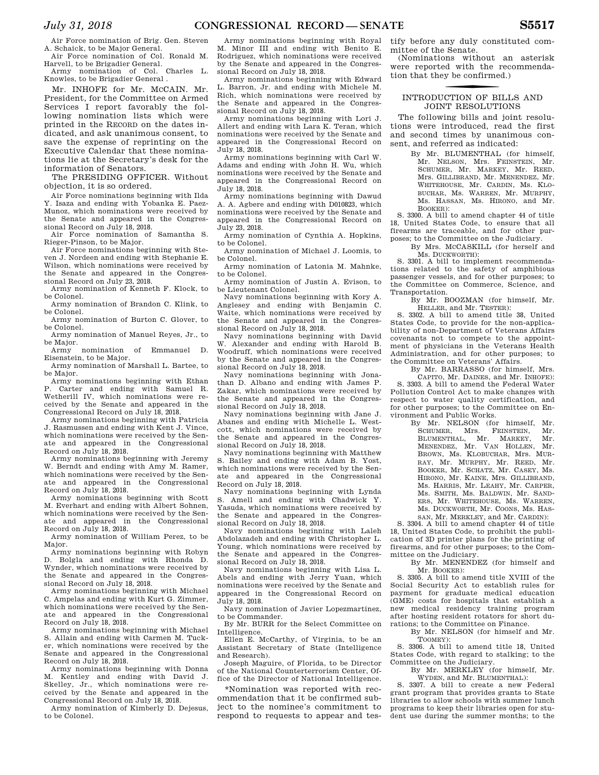Air Force nomination of Brig. Gen. Steven A. Schaick, to be Major General.

Air Force nomination of Col. Ronald M. Harvell, to be Brigadier General. Army nomination of Col. Charles L.

Knowles, to be Brigadier General .

Mr. INHOFE for Mr. MCCAIN. Mr. President, for the Committee on Armed Services I report favorably the following nomination lists which were printed in the RECORD on the dates indicated, and ask unanimous consent, to save the expense of reprinting on the Executive Calendar that these nominations lie at the Secretary's desk for the information of Senators.

The PRESIDING OFFICER. Without objection, it is so ordered.

Air Force nominations beginning with Ilda Y. Isaza and ending with Yobanka E. Paez-Munoz, which nominations were received by the Senate and appeared in the Congressional Record on July 18, 2018.

Air Force nomination of Samantha S. Rieger-Pinson, to be Major.

Air Force nominations beginning with Steven J. Nordeen and ending with Stephanie E. Wilson, which nominations were received by the Senate and appeared in the Congressional Record on July 23, 2018.

Army nomination of Kenneth F. Klock, to be Colonel.

Army nomination of Brandon C. Klink, to be Colonel.

Army nomination of Burton C. Glover, to be Colonel.

Army nomination of Manuel Reyes, Jr., to be Major.

Army nomination of Emmanuel D. Eisenstein, to be Major.

Army nomination of Marshall L. Bartee, to be Major.

Army nominations beginning with Ethan P. Carter and ending with Samuel R. Wetherill IV, which nominations were received by the Senate and appeared in the Congressional Record on July 18, 2018.

Army nominations beginning with Patricia J. Rasmussen and ending with Kent J. Vince, which nominations were received by the Senate and appeared in the Congressional Record on July 18, 2018.

Army nominations beginning with Jeremy W. Berndt and ending with Amy M. Ramer, which nominations were received by the Senate and appeared in the Congressional Record on July 18, 2018.

Army nominations beginning with Scott M. Everhart and ending with Albert Sohnen, which nominations were received by the Senate and appeared in the Congressional Record on July 18, 2018.

Army nomination of William Perez, to be Major.

Army nominations beginning with Robyn D. Bolgla and ending with Rhonda D. Wynder, which nominations were received by the Senate and appeared in the Congressional Record on July 18, 2018.

Army nominations beginning with Michael C. Ampelas and ending with Kurt G. Zimmer, which nominations were received by the Senate and appeared in the Congressional Record on July 18, 2018.

Army nominations beginning with Michael S. Allain and ending with Carmen M. Tucker, which nominations were received by the Senate and appeared in the Congressional Record on July 18, 2018.

Army nominations beginning with Donna M. Kentley and ending with David J. Skelley, Jr., which nominations were received by the Senate and appeared in the Congressional Record on July 18, 2018.

Army nomination of Kimberly D. Dejesus, to be Colonel.

Army nominations beginning with Royal M. Minor III and ending with Benito E. Rodriguez, which nominations were received by the Senate and appeared in the Congressional Record on July 18, 2018.

Army nominations beginning with Edward L. Barron, Jr. and ending with Michele M. Rich, which nominations were received by the Senate and appeared in the Congressional Record on July 18, 2018.

Army nominations beginning with Lori J. Allert and ending with Lara K. Teran, which nominations were received by the Senate and appeared in the Congressional Record on July 18, 2018.

Army nominations beginning with Carl W. Adams and ending with John H. Wu, which nominations were received by the Senate and appeared in the Congressional Record on July 18, 2018.

Army nominations beginning with Dawud A. A. Agbere and ending with D010823, which nominations were received by the Senate and appeared in the Congressional Record on July 23, 2018.

Army nomination of Cynthia A. Hopkins, to be Colonel.

Army nomination of Michael J. Loomis, to be Colonel.

Army nomination of Latonia M. Mahnke, to be Colonel.

Army nomination of Justin A. Evison, to be Lieutenant Colonel.

Navy nominations beginning with Kory A. Anglesey and ending with Benjamin C. Waite, which nominations were received by the Senate and appeared in the Congressional Record on July 18, 2018.

Navy nominations beginning with David W. Alexander and ending with Harold B. Woodruff, which nominations were received by the Senate and appeared in the Congressional Record on July 18, 2018.

Navy nominations beginning with Jonathan D. Albano and ending with James P. Zakar, which nominations were received by the Senate and appeared in the Congressional Record on July 18, 2018.

Navy nominations beginning with Jane J. Abanes and ending with Michelle L. Westcott, which nominations were received by the Senate and appeared in the Congressional Record on July 18, 2018.

Navy nominations beginning with Matthew S. Bailey and ending with Adam B. Yost, which nominations were received by the Senate and appeared in the Congressional Record on July 18, 2018.

Navy nominations beginning with Lynda S. Amell and ending with Chadwick Y. Yasuda, which nominations were received by the Senate and appeared in the Congressional Record on July 18, 2018.

Navy nominations beginning with Laleh Abdolazadeh and ending with Christopher L. Young, which nominations were received by the Senate and appeared in the Congressional Record on July 18, 2018.

Navy nominations beginning with Lisa L. Abels and ending with Jerry Yuan, which nominations were received by the Senate and appeared in the Congressional Record on July 18, 2018.

Navy nomination of Javier Lopezmartinez, to be Commander.

By Mr. BURR for the Select Committee on Intelligence.

Ellen E. McCarthy, of Virginia, to be an Assistant Secretary of State (Intelligence and Research).

Joseph Maguire, of Florida, to be Director of the National Counterterrorism Center, Office of the Director of National Intelligence.

\*Nomination was reported with recommendation that it be confirmed subject to the nominee's commitment to respond to requests to appear and tes-

tify before any duly constituted committee of the Senate.

(Nominations without an asterisk were reported with the recommendation that they be confirmed.)

### f INTRODUCTION OF BILLS AND JOINT RESOLUTIONS

The following bills and joint resolutions were introduced, read the first and second times by unanimous consent, and referred as indicated:

> By Mr. BLUMENTHAL (for himself, Mr. NELSON, Mrs. FEINSTEIN, Mr. SCHUMER, Mr. MARKEY, Mr. REED, Mrs. GILLIBRAND, Mr. MENENDEZ, Mr. WHITEHOUSE, Mr. CARDIN, Ms. KLO-BUCHAR, Ms. WARREN, Mr. MURPHY, Ms. HASSAN, Ms. HIRONO, and Mr. BOOKER):

S. 3300. A bill to amend chapter 44 of title 18, United States Code, to ensure that all firearms are traceable, and for other purposes; to the Committee on the Judiciary.

By Mrs. MCCASKILL (for herself and Ms. DUCKWORTH):

S. 3301. A bill to implement recommendations related to the safety of amphibious passenger vessels, and for other purposes; to the Committee on Commerce, Science, and Transportation.

By Mr. BOOZMAN (for himself, Mr. HELLER, and Mr. TESTER):

S. 3302. A bill to amend title 38, United States Code, to provide for the non-applicability of non-Department of Veterans Affairs covenants not to compete to the appointment of physicians in the Veterans Health Administration, and for other purposes; to the Committee on Veterans' Affairs.

By Mr. BARRASSO (for himself, Mrs. CAPITO, Mr. DAINES, and Mr. INHOFE): S. 3303. A bill to amend the Federal Water Pollution Control Act to make changes with respect to water quality certification, and for other purposes; to the Committee on Environment and Public Works.

By Mr. NELSON (for himself, Mr. SCHUMER, Mrs. FEINSTEIN, Mr. BLUMENTHAL, Mr. MARKEY, Mr. MENENDEZ, Mr. VAN HOLLEN, Mr. BROWN, Ms. KLOBUCHAR, Mrs. MUR-RAY, Mr. MURPHY, Mr. REED, Mr. BOOKER, Mr. SCHATZ, Mr. CASEY, Ms. HIRONO, Mr. KAINE, Mrs. GILLIBRAND, Ms. HARRIS, Mr. LEAHY, Mr. CARPER, Ms. SMITH, Ms. BALDWIN, Mr. SAND-ERS, Mr. WHITEHOUSE, Ms. WARREN, Ms. DUCKWORTH, Mr. COONS, Ms. HAS-SAN, Mr. MERKLEY, and Mr. CARDIN):

S. 3304. A bill to amend chapter 44 of title 18, United States Code, to prohibit the publication of 3D printer plans for the printing of firearms, and for other purposes; to the Committee on the Judiciary.

By Mr. MENENDEZ (for himself and Mr. BOOKER):

S. 3305. A bill to amend title XVIII of the Social Security Act to establish rules for payment for graduate medical education (GME) costs for hospitals that establish a new medical residency training program after hosting resident rotators for short durations; to the Committee on Finance.

By Mr. NELSON (for himself and Mr. TOOMEY):

S. 3306. A bill to amend title 18, United States Code, with regard to stalking; to the Committee on the Judiciary.

By Mr. MERKLEY (for himself, Mr. WYDEN, and Mr. BLUMENTHAL):

S. 3307. A bill to create a new Federal grant program that provides grants to State libraries to allow schools with summer lunch programs to keep their libraries open for student use during the summer months; to the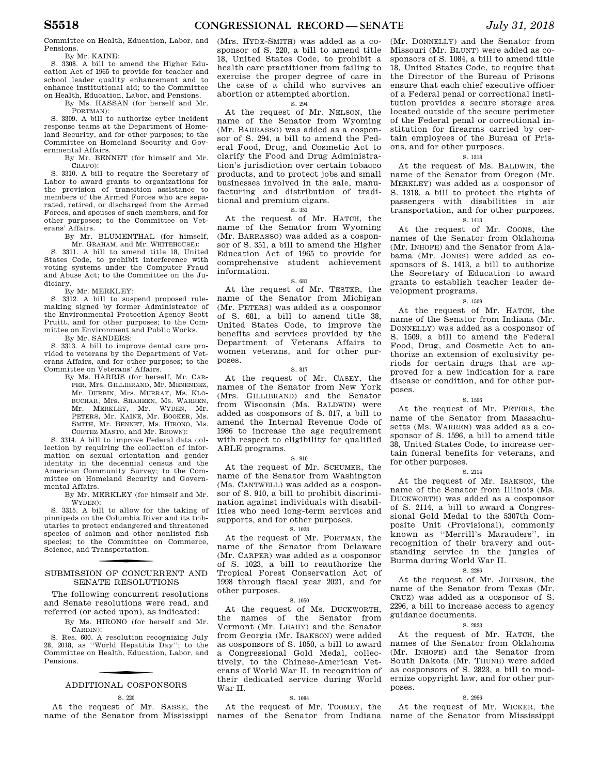Committee on Health, Education, Labor, and Pensions.

By Mr. KAINE:

S. 3308. A bill to amend the Higher Education Act of 1965 to provide for teacher and school leader quality enhancement and to enhance institutional aid; to the Committee on Health, Education, Labor, and Pensions.

By Ms. HASSAN (for herself and Mr. PORTMAN):

S. 3309. A bill to authorize cyber incident response teams at the Department of Homeland Security, and for other purposes; to the Committee on Homeland Security and Governmental Affairs.

By Mr. BENNET (for himself and Mr. CRAPO):

S. 3310. A bill to require the Secretary of Labor to award grants to organizations for the provision of transition assistance to members of the Armed Forces who are separated, retired, or discharged from the Armed Forces, and spouses of such members, and for other purposes; to the Committee on Veterans' Affairs.

By Mr. BLUMENTHAL (for himself, Mr. GRAHAM, and Mr. WHITEHOUSE):

S. 3311. A bill to amend title 18, United States Code, to prohibit interference with voting systems under the Computer Fraud and Abuse Act; to the Committee on the Judiciary.

#### By Mr. MERKLEY:

S. 3312. A bill to suspend proposed rulemaking signed by former Administrator of the Environmental Protection Agency Scott Pruitt, and for other purposes; to the Committee on Environment and Public Works.

By Mr. SANDERS:

S. 3313. A bill to improve dental care provided to veterans by the Department of Veterans Affairs, and for other purposes; to the Committee on Veterans' Affairs.

By Ms. HARRIS (for herself, Mr. CAR-PER, Mrs. GILLIBRAND, Mr. MENENDEZ, Mr. DURBIN, Mrs. MURRAY, Ms. KLO-BUCHAR, Mrs. SHAHEEN, Ms. WARREN, Mr. WERKLEY, Mr. WYDEN, Mr. Mr. MERKLEY, Mr. PETERS, Mr. KAINE, Mr. BOOKER, Ms. SMITH, Mr. BENNET, Ms. HIRONO, Ms. CORTEZ MASTO, and Mr. BROWN):

S. 3314. A bill to improve Federal data collection by requiring the collection of information on sexual orientation and gender identity in the decennial census and the American Community Survey; to the Committee on Homeland Security and Governmental Affairs.

By Mr. MERKLEY (for himself and Mr. WYDEN):

S. 3315. A bill to allow for the taking of pinnipeds on the Columbia River and its tributaries to protect endangered and threatened species of salmon and other nonlisted fish species; to the Committee on Commerce, Science, and Transportation.

### SUBMISSION OF CONCURRENT AND SENATE RESOLUTIONS

The following concurrent resolutions and Senate resolutions were read, and referred (or acted upon), as indicated:

By Ms. HIRONO (for herself and Mr. CARDIN):

S. Res. 600. A resolution recognizing July 28, 2018, as ''World Hepatitis Day''; to the Committee on Health, Education, Labor, and Pensions.

# f ADDITIONAL COSPONSORS

#### S. 220

At the request of Mr. SASSE, the name of the Senator from Mississippi

(Mrs. HYDE-SMITH) was added as a cosponsor of S. 220, a bill to amend title 18, United States Code, to prohibit a health care practitioner from failing to exercise the proper degree of care in the case of a child who survives an abortion or attempted abortion.

S. 294

At the request of Mr. NELSON, the name of the Senator from Wyoming (Mr. BARRASSO) was added as a cosponsor of S. 294, a bill to amend the Federal Food, Drug, and Cosmetic Act to clarify the Food and Drug Administration's jurisdiction over certain tobacco products, and to protect jobs and small businesses involved in the sale, manufacturing and distribution of traditional and premium cigars.

### S. 351

At the request of Mr. HATCH, the name of the Senator from Wyoming (Mr. BARRASSO) was added as a cosponsor of S. 351, a bill to amend the Higher Education Act of 1965 to provide for comprehensive student achievement information.

### S. 681

At the request of Mr. TESTER, the name of the Senator from Michigan (Mr. PETERS) was added as a cosponsor of S. 681, a bill to amend title 38, United States Code, to improve the benefits and services provided by the Department of Veterans Affairs to women veterans, and for other purposes.

### S. 817

At the request of Mr. CASEY, the names of the Senator from New York (Mrs. GILLIBRAND) and the Senator from Wisconsin (Ms. BALDWIN) were added as cosponsors of S. 817, a bill to amend the Internal Revenue Code of 1986 to increase the age requirement with respect to eligibility for qualified ABLE programs.

#### S. 910

At the request of Mr. SCHUMER, the name of the Senator from Washington (Ms. CANTWELL) was added as a cosponsor of S. 910, a bill to prohibit discrimination against individuals with disabilities who need long-term services and supports, and for other purposes.

### S. 1023

At the request of Mr. PORTMAN, the name of the Senator from Delaware (Mr. CARPER) was added as a cosponsor of S. 1023, a bill to reauthorize the Tropical Forest Conservation Act of 1998 through fiscal year 2021, and for other purposes.

#### S. 1050

At the request of Ms. DUCKWORTH, the names of the Senator from Vermont (Mr. LEAHY) and the Senator from Georgia (Mr. ISAKSON) were added as cosponsors of S. 1050, a bill to award a Congressional Gold Medal, collectively, to the Chinese-American Veterans of World War II, in recognition of their dedicated service during World War II.

### S. 1084

At the request of Mr. TOOMEY, the

(Mr. DONNELLY) and the Senator from Missouri (Mr. BLUNT) were added as cosponsors of S. 1084, a bill to amend title 18, United States Code, to require that the Director of the Bureau of Prisons ensure that each chief executive officer of a Federal penal or correctional institution provides a secure storage area located outside of the secure perimeter of the Federal penal or correctional institution for firearms carried by certain employees of the Bureau of Prisons, and for other purposes.

### S. 1318

At the request of Ms. BALDWIN, the name of the Senator from Oregon (Mr. MERKLEY) was added as a cosponsor of S. 1318, a bill to protect the rights of passengers with disabilities in air transportation, and for other purposes.

### S. 1413

At the request of Mr. COONS, the names of the Senator from Oklahoma (Mr. INHOFE) and the Senator from Alabama (Mr. JONES) were added as cosponsors of S. 1413, a bill to authorize the Secretary of Education to award grants to establish teacher leader development programs.

### S. 1509

At the request of Mr. HATCH, the name of the Senator from Indiana (Mr. DONNELLY) was added as a cosponsor of S. 1509, a bill to amend the Federal Food, Drug, and Cosmetic Act to authorize an extension of exclusivity periods for certain drugs that are approved for a new indication for a rare disease or condition, and for other purposes.

### S. 1596

At the request of Mr. PETERS, the name of the Senator from Massachusetts (Ms. WARREN) was added as a cosponsor of S. 1596, a bill to amend title 38, United States Code, to increase certain funeral benefits for veterans, and for other purposes.

#### S. 2114

At the request of Mr. ISAKSON, the name of the Senator from Illinois (Ms. DUCKWORTH) was added as a cosponsor of S. 2114, a bill to award a Congressional Gold Medal to the 5307th Composite Unit (Provisional), commonly known as ''Merrill's Marauders'', in recognition of their bravery and outstanding service in the jungles of Burma during World War II.

### S. 2296

At the request of Mr. JOHNSON, the name of the Senator from Texas (Mr. CRUZ) was added as a cosponsor of S. 2296, a bill to increase access to agency guidance documents.

### S. 2823

At the request of Mr. HATCH, the names of the Senator from Oklahoma (Mr. INHOFE) and the Senator from South Dakota (Mr. THUNE) were added as cosponsors of S. 2823, a bill to modernize copyright law, and for other purposes.

#### S. 2956

names of the Senator from Indiana name of the Senator from Mississippi At the request of Mr. WICKER, the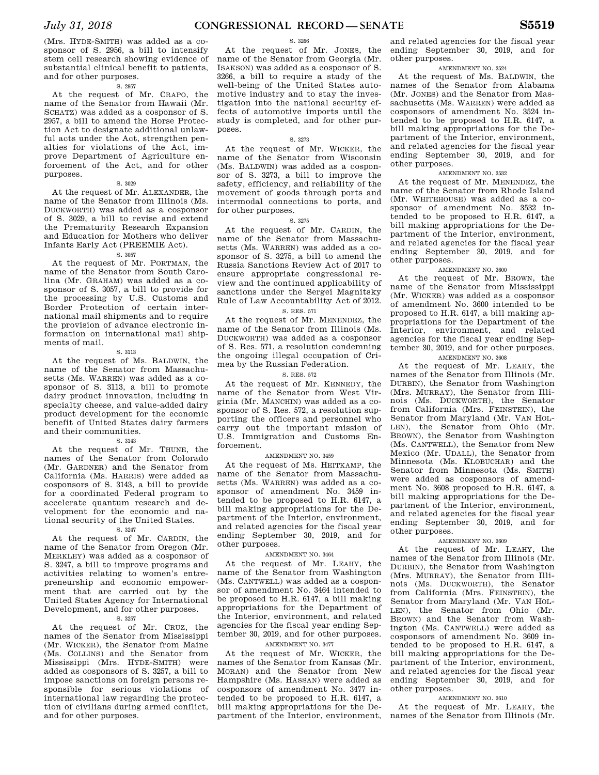(Mrs. HYDE-SMITH) was added as a cosponsor of S. 2956, a bill to intensify stem cell research showing evidence of substantial clinical benefit to patients, and for other purposes.

#### S. 2957

At the request of Mr. CRAPO, the name of the Senator from Hawaii (Mr. SCHATZ) was added as a cosponsor of S. 2957, a bill to amend the Horse Protection Act to designate additional unlawful acts under the Act, strengthen penalties for violations of the Act, improve Department of Agriculture enforcement of the Act, and for other purposes.

### S. 3029

At the request of Mr. ALEXANDER, the name of the Senator from Illinois (Ms. DUCKWORTH) was added as a cosponsor of S. 3029, a bill to revise and extend the Prematurity Research Expansion and Education for Mothers who deliver Infants Early Act (PREEMIE Act).

### S. 3057

At the request of Mr. PORTMAN, the name of the Senator from South Carolina (Mr. GRAHAM) was added as a cosponsor of S. 3057, a bill to provide for the processing by U.S. Customs and Border Protection of certain international mail shipments and to require the provision of advance electronic information on international mail shipments of mail.

#### S. 3113

At the request of Ms. BALDWIN, the name of the Senator from Massachusetts (Ms. WARREN) was added as a cosponsor of S. 3113, a bill to promote dairy product innovation, including in specialty cheese, and value-added dairy product development for the economic benefit of United States dairy farmers and their communities.

#### S. 3143

At the request of Mr. THUNE, the names of the Senator from Colorado (Mr. GARDNER) and the Senator from California (Ms. HARRIS) were added as cosponsors of S. 3143, a bill to provide for a coordinated Federal program to accelerate quantum research and development for the economic and national security of the United States.

### S. 3247

At the request of Mr. CARDIN, the name of the Senator from Oregon (Mr. MERKLEY) was added as a cosponsor of S. 3247, a bill to improve programs and activities relating to women's entrepreneurship and economic empowerment that are carried out by the United States Agency for International Development, and for other purposes.

### S. 3257

At the request of Mr. CRUZ, the names of the Senator from Mississippi (Mr. WICKER), the Senator from Maine (Ms. COLLINS) and the Senator from Mississippi (Mrs. HYDE-SMITH) were added as cosponsors of S. 3257, a bill to impose sanctions on foreign persons responsible for serious violations of international law regarding the protection of civilians during armed conflict, and for other purposes.

### S. 3266

At the request of Mr. JONES, the name of the Senator from Georgia (Mr. ISAKSON) was added as a cosponsor of S. 3266, a bill to require a study of the well-being of the United States automotive industry and to stay the investigation into the national security effects of automotive imports until the study is completed, and for other purposes.

### S. 3273

At the request of Mr. WICKER, the name of the Senator from Wisconsin (Ms. BALDWIN) was added as a cosponsor of S. 3273, a bill to improve the safety, efficiency, and reliability of the movement of goods through ports and intermodal connections to ports, and for other purposes.

#### S. 3275

At the request of Mr. CARDIN, the name of the Senator from Massachusetts (Ms. WARREN) was added as a cosponsor of S. 3275, a bill to amend the Russia Sanctions Review Act of 2017 to ensure appropriate congressional review and the continued applicability of sanctions under the Sergei Magnitsky Rule of Law Accountability Act of 2012.

### S. RES. 571

At the request of Mr. MENENDEZ, the name of the Senator from Illinois (Ms. DUCKWORTH) was added as a cosponsor of S. Res. 571, a resolution condemning the ongoing illegal occupation of Crimea by the Russian Federation.

### S. RES. 572

At the request of Mr. KENNEDY, the name of the Senator from West Virginia (Mr. MANCHIN) was added as a cosponsor of S. Res. 572, a resolution supporting the officers and personnel who carry out the important mission of U.S. Immigration and Customs Enforcement.

### AMENDMENT NO. 3459

At the request of Ms. HEITKAMP, the name of the Senator from Massachusetts (Ms. WARREN) was added as a cosponsor of amendment No. 3459 intended to be proposed to H.R. 6147, a bill making appropriations for the Department of the Interior, environment, and related agencies for the fiscal year ending September 30, 2019, and for other purposes.

### AMENDMENT NO. 3464

At the request of Mr. LEAHY, the name of the Senator from Washington (Ms. CANTWELL) was added as a cosponsor of amendment No. 3464 intended to be proposed to H.R. 6147, a bill making appropriations for the Department of the Interior, environment, and related agencies for the fiscal year ending September 30, 2019, and for other purposes.

### AMENDMENT NO. 3477

At the request of Mr. WICKER, the names of the Senator from Kansas (Mr. MORAN) and the Senator from New Hampshire (Ms. HASSAN) were added as cosponsors of amendment No. 3477 intended to be proposed to H.R. 6147, a bill making appropriations for the Department of the Interior, environment,

and related agencies for the fiscal year ending September 30, 2019, and for other purposes.

#### AMENDMENT NO. 3524

At the request of Ms. BALDWIN, the names of the Senator from Alabama (Mr. JONES) and the Senator from Massachusetts (Ms. WARREN) were added as cosponsors of amendment No. 3524 intended to be proposed to H.R. 6147, a bill making appropriations for the Department of the Interior, environment, and related agencies for the fiscal year ending September 30, 2019, and for other purposes.

### AMENDMENT NO. 3532

At the request of Mr. MENENDEZ, the name of the Senator from Rhode Island (Mr. WHITEHOUSE) was added as a cosponsor of amendment No. 3532 intended to be proposed to H.R. 6147, a bill making appropriations for the Department of the Interior, environment, and related agencies for the fiscal year ending September 30, 2019, and for other purposes.

### AMENDMENT NO. 3600

At the request of Mr. BROWN, the name of the Senator from Mississippi (Mr. WICKER) was added as a cosponsor of amendment No. 3600 intended to be proposed to H.R. 6147, a bill making appropriations for the Department of the Interior, environment, and related agencies for the fiscal year ending September 30, 2019, and for other purposes.

### AMENDMENT NO. 3608

At the request of Mr. LEAHY, the names of the Senator from Illinois (Mr. DURBIN), the Senator from Washington (Mrs. MURRAY), the Senator from Illinois (Ms. DUCKWORTH), the Senator from California (Mrs. FEINSTEIN), the Senator from Maryland (Mr. VAN HOL-LEN), the Senator from Ohio (Mr. BROWN), the Senator from Washington (Ms. CANTWELL), the Senator from New Mexico (Mr. UDALL), the Senator from Minnesota (Ms. KLOBUCHAR) and the Senator from Minnesota (Ms. SMITH) were added as cosponsors of amendment No. 3608 proposed to H.R. 6147, a bill making appropriations for the Department of the Interior, environment, and related agencies for the fiscal year ending September 30, 2019, and for other purposes.

### AMENDMENT NO. 3609

At the request of Mr. LEAHY, the names of the Senator from Illinois (Mr. DURBIN), the Senator from Washington (Mrs. MURRAY), the Senator from Illinois (Ms. DUCKWORTH), the Senator from California (Mrs. FEINSTEIN), the Senator from Maryland (Mr. VAN HOL-LEN), the Senator from Ohio (Mr. BROWN) and the Senator from Washington (Ms. CANTWELL) were added as cosponsors of amendment No. 3609 intended to be proposed to H.R. 6147, a bill making appropriations for the Department of the Interior, environment, and related agencies for the fiscal year ending September 30, 2019, and for other purposes.

### AMENDMENT NO. 3610

At the request of Mr. LEAHY, the names of the Senator from Illinois (Mr.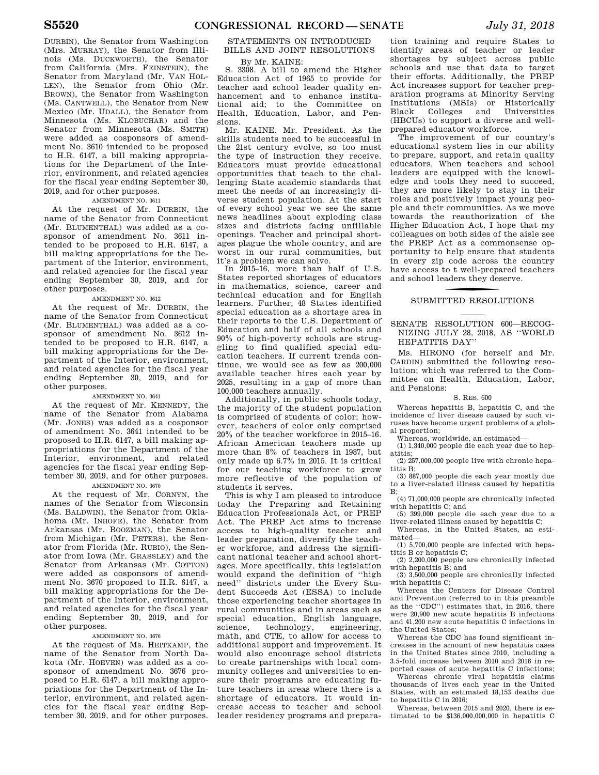DURBIN), the Senator from Washington (Mrs. MURRAY), the Senator from Illinois (Ms. DUCKWORTH), the Senator from California (Mrs. FEINSTEIN), the Senator from Maryland (Mr. VAN HOL-LEN), the Senator from Ohio (Mr. BROWN), the Senator from Washington (Ms. CANTWELL), the Senator from New Mexico (Mr. UDALL), the Senator from Minnesota (Ms. KLOBUCHAR) and the Senator from Minnesota (Ms. SMITH) were added as cosponsors of amendment No. 3610 intended to be proposed to H.R. 6147, a bill making appropriations for the Department of the Interior, environment, and related agencies for the fiscal year ending September 30, 2019, and for other purposes.

### AMENDMENT NO. 3611

At the request of Mr. DURBIN, the name of the Senator from Connecticut (Mr. BLUMENTHAL) was added as a cosponsor of amendment No. 3611 intended to be proposed to H.R. 6147, a bill making appropriations for the Department of the Interior, environment, and related agencies for the fiscal year ending September 30, 2019, and for other purposes.

### AMENDMENT NO. 3612

At the request of Mr. DURBIN, the name of the Senator from Connecticut (Mr. BLUMENTHAL) was added as a cosponsor of amendment No. 3612 intended to be proposed to H.R. 6147, a bill making appropriations for the Department of the Interior, environment, and related agencies for the fiscal year ending September 30, 2019, and for other purposes.

### AMENDMENT NO. 3641

At the request of Mr. KENNEDY, the name of the Senator from Alabama (Mr. JONES) was added as a cosponsor of amendment No. 3641 intended to be proposed to H.R. 6147, a bill making appropriations for the Department of the Interior, environment, and related agencies for the fiscal year ending September 30, 2019, and for other purposes.

### AMENDMENT NO. 3670

At the request of Mr. CORNYN, the names of the Senator from Wisconsin (Ms. BALDWIN), the Senator from Oklahoma (Mr. INHOFE), the Senator from Arkansas (Mr. BOOZMAN), the Senator from Michigan (Mr. PETERS), the Senator from Florida (Mr. RUBIO), the Senator from Iowa (Mr. GRASSLEY) and the Senator from Arkansas (Mr. COTTON) were added as cosponsors of amendment No. 3670 proposed to H.R. 6147, a bill making appropriations for the Department of the Interior, environment, and related agencies for the fiscal year ending September 30, 2019, and for other purposes.

### AMENDMENT NO. 3676

At the request of Ms. HEITKAMP, the name of the Senator from North Dakota (Mr. HOEVEN) was added as a cosponsor of amendment No. 3676 proposed to H.R. 6147, a bill making appropriations for the Department of the Interior, environment, and related agencies for the fiscal year ending September 30, 2019, and for other purposes.

### STATEMENTS ON INTRODUCED BILLS AND JOINT RESOLUTIONS

### By Mr. KAINE:

S. 3308. A bill to amend the Higher Education Act of 1965 to provide for teacher and school leader quality enhancement and to enhance institutional aid; to the Committee on Health, Education, Labor, and Pensions.

Mr. KAINE. Mr. President. As the skills students need to be successful in the 21st century evolve, so too must the type of instruction they receive. Educators must provide educational opportunities that teach to the challenging State academic standards that meet the needs of an increasingly diverse student population. At the start of every school year we see the same news headlines about exploding class sizes and districts facing unfillable openings. Teacher and principal shortages plague the whole country, and are worst in our rural communities, but it's a problem we can solve.

In 2015–16, more than half of U.S. States reported shortages of educators in mathematics, science, career and technical education and for English learners. Further, 48 States identified special education as a shortage area in their reports to the U.S. Department of Education and half of all schools and 90% of high-poverty schools are struggling to find qualified special education teachers. If current trends continue, we would see as few as 200,000 available teacher hires each year by 2025, resulting in a gap of more than 100,000 teachers annually.

Additionally, in public schools today, the majority of the student population is comprised of students of color; however, teachers of color only comprised 20% of the teacher workforce in 2015–16. African American teachers made up more than 8% of teachers in 1987, but only made up 6.7% in 2015. It is critical for our teaching workforce to grow more reflective of the population of students it serves.

This is why I am pleased to introduce today the Preparing and Retaining Education Professionals Act, or PREP Act. The PREP Act aims to increase access to high-quality teacher and leader preparation, diversify the teacher workforce, and address the significant national teacher and school shortages. More specifically, this legislation would expand the definition of ''high need'' districts under the Every Student Succeeds Act (ESSA) to include those experiencing teacher shortages in rural communities and in areas such as special education, English language, science, technology, engineering, math, and CTE, to allow for access to additional support and improvement. It would also encourage school districts to create partnerships with local community colleges and universities to ensure their programs are educating future teachers in areas where there is a shortage of educators. It would increase access to teacher and school leader residency programs and prepara-

tion training and require States to identify areas of teacher or leader shortages by subject across public schools and use that data to target their efforts. Additionally, the PREP Act increases support for teacher preparation programs at Minority Serving Institutions (MSIs) or Historically Black Colleges and Universities (HBCUs) to support a diverse and wellprepared educator workforce.

The improvement of our country's educational system lies in our ability to prepare, support, and retain quality educators. When teachers and school leaders are equipped with the knowledge and tools they need to succeed, they are more likely to stay in their roles and positively impact young people and their communities. As we move towards the reauthorization of the Higher Education Act, I hope that my colleagues on both sides of the aisle see the PREP Act as a commonsense opportunity to help ensure that students in every zip code across the country have access to t well-prepared teachers and school leaders they deserve.

### SUBMITTED RESOLUTIONS

### SENATE RESOLUTION 600—RECOG-NIZING JULY 28, 2018, AS ''WORLD HEPATITIS DAY''

Ms. HIRONO (for herself and Mr. CARDIN) submitted the following resolution; which was referred to the Committee on Health, Education, Labor, and Pensions:

### S. RES. 600

Whereas hepatitis B, hepatitis C, and the incidence of liver disease caused by such viruses have become urgent problems of a global proportion;

Whereas, worldwide, an estimated—

(1) 1,340,000 people die each year due to hepatitis;

(2) 257,000,000 people live with chronic hepatitis B;

(3) 887,000 people die each year mostly due to a liver-related illness caused by hepatitis

 $B$ : (4) 71,000,000 people are chronically infected

with hepatitis C; and (5) 399,000 people die each year due to a

liver-related illness caused by hepatitis C; Whereas, in the United States, an esti-

mated— (1) 5,700,000 people are infected with hepa-

titis B or hepatitis C; (2) 2,200,000 people are chronically infected with hepatitis B; and

(3) 3,500,000 people are chronically infected with hepatitis C;

Whereas the Centers for Disease Control and Prevention (referred to in this preamble as the ''CDC'') estimates that, in 2016, there were 20,900 new acute hepatitis B infections and 41,200 new acute hepatitis C infections in the United States;

Whereas the CDC has found significant increases in the amount of new hepatitis cases in the United States since 2010, including a 3.5-fold increase between 2010 and 2016 in reported cases of acute hepatitis C infections;

Whereas chronic viral hepatitis claims thousands of lives each year in the United States, with an estimated 18,153 deaths due to hepatitis C in 2016;

Whereas, between 2015 and 2020, there is estimated to be \$136,000,000,000 in hepatitis C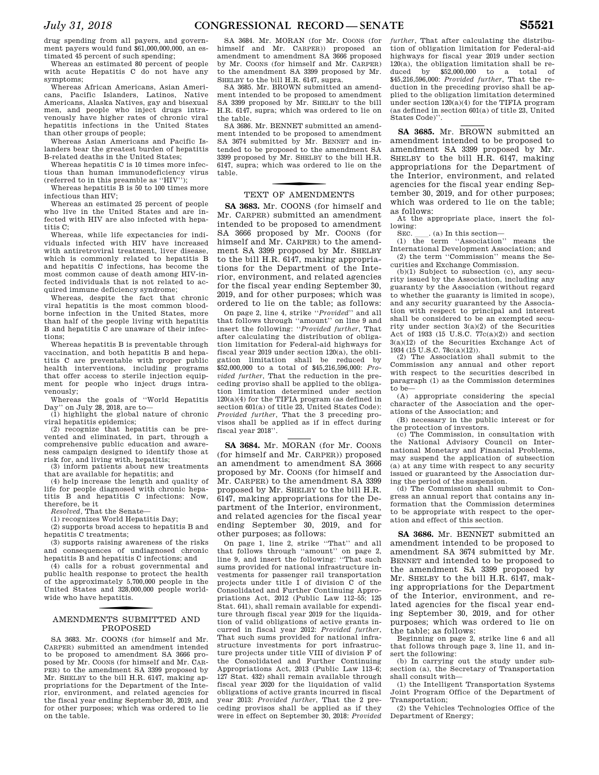drug spending from all payers, and government payers would fund \$61,000,000,000, an estimated 45 percent of such spending;

Whereas an estimated 80 percent of people with acute Hepatitis C do not have any symptoms;

Whereas African Americans, Asian Americans, Pacific Islanders, Latinos, Native Americans, Alaska Natives, gay and bisexual men, and people who inject drugs intravenously have higher rates of chronic viral hepatitis infections in the United States than other groups of people;

Whereas Asian Americans and Pacific Islanders bear the greatest burden of hepatitis B-related deaths in the United States;

Whereas hepatitis C is 10 times more infectious than human immunodeficiency virus (referred to in this preamble as ''HIV'');

Whereas hepatitis B is 50 to 100 times more infectious than HIV;

Whereas an estimated 25 percent of people who live in the United States and are infected with HIV are also infected with hepatitis C;

Whereas, while life expectancies for individuals infected with HIV have increased with antiretroviral treatment, liver disease, which is commonly related to hepatitis B and hepatitis C infections, has become the most common cause of death among HIV-infected individuals that is not related to acquired immune deficiency syndrome;

Whereas, despite the fact that chronic viral hepatitis is the most common bloodborne infection in the United States, more than half of the people living with hepatitis B and hepatitis C are unaware of their infections;

Whereas hepatitis B is preventable through vaccination, and both hepatitis B and hepatitis C are preventable with proper public health interventions, including programs that offer access to sterile injection equipment for people who inject drugs intravenously;

Whereas the goals of ''World Hepatitis Day'' on July 28, 2018, are to—

(1) highlight the global nature of chronic viral hepatitis epidemics;

(2) recognize that hepatitis can be prevented and eliminated, in part, through a comprehensive public education and awareness campaign designed to identify those at risk for, and living with, hepatitis;

(3) inform patients about new treatments that are available for hepatitis; and

(4) help increase the length and quality of life for people diagnosed with chronic hepatitis B and hepatitis C infections: Now, therefore, be it

*Resolved,* That the Senate—

(1) recognizes World Hepatitis Day;

(2) supports broad access to hepatitis B and hepatitis C treatments;

(3) supports raising awareness of the risks and consequences of undiagnosed chronic hepatitis B and hepatitis C infections; and

(4) calls for a robust governmental and public health response to protect the health of the approximately 5,700,000 people in the United States and 328,000,000 people worldwide who have hepatitis.

### f AMENDMENTS SUBMITTED AND PROPOSED

SA 3683. Mr. COONS (for himself and Mr. CARPER) submitted an amendment intended to be proposed to amendment SA 3666 proposed by Mr. COONS (for himself and Mr. CAR-PER) to the amendment SA 3399 proposed by Mr. SHELBY to the bill H.R. 6147, making appropriations for the Department of the Interior, environment, and related agencies for the fiscal year ending September 30, 2019, and for other purposes; which was ordered to lie on the table.

SA 3684. Mr. MORAN (for Mr. COONS (for himself and Mr. CARPER)) proposed an amendment to amendment SA 3666 proposed by Mr. COONS (for himself and Mr. CARPER) to the amendment SA 3399 proposed by Mr. SHELBY to the bill H.R. 6147, supra.

SA 3685. Mr. BROWN submitted an amendment intended to be proposed to amendment SA 3399 proposed by Mr. SHELBY to the bill H.R. 6147, supra; which was ordered to lie on the table.

SA 3686. Mr. BENNET submitted an amendment intended to be proposed to amendment SA 3674 submitted by Mr. BENNET and intended to be proposed to the amendment SA 3399 proposed by Mr. SHELBY to the bill H.R. 6147, supra; which was ordered to lie on the table.

### TEXT OF AMENDMENTS

**SA 3683.** Mr. COONS (for himself and Mr. CARPER) submitted an amendment intended to be proposed to amendment SA 3666 proposed by Mr. COONS (for himself and Mr. CARPER) to the amendment SA 3399 proposed by Mr. SHELBY to the bill H.R. 6147, making appropriations for the Department of the Interior, environment, and related agencies for the fiscal year ending September 30, 2019, and for other purposes; which was ordered to lie on the table; as follows:

On page 2, line 4, strike ''*Provided*'' and all that follows through ''amount'' on line 9 and insert the following: ''*Provided further*, That after calculating the distribution of obligation limitation for Federal-aid highways for fiscal year 2019 under section 120(a), the obligation limitation shall be reduced by \$52,000,000 to a total of \$45,216,596,000: *Provided further*, That the reduction in the preceding proviso shall be applied to the obligation limitation determined under section  $120(a)(4)$  for the TIFIA program (as defined in section 601(a) of title 23, United States Code): *Provided further*, That the 3 preceding provisos shall be applied as if in effect during fiscal year 2018''.

SA 3684. Mr. MORAN (for Mr. COONS (for himself and Mr. CARPER)) proposed an amendment to amendment SA 3666 proposed by Mr. COONS (for himself and Mr. CARPER) to the amendment SA 3399 proposed by Mr. SHELBY to the bill H.R. 6147, making appropriations for the Department of the Interior, environment, and related agencies for the fiscal year ending September 30, 2019, and for other purposes; as follows:

On page 1, line 2, strike ''That'' and all that follows through ''amount'' on page 2, line 9, and insert the following: ''That such sums provided for national infrastructure investments for passenger rail transportation projects under title I of division C of the Consolidated and Further Continuing Appropriations Act, 2012 (Public Law 112–55; 125 Stat. 641), shall remain available for expenditure through fiscal year 2019 for the liquidation of valid obligations of active grants incurred in fiscal year 2012: *Provided further*, That such sums provided for national infrastructure investments for port infrastructure projects under title VIII of division F of the Consolidated and Further Continuing Appropriations Act, 2013 (Public Law 113–6; 127 Stat. 432) shall remain available through fiscal year 2020 for the liquidation of valid obligations of active grants incurred in fiscal year 2013: *Provided further*, That the 2 preceding provisos shall be applied as if they were in effect on September 30, 2018: *Provided* 

*further*, That after calculating the distribution of obligation limitation for Federal-aid highways for fiscal year 2019 under section 120(a), the obligation limitation shall be reduced by \$52,000,000 to a total of \$45,216,596,000: *Provided further*, That the reduction in the preceding proviso shall be applied to the obligation limitation determined under section 120(a)(4) for the TIFIA program (as defined in section 601(a) of title 23, United States Code)''.

**SA 3685.** Mr. BROWN submitted an amendment intended to be proposed to amendment SA 3399 proposed by Mr. SHELBY to the bill H.R. 6147, making appropriations for the Department of the Interior, environment, and related agencies for the fiscal year ending September 30, 2019, and for other purposes; which was ordered to lie on the table; as follows:

At the appropriate place, insert the following:

SEC.  $\quad$  (a) In this section—<br>(1) the term "Association" means the International Development Association; and (2) the term ''Commission'' means the Securities and Exchange Commission.

(b)(1) Subject to subsection (c), any security issued by the Association, including any guaranty by the Association (without regard to whether the guaranty is limited in scope), and any security guaranteed by the Association with respect to principal and interest shall be considered to be an exempted security under section 3(a)(2) of the Securities Act of 1933 (15 U.S.C. 77c(a)(2)) and section 3(a)(12) of the Securities Exchange Act of 1934 (15 U.S.C. 78c(a)(12)).

(2) The Association shall submit to the Commission any annual and other report with respect to the securities described in paragraph (1) as the Commission determines to be—

(A) appropriate considering the special character of the Association and the operations of the Association; and

(B) necessary in the public interest or for the protection of investors.

(c) The Commission, in consultation with the National Advisory Council on International Monetary and Financial Problems, may suspend the application of subsection (a) at any time with respect to any security issued or guaranteed by the Association during the period of the suspension.

(d) The Commission shall submit to Congress an annual report that contains any information that the Commission determines to be appropriate with respect to the operation and effect of this section.

**SA 3686.** Mr. BENNET submitted an amendment intended to be proposed to amendment SA 3674 submitted by Mr. BENNET and intended to be proposed to the amendment SA 3399 proposed by Mr. SHELBY to the bill H.R. 6147, making appropriations for the Department of the Interior, environment, and related agencies for the fiscal year ending September 30, 2019, and for other purposes; which was ordered to lie on the table; as follows:

Beginning on page 2, strike line 6 and all that follows through page 3, line 11, and insert the following:

(b) In carrying out the study under subsection (a), the Secretary of Transportation shall consult with—

(1) the Intelligent Transportation Systems Joint Program Office of the Department of Transportation;

(2) the Vehicles Technologies Office of the Department of Energy;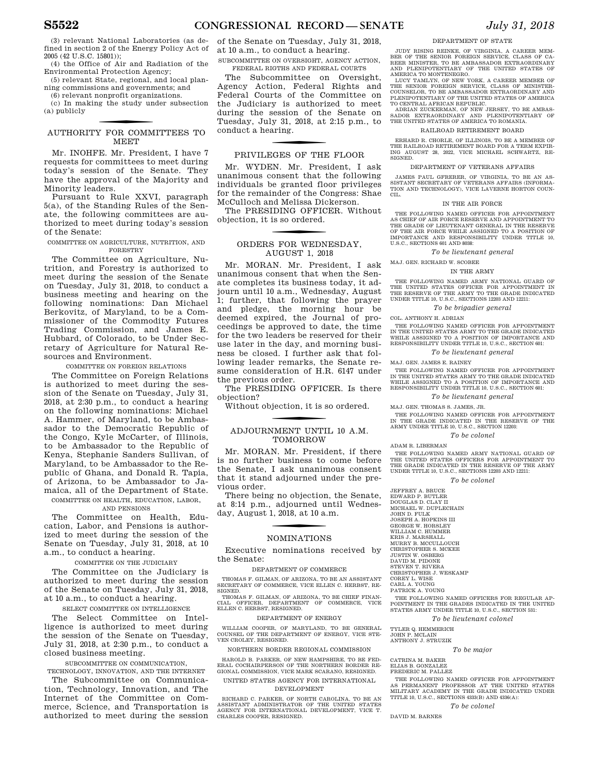(3) relevant National Laboratories (as defined in section 2 of the Energy Policy Act of 2005 (42 U.S.C. 15801));

(4) the Office of Air and Radiation of the Environmental Protection Agency;

(5) relevant State, regional, and local planning commissions and governments; and

(6) relevant nonprofit organizations. (c) In making the study under subsection (a) publicly

### f AUTHORITY FOR COMMITTEES TO MEET

Mr. INOHFE. Mr. President, I have 7 requests for committees to meet during today's session of the Senate. They have the approval of the Majority and Minority leaders.

Pursuant to Rule XXVI, paragraph 5(a), of the Standing Rules of the Senate, the following committees are authorized to meet during today's session of the Senate:

#### COMMITTEE ON AGRICULTURE, NUTRITION, AND FORESTRY

The Committee on Agriculture, Nutrition, and Forestry is authorized to meet during the session of the Senate on Tuesday, July 31, 2018, to conduct a business meeting and hearing on the following nominations: Dan Michael Berkovitz, of Maryland, to be a Commissioner of the Commodity Futures Trading Commission, and James E. Hubbard, of Colorado, to be Under Secretary of Agriculture for Natural Resources and Environment.

### COMMITTEE ON FOREIGN RELATIONS

The Committee on Foreign Relations is authorized to meet during the session of the Senate on Tuesday, July 31, 2018, at 2:30 p.m., to conduct a hearing on the following nominations: Michael A. Hammer, of Maryland, to be Ambassador to the Democratic Republic of the Congo, Kyle McCarter, of Illinois, to be Ambassador to the Republic of Kenya, Stephanie Sanders Sullivan, of Maryland, to be Ambassador to the Republic of Ghana, and Donald R. Tapia, of Arizona, to be Ambassador to Jamaica, all of the Department of State. COMMITTEE ON HEALTH, EDUCATION, LABOR,

### AND PENSIONS

The Committee on Health, Education, Labor, and Pensions is authorized to meet during the session of the Senate on Tuesday, July 31, 2018, at 10 a.m., to conduct a hearing.

### COMMITTEE ON THE JUDICIARY

The Committee on the Judiciary is authorized to meet during the session of the Senate on Tuesday, July 31, 2018, at 10 a.m., to conduct a hearing.

SELECT COMMITTEE ON INTELLIGENCE

The Select Committee on Intelligence is authorized to meet during the session of the Senate on Tuesday, July 31, 2018, at 2:30 p.m., to conduct a closed business meeting.

SUBCOMMITTEE ON COMMUNICATION, TECHNOLOGY, INNOVATION, AND THE INTERNET

The Subcommittee on Communication, Technology, Innovation, and The Internet of the Committee on Commerce, Science, and Transportation is authorized to meet during the session

of the Senate on Tuesday, July 31, 2018, at 10 a.m., to conduct a hearing.

SUBCOMMITTEE ON OVERSIGHT, AGENCY ACTION, FEDERAL RIGTHS AND FEDERAL COURTS

The Subcommittee on Oversight, Agency Action, Federal Rights and Federal Courts of the Committee on the Judiciary is authorized to meet during the session of the Senate on Tuesday, July 31, 2018, at 2:15 p.m., to conduct a hearing.

### PRIVILEGES OF THE FLOOR

Mr. WYDEN. Mr. President, I ask unanimous consent that the following individuals be granted floor privileges for the remainder of the Congress: Shae McCulloch and Melissa Dickerson.

The PRESIDING OFFICER. Without objection, it is so ordered.

### ORDERS FOR WEDNESDAY, AUGUST 1, 2018

Mr. MORAN. Mr. President, I ask unanimous consent that when the Senate completes its business today, it adjourn until 10 a.m., Wednesday, August 1; further, that following the prayer and pledge, the morning hour be deemed expired, the Journal of proceedings be approved to date, the time for the two leaders be reserved for their use later in the day, and morning business be closed. I further ask that following leader remarks, the Senate resume consideration of H.R. 6147 under the previous order.

The PRESIDING OFFICER. Is there objection?

Without objection, it is so ordered.

### f ADJOURNMENT UNTIL 10 A.M. TOMORROW

Mr. MORAN. Mr. President, if there is no further business to come before the Senate, I ask unanimous consent that it stand adjourned under the previous order.

There being no objection, the Senate, at 8:14 p.m., adjourned until Wednesday, August 1, 2018, at 10 a.m.

### f NOMINATIONS

Executive nominations received by the Senate:

#### DEPARTMENT OF COMMERCE

THOMAS F. GILMAN, OF ARIZONA, TO BE AN ASSISTANT SECRETARY OF COMMERCE, VICE ELLEN C. HERBST, RE-**SIGNED** 

THOMAS F. GILMAN, OF ARIZONA, TO BE CHIEF FINAN-CIAL OFFICER, DEPARTMENT OF COMMERCE, VICE ELLEN C. HERBST, RESIGNED.

### DEPARTMENT OF ENERGY

WILLIAM COOPER, OF MARYLAND, TO BE GENERAL COUNSEL OF THE DEPARTMENT OF ENERGY, VICE STE-VEN CROLEY, RESIGNED.

NORTHERN BORDER REGIONAL COMMISSION

HAROLD B. PARKER, OF NEW HAMPSHIRE, TO BE FED-ERAL COCHAIRPERSON OF THE NORTHERN BORDER RE-GIONAL COMMISSION, VICE MARK SCARANO, RESIGNED.

UNITED STATES AGENCY FOR INTERNATIONAL DEVELOPMENT

RICHARD C. PARKER, OF NORTH CAROLINA, TO BE AN ASSISTANT ADMINISTRATOR OF THE UNITED STATES AGENCY FOR INTERNATIONAL DEVELOPMENT, VICE T. CHARLES COOPER, RESIGNED.

#### DEPARTMENT OF STATE

JUDY RISING REINKE, OF VIRGINIA, A CAREER MEM-BER OF THE SENIOR FOREIGN SERVICE, CLASS OF CA-REER MINISTER, TO BE AMBASSADOR EXTRAORDINARY AND PLENIPOTENTIARY OF THE UNITED STATES OF

AMERICA TO MONTENEGRO. LUCY TAMLYN, OF NEW YORK, A CAREER MEMBER OF THE SENIOR FOREIGN SERVICE, CLASS OF MINISTER-COUNSELOR, TO BE AMBASSADOR EXTRAORDINARY AND PLENIPOTENTIARY OF THE UNITED STATES OF AMERICA<br>TO CENTRAL AFRICAN REPUBLIC.<br>ADRIAN ZUCKERMAN, OF NEW JERSEY, TO BE AMBAS-

SADOR EXTRAORDINARY AND PLENIPOTENTIARY OF THE UNITED STATES OF AMERICA TO ROMANIA.

#### RAILROAD RETIREMENT BOARD

ERHARD R. CHORLE, OF ILLINOIS, TO BE A MEMBER OF THE RAILROAD RETIREMENT BOARD FOR A TERM EXPIRING AUGUST 28, 2022, VICE MICHAEL SCHWARTZ, RE-ING AUGUST 28, 2022, VICE MICHAEL SCHWARTZ, RE-SIGNED.

### DEPARTMENT OF VETERANS AFFAIRS

JAMES PAUL GFRERER, OF VIRGINIA, TO BE AN AS-SISTANT SECRETARY OF VETERANS AFFAIRS (INFORMA-TION AND TECHNOLOGY), VICE LAVERNE HORTON COUN-CIL.

### IN THE AIR FORCE

THE FOLLOWING NAMED OFFICER FOR APPOINTMENT AS CHIEF OF AIR FORCE RESERVE AND APPOINTMENT TO THE GRADE OF LIEUTENANT GENERAL IN THE RESERVE OF THE AIR FORCE WHILE ASSIGNED TO A POSITION OF IMPORTANCE AND RESPONSIBILITY UNDER TITLE 10, U.S.C., SECTIONS 601 AND 8038:

### *To be lieutenant general*

MAJ GEN RICHARD W. SCOBEE

### IN THE ARMY

THE FOLLOWING NAMED ARMY NATIONAL GUARD OF THE UNITED STATES OFFICER FOR APPOINTMENT IN THE RESERVE OF THE ARMY TO THE GRADE INDICATED UNDER TITLE 10, U.S.C., SECTIONS 12203 AND 12211:

*To be brigadier general* 

### COL. ANTHONY H. ADRIAN

THE FOLLOWING NAMED OFFICER FOR APPOINTMENT IN THE UNITED STATES ARMY TO THE GRADE INDICATED WHILE ASSIGNED TO A POSITION OF IMPORTANCE AND RESPONSIBILITY UNDER TITLE 10, U.S.C., SECTION 601:

#### *To be lieutenant general*

MAJ. GEN. JAMES E. RAINEY

THE FOLLOWING NAMED OFFICER FOR APPOINTMENT IN THE UNITED STATES ARMY TO THE GRADE INDICATED WHILE ASSIGNED TO A POSITION OF IMPORTANCE AND RESPONSIBILITY UNDER TITLE 10, U.S.C., SECTION 601:

### *To be lieutenant general*

MAJ. GEN. THOMAS S. JAMES, JR.

THE FOLLOWING NAMED OFFICER FOR APPOINTMENT IN THE GRADE INDICATED IN THE RESERVE OF THE ARMY UNDER TITLE 10, U.S.C., SECTION 12203:

*To be colonel* 

ADAM R. LIBERMAN

THE FOLLOWING NAMED ARMY NATIONAL GUARD OF THE UNITED STATES OFFICERS FOR APPOINTMENT TO THE GRADE INDICATED IN THE RESERVE OF THE ARMY UNDER TITLE 10, U.S.C., SECTIONS 12203 AND 12211:

#### *To be colonel*

JEFFREY A. BRUCE EDWARD P. BUTLER DOUGLAS D. CLAY II MICHAEL W. DUPLECHAIN JOHN D. FULK JOSEPH A. HOPKINS III GEORGE W. HORSLEY WILLIAM C. HUMMER KRIS J. MARSHALL MURRY B. MCCULLOUCH CHRISTOPHER S. MCKEE JUSTIN W. OSBERG DAVID M. PIDONE STEVEN T. RIVERA CHRISTOPHER J. WESKAMP COREY L. WISE CARL A. YOUNG PATRICK A. YOUNG

THE FOLLOWING NAMED OFFICERS FOR REGULAR AP-POINTMENT IN THE GRADES INDICATED IN THE UNITED STATES ARMY UNDER TITLE 10, U.S.C., SECTION 531:

*To be lieutenant colonel* 

TYLER Q. HEMMERICH JOHN P. MCLAIN ANTHONY J. STRUZIK

### *To be major*

CATRINA M. BAKER

### ELIAS B. GONZALEZ FREDERIC M. PALLEZ

THE FOLLOWING NAMED OFFICER FOR APPOINTMENT AS PERMANENT PROFESSOR AT THE UNITED STATES MILITARY ACADEMY IN THE GRADE INDICATED UNDER TITLE 10, U.S.C., SECTIONS 4333(B) AND 4336(A):

### *To be colonel*

DAVID M. BARNES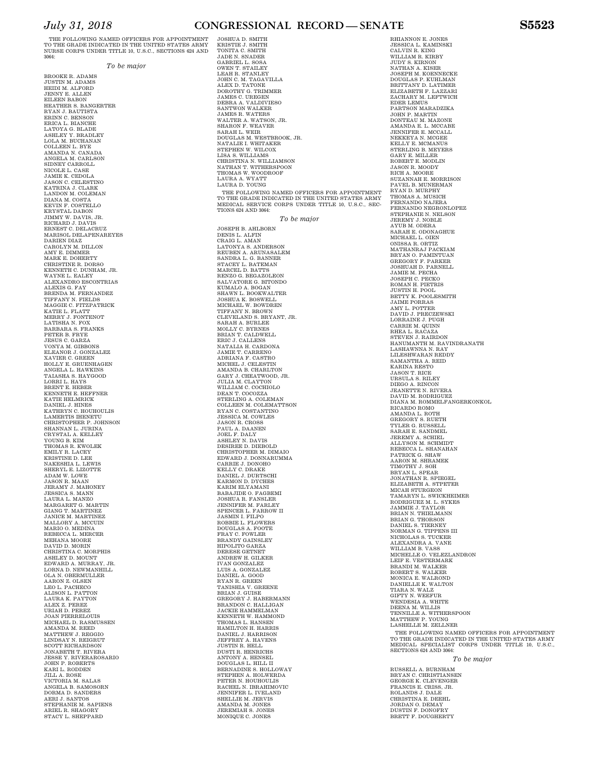#### THE FOLLOWING NAMED OFFICERS FOR APPOINTMENT TO THE GRADE INDICATED IN THE UNITED STATES ARMY NURSE CORPS UNDER TITLE 10, U.S.C., SECTIONS 624 AND 3064:

*To be major* 

BROOKE R. ADAMS JUSTIN M. ADAMS HEIDI M. ALFORD JENNY E. ALLEN EILEEN BABON HEATHER S. BANGERTER RYAN J. BAUTISTA ERINN C. BENSON ERICA L. BIANCHE LATOYA G. BLADE ASHLEY Y. BRADLEY LOLA M. BUCHANAN COLLEEN L. BYE AMANDA N. CANADA ANGELA M. CARLSON SIDNEY CARROLL<br>NICOLE L. CASE<br>JAMIE K. CEDOLA<br>JASON C. CELESTINO<br>KATRINA J. CLARK<br>LANDON M. COLEMAN DIANA M. COSTA KEVIN F. COSTELLO KRYSTAL DABON JIMMY W. DAVIS, JR. RICHARD J. DAVIS ERNEST C. DELACRUZ MARISOL DELAPENAREYES DARIEN DIAZ CAROLYN M. DILLON AMY E. DIMMER MARK E. DOHERTY CHRISTINE R. DORSO KENNETH C. DUNHAM, JR. WAYNE L. EALEY ALEXANDRO ESCONTRIAS ALEXIS G. FAY BRENDA M. FERNANDEZ<br>TIFFANY N. FIELDS<br>MAGGIE C. FITZPATRICK<br>KATIE L. FLATT<br>MERRY J. FONTENOT<br>LATISHA N. FOX<br>BARBARA S. FRANKS PETER B. FRYE JESUS C. GARZA VONYA M. GIBBONS ELEANOR J. GONZALEZ XAVIER C. GREEN HOLLY E. GRUENHAGEN ANGELA L. HAWKINS TAIASHA S. HAYGOOD<br>LORRI L. HAYS<br>BRENT E. HEBER<br>KENNETH E. HEFFNER KATIE HELMRICK DANIEL J. HINES KATHRYN C. HOUHOULIS LAMERTIS IHENETU<br>CHRISTOPHER P. JOHNSON<br>SHANNAN L. JURINA<br>CRYSTAL A. KELLEY<br>YOUNG B. KIM<br>THOMAS R. KWOLEK<br>HOMAS R. KOEY<br>KRISTINE D. LEE<br>KRISTINE D. LEE NAKESHIA L. LEWIS SHERYL E. LIZOTTE ADAM W. LOWE JASON R. MAAN JERAMY J. MAHONEY JESSICA S. MANN LAURA L. MANZO MARGARET G. MARTIN GIANG T. MARTINEZ JANICE M. MARTINEZ MALLORY A. MCCUIN MARIO O. MEDINA REBECCA L. MERCER MEHANA MOORE DAVID D. MORIN CHRISTINA C. MORPHIS ASHLEY D. MOUNT EDWARD A. MURRAY, JR. LORNA D. NEWMANHILL OLA N. OBERMULLER AARON Z. OLSEN LEO L. PACHECO ALISON L. PATTON LAURA K. PAYTON ALEX Z. PEREZ URIAH D. PEREZ JOAN PIERRELOUIS MICHAEL D. RASMUSSEN AMANDA M. REED MATTHEW J. REGGIO<br>LINDSAY N. REIGRUT<br>SCOTT RICHARDSON JONABETH T. RIVERA JESSE Y. RIVERAROSARIO JOHN P. ROBERTS KARI L. RODDEN JILL A. ROSE VICTORIA M. SALAS ANGELA B. SAMOSORN DORMA D. SANDERS AERI J. SANTOS STEPHANIE M. SAPIENS ARIEL R. SHAGORY STACY L. SHEPPARD

JOSHUA D. SMITH KRISTIE J. SMITH TONITA C. SMITH JADE N. SNADER GABRIEL L. SOSA OWEN T. STAILEY LEAH R. STANLEY<br>JOHN C. M. TAGAVILLA<br>ALEX D. TATONE<br>DAROTHY G. TRIMMER<br>JAMES C. UREGEN<br>JAMES C. UREGEN<br>JAMES R. VALDIVIESO<br>JAMES R. WATERS<br>JAMES R. WATERS<br>SHARON F. WEAVER<br>SARAH L. WEIT<br>SARAH L. WEIT<br>NATALIE I. WHITAKER<br>NA STEPHEN W. WILCOX<br>LISA S. WILLIAMS<br>CHRISTINA N. WILLIAMSON<br>NATHAN T. WITHERSPOON<br>THOMAS W. WOODROOF<br>LAURA A. WYATT<br>LAURA D. YOUNG THE FOLLOWING NAMED OFFICERS FOR APPOINTMENT TO THE GRADE INDICATED IN THE UNITED STATES ARMY MEDICAL SERVICE CORPS UNDER TITLE 10, U.S.C., SEC-TIONS 624 AND 3064: *To be major*  JOSEPH B. AHLBORN DENIS L. ALFIN CRAIG L. AMAN LATONYA S. ANDERSON REUBEN A. ARUNASALEM SANDRA L. G. BANNER STACEY L. BATEMAN MARCEL D. BATTS RENZO G. BEGAZOLEON SALVATORE G. BITONDO KUMALO A. BOGAN<br>SHAWN L. BOOKWALTER<br>JOSHUA K. BOSWELL<br>MICHAEL W. BOWDREN<br>TIFFANY N. BROWN CLEVELAND S. BRYANT, JR. SARAH A. BURLEE MOLLY C. BYRNES BRIAN T. CALDWELL ERIC J. CALLENS NATALIA H. CARDONA JAMIE T. CARRENO ADRIANA F. CASTRO MICHEL J. CELESTIN AMANDA B. CHARLTON GARY J. CHEATWOOD, JR. JULIA M. CLAYTON WILLIAM C. COCHIOLO DEAN T. COCOZZA STERLING A. COLEMAN COLLEEN M. COLEMATTSON RYAN C. COSTANTINO JESSICA M. COWLES JASON R. CROSS PAUL A. DAANEN JOEL F. DALY ASHLEY N. DAVIS DESIREE D. DIEBOLD CHRISTOPHER M. DIMAIO EDWARD J. DONNARUMMA CARRIE J. DONOHO<br>KELLY C. DRAKE<br>DANIEL J. DURTSCHI<br>KARMON D. DYCHES KARIM ELYAMANI BABAJIDE O. FAGBEMI JOSHUA R. FANSLER JENNIFER M. FARLEY<br>SPENCER L. FARROW II<br>JASMIN I. FILPO<br>ROBBIE L. FLOWERS<br>DOUGLAS A. FOOTE<br>FRAY C. FOWLER<br>BRANDY GAINSLEY HIPOLITO GARZA DERESE GETNET<br>ANDREW H. GILKER IVAN GONZALEZ LUIS A. GONZALEZ DANIEL A. GOOD RYAN R. GREEN TANISHIA V. GREENE BRIAN J. GUISE GREGORY J. HABERMANN BRANDON C. HALLIGAN JACKIE HAMMELMAN KENNETH W. HAMMOND THOMAS L. HANSEN HAMILTON H. HARRIS DANIEL J. HARRISON JEFFREY A. HAVENS JUSTIN R. HELL DUSTI R. HENRICHS ANTONY A. HENSEL DOUGLAS L. HILL II BERNADINE S. HOLLOWAY STEPHEN A. HOLWERDA PETER N. HOUHOULIS RACHEL N. IBRAHIMOVIC JENNIFER L. IVELAND SHELLIE M. JERVIS AMANDA M. JONES JEREMIAH S. JONES

MONIQUE C. JONES

RHIANNON E. JONES JESSICA L. KAMINSKI CALVIN R. KING<br>WILLIAM R. KIRBY<br>JUDY S. KIRNON<br>NATHAN A. KISER<br>JOSEPH M. KOENNECKE DOUGLAS P. KUHLMAN BRITTANY D. LATIMER ELIZABETH F. LAZZARI ZACHARY M. LEFTWICH EDER LEMUS<br>PARTSON MARADZIKA<br>JOHN P. MARTIN<br>DONTEAU M. MAZONE AMANDA E. L. MCCABE JENNIFER E. MCCALL NEKKEYA N. MCGEE KELLY E. MCMANUS STERLING B. MEYERS GARY E. MILLER ROBERT E. MODLIN JASON R. MOODY RICH A. MOORE SUZANNAH E. MORRISON PAVEL B. MUNERMAN RYAN D. MURPHY THOMAS A. MUSICH FERNANDO NAJERA FERNANDO NEGRONLOPEZ STEPHANIE N. NELSON JEREMY J. NOBLE AYUB M. ODERA SARAH E. ODONAGHUE MICHAEL L. OIEN ONISSA R. ORTIZ MATHANRAJ PACKIAM BRYAN O. PAMINTUAN GREGORY F. PARKER JOSHUAH D. PARNELL JAMIE M. PECHA JOSEPH C. PECKO ROMAN H. PIETRIS JUSTIN H. POOL<br>BETTY K. POOLESMITH<br>JAIME PORRAS<br>DAVID J. PRECZEWSKI<br>DAVID J. PRECZEWSKI<br>CARRINE J. PUGH<br>REE M. QUINN<br>REEA L. RACAZA<br>SAMANTH M. RAVINDRANATH<br>LASHAWNNA N. RAY<br>LASHAWNNA N. RAY<br>LASHAWNNA N. RAY<br>LASHAWNNA N. RE KARINA RESTO JASON T. RICE URSULA S. RILEY DIEGO A. RINCON JEANETTE N. RIVERA DAVID M. RODRIGUEZ DIANA M. ROMMELFANGERKONKOL RICARDO ROMO<br>AMANDA L. ROTH<br>GREGORY S. RUETH TYLER G. RUSSELL SARAH E. SANDMEL JEREMY A. SCHIEL ALLYSON M. SCHMIDT REBECCA L. SHANAHAN<br>PATRICK G. SHAW<br>AARON M. SHRAMEK<br>TIMOTHY J. SOH BRYAN L. SPEAR JONATHAN R. SPIEGEL ELIZABETH A. STPETER MICAH STURGEON TAMARYN L. SWICKHEIMER RODRIGUEZ M. L. SYKES JAMMIE J. TAYLOR BRIAN N. THIELMANN BRIAN G. THORSON DANIEL S. TIERNEY NORMAN G. TIPPENS III NICHOLAS S. TUCKER ALEXANDRA A. VANE WILLIAM B. VASS MICHELLE O. VELEZLANDRON LEIF E. VESTERMARK BRANDI M. WALKER ROBERT S. WALKER MONICA E. WALTON<br>DANIELLE K. WALTON<br>TIARA N. WEEFUR<br>WENDESIA A. WHITE<br>DEENA M. WILLIS<br>DEENA M. WILLIS<br>TENNILLE A. WITHERSPOON<br>MATTHEW P. YOUNG LASHELLE M. ZELLNER THE FOLLOWING NAMED OFFICERS FOR APPOINTMENT TO THE GRADE INDICATED IN THE UNITED STATES ARMY MEDICAL SPECIALIST CORPS UNDER TITLE 10, U.S.C., SECTIONS 624 AND 3064: *To be major*  RUSSELL A. BURNHAM BRYAN C. CHRISTIANSEN GEORGE K. CLEVENGER FRANCIS E. CRISS, JR. ROLANDS J. DALE CHRISTINA E. DEEHL JORDAN O. DEMAY DUSTIN F. DONOFRY

BRETT F. DOUGHERTY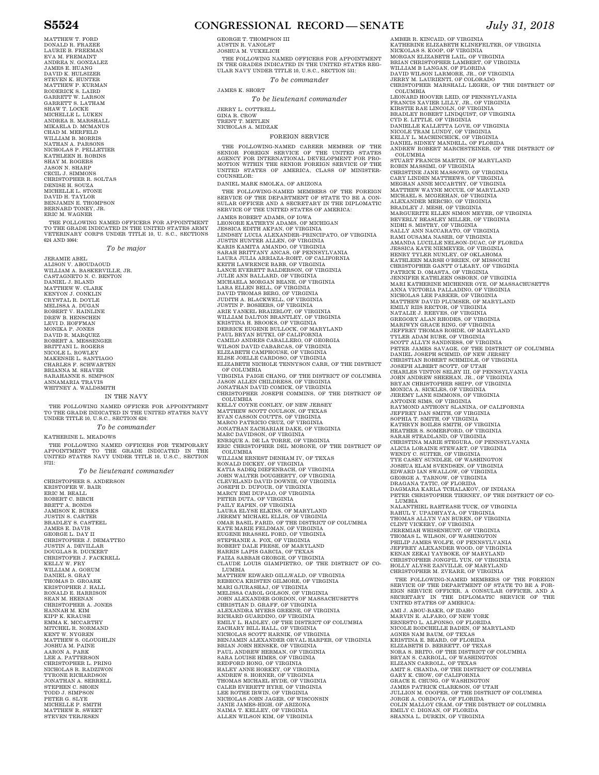MATTHEW T. FORD<br>DONALD R. FRAZEE DONALD R. FRAZEE<br>LAURIE B. FREEMAN<br>EVA M. FREMAINT<br>SVA M. FREMAINT<br>JAMES E. HUANG<br>JAMES E. HUANG<br>STEVEN K. HUNIZER<br>STEVEN K. HUNIZER<br>GARRETT W. LARSON<br>GARRETT W. LARSON<br>GARRETT W. LARSON<br>SHAW T. LOCKE<br>MICHELLE L. LUKEN<br>MIR NATHAN A. PARSONS NICHOLAS P. PELLETIER KATHLEEN H. ROBINS SHAY M. ROGERS JASON N. SHARP CECIL J. SIMMONS CHRISTOPHER R. SOLTAS DENISE H. SOUZA MICHELLE L. STONE DAVID H. TAYLOR BENJAMIN E. THOMPSON BERNARD TONEY, JR. ERIC M. WAGNER

THE FOLLOWING NAMED OFFICERS FOR APPOINTMENT TO THE GRADE INDICATED IN THE UNITED STATES ARMY VETERINARY CORPS UNDER TITLE 10, U. S.C., SECTIONS 624 AND 3064:

*To be major* 

JERAMIE ABEL<br>ALISON V. ABOUDAOUD<br>WILLIAM A. BASKERVILLE, JR.<br>CASTAGNETO N. O. BENTON<br>DANIEL J. BLAND<br>MATTHEW W. CLARK<br>KENYON J. CONKLIN<br>KENYON J. CONKLIN<br>ROBERT V. HAINLINE<br>NEBENT V. HAINLINE<br>DEEW B. HENSCHEN<br>LEVI D. HOFFM MONIKA P. JONES<br>DAVID R. MARQUEZ<br>ROBERT A. MESSENGER<br>BRITTANI L. ROGERS NICOLE L. ROWLEY MAKENSIE L. SANTIAGO CHARLES F. SCHWARTEN BRIANNA M. SHAVER SARAHANNE S. SIMPSON ANNAMARIA TRAVIS WHITNEY A. WALDSMITH

#### IN THE NAVY

THE FOLLOWING NAMED OFFICER FOR APPOINTMENT TO THE GRADE INDICATED IN THE UNITED STATES NAVY UNDER TITLE 10, U.S.C., SECTION 624:

*To be commander* 

KATHERINE L. MEADOWS THE FOLLOWING NAMED OFFICERS FOR TEMPORARY APPOINTMENT TO THE GRADE INDICATED IN THE UNITED STATES NAVY UNDER TITLE 10, U.S.C., SECTION 5721:

*To be lieutenant commander* 

CHRISTOPHER S. ANDERSON KRISTOFER W. BAIR ERIC M. BEALL ROBERT C. BIRCH BRETT A. BONDS JAMISON K. BURKS JUSTIN S. CARTER BRADLEY S. CASTEEL<br>JAMES E. DAVIS<br>GEORGE L. DAY II<br>CHRISTOPHER J. DEMATTEO<br>JUSTIN A. DEVILLAR<br>JUSTIN A. DEVILLAR<br>CHRISTOPER J. FACKRELL<br>KELLY W. FRY<br>DANIELI S. GRAY<br>DANIELI S. GRAY<br>TANIELIS. GRAY<br>KRISTOPHER J. HALL RONALD E. HARRISON SEAN M. HEENAN CHRISTOPHER A. JONES HANNAH M. KIM KIPP K. KRAUSE<br>EMMA K. MCCARTHY<br>MITCHEL R. NORMAND<br>KENT W. NYGREN<br>MATTHEW S. OLOUGHLIN<br>JOSHUA M. PAINE AARON A. PARK LEE A. PATTERSON CHRISTOPHER L. PRING NICHOLAS R. RADZIWON TYRONE RICHARDSON JONATHAN A. SERRELL STEPHEN C. SHOEN TODD J. SIMPSON PETER G. SLYE MICHELLE P. SMITH MATTHEW R. SWEET STEVEN TERJESEN

### **S5524 CONGRESSIONAL RECORD — SENATE** *July 31, 2018*

GEORGE T. THOMPSON III AUSTIN R. VANOLST JOSHUA M. VUKELICH THE FOLLOWING NAMED OFFICERS FOR APPOINTMENT IN THE GRADES INDICATED IN THE UNITED STATES REG-ULAR NAVY UNDER TITLE 10, U.S.C., SECTION 531: *To be commander* 

JAMES K. SHORT

*To be lieutenant commander*  JERRY L. COTTRELL GINA R. CROW TRENT T. METLEN NICHOLAS A. MIDZAK

FOREIGN SERVICE

THE FOLLOWING-NAMED CAREER MEMBER OF THE<br>SENIOR FOREIGN SERVICE OF THE UNITED STATES<br>AGENCY FOR INTERNATIONAL DEVELOPMENT FOR PRO-MOTION WITHIN THE SENIOR FOREIGN SERVICE OF THE<br>UNITED STATES OF AMERICA, CLASS OF MINISTER-<br>COUNSELOR:

THE FOLLOWING-NAMED MEMBERS OF THE FOREIGN

DANIEL MARK SMOLKA, OF ARIZONA

SERVICE OF THE DEPARTMENT OF STATE TO BE A CON-<br>SULAR OFFICER AND A SECRETARY IN THE DIPLOMATIC<br>SERVICE OF THE UNITED STATES OF AMERICA: JAMES ROBERT ADAMS, OF IOWA<br>LEONORE KATHRYN ADAMS, OF MICHIGAN<br>JESSICA EDITH AKPAN, OF VIRGINIA<br>JESSICA EDITH AKPAN, OF VIRGINIA<br>JUSTIN HUNTER ALLEXANDER-PRINCIPATO, OF VIRGINIA<br>KARIS KAMITA AMANDO, OF VIRGINIA<br>KARIS KAMIT LANCE EVERETT BALDERSON, OF VIRGINIA<br>JULIE ANN BALLARD, OF VIRGINIA<br>MICHAELA MORGAN BEANE, OF VIRGINIA<br>LARA ELLEN BELL, OF VIRGINIA<br>DAVID THOMAS BERG, OF VIRGINIA<br>DAVID THOMAS BERG, OF VIRGINIA<br>JUDITH A. BLACKWELL, OF VIRG PAUL BRYAN BUTKI, OF CALIFORNIA CAMILO ANDRES CABALLERO, OF GEORGIA WILSON DAVID CABARCAS, OF VIRGINIA ELIZABETH CAMPHOUSE, OF VIRGINIA<br>ELISE JOELLE CARDOSO, OF VIRGINIA<br>ELIZABETH NICHOLE TENNYSON CARR, OF THE DISTRICT OF COLUMBIA VIRGINIA PAIGE CHANG, OF THE DISTRICT OF COLUMBIA JASON ALLEN CHILDRESS, OF VIRGINIA JONATHAN DAVID COMICK, OF VIRGINIA CHRISTOPHER JOSEPH COMMINS, OF THE DISTRICT OF COLUMBIA<br>COLUMBIA<br>MATTHEW SCOTT COULSON, OF TEXAS<br>EVAN CASSON COUTTS, OF VIRGINIA<br>EVAN CASSON COUTTS, OF VIRGINIA<br>ENARCO PATRICIO CRUZ, OF VIRGINIA<br>JONATHAN ZACHARIAH DAKE, OF RONALD DICKEY, OF VIRGINIA<br>KATIA SADEQ DIEFENBACH, OF VIRGINIA<br>JOHN WALTER DOUGHERTY, OF VIRGINIA<br>CLEVELAND DAVID DOWNIE, OF VIRGINIA<br>JOSEPH D. DUFOUR, OF VIRGINIA<br>MARCY EMI DUPALO, OF VIRGINIA<br>MARCY EMI DUPALO, OF VIRGINI FAIZA SABBAH GEORGE, OF VIRGINIA CLAUDE LOUIS GIAMPIETRO, OF THE DISTRICT OF CO-LUMBIA<br>MATTHEW EDWARD GILLWALD, OF VIRGINIA<br>REBECCA KRISTEN GILMORE, OF VIRGINIA<br>MARI GJURASHAJ, OF VIRGINIA<br>MELISSA CAROL GOLSON, OF VIRGINIA<br>JOHN ALEXANDER GORDON, OF MASSACHUSETTS<br>CHRISTIAN D. GRAFF, OF VIRGINIA<br>ALEXAND RICHARD GUARDINO, OF VIRGINIA<br>EMILY L. HADLEY, OF THE DISTRICT OF COLUMBIA<br>ZACHARY BILL HALL, OF VIRGINIA<br>NICHOLAS SCOTT HARNIK, OF VIRGINIA<br>BENJAMIN ALEXANDER OR VIRGINIA<br>BRIAN JOHN HENSKE, OF VIRGINIA<br>PAUL ANDREW HERMAN, SARA LOUISE HIMES, OF VIRGINIA<br>REDFORD HONG, OF VIRGINIA<br>HALEY ANNE HORKEY, OF VIRGINIA<br>ANDREW S. HORNER, OF VIRGINIA<br>ANDREW S. HORNER, OF VIRGINIA<br>CALEB EVERETT HYRE, OF VIRGINIA<br>LEE ROTHE IRWIN, OF VIRGINIA<br>MICHOLAS JOHN

AMBER R. KINCAID, OF VIRGINIA KATHERINE ELIZABETH KLINEFELTER, OF VIRGINIA NICKOLAS S. KOOP, OF VIRGINIA<br>MORGAN ELIZABETH LAIL, OF VIRGINIA<br>BRIAN CHRISTOPHER LAMBERT, OF VIRGINIA<br>WILLIAM B LANGAN, OF FLORIDA<br>DAVID WILSON LARMORE, JR., OF VIRGINIA<br>JERRY M. LAURIENTI, OF COLORADO<br>JERRY M. LAURIENTI COLUMBIA<br>LEONARD HOOVER LEID, OF PENNSYLVANIA<br>FRANCIS XAVIER LILLY, JR., OF VIRGINIA<br>KIRSTIE RAE LINCOLN, OF VIRGINIA<br>BRADLEY ROBERT LINDQUIST, OF VIRGINIA<br>DANIELLE KALLETTA LOVE, OF VIRGINIA<br>NICOLE TRAM LUNDY, OF VIRGINIA DANIEL SIDNEY MANDELL, OF FLORIDA ANDREW ROBERT MARCHSTEINER, OF THE DISTRICT OF COLUMBIA<br>STUART FRANCIS MARTIN, OF MARYLAND<br>ROBIN MASSIMI, OF VIRGINIA<br>ROBIN MASSIMI, OF VIRGINIA<br>CARY LINDEN MATEHEWS, OF VIRGINIA<br>CARY LINDEN MATTHEWS, OF MARYLAND<br>MICHAEL S. MCGEEHAN, OF VIRGINIA<br>MICHAEL S. MCGEEHAN, OF BEVERLY BEASLEY MILLER, OF VIRGINIA NIDHI S. MISTRY, OF VIRGINIA SALLY ANN NACCARATO, OF VIRGINIA RAMI OUSAMA NASER, OF VIRGINIA<br>AMANDA LUCILLE NELSON-DUAC, OF FLORIDA<br>JESSICA KATE NIEMEYER, OF VIRGINIA<br>HENRY TYLER NUNLEY, OF OKLAHOMA<br>KATHLEEN MARSH O'BRIEN, OF MISSOURI<br>CHRISTOPHER GANTT O'LEARY, OF VIRGINIA<br>JENNIFER K MARI KATHERINE MICHENRE OYE, OF MASSACHUSETTS<br>ANNA VICTORIA PALLADINO, OF VIRGINIA<br>NICHOLAS LEE PARKER, OF VIRGINIA<br>MATTHEW DAVID PLUMSER, OF MARYLAND<br>BMILY RIIS RECTOR, OF VIRGINIA<br>NATALIE J. REEVES, OF VIRGINIA<br>OREGORY A MARIWYN GRACE RING, OF VIRGINIA<br>MERYKY THOMAS ROHDE, OF MARYLAND<br>TYLER ADAM RUBE, OF VIRGINIA<br>TYLER ADAM RUBE, OF VIRGINIA<br>SCOTT ALLYN SANDNESS, OF VIRGINIA<br>PETER JAMES SAVAGE, OF THE DISTRICT OF COLUMBIA<br>DANIEL JOSEPH SCH RAHUL Y. UPADHYAYA, OF VIRGINIA<br>THOMAS ALLYN VAN BUREN, OF VIRGINIA<br>CLINT VICKERY, OF VIRGINIA<br>JEREMIAH WHISENHUNT, OF VIRGINIA<br>THOMAS L. WILSON, OF WASHINGTON<br>THOMAS L. WILSON, OF WASHINGTON<br>PHILIP JAMES WOLFE, OF PENNSYL THE FOLLOWING-NAMED MEMBERS OF THE FOREIGN SERVICE OF THE DEPARTMENT OF STATE TO BE A FOR-<br>EIGN SERVICE OFFICER, A CONSULAR OFFICER, AND A<br>SECRETARY IN THE DIPLOMATIC SERVICE OF THE<br>UNITED STATES OF AMERICA: AMI J. ABOU-BAKR, OF IDAHO MARVIN E. ALFARO, OF NEW YORK ERNESTO L. ALFONSO, OF FLORIDA NICOLE RODCHELLE BADEN, OF MARYLAND<br>MCOLE RODCHELLE BADEN, OF TEXAS<br>KRISTINA E. BEARD, OF TEXAS<br>ELIZABETH D. BERRETT, OF TEXAS<br>NORA S. BRITO, OF THE DISTRICT OF COLUMBIA<br>BRYAN S. CARROLL, OF WASHINGTON<br>MITT S. CHANDA, OF T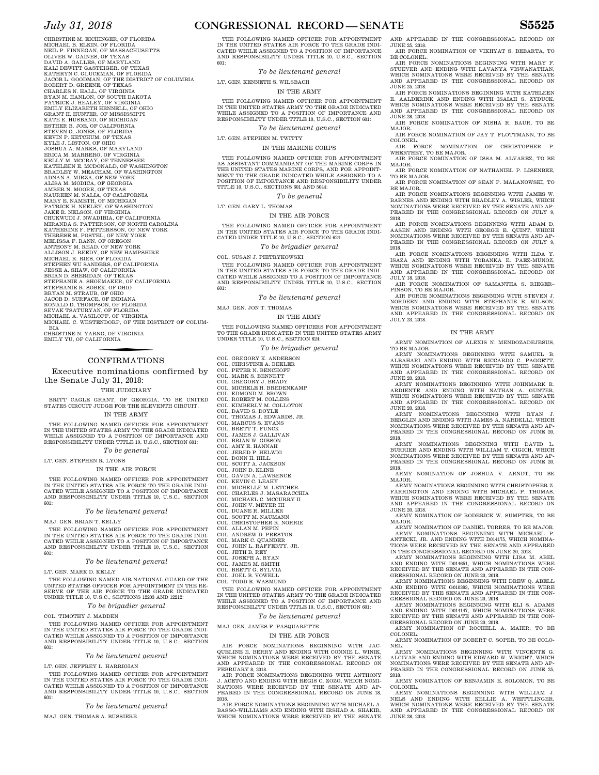CHRISTINE M. EICHINGER, OF FLORIDA MICHAEL B. ELKIN, OF FLORIDA NEIL P. FINNEGAN, OF MASSACHUSETTS<br>OLIVER W. GAINES, OF TEXAS<br>DAVID A. GALLES, OF MARYLAND<br>KALI DEWITT GASTEIGER, OF TEXAS KATHRYN C. GLUCKMAN, OF FLORIDA JACOB L. GOODMAN, OF THE DISTRICT OF COLUMBIA ROBERT D. GREENE, OF TEXAS CHARLES N. HALL, OF VIRGINIA RYAN M. HANLON, OF SOUTH DAKOTA<br>PATRICK J. HEALEY, OF VIRGINIA<br>EMILY ELIZABETH HENNELL, OF OHIO<br>GRANT H. HUNTER, OF MISSISSIPPI KATE E. HUSBAND, OF MICHIGAN ESTHER B. JOE, OF CALIFORNIA STEVEN G. JONES, OF FLORIDA KEVIN P. KETCHUM, OF TEXAS KYLE J. LISTON, OF OHIO JOSHUA A. MARKS, OF MARYLAND ERICA M. MARRERO, OF VIRGINIA KELLY M. MCCRAY, OF TENNESSEE KATHLEEN E. MCDONALD, OF WASHINGTON BRADLEY W. MEACHAM, OF WASHINGTON<br>ADNAN A. MIRZA, OF NEW YORK<br>ALISA M. MODICA, OF GEORGIA<br>AMBER N. MOORE, OF TEXAS<br>NAUREEN M. NALIA, OF CALIFORNIA MARY E. NAMETH, OF MICHIGAN PATRICK H. NEELEY, OF WASHINGTON JAKE R. NELSON, OF VIRGINIA CHUKWUDI J. NWADIBHA, OF CALIFORNIA<br>KHUKWUDI J. NWADIBHA, OF NORTH CAROLINA<br>KATHERINE F. PETTERSSON, OF NEW YORK<br>THERESE M. POSTEL, OF NEW YORK<br>MELISSA F. RANN, OF OREGON<br>AMPHONY M. READ, OF NEW YORK<br>ALLISON J. REEDY, OF N JESSE A. SHAW, OF CALIFORNIA<br>BRIAN D. SHERIDAN, OF TEXAS<br>STEPHANIE A. SHOEMAKER, OF CALIFORNIA<br>STEPHANIE R. SOBEK, OF OHIO BRYAN M. STRAUB, OF OHIO JACOB D. SURFACE, OF INDIANA RONALD D. THOMPSON, OF FLORIDA SEVAK TSATURYAN, OF FLORIDA MICHAEL A. VASILOFF, OF VIRGINIA MICHAEL C. WESTENDORP, OF THE DISTRICT OF COLUM-

BIA CHRISTINE N. YARNG, OF VIRGINIA EMILY YU, OF CALIFORNIA

### CONFIRMATIONS

Executive nominations confirmed by the Senate July 31, 2018: THE JUDICIARY

BRITT CAGLE GRANT, OF GEORGIA, TO BE UNITED STATES CIRCUIT JUDGE FOR THE ELEVENTH CIRCUIT. IN THE ARMY

THE FOLLOWING NAMED OFFICER FOR APPOINTMENT IN THE UNITED STATES ARMY TO THE GRADE INDICATED WHILE ASSIGNED TO A POSITION OF IMPORTANCE AND RESPONSIBILITY UNDER TITLE 10, U.S.C., SECTION 601:

*To be general*  LT. GEN. STEPHEN R. LYONS

### IN THE AIR FORCE

THE FOLLOWING NAMED OFFICER FOR APPOINTMENT IN THE UNITED STATES AIR FORCE TO THE GRADE INDI-CATED WHILE ASSIGNED TO A POSITION OF IMPORTANCE AND RESPONSIBILITY UNDER TITLE 10, U.S.C., SECTION  $601 -$ 

### *To be lieutenant general*

MAJ. GEN. BRIAN T. KELLY

THE FOLLOWING NAMED OFFICER FOR APPOINTMENT IN THE UNITED STATES AIR FORCE TO THE GRADE INDI-CATED WHILE ASSIGNED TO A POSITION OF IMPORTANCE AND RESPONSIBILITY UNDER TITLE 10, U.S.C., SECTION 601:

#### *To be lieutenant general*

LT. GEN. MARK D. KELLY

THE FOLLOWING NAMED AIR NATIONAL GUARD OF THE UNITED STATES OFFICER FOR APPOINTMENT IN THE RE-SERVE OF THE AIR FORCE TO THE GRADE INDICATED UNDER TITLE 10, U.S.C., SECTIONS 12203 AND 12212:

### *To be brigadier general*

COL. TIMOTHY J. MADDEN

THE FOLLOWING NAMED OFFICER FOR APPOINTMENT IN THE UNITED STATES AIR FORCE TO THE GRADE INDI-CATED WHILE ASSIGNED TO A POSITION OF IMPORTANCE AND RESPONSIBILITY UNDER TITLE 10, U.S.C., SECTION  $601 -$ 

### *To be lieutenant general*

LT. GEN. JEFFREY L. HARRIGIAN

THE FOLLOWING NAMED OFFICER FOR APPOINTMENT IN THE UNITED STATES AIR FORCE TO THE GRADE INDI-CATED WHILE ASSIGNED TO A POSITION OF IMPORTANCE AND RESPONSIBILITY UNDER TITLE 10, U.S.C., SECTION 601:

### *To be lieutenant general*

MAJ. GEN. THOMAS A. BUSSIERE

### *July 31, 2018* **CONGRESSIONAL RECORD — SENATE S5525**

THE FOLLOWING NAMED OFFICER FOR APPOINTMENT IN THE UNITED STATES AIR FORCE TO THE GRADE INDI-CATED WHILE ASSIGNED TO A POSITION OF IMPORTANCE AND RESPONSIBILITY UNDER TITLE 10, U.S.C., SECTION 601:

*To be lieutenant general* 

### LT. GEN. KENNETH S. WILSBACH

### IN THE ARMY

THE FOLLOWING NAMED OFFICER FOR APPOINTMENT IN THE UNITED STATES ARMY TO THE GRADE INDICATED WHILE ASSIGNED TO A POSITION OF IMPORTANCE AND RESPONSIBILITY UNDER TITLE 10, U.S.C., SECTION 601:

*To be lieutenant general* 

LT. GEN. STEPHEN M. TWITTY

IN THE MARINE CORPS

THE FOLLOWING NAMED OFFICER FOR APPOINTMENT AS ASSISTANT COMMANDANT OF THE MARINE CORPS IN THE UNITED STATES MARINE CORPS, AND FOR APPOINT-<br>MENT TO THE GRADE INDICATED WHILE ASSIGNED TO A<br>POSITION OF IMPORTANCE AND RESPONSIBILITY UNDER TITLE 10, U.S.C., SECTIONS 601 AND 5044:

### *To be general*

LT. GEN. GARY L. THOMAS

#### IN THE AIR FORCE

THE FOLLOWING NAMED OFFICER FOR APPOINTMENT IN THE UNITED STATES AIR FORCE TO THE GRADE INDI-CATED UNDER TITLE 10, U.S.C., SECTION 624:

### *To be brigadier general*

COL. SUSAN J. PIETRYKOWSKI

THE FOLLOWING NAMED OFFICER FOR APPOINTMENT IN THE UNITED STATES AIR FORCE TO THE GRADE INDI-CATED WHILE ASSIGNED TO A POSITION OF IMPORTANCE AND RESPONSIBILITY UNDER TITLE 10, U.S.C., SECTION 601:

*To be lieutenant general* 

MAJ. GEN. JON T. THOMAS

### IN THE ARMY

THE FOLLOWING NAMED OFFICERS FOR APPOINTMENT TO THE GRADE INDICATED IN THE UNITED STATES ARMY UNDER TITLE 10, U.S.C., SECTION 624:

*To be brigadier general* 

COL. GREGORY K. ANDERSON COL. CHRISTINE A. BEELER COL. PETER N. BENCHOFF COL. MARK S. BENNETT

COL. GREGORY J. BRADY COL. MICHELE H. BREDENKAMP

- COL. EDMOND M. BROWN
- COL. ROBERT M. COLLINS COL. KIMBERLY M. COLLOTON COL. DAVID S. DOYLE
- 
- COL. THOMAS J. EDWARDS, JR.
- 
- COL. MARCUS S. EVANS COL. BRETT T. FUNCK COL. JAMES J. GALLIVAN
- COL. BRIAN W. GIBSON
- 
- COL. AMY E. HANNAH COL. JERED P. HELWIG
- COL. DONN H. HILL
- 
- COL. SCOTT A. JACKSON COL. JOHN D. KLINE COL. GAVIN A. LAWRENCE COL. KEVIN C. LEAHY
- 
- 
- COL. MICHELLE M. LETCHER COL. CHARLES J. MASARACCHIA COL. MICHAEL C. MCCURRY II
- COL. JOHN V. MEYER III
- COL. DUANE R. MILLER COL. SCOTT M. NAUMANN
- COL. CHRISTOPHER R. NORRIE
- 
- COL. ALLAN M. PEPIN COL. ANDREW D. PRESTON COL. MARK C. QUANDER
- COL. JOHN L. RAFFERTY, JR.
- 
- 
- COL. JETH B. REY COL. JOSEPH A. RYAN COL. JAMES M. SMITH
- 
- COL. BRETT G. SYLVIA COL. JOEL B. VOWELL COL. TODD R. WASMUND

THE FOLLOWING NAMED OFFICER FOR APPOINTMENT IN THE UNITED STATES ARMY TO THE GRADE INDICATED WHILE ASSIGNED TO A POSITION OF IMPORTANCE AND RESPONSIBILITY UNDER TITLE 10, U.S.C., SECTION 601:

*To be lieutenant general* 

MAJ. GEN. JAMES F. PASQUARETTE

### IN THE AIR FORCE

AIR FORCE NOMINATIONS BEGINNING WITH JAC-QUELINE E. BERRY AND ENDING WITH CONNIE L. WINIK, WHICH NOMINATIONS WERE RECEIVED BY THE SENATE AND APPEARED IN THE CONGRESSIONAL RECORD ON FEBRUARY 8, 2018.

AIR FORCE NOMINATIONS BEGINNING WITH ANTHONY J. ACETO AND ENDING WITH REGIS C. ZOZO, WHICH NOMI-NATIONS WERE RECEIVED BY THE SENATE AND AP-PEARED IN THE CONGRESSIONAL RECORD ON JUNE 18, 2018.

AIR FORCE NOMINATIONS BEGINNING WITH MICHAEL A. BASSO–WILLIAMS AND ENDING WITH IRSHAD A. SHAKIR, WHICH NOMINATIONS WERE RECEIVED BY THE SENATE

AND APPEARED IN THE CONGRESSIONAL RECORD ON JUNE 25, 2018. AIR FORCE NOMINATION OF VIKHYAT S. BEBARTA, TO

BE COLONEL. AIR FORCE NOMINATIONS BEGINNING WITH MARY F.

STUEVER AND ENDING WITH LAVANYA VISWANATHAN, WHICH NOMINATIONS WERE RECEIVED BY THE SENATE AND APPEARED IN THE CONGRESSIONAL RECORD ON JUNE 25, 2018.

AIR FORCE NOMINATIONS BEGINNING WITH KATHLEEN<br>E. AALDERINK AND ENDING WITH ISAIAH S. ZYDUCK,<br>WHICH NOMINATIONS WERE RECEIVED BY THE SENATE AND APPEARED IN THE CONGRESSIONAL RECORD ON JUNE 28, 2018.

AIR FORCE NOMINATION OF NISHA R. BAUR, TO BE MAJOR. AIR FORCE NOMINATION OF JAY T. FLOTTMANN, TO BE

COLONEL.

AIR FORCE NOMINATION OF CHRISTOPHER P. WHERTHEY, TO BE MAJOR.

AIR FORCE NOMINATION OF ISSA M. ALVAREZ, TO BE MAJOR. AIR FORCE NOMINATION OF NATHANIEL P. LISENBEE,

TO BE MAJOR. AIR FORCE NOMINATION OF SEAN P. MALANOWSKI, TO

BE MAJOR. AIR FORCE NOMINATIONS BEGINNING WITH JAMES W. BARNES AND ENDING WITH BRADLEY A. WISLER, WHICH NOMINATIONS WERE RECEIVED BY THE SENATE AND AP-PEARED IN THE CONGRESSIONAL RECORD ON JULY 9, 2018.

AIR FORCE NOMINATIONS BEGINNING WITH ADAM D. AASEN AND ENDING WITH GEORGE E. QUINT, WHICH NOMINATIONS WERE RECEIVED BY THE SENATE AND AP-PEARED IN THE CONGRESSIONAL RECORD ON JULY 9, 2018.

AIR FORCE NOMINATIONS BEGINNING WITH ILDA Y. ISAZA AND ENDING WITH YOBANKA E. PAEZ-MUNOZ, WHICH NOMINATIONS WERE RECEIVED BY THE SENATE AND APPEARED IN THE CONGRESSIONAL RECORD ON JULY 18, 2018.

AIR FORCE NOMINATION OF SAMANTHA S. RIEGER– PINSON, TO BE MAJOR.

AIR FORCE NOMINATIONS BEGINNING WITH STEVEN J. NORDEEN AND ENDING WITH STEPHANIE E. WILSON, WHICH NOMINATIONS WERE RECEIVED BY THE SENATE AND APPEARED IN THE CONGRESSIONAL RECORD ON JULY 23, 2018.

#### IN THE ARMY

ARMY NOMINATION OF ALEXIS N. MENDOZADEJESUS, TO BE MAJOR.

ARMY NOMINATIONS BEGINNING WITH SAMUEL B. ALBAHARI AND ENDING WITH RICCARDO C. PAGGETT,<br>WHICH NOMINATIONS WERE RECEIVED BY THE SENATE<br>AND APPEARED IN THE CONGRESSIONAL RECORD ON JUNE 20, 2018. ARMY NOMINATIONS BEGINNING WITH JOHNMARK R.

ARDIENTE AND ENDING WITH NATHAN A. GUNTER, WHICH NOMINATIONS WERE RECEIVED BY THE SENATE

AND APPEARED IN THE CONGRESSIONAL RECORD ON JUNE 20, 2018. <br>ARMY NOMINATIONS BEGINNING WITH RYAN J. BERGLIN AND ENDING WITH JAMES A. NARDELLI, WHICH<br>NOMINATIONS WERE RECEIVED BY THE SENATE AND APPEARED IN THE CONGRESSIONA

ARMY NOMINATIONS BEGINNING WITH DAVID L. BURRIER AND ENDING WITH WILLIAM T. CIGICH, WHICH NOMINATIONS WERE RECEIVED BY THE SENATE AND AP-PEARED IN THE CONGRESSIONAL RECORD ON JUNE 20,

ARMY NOMINATION OF JOSHUA V. ARNDT, TO BE

ARMY NOMINATIONS BEGINNING WITH CHRISTOPHER Z. FARRINGTON AND ENDING WITH MICHAEL P. THOMAS, WHICH NOMINATIONS WERE RECEIVED BY THE SENATE AND APPEARED IN THE CONGRESSIONAL RECORD ON JUNE 20, 2018.<br>ARMY NOMINATION OF RODERICK WAS UMPTER TO BE ARMY NOMINATION OF RODERICK W. SUMPTER, TO BE MAJOR. ARMY NOMINATION OF DANIEL TORRES, TO BE MAJOR. ARMY NOMINATIONS BEGINNING WITH MICHAEL P.<br>ANTECKI, JR. AND ENDING WITH D014175, WHICH NOMINA-<br>TIONS WERE RECEIVED BY THE SENATE AND APPEARED IN THE CONGRESSIONAL RECORD ON JUNE 20, 2018. ARMY NOMINATIONS BEGINNING WITH LISA M. ABEL<br>AND ENDING WITH D014651, WHICH NOMINATIONS WERE<br>RECEIVED BY THE SENATE AND APPEARED IN THE CON-

GRESSIONAL RECORD ON JUNE 20, 2018.<br>ARMY NOMINATIONS BEGINNING WITH DREW Q. ABELL AND ENDING WITH GO10393, WHICH NOMINATIONS WERE<br>RECEIVED BY THE SENATE AND APPEARED IN THE CONGRESSIONAL RECORD ON JUNE 20, 2018.<br>ARMY NOMI

AND ENDING WITH D014147, WHICH NOMINATIONS WERE RECEIVED BY THE SENATE AND APPEARED IN THE CON-<br>GREESIONAL RECORD ON JUNE 20, 2018.<br>GRESSIONAL RECORD ON JUNE 20, 2018.<br>ARMY NOMINATION OF ROCHELL A. MAIER, TO BE

ARMY NOMINATION OF ROBERT C. SOPER, TO BE COLO-NEL. ARMY NOMINATIONS BEGINNING WITH VINCENTE G. ALCIVAR AND ENDING WITH EDWARD W. WRIGHT, WHICH<br>NOMINATIONS WERE RECEIVED BY THE SENATE AND AP-<br>PEARED IN THE CONGRESSIONAL RECORD ON JUNE 25,

ARMY NOMINATION OF BENJAMIN E. SOLOMON, TO BE COLONEL. ARMY NOMINATIONS BEGINNING WITH WILLIAM J. NELS AND ENDING WITH KELLIE A. WHITTLINGER,<br>WHICH NOMINATIONS WERE RECEIVED BY THE SENATE<br>AND APPEARED IN THE CONGRESSIONAL RECORD ON

2018.

2018.

MAJOR.

COLONEL.

2018.

JUNE 28, 2018.